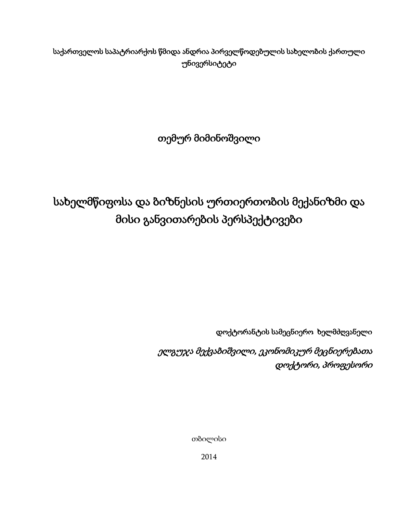საქართველოს საპატრიარქოს წმიდა ანდრია პირველწოდებულის სახელობის ქართული უნივერსიტეტი

თემურ მიმინოშვილი

სახელმწიფოსა და ბიზნესის ურთიერთობის მექანიზმი და მისი განვითარების პერსპექტივები

დოქტორანტის სამეცნიერო ხელმძღვანელი

<span id="page-0-0"></span> ელგუჯა მექვაბიშვილი, ეკონომიკურ მეცნიერებათა დოქტორი, პროფესორი

თბილისი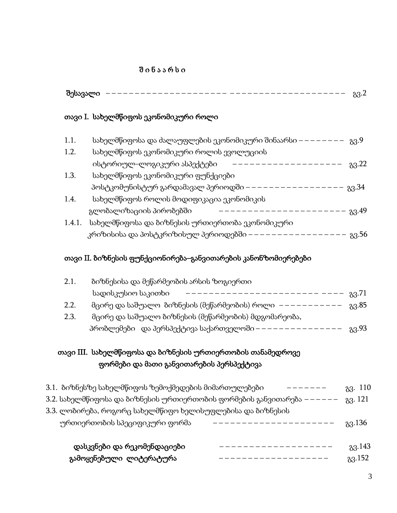## $0.6$  ა ა რ ს ი

## თავი I. სახელმწიფოს ეკონომიკური როლი

| 1.1.   | სახელმწიფოსა და ძალაუფლების ეკონომიკური შინაარსი – | გვ.9  |
|--------|----------------------------------------------------|-------|
| 1.2.   | სახელმწიფოს ეკონომიკური როლის ევოლუციის            |       |
|        | ისტორიულ–ლოგიკური ასპექტები                        | 83.22 |
| 1.3.   | სახელმწიფოს ეკონომიკური ფუნქციები                  |       |
|        | პოსტკომუნისტურ გარდამავალ პერიოდში                 | 83.34 |
| 1.4.   | სახელმწიფოს როლის მოდიფიკაცია ეკონომიკის           |       |
|        | გლობალიზაციის პირობებში                            | 83.49 |
| 1.4.1. | სახელმწიფოსა და ბიზნესის ურთიერთობა ეკონომიკური    |       |
|        | კრიზისისა და პოსტკრიზისულ პერიოდებში -             | გვ.56 |

## თავი II. ბიზნესის ფუნქციონირება–განვითარების კანონზომიერებები

| 2.1.                                                                      | ბიზნესისა და მეწარმეობის არსის ზოგიერთი                    |         |  |  |
|---------------------------------------------------------------------------|------------------------------------------------------------|---------|--|--|
|                                                                           | სადისკუსიო საკითხი                                         | 83.71   |  |  |
| 2.2.                                                                      | მცირე და საშუალო  ბიზნესის (მეწარმეობის) როლი  ——————————  | 83.85   |  |  |
| 2.3.                                                                      | მცირე და საშუალო ბიზნესის (მეწარმეობის) მდგომარეობა,       |         |  |  |
|                                                                           | პრობლემები და პერსპექტივა საქართველოში – – – – – –         | 83.93   |  |  |
|                                                                           | თავი III. სახელმწიფოსა და ბიზნესის ურთიერთობის თანამედროვე |         |  |  |
|                                                                           | ფორმები და მათი განვითარების პერსპექტივა                   |         |  |  |
|                                                                           | 3.1.  ბიზნესზე სახელმწიფოს ზემოქმედების მიმართულებები      | 83. 110 |  |  |
| 3.2. სახელმწიფოსა და ბიზნესის ურთიერთობის ფორმების განვითარება  – – – – – |                                                            |         |  |  |
|                                                                           | 3.3. ლობირება, როგორც სახელმწიფო ხელისუფლებისა და ბიზნესის |         |  |  |
|                                                                           | ურთიერთობის სპეციფიკური ფორმა                              | 83.136  |  |  |
|                                                                           | დასკვნები და რეკომენდაციები                                | 83.143  |  |  |

|                         | $\mathbf{x}$ - $00$ or $\mathbf{x}$ - $00$ $\mathbf{x}$ - $0$ - $\mathbf{x}$ - $0$ - $0$ - $\mathbf{x}$ | $(x - 1)^2$ |
|-------------------------|---------------------------------------------------------------------------------------------------------|-------------|
| გამოყენებული ლიტერატურა |                                                                                                         | 33.152      |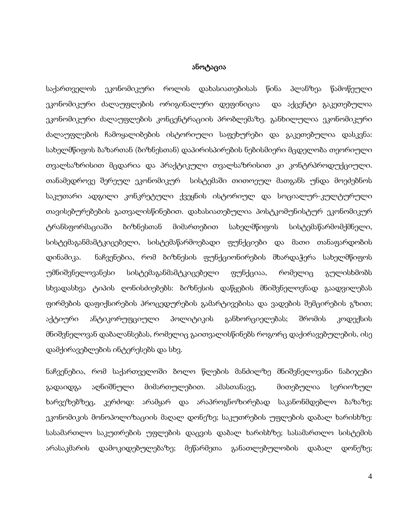#### ანოტაცია

საქართველოს ეკონომიკური როლის დახასიათებისას წინა პლანზეა წამოწეული ეკონომიკური ძალაუფლების ორიგინალური დეფინიცია და აქცენტი გაკეთებულია ეკონომიკური ძალაუფლების კონცენტრაციის პრობლემაზე. განხილულია ეკონომიკური ძალაუფლების ჩამოყალიბების ისტორიული საფეხურები და გაკეთებულია დასკვნა: სახელმწიფოს ბაზართან (ბიზნესთან) დაპირისპირების ნებისმიერი მცდელობა თეორიული თვალსაზრისით მცდარია და პრაქტიკული თვალსაზრისით კი კონტრპროდუქციული. თანამედროვე შერეულ ეკონომიკურ სისტემაში თითოეულ მათგანს უნდა მოეძებნოს საკუთარი ადგილი კონკრეტული ქვეყნის ისტორიულ და სოციალურ-კულტურული თავისებურებების გათვალისწინებით. დახასიათებულია პოსტკომუნისტურ ეკონომიკურ ტრანსფორმაციაში ბიზნესთან მიმართებით სახელმწიფოს სისტემაწარმომქმნელი, სისტემაგანმამტკიცებელი, სისტემაწარმოებადი ფუნქციები და მათი თანაფარდობის დინამიკა. ნაჩვენებია, რომ ბიზნესის ფუნქციონირების მხარდაჭერა სახელმწიფოს უმნიშვნელოვანესი სისტემაგანმამტკიცებელი ფუნქციაა, რომელიც გულისხმობს სხვადასხვა ტიპის ღონისძიებებს: ბიზნესის დაწყების მნიშვნელოვნად გაადვილებას ფირმების დაფიქსირების პროცედურების გამარტივებისა და ვადების შემცირების გზით; აქტიური ანტიკორუფციული პოლიტიკის განხორციელებას; შრომის კოდექსის მნიშვნელოვან დაბალანსებას, რომელიც გაითვალისწინებს როგორც დაქირავებულების, ისე დამქირავებლების ინტერესებს და სხვ.

ნაჩვენებია, რომ საქართველოში ბოლო წლების მანძილზე მნიშვნელოვანი ნაბიჯები გადაიდგა აღნიშნული მიმართულებით. ამასთანავე, მითებულია სერიოზულ ხარვეზებზეც, კერძოდ: არამყარ და არაპროგნოზირებად საკანონმდებლო ბაზაზე; ეკონომიკის მონოპოლიზაციის მაღალ დონეზე; საკუთრების უფლების დაბალ ხარისხზე: სასამართლო საკუთრების უფლების დაცვის დაბალ ხარისხზე; სასამართლო სისტემის არასაკმარის დამოკიდებულებაზე; მეწარმეთა განათლებულობის დაბალ დონეზე;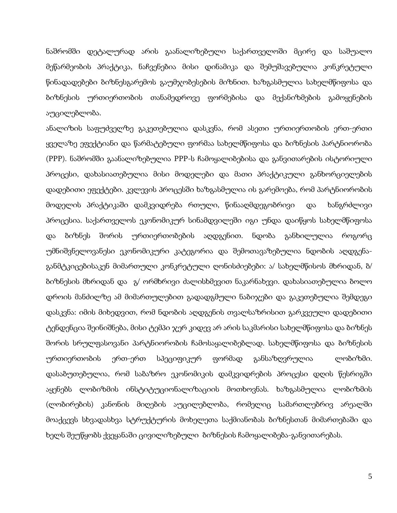ნაშრომში დეტალურად არის გაანალიზებული საქართველოში მცირე და საშუალო მეწარმეობის პრაქტიკა, ნაჩვენებია მისი დინამიკა და შემუშავებულია კონკრეტული წინადადებები ბიზნესგარემოს გაუმჯობესების მიზნით. ხაზგასმულია სახელმწიფოსა და ბიზნესის ურთიერთობის თანამედროვე ფორმებისა და მექანიზმების გამოყენების აუცილებლობა.

ანალიზის საფუძველზე გაკეთებულია დასკვნა, რომ ასეთი ურთიერთობის ერთ-ერთი ყველაზე ეფექტიანი და წარმატებული ფორმაა სახელმწიფოსა და ბიზნესის პარტნიორობა (PPP). ნაშრომში გაანალიზებულია PPP-ს ჩამოყალიბებისა და განვითარების ისტორიული პროცესი, დახასიათებულია მისი მოდელები და მათი პრაქტიკული განხორციელების დადებითი ეფექტები. კვლევის პროცესში ხაზგასმულია ის გარემოება, რომ პარტნიორობის მოდელის პრაქტიკაში დამკვიდრება რთული, წინააღმდეგობრივი და ხანგრძლივი პროცესია. საქართველოს ეკონომიკურ სინამდვილეში იგი უნდა დაიწყოს სახელმწიფოსა და ბიზნეს შორის ურთიერთობების აღდგენით. ნდობა განხილულია როგორც უმნიშვნელოვანესი ეკონომიკური კატეგორია და შემოთავაზებულია ნდობის აღდგენაგანმტკიცებისაკენ მიმართული კონკრეტული ღონისძიებები: ა/ სახელმწისოს მხრიდან, ბ/ ბიზნესის მხრიდან და გ/ ორმხრივი ძალისხმევით ნაკარნახევი. დახასიათებულია ბოლო დროის მანძილზე ამ მიმართულებით გადადგმული ნაბიჯები და გაკეთებულია შემდეგი დასკვნა: იმის მიხედვით, რომ ნდობის აღდგენის თვალსაზრისით გარკვეული დადებითი ტენდენცია შეინიშნება, მისი ტემპი ჯერ კიდევ არ არის საკმარისი სახელმწიფოსა და ბიზნეს შორის სრულფასოვანი პარტნიორობის ჩამოსაყალიბებლად. სახელმწიფოსა და ბიზნესის ურთიერთობის ერთ-ერთ სპეციფიკურ ფორმად განსაზღვრულია ლობიზმი. დასაბუთებულია, რომ საბაზრო ეკონომიკის დამკვიდრების პროცესი დღის წესრიგში აყენებს ლობიზმის ინსტიტუციონალიზაციის მოთხოვნას. ხაზგასმულია ლობიზმის (ლობირების) კანონის მიღების აუცილებლობა, რომელიც სამართლებრივ არეალში მოაქცევს სხვადასხვა სტრუქტურის მოხელეთა საქმიანობას ბიზნესთან მიმართებაში და ხელს შეუწყობს ქვეყანაში ცივილიზებული ბიზნესის ჩამოყალიბება-განვითარებას.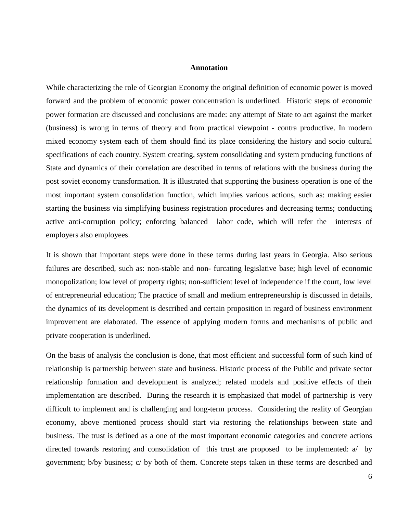#### **Annotation**

While characterizing the role of Georgian Economy the original definition of economic power is moved forward and the problem of economic power concentration is underlined. Historic steps of economic power formation are discussed and conclusions are made: any attempt of State to act against the market (business) is wrong in terms of theory and from practical viewpoint - contra productive. In modern mixed economy system each of them should find its place considering the history and socio cultural specifications of each country. System creating, system consolidating and system producing functions of State and dynamics of their correlation are described in terms of relations with the business during the post soviet economy transformation. It is illustrated that supporting the business operation is one of the most important system consolidation function, which implies various actions, such as: making easier starting the business via simplifying business registration procedures and decreasing terms; conducting active anti-corruption policy; enforcing balanced labor code, which will refer the interests of employers also employees.

It is shown that important steps were done in these terms during last years in Georgia. Also serious failures are described, such as: non-stable and non- furcating legislative base; high level of economic monopolization; low level of property rights; non-sufficient level of independence if the court, low level of entrepreneurial education; The practice of small and medium entrepreneurship is discussed in details, the dynamics of its development is described and certain proposition in regard of business environment improvement are elaborated. The essence of applying modern forms and mechanisms of public and private cooperation is underlined.

On the basis of analysis the conclusion is done, that most efficient and successful form of such kind of relationship is partnership between state and business. Historic process of the Public and private sector relationship formation and development is analyzed; related models and positive effects of their implementation are described. During the research it is emphasized that model of partnership is very difficult to implement and is challenging and long-term process. Considering the reality of Georgian economy, above mentioned process should start via restoring the relationships between state and business. The trust is defined as a one of the most important economic categories and concrete actions directed towards restoring and consolidation of this trust are proposed to be implemented: a/ by government; b/by business; c/ by both of them. Concrete steps taken in these terms are described and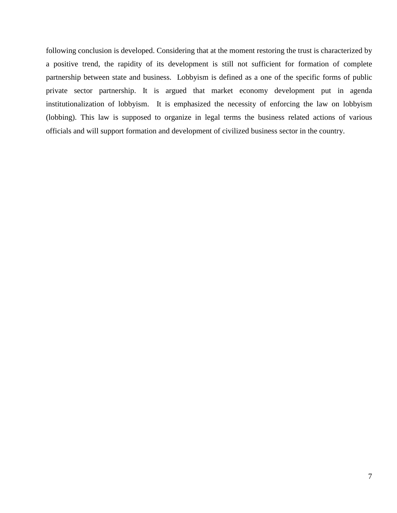following conclusion is developed. Considering that at the moment restoring the trust is characterized by a positive trend, the rapidity of its development is still not sufficient for formation of complete partnership between state and business. Lobbyism is defined as a one of the specific forms of public private sector partnership. It is argued that market economy development put in agenda institutionalization of lobbyism. It is emphasized the necessity of enforcing the law on lobbyism (lobbing). This law is supposed to organize in legal terms the business related actions of various officials and will support formation and development of civilized business sector in the country.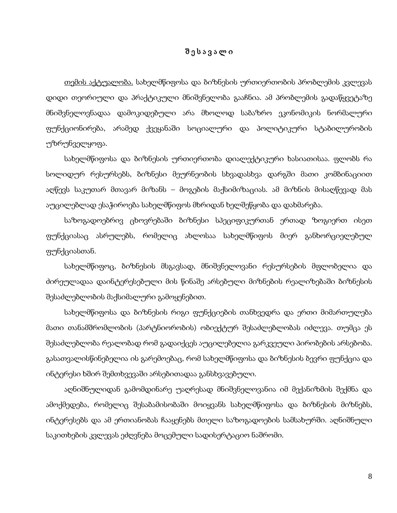### შ ე ს ა ვ ა ლ ი

თემის აქტუალობა. სახელმწიფოსა და ბიზნესის ურთიერთობის პრობლემის კვლევას დიდი თეორიული და პრაქტიკული მნიშვნელობა გააჩნია. ამ პრობლემის გადაწყვეტაზე მნიშვნელოვნადაა დამოკიდებული არა მხოლოდ საბაზრო ეკონომიკის ნორმალური ფუნქციონირება, არამედ ქვეყანაში სოციალური და პოლიტიკური სტაბილურობის უზრუნველყოფა.

სახელმწიფოსა და ბიზნესის ურთიერთობა დიალექტიკური ხასიათისაა. ფლობს რა სოლიდურ რესურსებს, ბიზნესი მეურნეობის სხვადასხვა დარგში მათი კომბინაციით აღწევს საკუთარ მთავარ მიზანს – მოგების მაქსიმიზაციას. ამ მიზნის მისაღწევად მას აუცილებლად ესაჭიროება სახელმწიფოს მხრიდან ხელშეწყობა და დახმარება.

საზოგადოებრივ ცხოვრებაში ბიზნესი სპეციფიკურთან ერთად ზოგიერთ ისეთ ფუნქციასაც ასრულებს, რომელიც ახლოსაა სახელმწიფოს მიერ განხორციელებულ ფუნქციასთან.

სახელმწიფოც, ბიზნესის მსგავსად, მნიშვნელოვანი რესურსების მფლობელია და ძირეულადაა დაინტერესებული მის წინაშე არსებული მიზნების რეალიზებაში ბიზნესის შესაძლებლობის მაქსიმალური გამოყენებით.

სახელმწიფოსა და ბიზნესის რიგი ფუნქციების თანხვედრა და ერთი მიმართულება მათი თანამშრომლობის (პარტნიორობის) ობიექტურ შესაძლებლობას იძლევა. თუმცა ეს შესაძლებლობა რეალობად რომ გადაიქცეს აუცილებელია გარკვეული პირობების არსებობა. გასათვალისწინებელია ის გარემოებაც, რომ სახელმწიფოსა და ბიზნესის ბევრი ფუნქცია და ინტერესი ხშირ შემთხვევაში არსებითადაა განსხვავებული.

აღნიშნულიდან გამომდინარე უაღრესად მნიშვნელოვანია იმ მექანიზმის შექმნა და ამოქმედება, რომელიც შესაბამისობაში მოიყვანს სახელმწიფოსა და ბიზნესის მიზნებს, ინტერესებს და ამ ერთიანობას ჩააყენებს მთელი საზოგადოების სამსახურში. აღნიშნული საკითხების კვლევას ეძღვნება მოცემული სადისერტაციო ნაშრომი.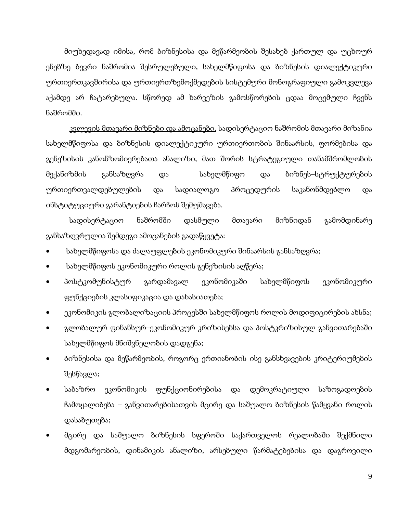მიუხედავად იმისა, რომ ბიზნესისა და მეწარმეობის შესახებ ქართულ და უცხოურ ენებზე ბევრი ნაშრომია შესრულებული, სახელმწიფოსა და ბიზნესის დიალექტიკური ურთიერთკავშირისა და ურთიერთზემოქმედების სისტემური მონოგრაფიული გამოკვლევა აქამდე არ ჩატარებულა. სწორედ ამ ხარვეზის გამოსწორების ცდაა მოცემული ჩვენს ნაშრომში.

კ<u>ვლევის მთავარი მიზნები და ამოცანები.</u> სადისერტაციო ნაშრომის მთავარი მიზანია<sub>.</sub> სახელმწიფოსა და ბიზნესის დიალექტიკური ურთიერთობის შინაარსის, ფორმებისა და გენეზისის კანონზომიერებათა ანალიზი, მათ შორის სტრატეგიული თანამშრომლობის მექანიზმის განსაზღვრა და სახელმწიფო და ბიზნეს–სტრუქტურების ურთიერთვალდებულების და სადიალოგო პროცედურის საკანონმდებლო და ინსტიტუციური გარანტიების ჩარჩოს შემუშავება.

სადისერტაციო ნაშრომში დასმული მთავარი მიზნიდან გამომდინარე განსაზღვრულია შემდეგი ამოცანების გადაწყვეტა:

- სახელმწიფოსა და ძალაუფლების ეკონომიკური შინაარსის განსაზღვრა;
- სახელმწიფოს ეკონომიკური როლის გენეზისის აღწერა;
- პოსტკომუნისტურ გარდამავალ ეკონომიკაში სახელმწიფოს ეკონომიკური ფუნქციების კლასიფიკაცია და დახასიათება;
- ეკონომიკის გლობალიზაციის პროცესში სახელმწიფოს როლის მოდიფიცირების ახსნა;
- გლობალურ ფინანსურ–ეკონომიკურ კრიზისებსა და პოსტკრიზისულ განვითარებაში სახელმწიფოს მნიშვნელობის დადგენა;
- ბიზნესისა და მეწარმეობის, როგორც ერთიანობის ისე განსხვავების კრიტერიუმების შესწავლა;
- საბაზრო ეკონომიკის ფუნქციონირებისა და დემოკრატიული საზოგადოების ჩამოყალიბება – განვითარებისათვის მცირე და საშუალო ბიზნესის წამყვანი როლის დასაბუთება;
- მცირე და საშუალო ბიზნესის სფეროში საქართველოს რეალობაში შექმნილი მდგომარეობის, დინამიკის ანალიზი, არსებული წარმატებებისა და დაგროვილი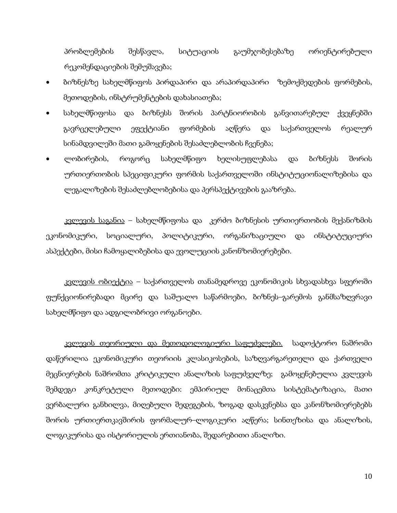პრობლემების შესწავლა, სიტუაციის გაუმჯობესებაზე ორიენტირებული რეკომენდაციების შემუშავება;

- ბიზნესზე სახელმწიფოს პირდაპირი და არაპირდაპირი ზემოქმედების ფორმების, მეთოდების, ინსტრუმენტების დახასიათება;
- სახელმწიფოსა და ბიზნესს შორის პარტნიორობის განვითარებულ ქვეყნებში გავრცელებული ეფექტიანი ფორმების აღწერა და საქართველოს რეალურ სინამდვილეში მათი გამოყენების შესაძლებლობის ჩვენება;
- ლობირების, როგორც სახელმწიფო ხელისუფლებასა და ბიზნესს შორის ურთიერთობის სპეციფიკური ფორმის საქართველოში ინსტიტუციონალიზებისა და ლეგალიზების შესაძლებლობებისა და პერსპექტივების გააზრება.

კვლევის საგანია – სახელმწიფოსა და კერძო ბიზნესის ურთიერთობის მექანიზმის ეკონომიკური, სოციალური, პოლიტიკური, ორგანიზაციული და ინსტიტუციური ასპექტები, მისი ჩამოყალიბებისა და ევოლუციის კანონზომიერებები.

კვ<u>ლევის ობიექტია</u> – საქართველოს თანამედროვე ეკონომიკის სხვადასხვა სფეროში ფუნქციონირებადი მცირე და საშუალო საწარმოები, ბიზნეს–გარემოს განმსაზღვრავი სახელმწიფო და ადგილობრივი ორგანოები.

კვ<u>ლევის თეორიული და მეთოდოლოგიური საფუძვლები.</u> სადოქტორო ნაშრომი დაწერილია ეკონომიკური თეორიის კლასიკოსების, საზღვარგარეთელი და ქართველი მეცნიერების ნაშრომთა კრიტიკული ანალიზის საფუძველზე; გამოყენებულია კვლევის შემდეგი კონკრეტული მეთოდები: ემპირიულ მონაცემთა სისტემატიზაცია, მათი ვერბალური განხილვა, მიღებული შედეგების, ზოგად დასკვნებსა და კანონზომიერებებს შორის ურთიერთკავშირის ფორმალურ–ლოგიკური აღწერა; სინთეზისა და ანალიზის, ლოგიკურისა და ისტორიულის ერთიანობა, შედარებითი ანალიზი.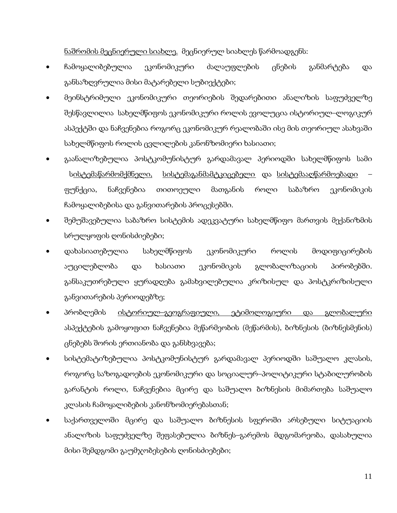ნაშრომის მეცნიერული სიახლე. მეცნიერულ სიახლეს წარმოადგენს:

- ჩამოყალიბებულია ეკონომიკური ძალაუფლების ცნების განმარტება და განსაზღვრულია მისი მატარებელი სუბიექტები;
- მეინსტრიმული ეკონომიკური თეორიების შედარებითი ანალიზის საფუძველზე შესწავლილია სახელმწიფოს ეკონომიკური როლის ევოლუცია ისტორიულ–ლოგიკურ ასპექტში და ნაჩვენებია როგორც ეკონომიკურ რეალობაში ისე მის თეორიულ ასახვაში სახელმწიფოს როლის ცვლილების კანონზომიერი ხასიათი;
- გაანალიზებულია პოსტკომუნისტურ გარდამავალ პერიოდში სახელმწიფოს სამი ს<u>ისტემაწარმომქმნელი, სისტემაგანმამტკიცებელი</u> და <u>სისტემააღწარმოებადი</u> ფუნქცია, ნაჩვენებია თითოეული მათგანის როლი საბაზრო ეკონომიკის ჩამოყალიბებისა და განვითარების პროცესებში.
- შემუშავებულია საბაზრო სისტემის ადეკვატური სახელმწიფო მართვის მექანიზმის სრულყოფის ღონისძიებები;
- დახასიათებულია სახელმწიფოს ეკონომიკური როლის მოდიფიცირების აუცილებლობა და ხასიათი ეკონომიკის გლობალიზაციის პირობებში. განსაკუთრებული ყურადღება გამახვილებულია კრიზისულ და პოსტკრიზისული განვითარების პერიოდებზე;
- <u>პრობლემის ისტორიულ–გეოგრაფიული, ეტიმოლოგიური და გლობალური</u> ასპექტების გამოყოფით ნაჩვენებია მეწარმეობის (მეწარმის), ბიზნესის (ბიზნესმენის) ცნებებს შორის ერთიანობა და განსხვავება;
- სისტემატიზებულია პოსტკომუნისტურ გარდამავალ პერიოდში საშუალო კლასის, როგორც საზოგადოების ეკონომიკური და სოციალურ–პოლიტიკური სტაბილურობის გარანტის როლი, ნაჩვენებია მცირე და საშუალო ბიზნესის მიმართება საშუალო კლასის ჩამოყალიბების კანონზომიერებასთან;
- საქართველოში მცირე და საშუალო ბიზნესის სფეროში არსებული სიტუაციის ანალიზის საფუძველზე შეფასებულია ბიზნეს–გარემოს მდგომარეობა, დასახულია მისი შემდგომი გაუმჯობესების ღონისძიებები;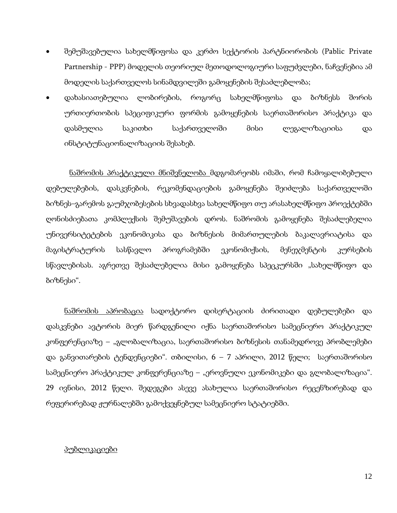- შემუშავებულია სახელმწიფოსა და კერძო სექტორის პარტნიორობის (Pablic Private Partnership - PPP) მოდელის თეორიულ მეთოდოლოგიური საფუძვლები, ნაჩვენებია ამ მოდელის საქართველოს სინამდვილეში გამოყენების შესაძლებლობა;
- დახასიათებულია ლობირების, როგორც სახელმწიფოსა და ბიზნესს შორის ურთიერთობის სპეციფიკური ფორმის გამოყენების საერთაშორისო პრაქტიკა და დასმულია საკითხი საქართველოში მისი ლეგალიზაციისა და ინსტიტუნაციონალიზაციის შესახებ.

ნაშრომის პრაქტიკული მნიშვნელობა მდგომარეობს იმაში, რომ ჩამოყალიბებული დებულებების, დასკვნების, რეკომენდაციების გამოყენება შეიძლება საქართველოში ბიზნეს–გარემოს გაუმჯობესების სხვადასხვა სახელმწიფო თუ არასახელმწიფო პროექტებში ღონისძიებათა კომპლექსის შემუშავების დროს. ნაშრომის გამოყენება შესაძლებელია უნივერსიტეტების ეკონომიკისა და ბიზნესის მიმართულების ბაკალავრიატისა და მაგისტრატურის სასწავლო პროგრამებში ეკონომიქსის, მენეჯმენტის კურსების სწავლებისას. აგრეთვე შესაძლებელია მისი გამოყენება სპეცკურსში "სახელმწიფო და ბიზნესი".

ნაშრომის აპრობაცია სადოქტორო დისერტაციის ძირითადი დებულებები და დასკვნები ავტორის მიერ წარდგენილი იქნა საერთაშორისო სამეცნიერო პრაქტიკულ კონფერენციაზე – "გლობალიზაცია, საერთაშორისო ბიზნესის თანამედროვე პრობლემები და განვითარების ტენდენციები". თბილისი, 6 – 7 აპრილი, 2012 წელი; საერთაშორისო სამეცნიერო პრაქტიკულ კონფერენციაზე – "ეროვნული ეკონომიკები და გლობალიზაცია". 29 ივნისი, 2012 წელი. შედეგები ასევე ასახულია საერთაშორისო რეცენზირებად და რეფერირებად ჟურნალებში გამოქვეყნებულ სამეცნიერო სტატიებში.

### პუბლიკაციები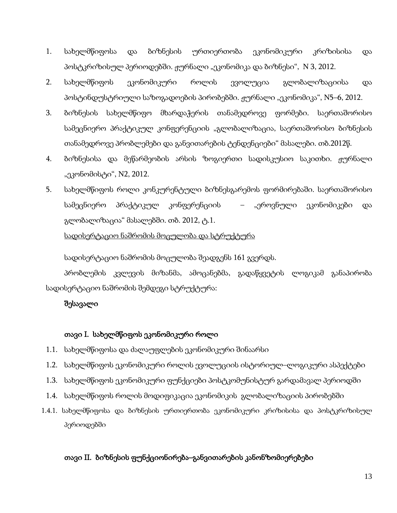- 1. სახელმწიფოსა და ბიზნესის ურთიერთობა ეკონომიკური კრიზისისა და პოსტკრიზისულ პერიოდებში. ჟურნალი "ეკონომიკა და ბიზნესი", N 3, 2012.
- 2. სახელმწიფოს ეკონომიკური როლის ევოლუცია გლობალიზაციისა და პოსტინდუსტრიული საზოგადოების პირობებში. ჟურნალი "ეკონომიკა", N5–6, 2012.
- 3. ბიზნესის სახელმწიფო მხარდაჭერის თანამედროვე ფორმები. საერთაშორისო სამეცნიერო პრაქტიკულ კონფერენციის "გლობალიზაცია, საერთაშორისო ბიზნესის თანამედროვე პრობლემები და განვითარების ტენდენციები" მასალები. თბ.2012წ.
- 4. ბიზნესისა და მეწარმეობის არსის ზოგიერთი სადისკუსიო საკითხი. ჟურნალი "ეკონომისტი", N2, 2012.
- 5. სახელმწიფოს როლი კონკურენტული ბიზნესგარემოს ფორმირებაში. საერთაშორისო სამეცნიერო პრაქტიკულ კონფერენციის – "ეროვნული ეკონომიკები და გლობალიზაცია" მასალებში. თბ. 2012, ტ.1.

## სადისერტაციო ნაშრომის მოცულობა და სტრუქტურა

სადისერტაციო ნაშრომის მოცულობა შეადგენს 161 გვერდს.

პრობლემის კვლევის მიზანმა, ამოცანებმა, გადაწყვეტის ლოგიკამ განაპირობა სადისერტაციო ნაშრომის შემდეგი სტრუქტურა:

## შესავალი

## თავი I. სახელმწიფოს ეკონომიკური როლი

- 1.1. სახელმწიფოსა და ძალაუფლების ეკონომიკური შინაარსი
- 1.2. სახელმწიფოს ეკონომიკური როლის ევოლუციის ისტორიულ–ლოგიკური ასპექტები
- 1.3. სახელმწიფოს ეკონომიკური ფუნქციები პოსტკომუნისტურ გარდამავალ პერიოდში
- 1.4. სახელმწიფოს როლის მოდიფიკაცია ეკონომიკის გლობალიზაციის პირობებში
- 1.4.1. სახელმწიფოსა და ბიზნესის ურთიერთობა ეკონომიკური კრიზისისა და პოსტკრიზისულ პერიოდებში

## თავი II. ბიზნესის ფუნქციონირება–განვითარების კანონზომიერებები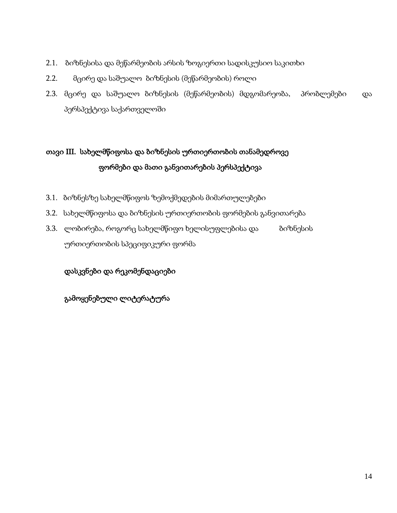- 2.1. ბიზნესისა და მეწარმეობის არსის ზოგიერთი სადისკუსიო საკითხი
- 2.2. მცირე და საშუალო ბიზნესის (მეწარმეობის) როლი
- 2.3. მცირე და საშუალო ბიზნესის (მეწარმეობის) მდგომარეობა, პრობლემები და პერსპექტივა საქართველოში

# თავი III. სახელმწიფოსა და ბიზნესის ურთიერთობის თანამედროვე ფორმები და მათი განვითარების პერსპექტივა

- 3.1. ბიზნესზე სახელმწიფოს ზემოქმედების მიმართულებები
- 3.2. სახელმწიფოსა და ბიზნესის ურთიერთობის ფორმების განვითარება
- 3.3. ლობირება, როგორც სახელმწიფო ხელისუფლებისა და ბიზნესის ურთიერთობის სპეციფიკური ფორმა

დასკვნები და რეკომენდაციები

გამოყენებული ლიტერატურა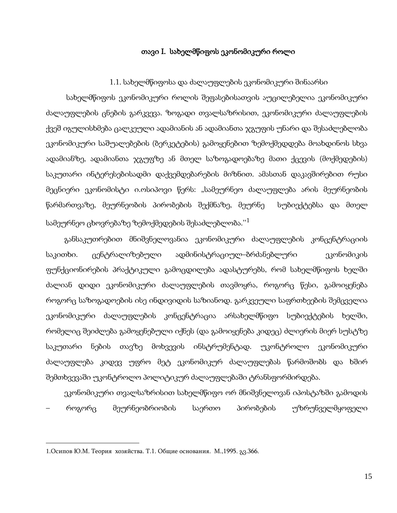### თავი I. სახელმწიფოს ეკონომიკური როლი

### 1.1. სახელმწიფოსა და ძალაუფლების ეკონომიკური შინაარსი

სახელმწიფოს ეკონომიკური როლის შეფასებისათვის აუცილებელია ეკონომიკური ძალაუფლების ცნების გარკვევა. ზოგადი თვალსაზრისით, ეკონომიკური ძალაუფლების ქვეშ იგულისხმება ცალკეული ადამიანის ან ადამიანთა ჯგუფის უნარი და შესაძლებლობა ეკონომიკური საშუალებების (ბერკეტების) გამოყენებით ზემოქმედდება მოახდინოს სხვა ადამიანზე, ადამიანთა ჯგუფზე ან მთელ საზოგადოებაზე მათი ქცევის (მოქმედების) საკუთარი ინტერესებისადმი დაქვემდებარების მიზნით. ამასთან დაკავშირებით რუსი მეცნიერი ეკონომისტი ი.ოსიპოვი წერს: "სამეურნეო ძალაუფლება არის მეურნეობის წარმართვაზე, მეურნეობის პირობების შექმნაზე, მეურნე სუბიექტებსა და მთელ სამეურნეო ცხოვრებაზე ზემოქმედების შესაძლებლობა." $^1$  $^1$ 

განსაკუთრებით მნიშვნელოვანია ეკონომიკური ძალაუფლების კონცენტრაციის საკითხი. ცენტრალიზებული ადმინისტრაციულ–ბრძანებლური — ეკონომიკის ფუნქციონირების პრაქტიკული გამოცდილება ადასტურებს, რომ სახელმწიფოს ხელში ძალიან დიდი ეკონომიკური ძალაუფლების თავმოყრა, როგორც წესი, გამოიყენება როგორც საზოგადოების ისე ინდივიდის საზიანოდ. გარკვეული საფრთხეების შემცველია ეკონომიკური ძალაუფლების კონცენტრაცია არსახელმწიფო სუბიექტების ხელში, რომელიც შეიძლება გამოყენებული იქნეს (და გამოიყენება კიდეც) ძლიერის მიერ სუსტზე საკუთარი ნების თავზე მოხვევის ინსტრუმენტად. უკონტროლო ეკონომიკური ძალაუფლება კიდევ უფრო მეტ ეკონომიკურ ძალაუფლებას წარმოშობს და ხშირ შემთხვევაში უკონტროლო პოლიტიკურ ძალაუფლებაში ტრანსფორმირდება.

ეკონომიკური თვალსაზრისით სახელმწიფო ორ მნიშვნელოვან იპოსტაზში გამოდის – როგორც მეურნეობრიობის საერთო პირობების უზრუნველმყოფელი

<span id="page-13-0"></span> $\overline{\phantom{a}}$ 

<sup>1.</sup>Осипов Ю.М. Теория хозяйства. Т.1. Общие основания. М.,1995. გვ.366.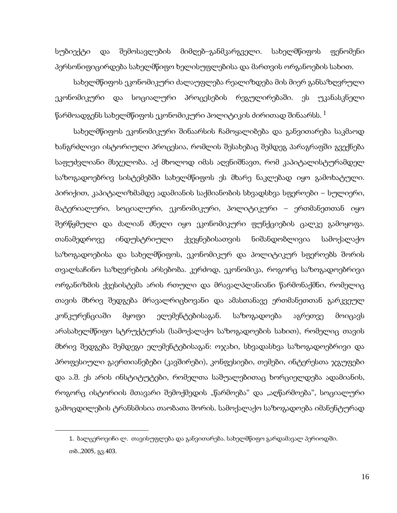სუბიექტი და შემოსავლების მიმღებ–განმკარგველი. სახელმწიფოს ფენომენი პერსონიფიცირდება სახელმწიფო ხელისუფლებისა და მართვის ორგანოების სახით.

სახელმწიფოს ეკონომიკური ძალაუფლება რეალიზდება მის მიერ განსაზღვრული ეკონომიკური და სოციალური პროცესების რეგულირებაში. ეს უკანასკნელი  $\,$ წარმოადგენს სახელმწიფოს ეკონომიკური პოლიტიკის ძირითად შინაარსს.  $^1$  $^1$ 

სახელმწიფოს ეკონომიკური შინაარსის ჩამოყალიბება და განვითარება საკმაოდ ხანგრძლივი ისტორიული პროცესია, რომლის შესახებაც შემდეგ პარაგრაფში გვექნება საფუძვლიანი მსჯელობა. აქ მხოლოდ იმას აღვნიშნავთ, რომ კაპიტალისტურამდელ საზოგადოებრივ სისტემებში სახელმწიფოს ეს მხარე ნაკლებად იყო გამოხატული. პირიქით, კაპიტალიზმამდე ადამიანის საქმიანობის სხვადსხვა სფეროები – სულიერი, მატერიალური, სოციალური, ეკონომიკური, პოლიტიკური – ერთმანეთთან იყო შერწყმული და ძალიან ძნელი იყო ეკონომიკური ფუნქციების ცალკე გამოყოფა. თანამედროვე ინდუსტრიული ქვეყნებისათვის ნიშანდობლივია სამოქალაქო საზოგადოებისა და სახელმწიფოს, ეკონომიკურ და პოლიტიკურ სფეროებს შორის თვალსაჩინო საზღვრების არსებობა. კერძოდ, ეკონომიკა, როგორც საზოგადოებრივი ორგანიზმის ქვესისტემა არის რთული და მრავალპლანიანი წარმონაქმნი, რომელიც თავის მხრივ შედგება მრავალრიცხოვანი და ამასთანავე ერთმანეთთან გარკვეულ კონკურენციაში მყოფი ელემენტებისაგან. საზოგადოება აგრეთვე მოიცავს არასახელმწიფო სტრუქტურას (სამოქალაქო საზოგადოების სახით), რომელიც თავის მხრივ შედგება შემდეგი ელემენტებისაგან: ოჯახი, სხვადასხვა საზოგადოებრივი და პროფესიული გაერთიანებები (კავშირები), კონფესიები, თემები, ინტერესთა ჯგუფები და ა.შ. ეს არის ინსტიტუტები, რომელთა საშუალებითაც ხორციელდება ადამიანის, როგორც ისტორიის მთავარი შემოქმედის "წარმოება" და "აღწარმოება", სოციალური გამოცდილების ტრანსმისია თაობათა შორის. სამოქალაქო საზოგადოება იმანენტურად

<span id="page-14-0"></span>**.** 

<sup>1.</sup> ბალცეროვიჩი ლ. თავისუფლება და განვითარება. სახელმწიფო გარდამავალ პერიოდში. თბ.,2005, გვ.403.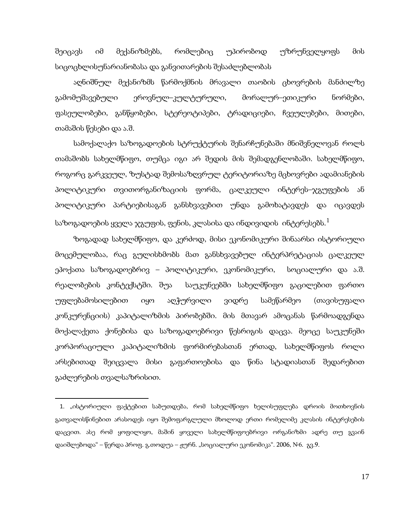შეიცავს იმ მექანიზმებს, რომლებიც უპირობოდ უზრუნველყოფს მის სიცოცხლისუნარიანობასა და განვითარების შესაძლებლობას

აღნიშნულ მექანიზმს წარმოქმნის მრავალი თაობის ცხოვრების მანძილზე გამომუშავებული ეროვნულ–კულტურული, მორალურ–ეთიკური ნორმები, ფასეულობები, განწყობები, სტერეოტიპები, ტრადიციები, ჩვეულებები, მითები, თამაშის წესები და ა.შ.

სამოქალაქო საზოგადოების სტრუქტურის შენარჩუნებაში მნიშვნელოვან როლს თამაშობს სახელმწიფო, თუმცა იგი არ შედის მის შემადგენლობაში. სახელმწიფო, როგორც გარკვეულ, ზუსტად შემოსაზღვრულ ტერიტორიაზე მცხოვრები ადამიანების პოლიტიკური თვითორგანიზაციის ფორმა, ცალკეული ინტერეს–ჯგუფების ან პოლიტიკური პარტიებისაგან განსხვავებით უნდა გამოხატავდეს და იცავდეს საზოგადოების ყველა ჯგუფის, ფენის, კლასისა და ინდივიდის ინტერესებს. $^1$  $^1$ 

ზოგადად სახელმწიფო, და კერძოდ, მისი ეკონომიკური შინაარსი ისტორიული მოცემულობაა, რაც გულისხმობს მათ განსხვავებულ ინტერპრეტაციას ცალკეულ ეპოქათა საზოგადოებრივ – პოლიტიკური, ეკონომიკური, სოციალური და ა.შ. რეალობების კონტექსტში. შუა საუკუნეებში სახელმწიფო გაცილებით ფართო უფლებამოსილებით იყო აღჭურვილი ვიდრე სამეწარმეო (თავისუფალი კონკურენციის) კაპიტალიზმის პირობებში. მის მთავარ ამოცანას წარმოადგენდა მოქალაქეთა ქონებისა და საზოგადოებრივი წესრიგის დაცვა. მეოცე საუკუნეში კორპორაციული კაპიტალიზმის ფორმირებასთან ერთად, სახელმწიფოს როლი არსებითად შეიცვალა მისი გაფართოებისა და წინა სტადიასთან შედარებით გაძლერების თვალსაზრისით.

**.** 

<span id="page-15-0"></span><sup>1</sup>. "ისტორიული ფაქტებით საბუთდება, რომ სახელმწიფო ხელისუფლება დროის მოთხოვნის გათვალისწინებით არასოდეს იყო შემოფარგლული მხოლოდ ერთი რომელიმე კლასის ინტერესების დაცვით. ასე რომ ყოფილიყო, მაშინ ყოველი სახელმწიფოებრივი ორგანიზმი ადრე თუ გვაინ დაიშლებოდა" – წერდა პროფ. გ.თოდუა – ჟურნ. "სოციალური ეკონომიკა". 2006, №6. გვ.9.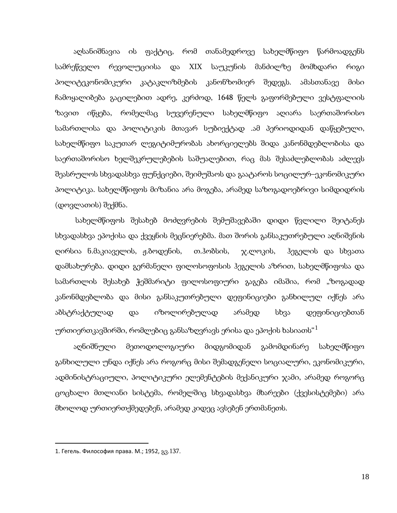აღსანიშნავია ის ფაქტიც, რომ თანამედროვე სახელმწიფო წარმოადგენს სამრეწველო რევოლუციისა და XIX საუკუნის მანძილზე მომხდარი რიგი პოლიტეკონომიკური კატაკლიზმების კანონზომიერ შედეგს. ამასთანავე მისი ჩამოყალიბება გაცილებით ადრე, კერძოდ, 1648 წელს გაფორმებული ვესტფალიის ზავით იწყება, რომელმაც სუვერენული სახელმწიფო აღიარა საერთაშორისო სამართლისა და პოლიტიკის მთავარ სუბიექტად .ამ პერიოდიდან დაწყებული, სახელმწიფო საკუთარ ლეგიტიმურობას ახორციელებს შიდა კანონმდებლობისა და საერთაშორისო ხელშეკრულებების საშუალებით, რაც მას შესაძლებლობას აძლევს შეასრულოს სხვადასხვა ფუნქციები, შეიმუშაოს და გაატაროს სოცილურ–ეკონომიკური პოლიტიკა. სახელმწიფოს მიზანია არა მოგება, არამედ საზოგადოებრივი სიმდიდრის (დოვლათის) შექმნა.

სახელმწიფოს შესახებ მოძღვრების შემუშავებაში დიდი წვლილი შეიტანეს სხვადასხვა ეპოქისა და ქვეყნის მეცნიერებმა. მათ შორის განსაკუთრებული აღნიშვნის ღირსია ნ.მაკიაველის, ჟ.ბოდენის, თ.ჰობსის, ჯ.ლოკის, ჰეგელის და სხვათა დამსახურება. დიდი გერმანელი ფილოსოფოსის ჰეგელის აზრით, სახელმწიფოსა და სამართლის შესახებ ჭეშმარიტი ფილოსოფიური გაგება იმაშია, რომ "ზოგადად კანონმდებლობა და მისი განსაკუთრებული დეფინიციები განხილულ იქნეს არა აბსტრაქტულად და იზოლირებულად არამედ სხვა დეფინიციებთან ურთიერთკავშირში, რომლებიც განსაზღვრავს ერისა და ეპოქის ხასიათს $^{\mathrm{4}}$ 

აღნიშნული მეთოდოლოგიური მიდგომიდან გამომდინარე სახელმწიფო განხილული უნდა იქნეს არა როგორც მისი შემადგენელი სოციალური, ეკონომიკური, ადმინისტრაციული, პოლიტიკური ელემენტების მექანიკური ჯამი, არამედ როგორც ცოცხალი მთლიანი სისტემა, რომელშიც სხვადასხვა მხარეები (ქვესისტემები) არა მხოლოდ ურთიერთქმედებენ, არამედ კიდეც ავსებენ ერთმანეთს.

<span id="page-16-0"></span>**.** 

<sup>1.</sup> Гегель. Философия права. М.; 1952, გვ.137.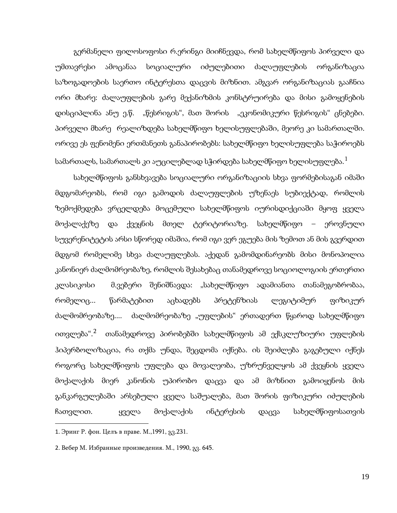გერმანელი ფილოსოფოსი რ.ერინგი მიიჩნევდა, რომ სახელმწიფოს პირველი და უმთავრესი ამოცანაა სოციალური იძულებითი ძალაუფლების ორგანიზაცია საზოგადოების საერთო ინტერესთა დაცვის მიზნით. ამგვარ ორგანიზაციას გააჩნია ორი მხარე: ძალაუფლების გარე მექანიზმის კონსტრუირება და მისი გამოყენების დისციპლინა ანუ ე.წ. "წესრიგის", მათ შორის "ეკონომიკური წესრიგის" ცნებები. პირველი მხარე რეალიზდება სახელმწიფო ხელისუფლებაში, მეორე კი სამართალში. ორივე ეს ფენომენი ერთმანეთს განაპირობებს: სახელმწიფო ხელისუფლება საჭიროებს სამართალს, სამართალს კი აუცილებლად სჭირდება სახელმწიფო ხელისუფლება. $^1$  $^1$ 

სახელმწიფოს განსხვავება სოციალური ორგანიზაციის სხვა ფორმებისაგან იმაში მდგომარეობს, რომ იგი გამოდის ძალაუფლების უზენაეს სუბიექტად, რომლის ზემოქმედება ვრცელდება მოცემული სახელმწიფოს იურისდიქციაში მყოფ ყველა მოქალაქეზე და ქვეყნის მთელ ტერიტორიაზე. სახელმწიფო – ეროვნული სუვერენიტეტის არსი სწორედ იმაშია, რომ იგი ვერ ეგუება მის ზემოთ ან მის გვერდით მდგომ რომელიმე სხვა ძალაუფლებას. აქედან გამომდინარეობს მისი მონოპოლია კანონიერ ძალმომრეობაზე, რომლის შესახებაც თანამედროვე სოციოლოგიის ერთერთი კლასიკოსი მ.ვებერი შენიშნავდა: "სახელმწიფო ადამიანთა თანამეგობრობაა, რომელიც... წარმატებით აცხადებს პრეტენზიას ლეგიტიმურ ფიზიკურ ძალმომრეობაზე.... ძალმომრეობაზე "უფლების" ერთადერთ წყაროდ სახელმწიფო ითვლება".[2](#page-17-0) თანამედროვე პირობებში სახელმწიფოს ამ ექსკლუზიური უფლების ჰიპერბოლიზაცია, რა თქმა უნდა, შეცდომა იქნება. ის შეიძლება გაგებული იქნეს როგორც სახელმწიფოს უფლება და მოვალეობა, უზრუნველყოს ამ ქვეყნის ყველა მოქალაქის მიერ კანონის უპირობო დაცვა და ამ მიზნით გამოიყენოს მის განკარგულებაში არსებული ყველა საშუალება, მათ შორის ფიზიკური იძულების ჩათვლით. ყველა მოქალაქის ინტერესის დაცვა სახელმწიფოსათვის

**.** 

<span id="page-17-0"></span><sup>1.</sup> Эринг Р. фон. Целъ в праве. М.,1991, გვ.231.

<span id="page-17-1"></span><sup>2</sup>. Вебер М. Избранные произведения. М., 1990, გვ. 645.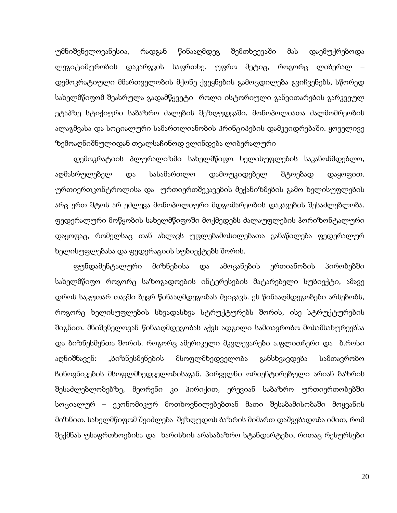უმნიშვნელოვანესია, რადგან წინააღმდეგ შემთხვევაში მას დაემუქრებოდა ლეგიტიმურობის დაკარგვის საფრთხე. უფრო მეტიც, როგორც ლიბერალ – დემოკრატიული მმართველობის მქონე ქვეყნების გამოცდილება გვიჩვენებს, სწორედ სახელმწიფომ შეასრულა გადამწყვეტი როლი ისტორიული განვითარების გარკვეულ ეტაპზე სტიქიური საბაზრო ძალების შეზღუდვაში, მონოპოლიათა ძალმომრეობის ალაგმვასა და სოციალური სამართლიანობის პრინციპების დამკვიდრებაში. ყოველივე ზემოაღნიშნულიდან თვალსაჩინოდ ვლინდება ლიბერალური

დემოკრატიის პლურალიზმი სახელმწიფო ხელისუფლების საკანონმდებლო, აღმასრულებელ და სასამართლო დამოუკიდებელ შტოებად დაყოფით. ურთიერთკონტროლისა და ურთიერთშეკავების მექანიზმების გამო ხელისუფლების არც ერთ შტოს არ ეძლევა მონოპოლიური მდგომარეობის დაკავების შესაძლებლობა. ფედერალური მოწყობის სახელმწიფოში მოქმედებს ძალაუფლების ჰორიზონტალური დაყოფაც, რომელსაც თან ახლავს უფლებამოსილებათა განაწილება ფედერალურ ხელისუფლებასა და ფედერაციის სუბიექტებს შორის.

ფუნდამენტალური მიზნებისა და ამოცანების ერთიანობის პირობებში სახელმწიფო როგორც საზოგადოების ინტერესების მატარებელი სუბიექტი, ამავე დროს საკუთარ თავში ბევრ წინააღმდეგობას შეიცავს. ეს წინააღმდეგობები არსებობს, როგორც ხელისუფლების სხვადასხვა სტრუქტურებს შორის, ისე სტრუქტურების შიგნით. მნიშვნელოვან წინააღმდეგობას აქვს ადგილი სამთავრობო მოსამსახურეებსა და ბიზნესმენთა შორის. როგორც ამერიკელი მკვლევარები ა.ფლითჩერი და ბ.როსი აღნიშნავენ: "ბიზნესმენების მსოფლმხედველობა განსხვავდება სამთავრობო ჩინოვნიკების მსოფლმხედველობისაგან. პირველნი ორიენტირებული არიან ბაზრის შესაძლებლობებზე, მეორენი კი პირიქით, ერევიან საბაზრო ურთიერთობებში სოციალურ – ეკონომიკურ მოთხოვნილებებთან მათი შესაბამისობაში მოყვანის მიზნით. სახელმწიფომ შეიძლება შეზღუდოს ბაზრის მიმართ დაშვებადობა იმით, რომ შექმნას უსაფრთხოებისა და ხარისხის არასაბაზრო სტანდარტები, რითაც რესურსები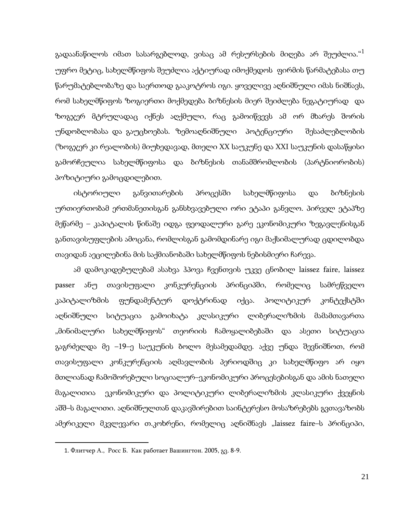გადაანაწილოს იმათ სასარგებლოდ, ვისაც ამ რესურსების მიღება არ შეუძლია. $^{\rm d}$ უფრო მეტიც, სახელმწიფოს შეუძლია აქტიურად იმოქმედოს ფირმის წარმატებასა თუ წარუმატებლობაზე და საერთოდ გააკოტროს იგი. ყოველივე აღნიშნული იმას ნიშნავს, რომ სახელმწიფოს ზოგიერთი მოქმედება ბიზნესის მიერ შეიძლება ნეგატიურად და ზოგჯერ მტრულადაც იქნეს აღქმული, რაც გამოიწვევს ამ ორ მხარეს შორის უნდობლობასა და გაუცხოებას. ზემოაღნიშნული პოტენციური შესაძლებლობის (ზოგჯერ კი რეალობის) მიუხედავად, მთელი XX საუკუნე და XXI საუკუნის დასაწყისი გამორჩეულია სახელმწიფოსა და ბიზნესის თანამშრომლობის (პარტნიორობის) პოზიტიური გამოცდილებით.

ისტორიული განვითარების პროცესში სახელმწიფოსა და ბიზნესის ურთიერთობამ ერთმანეთისგან განსხვავებული ორი ეტაპი განვლო. პირველ ეტაპზე მეწარმე – კაპიტალის წინაშე იდგა ფეოდალური გარე ეკონომიკური ზეგავლენისგან განთავისუფლების ამოცანა, რომლისგან გამომდინარე იგი მაქსიმალურად ცდილობდა თავიდან აეცილებინა მის საქმიანობაში სახელმწიფოს ნებისმიერი ჩარევა.

ამ დამოკიდებულებამ ასახვა ჰპოვა ჩვენთვის უკვე ცნობილ laissez faire, laissez passer ანუ თავისუფალი კონკურენციის პრინციპში, რომელიც სამრეწველო კაპიტალიზმის ფუნდამენტურ დოქტრინად იქცა. პოლიტიკურ კონტექსტში აღნიშნული სიტუაცია გამოიხატა კლასიკური ლიბერალიზმის მამამთავართა "მინიმალური სახელმწიფოს" თეორიის ჩამოყალიბებაში და ასეთი სიტუაცია გაგრძელდა მე –19–ე საუკუნის ბოლო მესამედამდე. აქვე უნდა შევნიშნოთ, რომ თავისუფალი კონკურენციის აღმავლობის პერიოდშიც კი სახელმწიფო არ იყო მთლიანად ჩამოშორებული სოციალურ–ეკონომიკური პროცესებისგან და ამის ნათელი მაგალითია ეკონომიკური და პოლიტიკური ლიბერალიზმის კლასიკური ქვეყნის აშშ–ს მაგალითი. აღნიშნულთან დაკავშირებით საინტერესო მოსაზრებებს გვთავაზობს ამერიკელი მკვლევარი თ.კოხრენი, რომელიც აღნიშნავს "laissez faire–ს პრინციპი,

<span id="page-19-0"></span><sup>1.</sup> Флитчер А., Росс Б. Как работает Вашингтон. 2005, გვ. 8-9.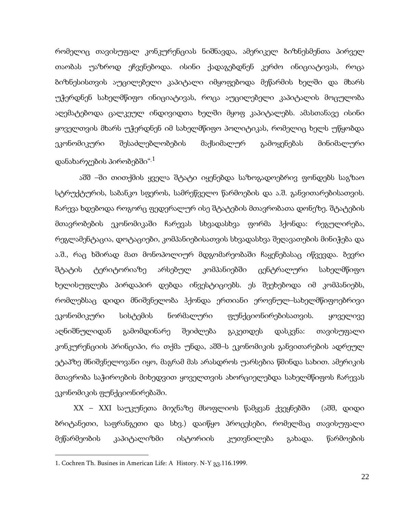რომელიც თავისუფალ კონკურენციას ნიშნავდა, ამერიკელ ბიზნესმენთა პირველ თაობას უაზროდ ეჩვენებოდა. ისინი ქადაგებდნენ კერძო ინიციატივას, როცა ბიზნესისთვის აუცილებელი კაპიტალი იმყოფებოდა მეწარმის ხელში და მხარს უჭერდნენ სახელმწიფო ინიციატივას, როცა აუცილებელი კაპიტალის მოცულობა აღემატებოდა ცალკეულ ინდივიდთა ხელში მყოფ კაპიტალებს. ამასთანავე ისინი ყოველთვის მხარს უჭერდნენ იმ სახელმწიფო პოლიტიკას, რომელიც ხელს უწყობდა ეკონომიკური შესაძლებლობების მაქსიმალურ გამოყენებას მინიმალური დანახარჯების პირობებში".[1](#page-19-0)

 აშშ –ში თითქმის ყველა შტატი იყენებდა საზოგადოებრივ ფონდებს საგზაო სტრუქტურის, საბანკო სფეროს, სამრეწველო წარმოების და ა.შ. განვითარებისათვის. ჩარევა ხდებოდა როგორც ფედერალურ ისე შტატების მთავრობათა დონეზე. შტატების მთავრობების ეკონომიკაში ჩარევას სხვადასხვა ფორმა ჰქონდა: რეგულირება, რეგლამენტაცია, დოტაციები, კომპანიებისათვის სხვადასხვა შეღავათების მინიჭება და ა.შ., რაც ხშირად მათ მონოპოლიურ მდგომარეობაში ჩაყენებასაც იწვევდა. ბევრი შტატის ტერიტორიაზე არსებულ კომპანიებში ცენტრალური სახელმწიფო ხელისუფლება პირდაპირ დებდა ინვესტიციებს. ეს შეეხებოდა იმ კომპანიებს, რომლებსაც დიდი მნიშვნელობა ჰქონდა ერთიანი ეროვნულ–სახელმწიფოებრივი ეკონომიკური სისტემის ნორმალური ფუნქციონირებისათვის. ყოველივე აღნიშნულიდან გამომდინარე შეიძლება გაკეთდეს დასკვნა: თავისუფალი კონკურენციის პრინციპი, რა თქმა უნდა, აშშ–ს ეკონომიკის განვითარების ადრეულ ეტაპზე მნიშვნელოვანი იყო, მაგრამ მას არასდროს უარსებია წმინდა სახით. ამერიკის მთავრობა საჭიროების მიხედვით ყოველთვის ახორციელებდა სახელმწიფოს ჩარევას ეკონომიკის ფუნქციონირებაში.

XX – XXI საუკუნეთა მიჯნაზე მსოფლიოს წამყვან ქვეყნებში (აშშ, დიდი ბრიტანეთი, საფრანგეთი და სხვ.) დაიწყო პროცესები, რომელმაც თავისუფალი მეწარმეობის კაპიტალიზმი ისტორიის კუთვნილება გახადა. წარმოების

<span id="page-20-0"></span>**.** 

<sup>1.</sup> Cochren Th. Busines in American Life: A History. N-Y გვ.116.1999.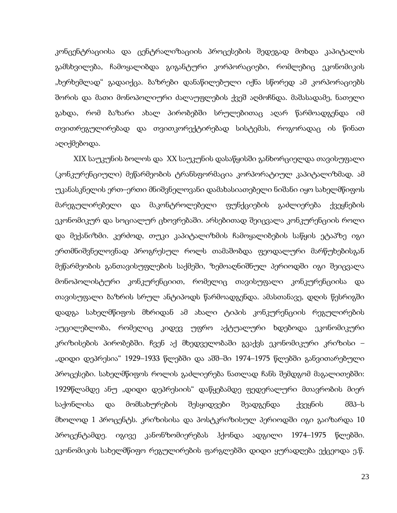კონცენტრაციისა და ცენტრალიზაციის პროცესების შედეგად მოხდა კაპიტალის გამსხვილება, ჩამოყალიბდა გიგანტური კორპორაციები, რომლებიც ეკონომიკის "ხერხემლად" გადაიქცა. ბაზრები დანაწილებული იქნა სწორედ ამ კორპორაციებს შორის და მათი მონოპოლიური ძალაუფლების ქვეშ აღმოჩნდა. მაშასადამე, ნათელი გახდა, რომ ბაზარი ახალ პირობებში სრულებითაც აღარ წარმოადგენდა იმ თვითრეგულირებად და თვითკორექტირებად სისტემას, როგორადაც ის წინათ აღიქმებოდა.

XIX საუკუნის ბოლოს და XX საუკუნის დასაწყისში განხორციელდა თავისუფალი (კონკურენციული) მეწარმეობის ტრანსფორმაცია კორპორატიულ კაპიტალიზმად. ამ უკანასკნელის ერთ–ერთი მნიშვნელოვანი დამახასიათებელი ნიშანი იყო სახელმწიფოს მარეგულირებელი და მაკონტროლებელი ფუნქციების გაძლიერება ქვეყნების ეკონომიკურ და სოციალურ ცხოვრებაში. არსებითად შეიცვალა კონკურენციის როლი და მექანიზმი. კერძოდ, თუკი კაპიტალიზმის ჩამოყალიბების საწყის ეტაპზე იგი ერთმნიშვნელოვნად პროგრესულ როლს თამაშობდა ფეოდალური მარწუხებისგან მეწარმეობის განთავისუფლების საქმეში, ზემოაღნიშნულ პერიოდში იგი შეიცვალა მონოპოლისტური კონკურენციით, რომელიც თავისუფალი კონკურენციისა და თავისუფალი ბაზრის სრულ ანტიპოდს წარმოადგენდა. ამასთანავე, დღის წესრიგში დადგა სახელმწიფოს მხრიდან ამ ახალი ტიპის კონკურენციის რეგულირების აუცილებლობა, რომელიც კიდევ უფრო აქტუალური ხდებოდა ეკონომიკური კრიზისების პირობებში. ჩვენ აქ მხედველობაში გვაქვს ეკონომიკური კრიზისი – "დიდი დეპრესია" 1929–1933 წლებში და აშშ–ში 1974–1975 წლებში განვითარებული პროცესები. სახელმწიფოს როლის გაძლიერება ნათლად ჩანს შემდგომ მაგალითებში: 1929წლამდე ანუ "დიდი დეპრესიის" დაწყებამდე ფედერალური მთავრობის მიერ საქონლისა და მომსახურების შესყიდვები შეადგენდა ქვეყნის მშპ–ს მხოლოდ 1 პროცენტს. კრიზისისა და პოსტკრიზისულ პერიოდში იგი გაიზარდა 10 პროცენტამდე. იგივე კანონზომიერებას ჰქონდა ადგილი 1974–1975 წლებში. ეკონომიკის სახელმწიფო რეგულირების ფარგლებში დიდი ყურადღება ექცეოდა ე.წ.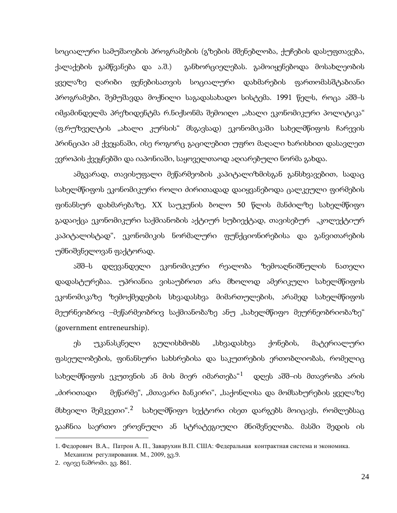სოციალური სამუშაოების პროგრამების (გზების მშენებლობა, ქუჩების დასუფთავება, ქალაქების გამწვანება და ა.შ.) განხორციელებას. გამოიყენებოდა მოსახლეობის ყველაზე ღარიბი ფენებისათვის სოციალური დახმარების ფართომასშტაბიანი პროგრამები, შემუშავდა მოქნილი საგადასახადო სისტემა. 1991 წელს, როცა აშშ–ს იმჟამინდელმა პრეზიდენტმა რ.ნიქსონმა შემოიღო "ახალი ეკონომიკური პოლიტიკა" (ფ.რუზველტის "ახალი კურსის" მსგავსად) ეკონომიკაში სახელმწიფოს ჩარევის პრინციპი ამ ქვეყანაში, ისე როგორც გაცილებით უფრო მაღალი ხარისხით დასავლეთ ევროპის ქვეყნებში და იაპონიაში, საყოველთაოდ აღიარებული ნორმა გახდა.

ამგვარად, თავისუფალი მეწარმეობის კაპიტალიზმისგან განსხვავებით, სადაც სახელმწიფოს ეკონომიკური როლი ძირითადად დაიყვანებოდა ცალკეული ფირმების ფინანსურ დახმარებაზე, XX საუკუნის ბოლო 50 წლის მანძილზე სახელმწიფო გადაიქცა ეკონომიკური საქმიანობის აქტიურ სუბიექტად, თავისებურ "კოლექტიურ კაპიტალისტად", ეკონომიკის ნორმალური ფუნქციონირებისა და განვითარების უმნიშვნელოვან ფაქტორად.

აშშ–ს დღევანდელი ეკონომიკური რეალობა ზემოაღნიშნულის ნათელი დადასტურებაა. უპრიანია ვისაუბროთ არა მხოლოდ ამერიკული სახელმწიფოს ეკონომიკაზე ზემოქმედების სხვადასხვა მიმართულების, არამედ სახელმწიფოს მეურნეობრივ –მეწარმეობრივ საქმიანობაზე ანუ "სახელმწიფო მეურნეობრიობაზე" (government entreneurship).

ეს უკანასკნელი გულისხმობს "სხვადასხვა ქონების, მატერიალური ფასეულობების, ფინანსური სახსრებისა და საკუთრების ერთობლიობას, რომელიც სახელმწიფოს ეკუთვნის ან მის მიერ იმართება $^{\prime 1}$  $^{\prime 1}$  $^{\prime 1}$  დღეს აშშ–ის მთავრობა არის "ძირითადი მეწარმე", "მთავარი ბანკირი", "საქონლისა და მომსახურების ყველაზე მსხვილი შემკვეთი".[2](#page-22-0) სახელმწიფო სექტორი ისეთ დარგებს მოიცავს, რომლებსაც გააჩნია საერთო ეროვნული ან სტრატეგიული მნიშვნელობა. მასში შედის ის

<span id="page-22-0"></span><sup>1.</sup> Федорович В.A., Патрон A. П., Заварухин В.П. США: Федеральная контрактная система и экономика. Механизм регулирования. М., 2009, გვ.9.

<sup>2.</sup> იგივე ნაშრომი. გვ. 861.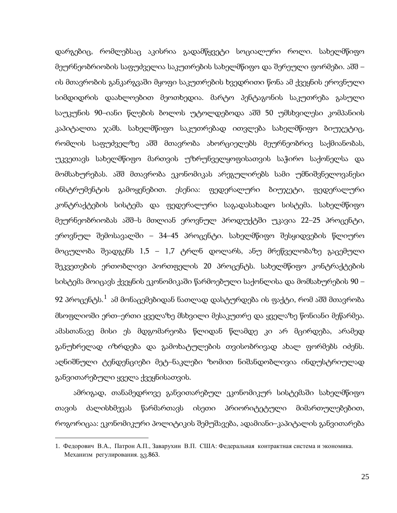დარგებიც, რომლებსაც აკისრია გადამწყვეტი სოციალური როლი. სახელმწიფო მეურნეობრიობის საფუძველია საკუთრების სახელმწიფო და შერეული ფორმები. აშშ – ის მთავრობის განკარგვაში მყოფი საკუთრების ხვედრითი წონა ამ ქვეყნის ეროვნული სიმდიდრის დაახლოებით მეოთხედია. მარტო პენტაგონის საკუთრება გასული საუკუნის 90–იანი წლების ბოლოს უტოლდებოდა აშშ 50 უმსხვილესი კომპანიის კაპიტალთა ჯამს. სახელმწიფო საკუთრებად ითვლება სახელმწიფო ბიუჯეტიც, რომლის საფუძველზე აშშ მთავრობა ახორციელებს მეურნეობრივ საქმიანობას, უკვეთავს სახელმწიფო მართვის უზრუნველყოფისათვის საჭირო საქონელსა და მომსახურებას. აშშ მთავრობა ეკონომიკას არეგულირებს სამი უმნიშვნელოვანესი ინსტრუმენტის გამოყენებით. ესენია: ფედერალური ბიუჯეტი, ფედერალური კონტრაქტების სისტემა და ფედერალური საგადასახადო სისტემა. სახელმწიფო მეურნეობრიობას აშშ–ს მთლიან ეროვნულ პროდუქტში უკავია 22–25 პროცენტი, ეროვნულ შემოსავალში – 34–45 პროცენტი. სახელმწიფო შესყიდვების წლიურო მოცულობა შეადგენს 1,5 – 1,7 ტრლნ დოლარს, ანუ მრეწველობაზე გაცემული შეკვეთების ერთობლივი პორთფელის 20 პროცენტს. სახელმწიფო კონტრაქტების სისტემა მოიცავს ქვეყნის ეკონომიკაში წარმოებული საქონლისა და მომსახურების 90 – 92 პროცენტს. $^1$  $^1$  ამ მონაცემებიდან ნათლად დასტურდება ის ფაქტი, რომ აშშ მთავრობა მსოფლიოში ერთ–ერთი ყველაზე მსხვილი მესაკუთრე და ყველაზე წონიანი მეწარმეა. ამასთანავე მისი ეს მდგომარეობა წლიდან წლამდე კი არ მცირდება, არამედ განუხრელად იზრდება და გამოხატულების თვისობრივად ახალ ფორმებს იძენს. აღნიშნული ტენდენციები მეტ–ნაკლები ზომით ნიშანდობლივია ინდუსტრიულად განვითარებული ყველა ქვეყნისათვის.

ამრიგად, თანამედროვე განვითარებულ ეკონომიკურ სისტემაში სახელმწიფო თავის ძალისხმევას წარმართავს ისეთი პრიორიტეტული მიმართულებებით, როგორიცაა: ეკონომიკური პოლიტიკის შემუშავება, ადამიანი–კაპიტალის განვითარება

<span id="page-23-0"></span><sup>1.</sup> Федорович В.A., Патрон A.П., Заварухин В.П. США: Федеральная контрактная система и экономика. Механизм регулирования. გვ.863.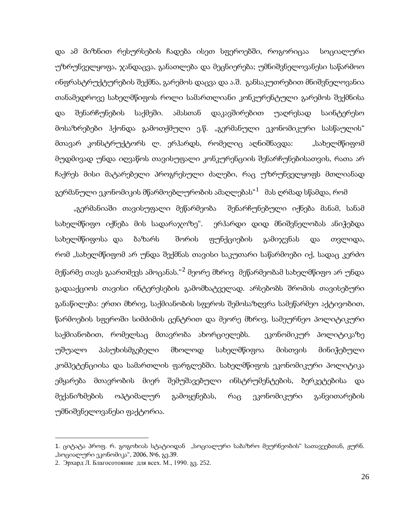და ამ მიზნით რესურსების ჩადება ისეთ სფეროებში, როგორიცაა სოციალური უზრუნველყოფა, ჯანდაცვა, განათლება და მეცნიერება; უმნიშვნელოვანესი საწარმოო ინფრასტრუქტურების შექმნა, გარემოს დაცვა და ა.შ. განსაკუთრებით მნიშვნელოვანია თანამედროვე სახელმწიფოს როლი სამართლიანი კონკურენტული გარემოს შექმნისა და შენარჩუნების საქმეში. ამასთან დაკავშირებით უაღრესად საინტერესო მოსაზრებები ჰქონდა გამოთქმული ე.წ. "გერმანული ეკონომიკური სასწაულის" მთავარ კონსტრუქტორს ლ. ერჰარდს, რომელიც აღნიშნავდა: "სახელმწიფომ მუდმივად უნდა იღვაწოს თავისუფალი კონკურენციის შენარჩუნებისათვის, რათა არ ჩაქრეს მისი მატარებელი პროგრესული ძალები, რაც უზრუნველყოფს მთლიანად გერმანული ეკონომიკის მწარმოებლურობის ამაღლებას $^{\rm d}$  მას ღრმად სწამდა, რომ

"გერმანიაში თავისუფალი მეწარმეობა შენარჩუნებული იქნება მანამ, სანამ სახელმწიფო იქნება მის სადარაჯოზე". ერჰარდი დიდ მნიშვნელობას ანიჭებდა სახელმწიფოსა და ბაზარს შორის ფუნქციების გამიჯვნას და თვლიდა, რომ "სახელმწიფომ არ უნდა შექმნას თავისი საკუთარი საწარმოები იქ, სადაც კერძო მეწარმე თავს გაართმევს ამოცანას."[2](#page-24-0) მეორე მხრივ მეწარმეობამ სახელმწიფო არ უნდა გადააქციოს თავისი ინტერესების გამომხატველად. არსებობს შრომის თავისებური განაწილება: ერთი მხრივ, საქმიანობის სფეროს შემოსაზღვრა სამეწარმეო აქტივობით, წარმოების სფეროში სიმძიმის ცენტრით და მეორე მხრივ, სამეურნეო პოლიტიკური საქმიანობით, რომელსაც მთავრობა ახორციელებს. ეკონომიკურ პოლიტიკაზე უშუალო პასუხისმგებელი მხოლოდ სახელმწიფოა მისთვის მინიჭებული კომპეტენციისა და სამართლის ფარგლებში. სახელმწიფოს ეკონომიკური პოლიტიკა ემყარება მთავრობის მიერ შემუშავებული ინსტრუმენტების, ბერკეტებისა და მექანიზმების ოპტიმალურ გამოყენებას, რაც ეკონომიკური განვითარების უმნიშვნელოვანესი ფაქტორია.

<span id="page-24-1"></span><span id="page-24-0"></span><sup>1.</sup> ციტატა პროფ. რ. გოგოხიას სტატიიდან "სოციალური საბაზრო მეურნეობის" სათავეებთან, ჟურნ. "სოციალური ეკონომიკა", 2006, №6, გვ.39.

<sup>2</sup>. Эрхард Л. Благосотояние для всех. М., 1990. გვ. 252.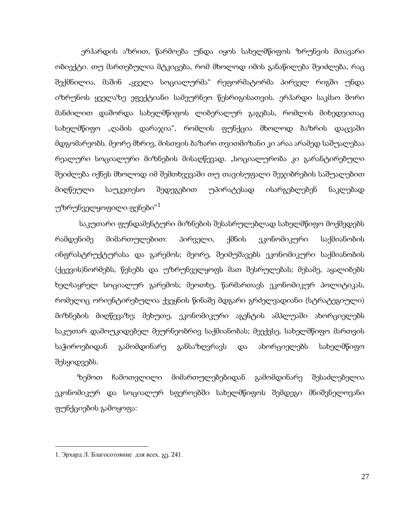ერჰარდის აზრით, წარმოება უნდა იყოს სახელმწიფოს ზრუნვის მთავარი ობიექტი. თუ მართებულია მტკიცება, რომ მხოლოდ იმის განაწილება შეიძლება, რაც შექმნილია, მაშინ "ყველა სოციალურმა" რეფორმატორმა პირველ რიგში უნდა იზრუნოს ყველაზე ეფექტიანი სამეურნეო წესრიგისათვის. ერჰარდი საკმაო შორი მანძილით დაშორდა სახელმწიფოს ლიბერალურ გაგებას, რომლის მიხედვითაც სახელმწიფო "ღამის დარაჯია", რომლის ფუნქცია მხოლოდ ბაზრის დაცვაში მდგომარეობს. მეორე მხრივ, მისთვის ბაზარი თვითმიზანი კი არაა არამედ საშუალებაა რეალური სოციალური მიზნების მისაღწევად. "სოციალურობა კი გარანტირებული შეიძლება იქნეს მხოლოდ იმ შემთხვევაში თუ თავისუფალი შეჯიბრების საშუალებით მიღწეული საუკეთესო შედეგებით უპირატესად ისარგებლებენ ნაკლებად უზრუნველყოფილი ფენები $^{\rm a1}$  $^{\rm a1}$  $^{\rm a1}$ 

 საკუთარი ფუნდამენტური მიზნების შესასრულებლად სახელმწიფო მოქმედებს რამდენიმე მიმართულებით: პირველი, ქმნის ეკონომიკური საქმიანობის ინფრასტრუქტურასა და გარემოს; მეორე, შეიმუშავებს ეკონომიკური საქმიანობის (ქცევის)ნორმებს, წესებს და უზრუნველყოფს მათ შესრულებას; მესამე, აყალიბებს ხელსაყრელ სოციალურ გარემოს; მეოთხე, წარმართავს ეკონომიკურ პოლიტიკას, რომელიც ორიენტირებულია ქვეყნის წინაშე მდგარი გრძელვადიანი (სტრატეგიული) მიზნების მიღწევაზე; მეხუთე, ეკონომიკური აგენტის ამპლუაში ახორციელებს საკუთარ დამოუკიდებელ მეურნეობრივ საქმიანობას; მეექვსე, სახელმწიფო მართვის საჭიროებიდან გამომდინარე განსაზღვრავს და ახორციელებს სახელმწიფო შესყიდვებს.

 ზემოთ ჩამოთვლილი მიმართულებებიდან გამომდინარე შესაძლებელია ეკონომიკურ და სოციალურ სფეროებში სახელმწიფოს შემდეგი მნიშვნელოვანი ფუნქციების გამოყოფა:

**.** 

<span id="page-25-0"></span><sup>1</sup>. Эрхард Л. Благосотояние для всех. გვ. 241.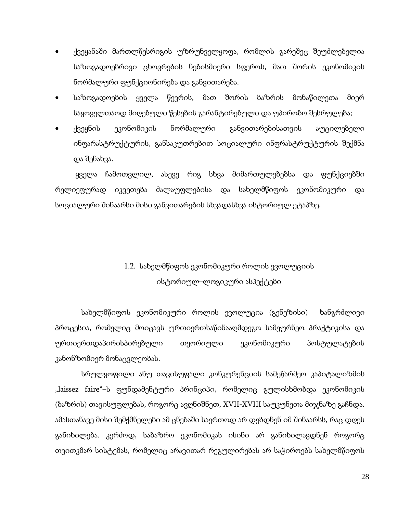- ქვეყანაში მართლწესრიგის უზრუნველყოფა, რომლის გარეშეც შეუძლებელია საზოგადოებრივი ცხოვრების ნებისმიერი სფეროს, მათ შორის ეკონომიკის ნორმალური ფუნქციონირება და განვითარება.
- საზოგადოების ყველა წევრის, მათ შორის ბაზრის მონაწილეთა მიერ საყოველთაოდ მიღებული წესების გარანტირებული და უპირობო შესრულება;
- ქვეყნის ეკონომიკის ნორმალური განვითარებისათვის აუცილებელი ინფარასტრუქტურის, განსაკუთრებით სოციალური ინფრასტრუქტურის შექმნა და შენახვა.

ყველა ჩამოთვლილ, ასევე რიგ სხვა მიმართულებებსა და ფუნქციებში რელიეფურად იკვეთება ძალაუფლებისა და სახელმწიფოს ეკონომიკური და სოციალური შინაარსი მისი განვითარების სხვადასხვა ისტორიულ ეტაპზე.

# 1.2. სახელმწიფოს ეკონომიკური როლის ევოლუციის ისტორიულ–ლოგიკური ასპექტები

 სახელმწიფოს ეკონომიკური როლის ევოლუცია (გენეზისი) ხანგრძლივი პროცესია, რომელიც მოიცავს ურთიერთსაწინააღმდეგო სამეურნეო პრაქტიკისა და ურთიერთდაპირისპირებული თეორიული ეკონომიკური პოსტულატების კანონზომიერ მონაცვლეობას.

 სრულყოფილი ანუ თავისუფალი კონკურენციის სამეწარმეო კაპიტალიზმის "laissez faire"–ს ფუნდამენტური პრინციპი, რომელიც გულისხმობდა ეკონომიკის (ბაზრის) თავისუფლებას, როგორც ავღნიშნეთ, XVII-XVIII საუკუნეთა მიჯნაზე გაჩნდა. ამასთანავე მისი შემქმნელები ამ ცნებაში საერთოდ არ დებდნენ იმ შინაარსს, რაც დღეს განიხილება. კერძოდ, საბაზრო ეკონომიკას ისინი არ განიხილავდნენ როგორც თვითკმარ სისტემას, რომელიც არავითარ რეგულირებას არ საჭიროებს სახელმწიფოს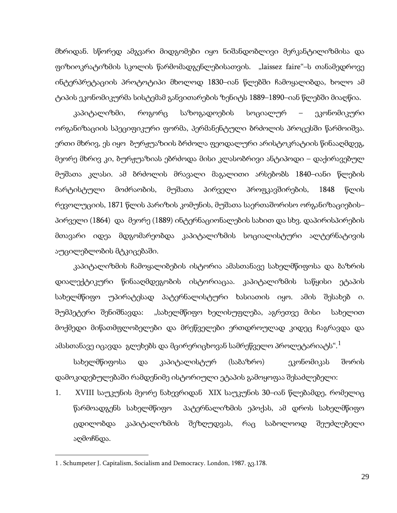მხრიდან. სწორედ ამგვარი მიდგომები იყო ნიშანდობლივი მერკანტილიზმისა და ფიზიოკრატიზმის სკოლის წარმომადგენლებისათვის. "laissez faire"–ს თანამედროვე ინტერპრეტაციის პროტოტიპი მხოლოდ 1830–იან წლებში ჩამოყალიბდა, ხოლო ამ ტიპის ეკონომიკურმა სისტემამ განვითარების ზენიტს 1889–1890–იან წლებში მიაღწია.

კაპიტალიზმი, როგორც საზოგადოების სოციალურ – ეკონომიკური ორგანიზაციის სპეციფიკური ფორმა, პერმანენტული ბრძოლის პროცესში წარმოიშვა. ერთი მხრივ, ეს იყო ბურჟუაზიის ბრძოლა ფეოდალური არისტოკრატიის წინააღმდეგ, მეორე მხრივ კი, ბურჟუაზიას ებრძოდა მისი კლასობრივი ანტიპოდი – დაქირავებულ მუშათა კლასი. ამ ბრძოლის მრავალი მაგალითი არსებობს 1840–იანი წლების ჩარტისტული მოძრაობის, მუშათა პირველი პროფკავშირების, 1848 წლის რევოლუციის, 1871 წლის პარიზის კომუნის, მუშათა საერთაშორისო ორგანიზაციების– პირველი (1864) და მეორე (1889) ინტერნაციონალების სახით და სხვ. დაპირისპირების მთავარი იდეა მდგომარეობდა კაპიტალიზმის სოციალისტური ალტერნატივის აუცილებლობის მტკიცებაში.

კაპიტალიზმის ჩამოყალიბების ისტორია ამასთანავე სახელმწიფოსა და ბაზრის დიალექტიკური წინააღმდეგობის ისტორიაცაა. კაპიტალიზმის საწყისი ეტაპის სახელმწიფო უპირატესად პატერნალისტური ხასიათის იყო. ამის შესახებ ი. შუმპეტერი შენიშნავდა: "სახელმწიფო ხელისუფლება, აგრეთვე მისი სახელით მოქმედი მიწათმფლობელები და მრეწველები ერთდროულად კიდეც ჩაგრავდა და ამასთანავე იცავდა გლეხებს და მცირერიცხოვან სამრეწველო პროლეტარიატს". $^1$  $^1$ 

სახელმწიფოსა და კაპიტალისტურ (საბაზრო) ეკონომიკას შორის დამოკიდებულებაში რამდენიმე ისტორიული ეტაპის გამოყოფაა შესაძლებელი:

1. XVIII საუკუნის მეორე ნახევრიდან XIX საუკუნის 30–იან წლებამდე, რომელიც წარმოადგენს სახელმწიფო პატერნალიზმის ეპოქას, ამ დროს სახელმწიფო ცდილობდა კაპიტალიზმის შეზღუდვას, რაც საბოლოოდ შეუძლებელი აღმოჩნდა.

<span id="page-27-0"></span>**.** 

<sup>1</sup> . Schumpeter J. Capitalism, Socialism and Democracy. London, 1987. გვ.178.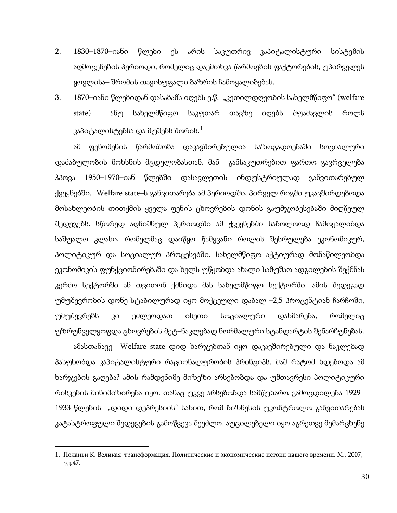- 2. 1830–1870–იანი წლები ეს არის საკუთრივ კაპიტალისტური სისტემის აღმოცენების პერიოდი, რომელიც დაემთხვა წარმოების ფაქტორების, უპირველეს ყოვლისა– შრომის თავისუფალი ბაზრის ჩამოყალიბებას.
- 3. 1870–იანი წლებიდან დასაბამს იღებს ე.წ. "კეთილდღეობის სახელმწიფო" (welfare state) ანუ სახელმწიფო საკუთარ თავზე იღებს შუამავლის როლს კაპიტალისტებსა და მუშებს შორის. $^1$  $^1$

ამ ფენომენის წარმოშობა დაკავშირებულია საზოგადოებაში სოციალური დაძაბულობის მოხსნის მცდელობასთან. მან განსაკუთრებით ფართო გავრცელება ჰპოვა 1950–1970–იან წლებში დასავლეთის ინდუსტრიულად განვითარებულ ქვეყნებში. Welfare state–ს განვითარება ამ პერიოდში, პირველ რიგში უკავშირდებოდა მოსახლეობის თითქმის ყველა ფენის ცხოვრების დონის გაუმჯობესებაში მიღწეულ შედეგებს. სწორედ აღნიშნულ პერიოდში ამ ქვეყნებში საბოლოოდ ჩამოყალიბდა საშუალო კლასი, რომელმაც დაიწყო წამყვანი როლის შესრულება ეკონომიკურ, პოლიტიკურ და სოციალურ პროცესებში. სახელმწიფო აქტიურად მონაწილეობდა ეკონომიკის ფუნქციონირებაში და ხელს უწყობდა ახალი სამუშაო ადგილების შექმნას კერძო სექტორში ან თვითონ ქმნიდა მას სახელმწიფო სექტორში. ამის შედეგად უმუშევრობის დონე სტაბილურად იყო მოქცეული დაბალ –2,5 პროცენტიან ჩარჩოში, უმუშევრებს კი ეძლეოდათ ისეთი სოციალური დახმარება, რომელიც უზრუნველყოფდა ცხოვრების მეტ–ნაკლებად ნორმალური სტანდარტის შენარჩუნებას.

ამასთანავე Welfare state დიდ ხარჯებთან იყო დაკავშირებული და ნაკლებად პასუხობდა კაპიტალისტური რაციონალურობის პრინციპს. მაშ რატომ ხდებოდა ამ ხარჯების გაღება? ამის რამდენიმე მიზეზი არსებობდა და უმთავრესი პოლიტიკური რისკების მინიმიზირება იყო. თანაც უკვე არსებობდა სამწუხარო გამოცდილება 1929– 1933 წლების "დიდი დეპრესიის" სახით, რომ ბიზნესის უკონტროლო განვითარებას კატასტროფული შედეგების გამოწვევა შეეძლო. აუცილებელი იყო აგრეთვე მემარცხენე

**.** 

<span id="page-28-0"></span><sup>1.</sup> Поланьи К. Великая трансформация. Политические и экономические истоки нашего времени. М., 2007, გვ.47.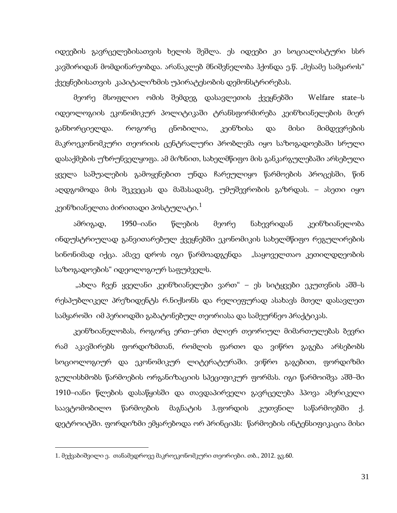იდეების გავრცელებისათვის ხელის შეშლა. ეს იდეები კი სოციალისტური სსრ კავშირიდან მომდინარეობდა. არანაკლებ მნიშვნელობა ჰქონდა ე.წ. "მესამე სამყაროს" ქვეყნებისათვის კაპიტალიზმის უპირატესობის დემონსტრირებას.

მეორე მსოფლიო ომის შემდეგ დასავლეთის ქვეყნებში Welfare state–ს იდეოლოგიის ეკონომიკურ პოლიტიკაში ტრანსფორმირება კეინზიანელების მიერ განხორციელდა. როგორც ცნობილია, კეინზისა და მისი მიმდევრების მაკროეკონომკური თეორიის ცენტრალური პრობლემა იყო საზოგადოებაში სრული დასაქმების უზრუნველყოფა. ამ მიზნით, სახელმწიფო მის განკარგულებაში არსებული ყველა საშუალების გამოყენებით უნდა ჩარეულიყო წარმოების პროცესში, წინ აღდგომოდა მის შეკვეცას და მაშასადამე, უმუშევრობის გაზრდას. – ასეთი იყო კეინზიანელთა ძირითადი პოსტულატი. $^{\rm 1}$  $^{\rm 1}$  $^{\rm 1}$ 

ამრიგად, 1950–იანი წლების მეორე ნახევრიდან კეინზიანელობა ინდუსტრიულად განვითარებულ ქვეყნებში ეკონომიკის სახელმწიფო რეგულირების სინონიმად იქცა. ამავე დროს იგი წარმოადგენდა "საყოველთაო კეთილდღეობის საზოგადოების" იდეოლოგიურ საფუძველს.

"ახლა ჩვენ ყველანი კეინზიანელები ვართ" – ეს სიტყვები ეკუთვნის აშშ–ს რესპუბლიკელ პრეზიდენტს რ.ნიქსონს და რელიეფურად ასახავს მთელ დასავლეთ სამყაროში იმ პერიოდში გაბატონებულ თეორიასა და სამეურნეო პრაქტიკას.

კეინზიანელობას, როგორც ერთ–ერთ ძლიერ თეორიულ მიმართულებას ბევრი რამ აკავშირებს ფორდიზმთან, რომლის ფართო და ვიწრო გაგება არსებობს სოციოლოგიურ და ეკონომიკურ ლიტერატურაში. ვიწრო გაგებით, ფორდიზმი გულისხმობს წარმოების ორგანიზაციის სპეციფიკურ ფორმას. იგი წარმოიშვა აშშ–ში 1910–იანი წლების დასაწყისში და თავდაპირველი გავრცელება ჰპოვა ამერიკელი საავტომობილო წარმოების მაგნატის ჰ.ფორდის კუთვნილ საწარმოებში ქ. დეტროიტში. ფორდიზმი ემყარებოდა ორ პრინციპს: წარმოების ინტენსიფიკაცია მისი

<span id="page-29-0"></span> $\overline{a}$ 

<sup>1</sup>. მექვაბიშვილი ე. თანამედროვე მაკროეკონომკური თეორიები. თბ., 2012. გვ.60.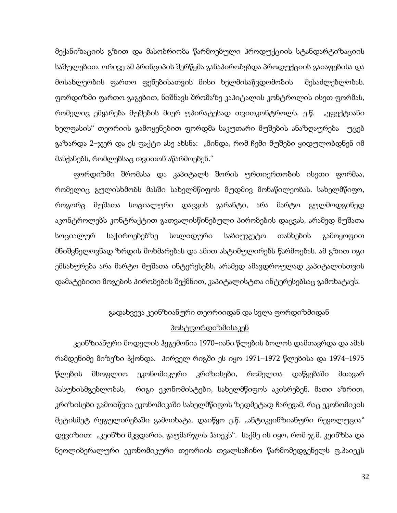მექანიზაციის გზით და მასობრიობა წარმოებული პროდუქციის სტანდარტიზაციის საშულებით. ორივე ამ პრინციპის შერწყმა განაპირობებდა პროდუქციის გაიაფებისა და მოსახლეობის ფართო ფენებისათვის მისი ხელმისაწვდომობის შესაძლებლობას. ფორდიზმი ფართო გაგებით, ნიშნავს შრომაზე კაპიტალის კონტროლის ისეთ ფორმას, რომელიც ემყარება მუშების მიერ უპირატესად თვითკონტროლს. ე.წ. "ეფექტიანი ხელფასის" თეორიის გამოყენებით ფორდმა საკუთარი მუშების ანაზღაურება უცებ გაზარდა 2–ჯერ და ეს ფაქტი ასე ახსნა: "მინდა, რომ ჩემი მუშები ყიდულობდნენ იმ მანქანებს, რომლებსაც თვითონ აწარმოებენ."

ფორდიზმი შრომასა და კაპიტალს შორის ურთიერთობის ისეთი ფორმაა, რომელიც გულისხმობს მასში სახელმწიფოს მუდმივ მონაწილეობას. სახელმწიფო, როგორც მუშათა სოციალური დაცვის გარანტი, არა მარტო გულმოდგინედ აკონტროლებს კონტრაქტით გათვალისწინებული პირობების დაცვას, არამედ მუშათა სოციალურ საჭიროებებზე სოლიდური საბიუჯეტო თანხების გამოყოფით მნიშვნელოვნად ზრდის მოხმარებას და ამით ასტიმულირებს წარმოებას. ამ გზით იგი ემსახურება არა მარტო მუშათა ინტერესებს, არამედ ამავდროულად კაპიტალისთვის დამატებითი მოგების პირობების შექმნით, კაპიტალისტთა ინტერესებსაც გამოხატავს.

## გადახვევა კეინზიანური თეორიიდან და სვლა ფორდიზმიდან პოსტფორდიზმისაკენ

კეინზიანური მოდელის ჰეგემონია 1970–იანი წლების ბოლოს დამთავრდა და ამას რამდენიმე მიზეზი ჰქონდა. პირველ რიგში ეს იყო 1971–1972 წლებისა და 1974–1975 წლების მსოფლიო ეკონომიკური კრიზისები, რომელთა დაწყებაში მთავარ პასუხისმგებლობას, რიგი ეკონომისტები, სახელმწიფოს აკისრებენ. მათი აზრით, კრიზისები გამოიწვია ეკონომიკაში სახელმწიფოს ზედმეტად ჩარევამ, რაც ეკონომიკის მეტისმეტ რეგულირებაში გამოიხატა. დაიწყო ე.წ. "ანტიკეინზიანური რევოლუცია" დევიზით: "კეინზი მკვდარია, გაუმარჯოს ჰაიეკს". საქმე ის იყო, რომ ჯ.მ. კეინზსა და ნეოლიბერალური ეკონომიკური თეორიის თვალსაჩინო წარმომედგენელს ფ.ჰაიეკს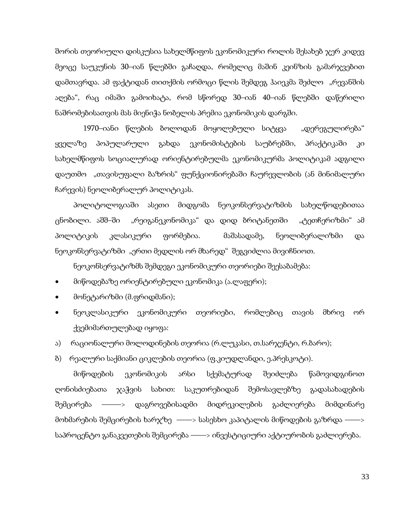შორის თეორიული დისკუსია სახელმწიფოს ეკონომიკური როლის შესახებ ჯერ კიდევ მეოცე საუკუნის 30–იან წლებში გაჩაღდა, რომელიც მაშინ კეინზის გამარჯვებით დამთავრდა. ამ ფაქტიდან თითქმის ორმოცი წლის შემდეგ ჰაიეკმა შეძლო "რევანშის აღება", რაც იმაში გამოიხატა, რომ სწორედ 30–იან 40–იან წლებში დაწერილი ნაშრომებისათვის მას მიენიჭა ნობელის პრემია ეკონომიკის დარგში.

1970–იანი წლების ბოლოდან მოყოლებული სიტყვა "დერეგულირება" ყველაზე პოპულარული გახდა ეკონომისტების საუბრებში, პრაქტიკაში კი სახელმწიფოს სოციალურად ორიენტირებულმა ეკონომიკურმა პოლიტიკამ ადგილი დაუთმო "თავისუფალი ბაზრის" ფუნქციონირებაში ჩაურევლობის (ან მინიმალური ჩარევის) ნეოლიბერალურ პოლიტიკას.

პოლიტოლოგიაში ასეთი მიდგომა ნეოკონსერვატიზმის სახელწოდებითაა ცნობილი. აშშ–ში "რეიგანეკონომიკა" და დიდ ბრიტანეთში "ტეთჩერიზმი" ამ პოლიტიკის კლასიკური ფორმებია. მაშასადამე, ნეოლიბერალიზმი და ნეოკონსერვატიზმი "ერთი მედლის ორ მხარედ" შეგვიძლია მივიჩნიოთ.

ნეოკონსერვატიზმს შემდეგი ეკონომიკური თეორიები შეესაბამება:

- მიწოდებაზე ორიენტირებული ეკონომიკა (ა.ლაფერი);
- მონეტარიზმი (მ.ფრიდმანი);
- ნეოკლასიკური ეკონომიკური თეორიები, რომლებიც თავის მხრივ ორ ქვემიმართულებად იყოფა:
- ა) რაციონალური მოლოდინების თეორია (რ.ლუკასი, თ.სარჯენტი, რ.ბარო);
- ბ) რეალური საქმიანი ციკლების თეორია (ფ.კიუდლანდი, ე.პრესკოტი).

მიწოდების ეკონომიკის არსი სქემატურად შეიძლება წამოვიდგინოთ ღონისძიებათა ჯაჭვის სახით: საკუთრებიდან შემოსავლებზე გადასახადების შემცირება –––––> დაგროვებისადმი მიდრეკილების გაძლიერება მიმდინარე მოხმარების შემცირების ხარჯზე ––––> სასესხო კაპიტალის მიწოდების გაზრდა ––––> საპროცენტო განაკვეთების შემცირება ––––> ინვესტიციური აქტიურობის გაძლიერება.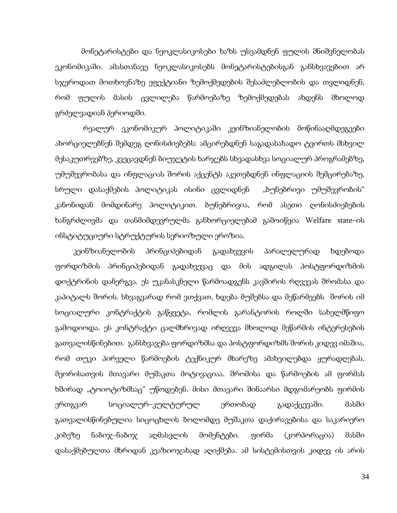მონეტარისტები და ნეოკლასიკოსები ხაზს უსვამდნენ ფულის მნიშვნელობას ეკონომიკაში. ამასთანავე ნეოკლასიკოსებს მონეტარისტებისგან განსხვავებით არ სჯეროდათ მოთხოვნაზე ეფექტიანი ზემოქმედების შესაძლებლობის და თვლიდნენ, რომ ფულის მასის ცვლილება წარმოებაზე ზემოქმედებას ახდენს მხოლოდ გრძელვადიან პერიოდში.

 რეალურ ეკონომიკურ პოლიტიკაში კეინზიანელობის მოწინააღმდეგეები ახორციელებნენ შემდეგ ღონისძიებებს: ამცირებდნენ საგადასახადო ტვირთს მსხვილ მესაკუთრეებზე, კვეცავდნენ ბიუჯეტის ხარჯებს სხვადასხვა სოციალურ პროგრამებზე, უმუშევრობასა და ინფლაციას შორის აქცენტს აკეთებდნენ ინფლაციის შემცირებაზე, სრული დასაქმების პოლიტიკას ისინი ცვლიდნენ "ბუნებრივი უმუშევრობის" კანონიდან მომდინარე პოლიტიკით. ბუნებრივია, რომ ასეთი ღონისძიებების ხანგრძლივმა და თანმიმდევრულმა განხორციელებამ გამოიწვია Welfare state–ის ინსტიტუციური სტრუქტურის სერიოზული ეროზია.

კეინზიანელობის პრინციპებიდან გადახვევის პარალელურად ხდებოდა ფორდიზმის პრინციპებიდან გადახვევაც და მის ადგილას პოსტფორდიზმის დოქტრინის დანერგვა. ეს უკანასკნელი წარმოადგენს კავშირის რღვევას შრომასა და კაპიტალს შორის. სხვაგვარად რომ ვთქვათ, ხდება მუშებსა და მეწარმეებს შორის იმ სოციალური კონტრაქტის გაწყვეტა, რომლის გარანტორის როლში სახელმწიფო გამოდიოდა. ეს კონტრაქტი ცალმხრივად ირღვევა მხოლოდ მეწარმის ინტერესების გათვალისწინებით. განსხვავება ფორდიზმსა და პოსტფორდიზმს შორის კიდევ იმაშია, რომ თუკი პირველი წარმოების ტექნიკურ მხარეზე ამახვილებდა ყურადღებას, მეორისათვის მთავარი მუშაკთა მოტივაციაა. შრომისა და წარმოების ამ ფორმას ხშირად "ტოიოტიზმსაც" უწოდებენ. მისი მთავარი შინაარსი მდგომარეობს ფირმის ერთგვარ სოციალურ–კულტურულ ერთობად გადაქცევაში. მასში გათვალისწინებულია სიცოცხლის ბოლომდე მუშაკთა დაქირავებისა და საკარიერო კიბეზე ნაბიჯ–ნაბიჯ აღმასვლის მომენტები. ფირმა (კორპორაცია) მასში დასაქმებულთა მხრიდან კვაზიოჯახად აღიქმება. ამ სისტემისთვის კიდევ ის არის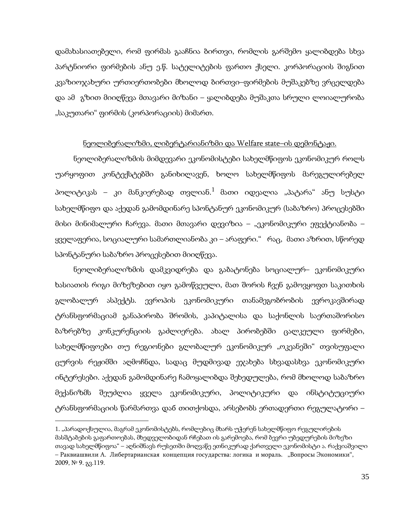დამახასიათებელი, რომ ფირმას გააჩნია ბირთვი, რომლის გარშემო ყალიბდება სხვა პარტნიორი ფირმების ანუ ე.წ. სატელიტების ფართო ქსელი. კორპორაციის შიგნით კვაზიოჯახური ურთიერთობები მხოლოდ ბირთვი–ფირმების მუშაკებზე ვრცელდება და ამ გზით მიიღწევა მთავარი მიზანი – ყალიბდება მუშაკთა სრული ლოიალურობა "საკუთარი" ფირმის (კორპორაციის) მიმართ.

### ნეოლიბერალიზმი, ლიბერტარიანიზმი და Welfare state–ის დემონტაჟი.

ნეოლიბერალიზმის მიმდევარი ეკონომისტები სახელმწიფოს ეკონომიკურ როლს უარყოფით კონტექსტებში განიხილავენ, ხოლო სახელმწიფოს მარეგულირებელ პოლიტიკას – კი მანკიერებად თვლიან. $^1$  $^1$  მათი იდეალია "პატარა" ანუ სუსტი სახელმწიფო და აქედან გამომდინარე სპონტანურ ეკონომიკურ (საბაზრო) პროცესებში მისი მინიმალური ჩარევა. მათი მთავარი დევიზია – "ეკონომიკური ეფექტიანობა – ყველაფერია, სოციალური სამართლიანობა კი – არაფერი." რაც, მათი აზრით, სწორედ სპონტანური საბაზრო პროცესებით მიიღწევა.

ნეოლიბერალიზმის დამკვიდრება და გაბატონება სოციალურ– ეკონომიკური ხასიათის რიგი მიზეზებით იყო გამოწვეული, მათ შორის ჩვენ გამოვყოფთ საკითხის გლობალურ ასპექტს. ევროპის ეკონომიკური თანამეგობრობის ევროკავშირად ტრანსფორმაციამ განაპირობა შრომის, კაპიტალისა და საქონლის საერთაშორისო ბაზრებზე კონკურენციის გაძლიერება. ახალ პირობებში ცალკეული ფირმები, სახელმწიფოები თუ რეგიონები გლობალურ ეკონომიკურ "ოკეანეში" თვისუფალი ცურვის რეჟიმში აღმოჩნდა, სადაც მუდმივად ეჯახება სხვადასხვა ეკონომიკური ინტერესები. აქედან გამომდინარე ჩამოყალიბდა შეხედულება, რომ მხოლოდ საბაზრო მექანიზმს შეუძლია ყველა ეკონომიკური, პოლიტიკური და ინსტიტუციური ტრანსფორმაციის წარმართვა დაб თითქოსდა, არსებობს ერთადერთი რეგულატორი –

<span id="page-33-0"></span><sup>1</sup>. "პარადოქსულია, მაგრამ ეკონომისტებს, რომლებიც მხარს უჭერენ სახელმწიფო რეგულირების მასშტაბების გაფართოებას, მხედველობიდან რჩებათ ის გარემოება, რომ ბევრი უბედურების მიზეზი თავად სახელმწიფოა" – აღნიშნავს რუსეთში მოღვაწე ეთნიკურად ქართველი ეკონომისტი ა. რაქვიაშვილი – Раквиашвили А. Либертарианская концепция государства: логика и мораль. "Вопросы Экономики",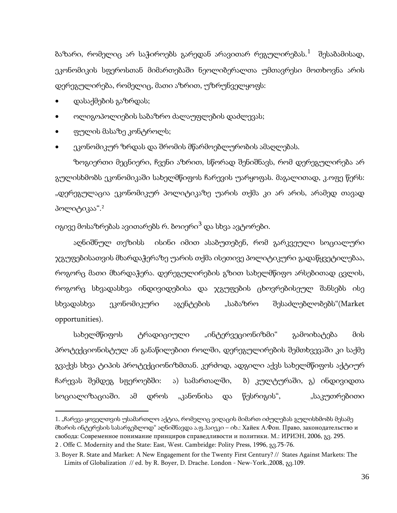ბაზარი, რომელიც არ საჭიროებს გარედან არავითარ რეგულირებას. $^1$  $^1$  შესაბამისად, ეკონომიკის სფეროსთან მიმართებაში ნეოლიბერალთა უმთავრესი მოთხოვნა არის დერეგულირება, რომელიც, მათი აზრით, უზრუნველყოფს:

• დასაქმების გაზრდას;

**.** 

- ოლიგოპოლიების საბაზრო ძალაუფლების დაძლევას;
- ფულის მასაზე კონტროლს;
- ეკონომიკურ ზრდას და შრომის მწარმოებლურობის ამაღლებას.

ზოგიერთი მეცნიერი, ჩვენი აზრით, სწორად შენიშნავს, რომ დერეგულირება არ გულისხმობს ეკონომიკაში სახელმწიფოს ჩარევის უარყოფას. მაგალითად, კ.ოფე წერს: "დერეგულაცია ეკონომიკურ პოლიტიკაზე უარის თქმა კი არ არის, არამედ თავად პოლიტიკაა".<sup>[2](#page-34-0)</sup>

იგივე მოსაზრებას ავითარებს რ. ბოიერი<sup>[3](#page-34-0)</sup> და სხვა ავტორები.

აღნიშნულ თეზისს ისინი იმით ასაბუთებენ, რომ გარკვეული სოციალური ჯგუფებისათვის მხარდაჭერაზე უარის თქმა ისეთივე პოლიტიკური გადაწყვეტილებაა, როგორც მათი მხარდაჭერა. დერეგულირების გზით სახელმწიფო არსებითად ცვლის, როგორც სხვადასხვა ინდივიდებისა და ჯგუფების ცხოვრებისეულ შანსებს ისე სხვადასხვა ეკონომიკური აგენტების "საბაზრო შესაძლებლობებს"(Market opportunities).

სახელმწიფოს ტრადიციული "ინტერვეციონიზმი" გამოიხატება მის პროტექციონისტულ ან განაწილებით როლში, დერეგულირების შემთხვევაში კი საქმე გვაქვს სხვა ტიპის პროტექციონიზმთან. კერძოდ, ადგილი აქვს სახელმწიფოს აქტიურ ჩარევას შემდეგ სფეროებში: ა) სამართალში, ბ) კულტურაში, გ) ინდივიდთა სოციალიზაციაში. ამ დროს "კანონისა და წესრიგის", "საკუთრებითი

<span id="page-34-0"></span><sup>1.</sup> "ჩარევა ყოველთვის უსამართლო აქტია, რომელიც ვიღაცის მიმართ იძულებას გულისხმობს მესამე მხარის ინტერესის სასარგებლოდ" აღნიშნავდა ა.ფ.ჰაიეკი – იხ.: Хайек А.Фон. Право, законодательство и свобода: Современное понимание принциров справедливости и политики. М.: ИРИЭН, 2006, გვ. 295. 2 . Offe C. Modernity and the State: East, West. Cambridge: Polity Press, 1996, გვ.75-76.

<span id="page-34-1"></span><sup>3.</sup> Boyer R. State and Market: A New Engagement for the Twenty First Century? // States Against Markets: The Limits of Globalization // ed. by R. Boyer, D. Drache. London - New-York.,2008, გვ.109.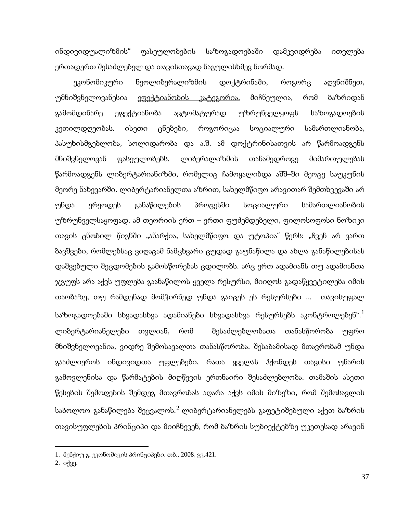ინდივიდუალიზმის" ფასეულობების საზოგადოებაში დამკვიდრება ითვლება ერთადერთ შესაძლებელ და თავისთავად ნაგულისხმევ ნორმად.

ეკონომიკური ნეოლიბერალიზმის დოქტრინაში, როგორც აღვნიშნეთ, უმნიშვნელოვანესია ეფექტიანობის კატეგორია. მიჩნეულია, რომ ბაზრიდან გამომდინარე ეფექტიანობა ავტომატურად უზრუნველყოფს საზოგადოების კეთილდღეობას. ისეთი ცნებები, როგორიცაა სოციალური სამართლიანობა, პასუხისმგებლობა, სოლიდარობა და ა.შ. ამ დოქტრინისათვის არ წარმოადგენს მნიშვნელოვან ფასეულობებს. ლიბერალიზმის თანამედროვე მიმართულებას წარმოადგენს ლიბერტარიანიზმი, რომელიც ჩამოყალიბდა აშშ–ში მეოცე საუკუნის მეორე ნახევარში. ლიბერტარიანელთა აზრით, სახელმწიფო არავითარ შემთხვევაში არ უნდა ერეოდეს განაწილების პროცესში სოციალური სამართლიანობის უზრუნველსაყოფად. ამ თეორიის ერთ – ერთი ფუძემდებელი, ფილოსოფოსი ნოზიკი თავის ცნობილ წიგნში "ანარქია, სახელმწიფო და უტოპია" წერს: "ჩვენ არ ვართ ბავშვები, რომლებსაც ვიღაცამ ნამცხვარი ცუდად გაუნაწილა და ახლა განაწილებისას დაშვებული შეცდომების გამოსწორებას ცდილობს. არც ერთ ადამიანს თუ ადამიანთა ჯგუფს არა აქვს უფლება გაანაწილოს ყველა რესურსი, მიიღოს გადაწყვეტილება იმის თაობაზე, თუ რამდენად მომჭირნედ უნდა გაიცეს ეს რესურსები ... თავისუფალ საზოგადოებაში სხვადასხვა ადამიანები სხვადასხვა რესურსებს აკონტროლებენ".[1](#page-34-1) ლიბერტარიანელები თვლიან, რომ შესაძლებლობათა თანასწორობა უფრო მნიშვნელოვანია, ვიდრე შემოსავალთა თანასწორობა. შესაბამისად მთავრობამ უნდა გააძლიეროს ინდივიდთა უფლებები, რათა ყველას ჰქონდეს თავისი უნარის გამოვლენისა და წარმატების მიღწევის ერთნაირი შესაძლებლობა. თამაშის ასეთი წესების შემოღების შემდეგ მთავრობას აღარა აქვს იმის მიზეზი, რომ შემოსავლის საბოლოო განაწილება შეცვალოს.<sup>[2](#page-35-0)</sup> ლიბერტარიანელებს გაფეტიშებული აქვთ ბაზრის თავისუფლების პრინციპი და მიიჩნევენ, რომ ბაზრის სუბიექტებზე უკეთესად არავინ

**.** 

<span id="page-35-0"></span><sup>1.</sup> მენქიუ გ. ეკონომიკის პრინციპები. თბ., 2008, გვ.421.

<sup>2.</sup> იქვე.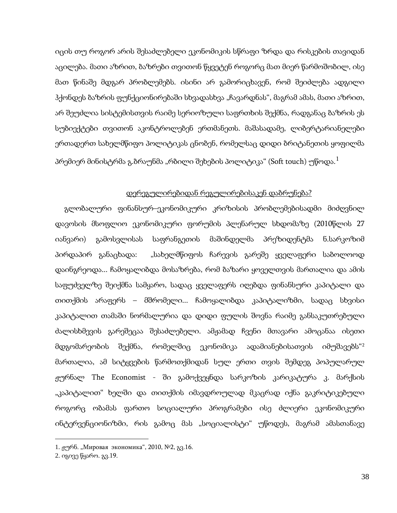იცის თუ როგორ არის შესაძლებელი ეკონომიკის სწრაფი ზრდა და რისკების თავიდან აცილება. მათი აზრით, ბაზრები თვითონ წყვეტენ როგორც მათ მიერ წარმოშობილ, ისე მათ წინაშე მდგარ პრობლემებს. ისინი არ გამორიცხავენ, რომ შეიძლება ადგილი ჰქონდეს ბაზრის ფუნქციონირებაში სხვადასხვა "ჩავარდნას", მაგრამ ამას, მათი აზრით, არ შეუძლია სისტემისთვის რაიმე სერიოზული საფრთხის შექმნა, რადგანაც ბაზრის ეს სუბიექტები თვითონ აკონტროლებენ ერთმანეთს. მაშასადამე, ლიბერტარიანელები ერთადერთ სახელმწიფო პოლიტიკას ცნობენ, რომელსაც დიდი ბრიტანეთის ყოფილმა პრემიერ მინისტრმა გ.ბრაუნმა "რბილი შეხების პოლიტიკა" (Soft touch) უწოდა. $^1$  $^1$ 

## დერეგულირებიდან რეგულირებისაკენ დაბრუნება?

გლობალური ფინანსურ–ეკონომიკური კრიზისის პრობლემებისადმი მიძღვნილ დავოსის მსოფლიო ეკონომიკური ფორუმის პლენარულ სხდომაზე (2010წლის 27 იანვარი) გამოსვლისას საფრანგეთის მაშინდელმა პრეზიდენტმა ნ.სარკოზიმ პირდაპირ განაცხადა: "სახელმწიფოს ჩარევის გარეშე ყველაფერი საბოლოოდ დაინგრეოდა... ჩამოყალიბდა მოსაზრება, რომ ბაზარი ყოველთვის მართალია და ამის საფუძველზე შეიქმნა სამყარო, სადაც ყველაფერს იღებდა ფინანსური კაპიტალი და თითქმის არაფერს – მშრომელი... ჩამოყალიბდა კაპიტალიზმი, სადაც სხვისი კაპიტალით თამაში ნორმალურია და დიდი ფულის შოვნა რაიმე განსაკუთრებული ძალისხმევის გარეშეცაა შესაძლებელი. ამჟამად ჩვენი მთავარი ამოცანაა ისეთი მდგომარეობის შექმნა, რომელშიც ეკონომიკა ადამიანებისათვის იმუშავებს"[2](#page-36-0) მართალია, ამ სიტყვების წარმოთქმიდან სულ ერთი თვის შემდეგ პოპულარულ ჟურნალ The Economist - ში გამოქვეყნდა სარკოზის კარიკატურა კ. მარქსის "კაპიტალით" ხელში და თითქმის იმავდროულად მკაცრად იქნა გაკრიტიკებული როგორც ობამას ფართო სოციალური პროგრამები ისე ძლიერი ეკონომიკური ინტერვენციონიზმი, რის გამოც მას "სოციალისტი" უწოდეს, მაგრამ ამასთანავე

**.** 

<span id="page-36-0"></span><sup>1.</sup> ჟურნ. "Мировая экономика", 2010, №2, გვ.16.

<span id="page-36-1"></span><sup>2.</sup> იგივე წყარო. გვ.19.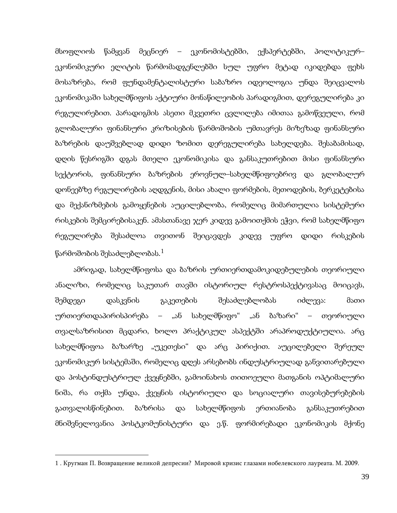მსოფლიოს წამყვან მეცნიერ – ეკონომისტებში, ექსპერტებში, პოლიტიკურ– ეკონომიკური ელიტის წარმომადგენლებში სულ უფრო მეტად იკიდებდა ფეხს მოსაზრება, რომ ფუნდამენტალისტური საბაზრო იდეოლოგია უნდა შეიცვალოს ეკონომიკაში სახელმწიფოს აქტიური მონაწილეობის პარადიგმით, დერეგულირება კი რეგულირებით. პარადიგმის ასეთი მკვეთრი ცვლილება იმითაა გამოწვეული, რომ გლობალური ფინანსური კრიზისების წარმოშობის უმთავრეს მიზეზად ფინანსური ბაზრების დაუშვებლად დიდი ზომით დერეგულირება სახელდება. შესაბამისად, დღის წესრიგში დგას მთელი ეკონომიკისა და განსაკუთრებით მისი ფინანსური სექტორის, ფინანსური ბაზრების ეროვნულ–სახელმწიფოებრივ და გლობალურ დონეებზე რეგულირების აღდგენის, მისი ახალი ფორმების, მეთოდების, ბერკეტებისა და მექანიზმების გამოყენების აუცილებლობა, რომელიც მიმართულია სისტემური რისკების შემცირებისაკენ. ამასთანავე ჯერ კიდევ გამოითქმის ეჭვი, რომ სახელმწიფო რეგულირება შესაძლოა თვითონ შეიცავდეს კიდევ უფრო დიდი რისკების წარმოშობის შესაძლებლობას. $^{\rm 1}$  $^{\rm 1}$  $^{\rm 1}$ 

ამრიგად, სახელმწიფოსა და ბაზრის ურთიერთდამოკიდებულების თეორიული ანალიზი, რომელიც საკუთარ თავში ისტორიულ რესტროსპექტივასაც მოიცავს, შემდეგი დასკვნის გაკეთების შესაძლებლობას იძლევა: მათი ურთიერთდაპირისპირება – "ან სახელმწიფო" "ან ბაზარი" – თეორიული თვალსაზრისით მცდარი, ხოლო პრაქტიკულ ასპექტში არაპროდუქტიულია. არც სახელმწიფოა ბაზარზე "უკეთესი" და არც პირიქით. აუცილებელი შერეულ ეკონომიკურ სისტემაში, რომელიც დღეს არსებობს ინდუსტრიულად განვითარებული და პოსტინდუსტრიულ ქვეყნებში, გამოინახოს თითოეული მათგანის ოპტიმალური ნიშა, რა თქმა უნდა, ქვეყნის ისტორიული და სოციალური თავისებურებების გათვალისწინებით. ბაზრისა და სახელმწიფოს ერთიანობა განსაკუთრებით მნიშვნელოვანია პოსტკომუნისტური და ე.წ. ფორმირებადი ეკონომიკის მქონე

**.** 

<span id="page-37-0"></span><sup>1</sup> . Кругман П. Возвращение великой депресии? Мировой кризис глазами нобелевского лауреата. М. 2009.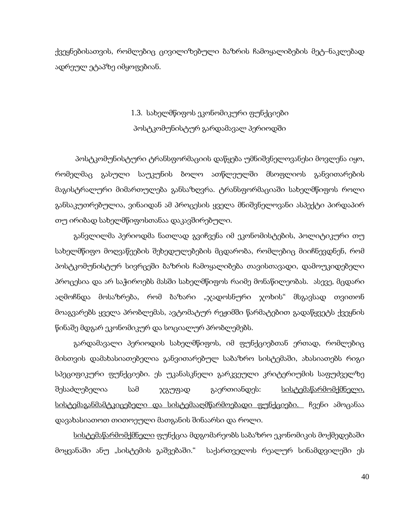ქვეყნებისათვის, რომლებიც ცივილიზებული ბაზრის ჩამოყალიბების მეტ–ნაკლებად ადრეულ ეტაპზე იმყოფებიან.

## 1.3. სახელმწიფოს ეკონომიკური ფუნქციები პოსტკომუნისტურ გარდამავალ პერიოდში

პოსტკომუნისტური ტრანსფორმაციის დაწყება უმნიშვნელოვანესი მოვლენა იყო, რომელმაც გასული საუკუნის ბოლო ათწლეულში მსოფლიოს განვითარების მაგისტრალური მიმართულება განსაზღვრა. ტრანსფორმაციაში სახელმწიფოს როლი განსაკუთრებულია, ვინაიდან ამ პროცესის ყველა მნიშვნელოვანი ასპექტი პირდაპირ თუ ირიბად სახელმწიფოსთანაა დაკავშირებული.

განვლილმა პერიოდმა ნათლად გვიჩვენა იმ ეკონომისტების, პოლიტიკური თუ სახელმწიფო მოღვაწეების შეხედულებების მცდარობა, რომლებიც მიიჩნევდნენ, რომ პოსტკომუნისტურ სივრცეში ბაზრის ჩამოყალიბება თავისთავადი, დამოუკიდებელი პროცესია და არ საჭიროებს მასში სახელმწიფოს რაიმე მონაწილეობას. ასევე, მცდარი აღმოჩნდა მოსაზრება, რომ ბაზარი "ჯადოსნური ჯოხის" მსგავსად თვითონ მოაგვარებს ყველა პრობლემას, ავტომატურ რეჟიმში წარმატებით გადაწყვეტს ქვეყნის წინაშე მდგარ ეკონომიკურ და სოციალურ პრობლემებს.

გარდამავალი პერიოდის სახელმწიფოს, იმ ფუნქციებთან ერთად, რომლებიც მისთვის დამახასიათებელია განვითარებულ საბაზრო სისტემაში, ახასიათებს რიგი სპეციფიკური ფუნქციები. ეს უკანასკნელი გარკვეული კრიტერიუმის საფუძველზე შესაძლებელია სამ ჯგუფად გაერთიანდეს: <u>სისტემაწარმომქმნელი,</u> სისტემაგანმამტკიცებელი და სისტემააღმწარმოებადი ფუნქციები. ჩვენი ამოცანაა დავახასიათოთ თითოეული მათგანის შინაარსი და როლი.

სისტემაწარმომქმნელი ფუნქცია მდგომარეობს საბაზრო ეკონომიკის მოქმედებაში მოყვანაში ანუ "სისტემის გაშვებაში." საქართველოს რეალურ სინამდვილეში ეს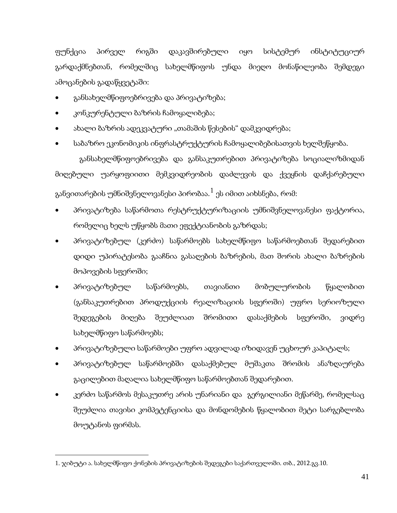ფუნქცია პირველ რიგში დაკავშირებული იყო სისტემურ ინსტიტუციურ გარდაქმნებთან, რომელშიც სახელმწიფოს უნდა მიეღო მონაწილეობა შემდეგი ამოცანების გადაწყვეტაში:

- განსახელმწიფოებრივება და პრივატიზება;
- კონკურენტული ბაზრის ჩამოყალიბება;
- ახალი ბაზრის ადეკვატური "თამაშის წესების" დამკვიდრება;
- საბაზრო ეკონომიკის ინფრასტრუქტურის ჩამოყალიბებისათვის ხელშეწყობა.

 განსახელმწიფოებრივება და განსაკუთრებით პრივატიზება სოციალიზმიდან მიღებული უარყოფიითი მემკვიდრეობის დაძლევის და ქვეყნის დაჩქარებული განვითარების უმნიშვნელოვანესი პირობაა. $^1$  $^1$  ეს იმით აიხსნება, რომ:

- პრივატიზება საწარმოთა რესტრუქტურიზაციის უმნიშვნელოვანესი ფაქტორია, რომელიც ხელს უწყობს მათი ეფექტიანობის გაზრდას;
- პრივატიზებულ (კერძო) საწარმოებს სახელმწიფო საწარმოებთან შედარებით დიდი უპირატესობა გააჩნია გასაღების ბაზრების, მათ შორის ახალი ბაზრების მოპოვების სფეროში;
- პრივატიზებულ საწარმოებს, თავიანთი მობულურობის წყალობით (განსაკუთრებით პროდუქციის რეალიზაციის სფეროში) უფრო სერიოზული შედეგების მიღება შეუძლიათ შრომითი დასაქმების სფეროში, ვიდრე სახელმწიფო საწარმოებს;
- პრივატიზებული საწარმოები უფრო ადვილად იზიდავენ უცხოურ კაპიტალს;
- პრივატიზებულ საწარმოებში დასაქმებულ მუშაკთა შრომის ანაზღაურება გაცილებით მაღალია სახელმწიფო საწარმოებთან შედარებით.
- კერძო საწარმოს მესაკუთრე არის უნარიანი და გერგილიანი მეწარმე, რომელსაც შეუძლია თავისი კომპეტენციისა და მონდომების წყალობით მეტი სარგებლობა მოუტანოს ფირმას.

<span id="page-39-0"></span>**.** 

<sup>1</sup>. ჯიბუტი ა. სახელმწიფო ქონების პრივატიზების შედეგები საქართველოში. თბ., 2012.გვ.10.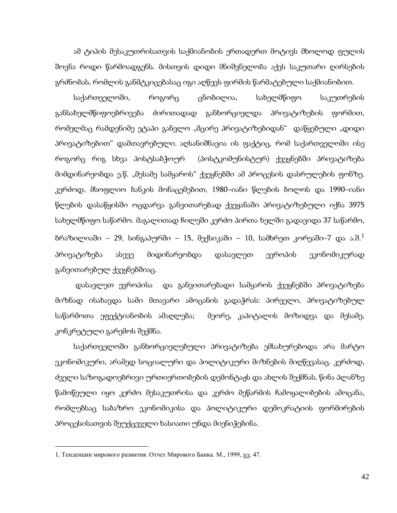ამ ტიპის მესაკუთრისათვის საქმიანობის ერთადერთ მოტივს მხოლოდ ფულის შოვნა როდი წარმოადგენს. მისთვის დიდი მნიშვნელობა აქვს საკუთარი ღირსების გრძნობას, რომლის განმტკიცებასაც იგი აღწევს ფირმის წარმატებული საქმიანობით.

საქართველოში, როგორც ცნობილია, სახელმწიფო საკუთრების განსახელმწიფოებრივება ძირითადად განხორციელდა პრივატიზების ფორმით, რომელმაც რამდენიმე ეტაპი განვლო "მცირე პრივატიზებიდან" დაწყებული "დიდი პრივატიზებით" დამთავრებული. აღსანიშნავია ის ფაქტიც, რომ საქართველოში ისე როგორც რიგ სხვა პოსტსაბჭოურ (პოსტკომუნისტურ) ქვეყნებში პრივატიზება მიმდინარეობდა ე.წ. "მესამე სამყაროს" ქვეყნებში ამ პროცესის დასრულების ფონზე. კერძოდ, მსოფლიო ბანკის მონაცემებით, 1980–იანი წლების ბოლოს და 1990–იანი წლების დასაწყისში ოცდარვა განვითარებად ქვეყანაში პრივატიზებული იქნა 3975 სახელმწიფო საწარმო. მაგალითად ჩილეში კერძო პირთა ხელში გადავიდა 37 საწარმო, ბრაზილიაში – 29, სინგაპურში – [1](#page-39-0)5, მექსიკაში – 10, სამხრეთ კორეაში–7 და ა.შ. $^1$ პრივატიზება ასევე მიდინარეობდა დასავლეთ ევროპის ეკონომიკურად განვითარებულ ქვეყნებშიაც.

დასავლეთ ევროპისა და განვითარებადი სამყაროს ქვეყნებში პრივატიზება მიზნად ისახავდა სამი მთავარი ამოცანის გადაჭრას: პირველი, პრივატიზებულ საწარმოთა ეფექტიანობის ამაღლება; მეორე, კაპიტალის მოზიდვა და მესამე, კონკრეტული გარემოს შექმნა.

საქართველოში განხორციელებული პრივატიზება ემსახურებოდა არა მარტო ეკონომიკური, არამედ სოციალური და პოლიტიკური მიზნების მიღწევასაც. კერძოდ, ძველი საზოგადოებრივი ურთიერთობების დემონტაჟს და ახლის შექმნას. წინა პლანზე წამოწეული იყო კერძო მესაკუთრისა და კერძო მეწარმის ჩამოყალიბების ამოცანა, რომლებსაც საბაზრო ეკონომიკისა და პოლიტიკური დემოკრატიის ფორმირების პროცესისათვის შეუქცეველი ხასიათი უნდა მიენიჭებინა.

<span id="page-40-0"></span>**.** 

<sup>1</sup>. Тенденции мирового развития. Отчет Мирового Банка. М., 1999, გვ. 47.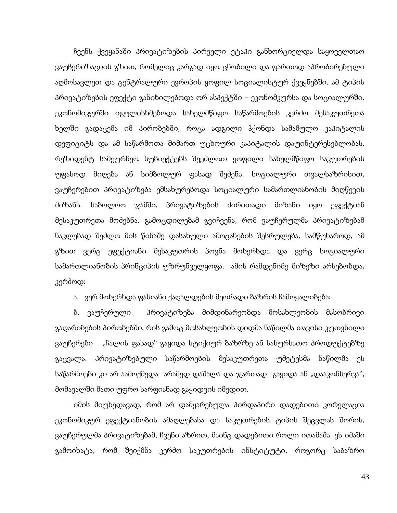ჩვენს ქვეყანაში პრივატიზების პირველი ეტაპი განხორციელდა საყოველთაო ვაუჩერიზაციის გზით, რომელიც კარგად იყო ცნობილი და ფართოდ აპრობირებული აღმოსავლეთ და ცენტრალური ევროპის ყოფილ სოციალისტურ ქვეყნებში. ამ ტიპის პრივატიზების ეფექტი განიხილებოდა ორ ასპექტში – ეკონომკურსა და სოციალურში. ეკონომიკურში იგულისხმებოდა სახელმწიფო საწარმოების კერძო მესაკუთრეთა ხელში გადაცემა იმ პირობებში, როცა ადგილი ჰქონდა სამამულო კაპიტალის დეფიციტს და ამ საწარმოთა მიმართ უცხოური კაპიტალის დაუინტერესებლობას. რეზიდენტ სამეურნეო სუბიექტებს შეეძლოთ ყოფილი სახელმწიფო საკუთრების უფასოდ მიღება ან სიმბოლურ ფასად შეძენა. სოციალური თვალსაზრისით, ვაუჩერებით პრივატიზება ემსახურებოდა სოციალური სამართლიანობის მიღწევის მიზანს. საბოლოო ჯამში, პრივატიზების ძირითადი მიზანი იყო ეფექტიან მესაკუთრეთა მოძებნა. გამოცდილებამ გვიჩვენა, რომ ვაუჩერულმა პრივატიზებამ ნაკლებად შეძლო მის წინაშე დასახული ამოცანების შესრულება. სამწუხაროდ, ამ გზით ვერც ეფექტიანი მესაკუთრის პოვნა მოხერხდა და ვერც სოციალური სამართლიანობის პრინციპის უზრუნველყოფა. ამის რამდენიმე მიზეზი არსებობდა, კერძოდ:

ა. ვერ მოხერხდა ფასიანი ქაღალდების მეორადი ბაზრის ჩამოყალიბება;

ბ. ვაუჩერული პრივატიზება მიმდინარეობდა მოსახლეობის მასობრივი გაღარიბების პირობებში, რის გამოც მოსახლეობის დიდმა ნაწილმა თავისი კუთვნილი ვაუჩერები "ჩალის ფასად" გაყიდა სტიქიურ ბაზრზე ან სასურსათო პროდუქტებზე გაცვალა. პრივატიზებული საწარმოების მესაკუთრეთა უმეტესმა ნაწილმა ეს საწარმოები კი არ აამოქმედა არამედ დაშალა და ჯართად გაყიდა ან "დააკონსერვა", მომავალში მათი უფრო სარფიანად გაყიდვის იმედით.

იმის მიუხედავად, რომ არ დამყარებულა პირდაპირი დადებითი კორელაცია ეკონომიკურ ეფექტიანობის ამაღლებასა და საკუთრების ტიპის შეცვლას შორის, ვაუჩერულმა პრივატიზებამ, ჩვენი აზრით, მაინც დადებითი როლი ითამაშა. ეს იმაში გამოიხატა, რომ შეიქმნა კერძო საკუთრების ინსტიტუტი, როგორც საბაზრო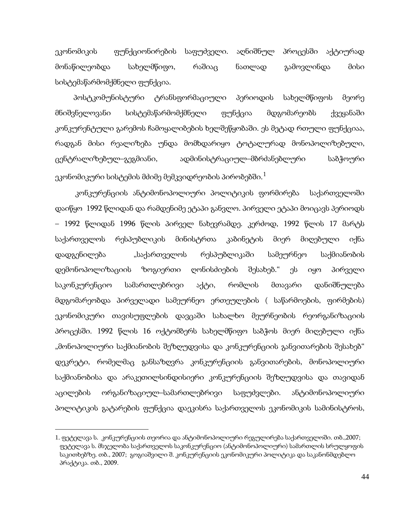ეკონომიკის ფუნქციონირების საფუძველი. აღნიშნულ პროცესში აქტიურად მონაწილეობდა სახელმწიფო, რაშიაც ნათლად გამოვლინდა მისი სისტემაწარმომქმნელი ფუნქცია.

პოსტკომუნისტური ტრანსფორმაციული პერიოდის სახელმწიფოს მეორე მნიშვნელოვანი სისტემაწარმომქმნელი ფუნქცია მდგომარეობს ქვეყანაში კონკურენტული გარემოს ჩამოყალიბების ხელშეწყობაში. ეს მეტად რთული ფუნქციაა, რადგან მისი რეალიზება უნდა მომხდარიყო ტოტალურად მონოპოლიზებული, ცენტრალიზებულ–გეგმიანი, ადმინისტრაციულ–მბრძანებლური საბჭოური ეკონომიკური სისტემის მძიმე მემკვიდრეობის პირობებში. $^{\rm 1}$  $^{\rm 1}$  $^{\rm 1}$ 

კონკურენციის ანტიმონოპოლიური პოლიტიკის ფორმირება საქართველოში დაიწყო 1992 წლიდან და რამდენიმე ეტაპი განვლო. პირველი ეტაპი მოიცავს პერიოდს – 1992 წლიდან 1996 წლის პირველ ნახევრამდე. კერძოდ, 1992 წლის 17 მარტს საქართველოს რესპუბლიკის მინისტრთა კაბინეტის მიერ მიღებული იქნა დადგენილება "საქართველოს რესპუბლიკაში სამეურნეო საქმიანობის დემონოპოლიზაციის ზოგიერთი ღონისძიების შესახებ." ეს იყო პირველი საკონკურენციო სამართლებრივი აქტი, რომლის მთავარი დანიშნულება მდგომარეობდა პირველადი სამეურნეო ერთეულების ( საწარმოების, ფირმების) ეკონომიკური თავისუფლების დავცაში სახალხო მეურნეობის რეორგანიზაციის პროცესში. 1992 წლის 16 ოქტომბერს სახელმწიფო საბჭოს მიერ მიღებული იქნა "მონოპოლიური საქმიანობის შეზღუდვისა და კონკურენციის განვითარების შესახებ" დეკრეტი, რომელმაც განსაზღვრა კონკურენციის განვითარების, მონოპოლიური საქმიანობისა და არაკეთილსინდისიერი კონკურენციის შეზღუდვისა და თავიდან აცილების ორგანიზაციულ–სამართლებრივი საფუძვლები. ანტიმონოპოლიური პოლიტიკის გატარების ფუნქცია დაეკისრა საქართველოს ეკონომიკის სამინისტროს,

 $\overline{a}$ 

<span id="page-42-0"></span><sup>1.</sup> ფეტელავა ს. კონკურენციის თეორია და ანტიმონოპოლიური რეგულირება საქართველოში. თბ.,2007; ფეტელავა ს. მსჯელობა საქართველოს საკონკურენციო (ანტიმონოპოლიური) სამართლის სრულყოფის საკითხებზე. თბ., 2007; გოგიაშვილი შ. კონკურენციის ეკონომიკური პოლიტიკა და საკანონმდებლო პრაქტიკა. თბ., 2009.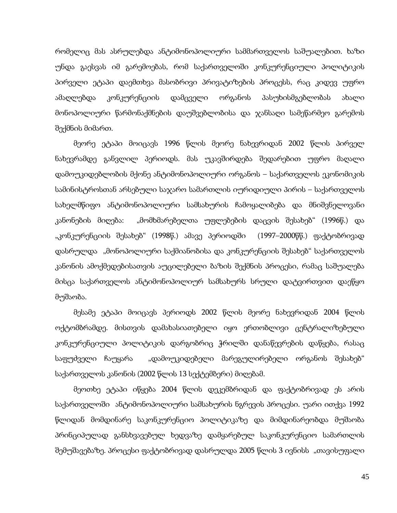რომელიც მას ასრულებდა ანტიმონოპოლიური სამმართველოს საშუალებით. ხაზი უნდა გაესვას იმ გარემოებას, რომ საქართველოში კონკურენციული პოლიტიკის პირველი ეტაპი დაემთხვა მასობრივი პრივატიზების პროცესს, რაც კიდევ უფრო ამაღლებდა კონკურენციის დამცველი ორგანოს პასუხისმგებლობას ახალი მონოპოლიური წარმონაქმნების დაუშვებლობისა და ჯანსაღი სამეწარმეო გარემოს შექმნის მიმართ.

მეორე ეტაპი მოიცავს 1996 წლის მეორე ნახევრიდან 2002 წლის პირველ ნახევრამდე განვლილ პერიოდს. მას უკავშირდება შედარებით უფრო მაღალი დამოუკიდებლობის მქონე ანტიმონოპოლიური ორგანოს – საქართველოს ეკონომიკის სამინისტროსთან არსებული საჯარო სამართლის იურიდიული პირის – საქართველოს სახელმწიფო ანტიმონოპოლიური სამსახურის ჩამოყალიბება და მნიშვნელოვანი კანონების მიღება: "მომხმარებელთა უფლებების დაცვის შესახებ" (1996წ.) და "კონკურენციის შესახებ" (1998წ.) ამავე პერიოდში (1997–2000წწ.) ფაქტობრივად დასრულდა "მონოპოლიური საქმიანობისა და კონკურენციის შესახებ" საქართველოს კანონის ამოქმედებისათვის აუცილებელი ბაზის შექმნის პროცესი, რამაც საშუალება მისცა საქართველოს ანტიმონოპოლიურ სამსახურს სრული დატვირთვით დაეწყო მუშაობა.

მესამე ეტაპი მოიცავს პერიოდს 2002 წლის მეორე ნახევრიდან 2004 წლის ოქტომბრამდე. მისთვის დამახასიათებელი იყო ერთობლივი ცენტრალიზებული კონკურენციული პოლიტიკის დარგობრიც ჭრილში დანაწევრების დაწყება, რასაც საფუძველი ჩაუყარა "დამოუკიდებელი მარეგულირებელი ორგანოს შესახებ" საქართველოს კანონის (2002 წლის 13 სექტემბერი) მიღებამ.

მეოთხე ეტაპი იწყება 2004 წლის დეკემბრიდან და ფაქტობრივად ეს არის საქართველოში ანტიმონოპოლიური სამსახურის ნგრევის პროცესი. უარი ითქვა 1992 წლიდან მომდინარე საკონკურენციო პოლიტიკაზე და მიმდინარეობდა მუშაობა პრინციპულად განსხვავებულ ხედვაზე დამყარებულ საკონკურენციო სამართლის შემუშავებაზე. პროცესი ფაქტობრივად დასრულდა 2005 წლის 3 ივნისს "თავისუფალი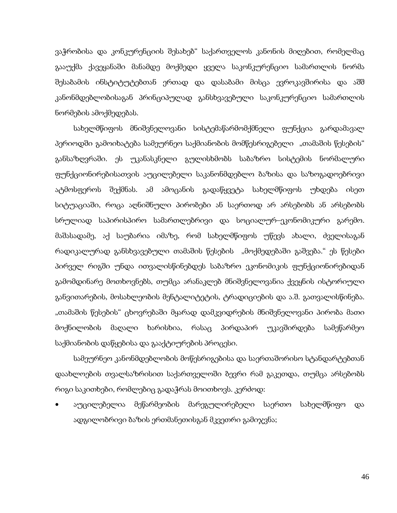ვაჭრობისა და კონკურენციის შესახებ" საქართველოს კანონის მიღებით, რომელმაც გააუქმა ქავეყანაში მანამდე მოქმედი ყველა საკონკურენციო სამართლის ნორმა შესაბამის ინსტიტუტებთან ერთად და დასაბამი მისცა ევროკავშირისა და აშშ კანონმდებლობისაგან პრინციპულად განსხვავებული საკონკურენციო სამართლის ნორმების ამოქმედებას.

სახელმწიფოს მნიშვნელოვანი სისტემაწარმომქმნელი ფუნქცია გარდამავალ პერიოდში გამოიხატება სამეურნეო საქმიანობის მომწესრიგებელი "თამაშის წესების" განსაზღვრაში. ეს უკანასკნელი გულისხმობს საბაზრო სისტემის ნორმალური ფუნქციონირებისათვის აუცილებელი საკანონმდებლო ბაზისა და საზოგადოებრივი ატმოსფეროს შექმნას. ამ ამოცანის გადაწყვეტა სახელმწიფოს უხდება ისეთ სიტუაციაში, როცა აღნიშნული პირობები ან საერთოდ არ არსებობს ან არსებობს სრულიად საპირისპირო სამართლებრივი და სოციალურ–ეკონომიკური გარემო. მაშასადამე, აქ საუბარია იმაზე, რომ სახელმწიფოს უწევს ახალი, ძველისაგან რადიკალურად განსხვავებული თამაშის წესების "მოქმედებაში გაშვება." ეს წესები პირველ რიგში უნდა ითვალისწინებდეს საბაზრო ეკონომიკის ფუნქციონირებიდან გამომდინარე მოთხოვნებს, თუმცა არანაკლებ მნიშვნელოვანია ქვეყნის ისტორიული განვითარების, მოსახლეობის მენტალიტეტის, ტრადიციების და ა.შ. გათვალისწინება. "თამაშის წესების" ცხოვრებაში მყარად დამკვიდრების მნიშვნელოვანი პირობა მათი მოქნილობის მაღალი ხარისხია, რასაც პირდაპირ უკავშირდება სამეწარმეო საქმიანობის დაწყებისა და გააქტიურების პროცესი.

სამეურნეო კანონმდებლობის მოწესრიგებისა და საერთაშორისო სტანდარტებთან დაახლოების თვალსაზრისით საქართველოში ბევრი რამ გაკეთდა, თუმცა არსებობს რიგი საკითხები, რომლებიც გადაჭრას მოითხოვს. კერძოდ:

• აუცილებელია მეწარმეობის მარეგულირებელი საერთო სახელმწიფო და ადგილობრივი ბაზის ერთმანეთისგან მკვეთრი გამიჯვნა;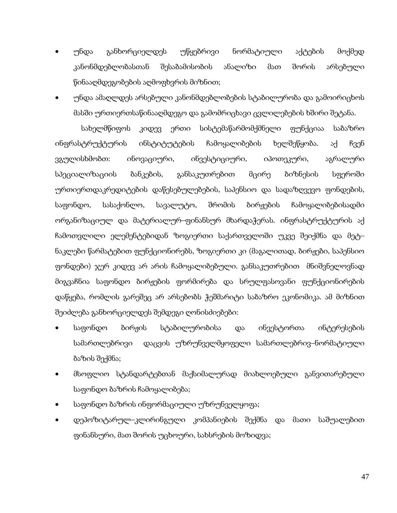- უნდა განხორციელდეს უწყებრივი ნორმატიული აქტების მოქმედ კანონმდებლობასთან შესაბამისობის ანალიზი მათ შორის არსებული წინააღმდეგობების აღმოფხვრის მიზნით;
- უნდა ამაღლდეს არსებული კანონმდებლობების სტაბილურობა და გამოირიცხოს მასში ურთიერთსაწინააღმდეგო და გამომრიცხავი ცვლილებების ხშირი შეტანა.

 სახელმწიფოს კიდევ ერთი სისტემაწარმომქმნელი ფუნქციაა საბაზრო ინფრასტრუქტურის ინსტიტუტების ჩამოყალიბების ხელშეწყობა. აქ ჩვენ ვგულისხმობთ: ინოვაციური, ინვესტიციური, იპოთეკური, აგრალური სპეციალიზაციის ბანკების, განსაკუთრებით მცირე ბიზნესის სფეროში ურთიერთდაკრედიტების დაწესებულებების, საპენსიო და სადაზღვევო ფონდების, საფონდო, სასაქონლო, სავალუტო, შრომის ბირჟების ჩამოყალიბებისადმი ორგანიზაციულ და მატერიალურ–ფინანსურ მხარდაჭერას. ინფრასტრუქტურის აქ ჩამოთვლილი ელემენტებიდან ზოგიერთი საქართველოში უკვე შეიქმნა და მეტ– ნაკლები წარმატებით ფუნქციონირებს, ზოგიერთი კი (მაგალითად, ბირჟები, საპენსიო ფონდები) ჯერ კიდევ არ არის ჩამოყალიბებული. განსაკუთრებით მნიშვნელოვნად მიგვაჩნია საფონდო ბირჟების ფორმირება და სრულფასოვანი ფუნქციონირების დაწყება, რომლის გარეშეც არ არსებობს ჭეშმარიტი საბაზრო ეკონომიკა. ამ მიზნით შეიძლება განხორციელდეს შემდეგი ღონისძიებები:

- საფონდო ბირჟის სტაბილურობისა და ინვესტორთა ინტერესების სამართლებრივი დაცვის უზრუნველმყოფელი სამართლებრივ–ნორმატიული ბაზის შექმნა;
- მსოფლიო სტანდარტებთან მაქსიმალურად მიახლოებული განვითარებული საფონდო ბაზრის ჩამოყალიბება;
- საფონდო ბაზრის ინფორმაციული უზრუნველყოფა;
- დეპოზიტარულ–კლირინგული კომპანიების შექმნა და მათი საშუალებით ფინანსური, მათ შორის უცხოური, სახსრების მოზიდვა;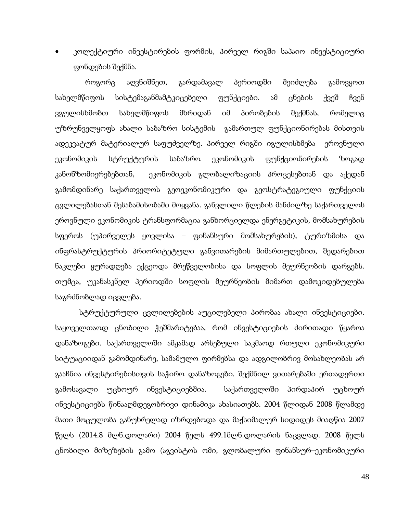• კოლექტიური ინვესტირების ფორმის, პირველ რიგში საპაიო ინვესტიციური ფონდების შექმნა.

 როგორც აღვნიშნეთ, გარდამავალ პერიოდში შეიძლება გამოვყოთ სახელმწიფოს სისტემაგანმამტკიცებელი ფუნქციები. ამ ცნების ქვეშ ჩვენ ვგულისხმობთ სახელმწიფოს მხრიდან იმ პირობების შექმნას, რომელიც უზრუნველყოფს ახალი საბაზრო სისტემის გამართულ ფუნქციონირებას მისთვის ადეკვატურ მატერიალურ საფუძველზე. პირველ რიგში იგულისხმება ეროვნული ეკონომიკის სტრუქტურის საბაზრო ეკონომიკის ფუნქციონირების ზოგად კანონზომიერებებთან, ეკონომიკის გლობალიზაციის პროცესებთან და აქედან გამომდინარე საქართველოს გეოეკონომიკური და გეოსტრატეგიული ფუნქციის ცვლილებასთან შესაბამისობაში მოყვანა. განვლილი წლების მანძილზე საქართველოს ეროვნული ეკონომიკის ტრანსფორმაცია განხორციელდა ენერგეტიკის, მომსახურების სფეროს (უპირველეს ყოვლისა – ფინანსური მომსახურების), ტურიზმისა და ინფრასტრუქტურის პრიორიტეტული განვითარების მიმართულებით, შედარებით ნაკლები ყურადღება ექცეოდა მრეწველობისა და სოფლის მეურნეობის დარგებს. თუმცა, უკანასკნელ პერიოდში სოფლის მეურნეობის მიმართ დამოკიდებულება საგრძნობლად იცვლება.

 სტრუქტურული ცვლილებების აუცილებელი პირობაა ახალი ინვესტიციები. საყოველთაოდ ცნობილი ჭეშმარიტებაა, რომ ინვესტიციების ძირითადი წყაროა დანაზოგები. საქართველოში ამჟამად არსებული საკმაოდ რთული ეკონომიკური სიტუაციიდან გამომდინარე, სამამულო ფირმებსა და ადგილობრივ მოსახლეობას არ გააჩნია ინვესტირებისთვის საჭირო დანაზოგები. შექმნილ ვითარებაში ერთადერთი გამოსავალი უცხოურ ინვესტიციებშია. საქართველოში პირდაპირ უცხოურ ინვესტიციებს წინააღმდეგობრივი დინამიკა ახასიათებს. 2004 წლიდან 2008 წლამდე მათი მოცულობა განუხრელად იზრდებოდა და მაქსიმალურ სიდიდეს მიაღწია 2007 წელს (2014.8 მლნ.დოლარი) 2004 წელს 499.1მლნ.დოლარის ნაცვლად. 2008 წელს ცნობილი მიზეზების გამო (აგვისტოს ომი, გლობალური ფინანსურ–ეკონომიკური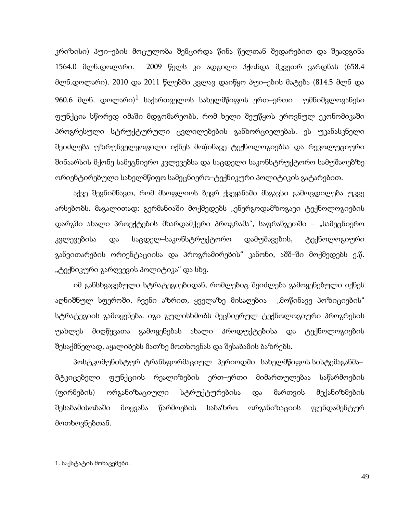კრიზისი) პუი–ების მოცულობა შემცირდა წინა წელთან შედარებით და შეადგინა 1564.0 მლნ.დოლარი. 2009 წელს კი ადგილი ჰქონდა მკვეთრ ვარდნას (658.4 მლნ.დოლარი). 2010 და 2011 წლებში კვლავ დაიწყო პუი–ების მატება (814.5 მლნ და 960.6 მლნ. დოლარი) $^1$  $^1$  საქართველოს სახელმწიფოს ერთ–ერთი უმნიშვლოვანესი ფუნქცია სწორედ იმაში მდგომარეობს, რომ ხელი შეუწყოს ეროვნულ ეკონომიკაში პროგრესული სტრუქტურული ცვლილებების განხორციელებას. ეს უკანასკნელი შეიძლება უზრუნველყოფილი იქნეს მოწინავე ტექნოლოგიებსა და რევოლუციური შინაარსის მქონე სამეცნიერო კვლევებსა და საცდელი საკონსტრუქტორო სამუშაოებზე ორიენტირებული სახელმწიფო სამეცნიერო–ტექნიკური პოლიტიკის გატარებით.

აქვე შევნიშნავთ, რომ მსოფლიოს ბევრ ქვეყანაში მსგავსი გამოცდილება უკვე არსებობს. მაგალითად: გერმანიაში მოქმედებს "ენერგოდამზოგავი ტექნოლოგიების დარგში ახალი პროექტების მხარდამჭერი პროგრამა", საფრანგეთში – "სამეცნიერო კვლევებისა და საცდელ–საკონსტრუქტორო დამუშავების, ტექნოლოგიური განვითარების ორიენტაციისა და პროგრამირების" კანონი, აშშ–ში მოქმედებს ე.წ. "ტექნიკური გარღვევის პოლიტიკა" და სხვ.

იმ განსხვავებული სტრატეგიებიდან, რომლებიც შეიძლება გამოყენებული იქნეს აღნიშნულ სფეროში, ჩვენი აზრით, ყველაზე მისაღებია "მოწინავე პოზიციების" სტრატეგიის გამოყენება. იგი გულისხმობს მეცნიერულ–ტექნოლოგიური პროგრესის უახლეს მიღწევათა გამოყენებას ახალი პროდუქტებისა და ტექნოლოგიების შესაქმნელად, აყალიბებს მათზე მოთხოვნას და შესაბამის ბაზრებს.

პოსტკომუნისტურ ტრანსფორმაციულ პერიოდში სახელმწიფოს სისტემაგანმა– მტკიცებელი ფუნქციის რეალიზების ერთ–ერთი მიმართულებაა საწარმოების (ფირმების) ორგანიზაციული სტრუქტურებისა და მართვის მექანიზმების შესაბამისობაში მოყვანა წარმოების საბაზრო ორგანიზაციის ფუნდამენტურ მოთხოვნებთან.

<span id="page-47-0"></span>**.** 

<sup>1</sup>. საქსტატის მონაცემები.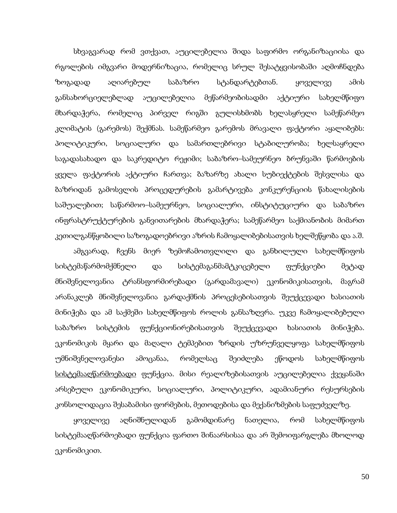სხვაგვარად რომ ვთქვათ, აუცილებელია შიდა საფირმო ორგანიზაციისა და რგოლების იმგვარი მოდერნიზაცია, რომელიც სრულ შესატყვისობაში აღმოჩნდება ზოგადად აღიარებულ საბაზრო სტანდარტებთან. ყოველივე ამის განსახორციელებლად აუცილებელია მეწარმეობისადმი აქტიური სახელმწიფო მხარდაჭერა, რომელიც პირველ რიგში გულისხმობს ხელასყრელი სამეწარმეო კლიმატის (გარემოს) შექმნას. სამეწარმეო გარემოს მრავალი ფაქტორი აყალიბებს: პოლიტიკური, სოციალური და სამართლებრივი სტაბილურობა; ხელსაყრელი საგადასახადო და საკრედიტო რეჟიმი; საბაზრო–სამეურნეო ბრუნვაში წარმოების ყველა ფაქტორის აქტიური ჩართვა; ბაზარზე ახალი სუბიექტების შესვლისა და ბაზრიდან გამოსვლის პროცედურების გამარტივება კონკურენციის წახალისების საშუალებით; საწარმოო–სამეურნეო, სოციალური, ინსტიტუციური და საბაზრო ინფრასტრუქტურების განვითარების მხარდაჭერა; სამეწარმეო საქმიანობის მიმართ კეთილგანწყობილი საზოგადოებრივი აზრის ჩამოყალიბებისათვის ხელშეწყობა და ა.შ.

ამგვარად, ჩვენს მიერ ზემოჩამოთვლილი და განხილული სახელმწიფოს სისტემაწარმომქმნელი და სისტემაგანმამტკიცებელი ფუნქციები მეტად მნიშვნელოვანია ტრანსფორმირებადი (გარდამავალი) ეკონომიკისათვის, მაგრამ არანაკლებ მნიშვნელოვანია გარდაქმნის პროცესებისათვის შეუქცევადი ხასიათის მინიჭება და ამ საქმეში სახელმწიფოს როლის განსაზღვრა. უკვე ჩამოყალიბებული საბაზრო სისტემის ფუნქციონირებისათვის შეუქცევადი ხასიათის მინიჭება. ეკონომიკის მყარი და მაღალი ტემპებით ზრდის უზრუნველყოფა სახელმწიფოს უმნიშვნელოვანესი ამოცანაა, რომელსაც შეიძლება ეწოდოს სახელმწიფოს სისტემააღწარმოებადი ფუნქცია. მისი რეალიზებისათვის აუცილებელია ქვეყანაში არსებული ეკონომიკური, სოციალური, პოლიტიკური, ადამიანური რესურსების კონსოლიდაცია შესაბამისი ფორმების, მეთოდებისა და მექანიზმების საფუძველზე.

ყოველივე აღნიშნულიდან გამომდინარე ნათელია, რომ სახელმწიფოს სისტემააღწარმოებადი ფუნქცია ფართო შინაარსისაა და არ შემოიფარგლება მხოლოდ ეკონომიკით.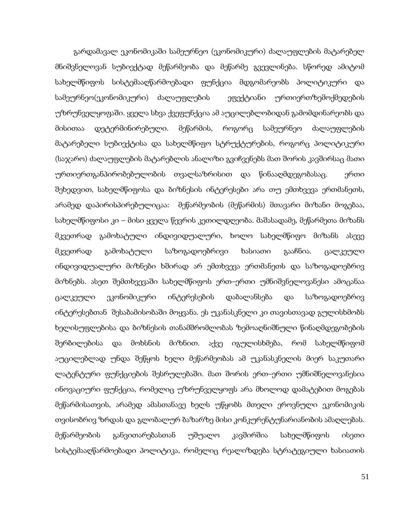გარდამავალ ეკონომიკაში სამეურნეო (ეკონომიკური) ძალაუფლების მატარებელ მნიშვნელოვან სუბიექტად მეწარმეობა და მეწარმე გვევლინება. სწორედ ამიტომ სახელმწიფოს სისტემააღწარმოებადი ფუნქცია მდგომარეობს პოლიტიკური და სამეურნეო(ეკონომიკური) ძალაუფლების ეფექტიანი ურთიერთზემოქმედების უზრუნველყოფაში. ყველა სხვა ქვეფუნქცია ამ აუცილებლობიდან გამომდინარეობს და მისითაა დეტერმინირებული. მეწარმის, როგორც სამეურნეო ძალაუფლების მატარებელი სუბიექტისა და სახელმწიფო სტრუქტურების, როგორც პოლიტიკური (საჯარო) ძალაუფლების მატარებლის ანალიზი გვიჩვენებს მათ შორის კავშირსაც მათი ურთიერთგანპირობებულობის თვალსაზრისით და წინააღმდეგობასაც. ერთი შეხედვით, სახელმწიფოსა და ბიზნესის ინტერესები არა თუ ემთხვევა ერთმანეთს, არამედ დაპირისპირებულიცაა: მეწარმეობის (მეწარმის) მთავარი მიზანი მოგებაა, სახელმწიფოსი კი – მისი ყველა წევრის კეთილდღეობა. მაშასადამე, მეწარმეთა მიზანს მკვეთრად გამოხატული ინდივიდუალური, ხოლო სახელმწიფო მიზანს ასევე მკვეთრად გამოხატული საზოგადოებრივი ხასიათი გააჩნია. ცალკეული ინდივიდუალური მიზნები ხშირად არ ემთხვევა ერთმანეთს და საზოგადოებრივ მიზნებს. ასეთ შემთხვევაში სახელმწიფოს ერთ–ერთი უმნიშვნელოვანესი ამოცანაა ცალკეული ეკონომიკური ინტერესების დაბალანსება და საზოგადოებრივ ინტერესებთან შესაბამისობაში მოყვანა. ეს უკანასკნელი კი თავისთავად გულისხმობს ხელისუფლებისა და ბიზნესის თანამშრომლობას ზემოაღნიშნული წინაღმდეგობების შერბილებისა და მოხსნის მიზნით. აქვე იგულისხმება, რომ სახელმწიფომ აუცილებლად უნდა შეწყოს ხელი მეწარმეობას ამ უკანასკნელის მიერ საკუთარი ლატენტური ფუნქციების შესრულებაში. მათ შორის ერთ–ერთი უმნიშნელოვანესია ინოვაციური ფუნქცია, რომელიც უზრუნველყოფს არა მხოლოდ დამატებით მოგებას მეწარმისათვის, არამედ ამასთანავე ხელს უწყობს მთელი ეროვნული ეკონომიკის თვისობრივ ზრდას და გლობალურ ბაზარზე მისი კონკურენტუნარიანობის ამაღლებას. მეწარმეობის განვითარებასთან უშუალო კავშირშია სახელმწიფოს ისეთი სისტემააღწარმოებადი პოლიტიკა, რომელიც რეალიზდება სტრატეგიული ხასიათის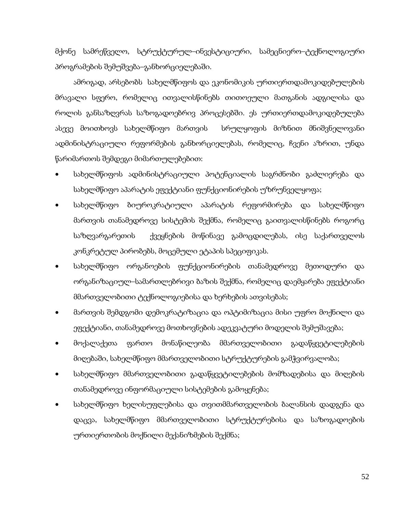მქონე სამრეწველო, სტრუქტურულ–ინვესტიციური, სამეცნიერო–ტექნოლოგიური პროგრამების შემუშვება–განხორციელებაში.

ამრიგად, არსებობს სახელმწიფოს და ეკონომიკის ურთიერთდამოკიდებულების მრავალი სფერო, რომელიც ითვალისწინებს თითოეული მათგანის ადგილისა და როლის განსაზღვრას საზოგადოებრივ პროცესებში. ეს ურთიერთდამოკიდებულება ასევე მოითხოვს სახელმწიფო მართვის სრულყოფის მიზნით მნიშვნელოვანი ადმინისტრაციული რეფორმების განხორციელებას, რომელიც, ჩვენი აზრით, უნდა წარიმართოს შემდეგი მიმართულებებით:

- სახელმწიფოს ადმინისტრაციული პოტენციალის საგრძნობი გაძლიერება და სახელმწიფო აპარატის ეფექტიანი ფუნქციონირების უზრუნველყოფა;
- სახელმწიფო ბიუროკრატიული აპარატის რეფორმირება და სახელმწიფო მართვის თანამედროვე სისტემის შექმნა, რომელიც გაითვალისწინებს როგორც საზღვარგარეთის ქვეყნების მოწინავე გამოცდილებას, ისე საქართველოს კონკრეტულ პირობებს, მოცემული ეტაპის სპეციფიკას.
- სახელმწიფო ორგანოების ფუნქციონირების თანამედროვე მეთოდური და ორგანიზაციულ–სამართლებრივი ბაზის შექმნა, რომელიც დაემყარება ეფექტიანი მმართველობითი ტექნოლოგიებისა და ხერხების ათვისებას;
- მართვის შემდგომი დემოკრატიზაცია და ოპტიმიზაცია მისი უფრო მოქნილი და ეფექტიანი, თანამედროვე მოთხოვნების ადეკვატური მოდელის შემუშავება;
- მოქალაქეთა ფართო მონაწილეობა მმართველობითი გადაწყვეტილებების მიღებაში, სახელმწიფო მმართველობითი სტრუქტურების გამჭვირვალობა;
- სახელმწიფო მმართველობითი გადაწყვეტილებების მომზადებისა და მიღების თანამედროვე ინფორმაციული სისტემების გამოყენება;
- სახელმწიფო ხელისუფლებისა და თვითმმართველობის ბალანსის დადგენა და დაცვა, სახელმწიფო მმართველობითი სტრუქტურებისა და საზოგადოების ურთიერთობის მოქნილი მექანიზმების შექმნა;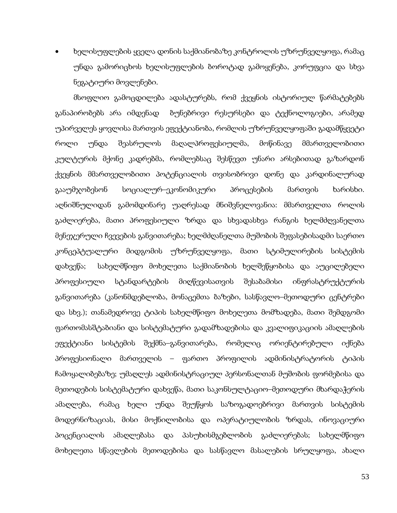• ხელისუფლების ყველა დონის საქმიანობაზე კონტროლის უზრუნველყოფა, რამაც უნდა გამორიცხოს ხელისუფლების ბოროტად გამოყენება, კორუფცია და სხვა ნეგატიური მოვლენები.

მსოფლიო გამოცდილება ადასტურებს, რომ ქვეყნის ისტორიულ წარმატებებს განაპირობებს არა იმდენად ბუნებრივი რესურსები და ტექნოლოგიები, არამედ უპირველეს ყოვლისა მართვის ეფექტიანობა, რომლის უზრუნველყოფაში გადამწყვეტი როლი უნდა შეასრულოს მაღალპროფესიულმა, მოწინავე მმართველობითი კულტურის მქონე კადრებმა, რომლებსაც შესწევთ უნარი არსებითად გაზარდონ ქვეყნის მმართველობითი პოტენციალის თვისობრივი დონე და კარდინალურად გააუმჯობესონ სოციალურ–ეკონომიკური პროცესების მართვის ხარისხი. აღნიშნულიდან გამომდინარე უაღრესად მნიშვნელოვანია: მმართველთა როლის გაძლიერება, მათი პროფესიული ზრდა და სხვადასხვა რანგის ხელმძღვანელთა მენეჯერული ჩვევების განვითარება; ხელმძღანელთა მუშობის შეფასებისადმი საერთო კონცეპტუალური მიდგომის უზრუნველყოფა, მათი სტიმულირების სისტემის დახვეწა; სახელმწიფო მოხელეთა საქმიანობის ხელშეწყობისა და აუცილებელი პროფესიული სტანდარტების მიღწევისათვის შესაბამისი ინფრასტრუქტურის განვითარება (კანონმდებლობა, მონაცემთა ბაზები, სასწავლო–მეთოდური ცენტრები და სხვ.); თანამედროვე ტიპის სახელმწიფო მოხელეთა მომზადება, მათი შემდგომი ფართომასშტაბიანი და სისტემატური გადამზადებისა და კვალიფიკაციის ამაღლების ეფექტიანი სისტემის შექმნა–განვითარება, რომელიც ორიენტირებული იქნება პროფესიონალი მართველის – ფართო პროფილის ადმინისტრატორის ტიპის ჩამოყალიბებაზე; უმაღლეს ადმინისტრაციულ პერსონალთან მუშობის ფორმებისა და მეთოდების სისტემატური დახვეწა, მათი საკონსულტაციო–მეთოდური მხარდაჭერის ამაღლება, რამაც ხელი უნდა შეუწყოს საზოგადოებრივი მართვის სისტემის მოდერნიზაციას, მისი მოქნილობისა და ოპერატიულობის ზრდას, ინოვაციური პოცენციალის ამაღლებასა და პასუხისმგებლობის გაძლიერებას; სახელმწიფო მოხელეთა სწავლების მეთოდებისა და სასწავლო მასალების სრულყოფა, ახალი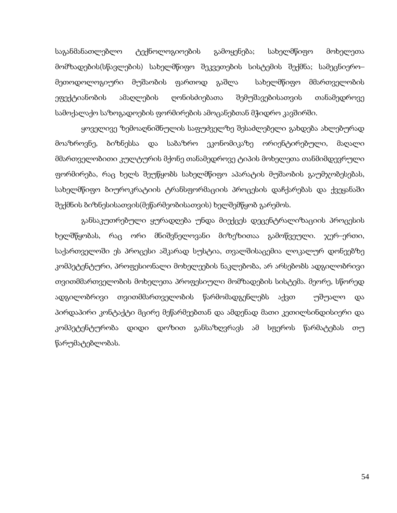საგანმანათლებლო ტექნოლოგიოების გამოყენება; სახელმწიფო მოხელეთა მომზადების(სწავლების) სახელმწიფო შეკვეთების სისტემის შექმნა; სამეცნიერო– მეთოდოლოგიური მუშაობის ფართოდ გაშლა სახელმწიფო მმართველობის ეფექტიანობის ამაღლების ღონისძიებათა შემუშავებისათვის თანამედროვე სამოქალაქო საზოგადოების ფორმირების ამოცანებთან მჭიდრო კავშირში.

 ყოველივე ზემოაღნიშნულის საფუძველზე შესაძლებელი გახდება ახლებურად მოაზროვნე, ბიზნესსა და საბაზრო ეკონომიკაზე ორიენტირებული, მაღალი მმართველობითი კულტურის მქონე თანამედროვე ტიპის მოხელეთა თანმიმდევრული ფორმირება, რაც ხელს შეუწყობს სახელმწიფო აპარატის მუშაობის გაუმჯობესებას, სახელმწიფო ბიუროკრატიის ტრანსფორმაციის პროცესის დაჩქარებას და ქვეყანაში შექმნის ბიზნესისათვის(მეწარმეობისათვის) ხელშემწყობ გარემოს.

 განსაკუთრებული ყურადღება უნდა მიექცეს დეცენტრალიზაციის პროცესის ხელშწყობას, რაც ორი მნიშვნელოვანი მიზეზითაა გამოწვეული. ჯერ–ერთი, საქართველოში ეს პროცესი აშკარად სუსტია, თვალშისაცემია ლოკალურ დონეებზე კომპეტენტური, პროფესიონალი მოხელეების ნაკლებობა, არ არსებობს ადგილობრივი თვითმმართველობის მოხელეთა პროფესიული მომზადების სისტემა. მეორე, სწორედ ადგილობრივი თვითმმართველობის წარმომადგენლებს აქვთ უშუალო და პირდაპირი კონტაქტი მცირე მეწარმეებთან და ამდენად მათი კეთილსინდისიერი და კომპეტენტურობა დიდი დოზით განსაზღვრავს ამ სფეროს წარმატებას თუ წარუმატებლობას.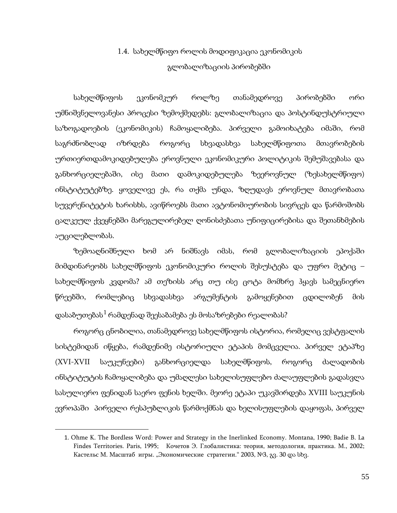## 1.4. სახელმწიფო როლის მოდიფიკაცია ეკონომიკის გლობალიზაციის პირობებში

სახელმწიფოს ეკონომკურ როლზე თანამედროვე პირობებში ორი უმნიშვნელოვანესი პროცესი ზემოქმედებს: გლობალიზაცია და პოსტინდუსტრიული საზოგადოების (ეკონომიკის) ჩამოყალიბება. პირველი გამოიხატება იმაში, რომ საგრძნობლად იზრდება როგორც სხვადასხვა სახელმწიფოთა მთავრობების ურთიერთდამოკიდებულება ეროვნული ეკონომიკური პოლიტიკის შემუშავებასა და განხორციელებაში, ისე მათი დამოკიდებულება ზეეროვნულ (ზესახელმწიფო) ინსტიტუტებზე. ყოველივე ეს, რა თქმა უნდა, ზღუდავს ეროვნულ მთავრობათა სუვერენიტეტის ხარისხს, ავიწროებს მათი ავტონომიურობის სივრცეს და წარმოშობს ცალკეულ ქვეყნებში მარეგულირებელ ღონისძებათა უნიფიცირებისა და შეთანხმების აუცილებლობას.

ზემოაღნიშნული ხომ არ ნიშნავს იმას, რომ გლობალიზაციის ეპოქაში მიმდინარეობს სახელმწიფოს ეკონომიკური როლის შესუსტება და უფრო მეტიც – სახელმწიფოს კვდომა? ამ თეზისს არც თუ ისე ცოტა მომხრე ჰყავს სამეცნიერო წრეებში, რომლებიც სხვადასხვა არგუმენტის გამოყენებით ცდილობენ მის დასაბუთებას $^1$  $^1$  რამდენად შეესაბამება ეს მოსაზრებები რეალობას?

როგორც ცნობილია, თანამედროვე სახელმწიფოს ისტორია, რომელიც ვესტფალის სისტემიდან იწყება, რამდენიმე ისტორიული ეტაპის მომცველია. პირველ ეტაპზე (XVI-XVII საუკუნეები) განხორციელდა სახელმწიფოს, როგორც ძალადობის ინსტიტუტის ჩამოყალიბება და უმაღლესი სახელისუფლებო ძალაუფლების გადასვლა სასულიერო ფენიდან საერო ფენის ხელში. მეორე ეტაპი უკავშირდება XVIII საუკუნის ევროპაში პირველი რესპუბლიკის წარმოქმნას და ხელისუფლების დაყოფას, პირველ

<span id="page-53-0"></span> $\overline{a}$ 

<sup>1</sup>. Ohme K. The Bordless Word: Power and Strategy in the Inerlinked Economy. Montana, 1990; Badie B. La Findes Territories. Paris, 1995; Кочетов Э. Глобалистика: теория, методология, практика. М., 2002; Кастельс М. Масштаб игры. "Экономические стратегии." 2003, №3, გვ. 30 და სხვ.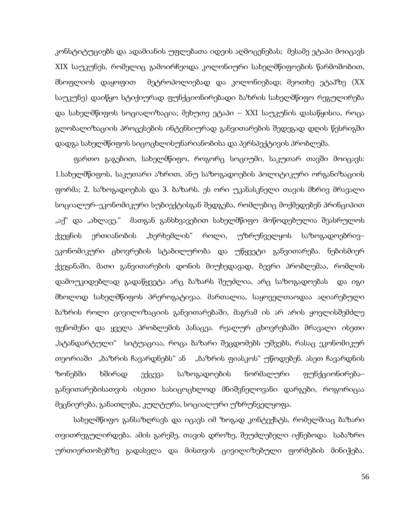კონსტიტუციებს და ადამიანის უფლებათა იდეის აღმოცენებას; მესამე ეტაპი მოიცავს XIX საუკუნეს, რომელიც გამოირჩეოდა კოლონიური სახელმწიფოების წარმოშობით, მსოფლიოს დაყოფით მეტროპოლიებად და კოლონიებად; მეოთხე ეტაპზე (XX საუკუნე) დაიწყო სტიქიურად ფუნქციონირებადი ბაზრის სახელმწიფო რეგულირება და სახელმწიფოს სოციალიზაცია; მეხუთე ეტაპი – XXI საუკუნის დასაწყისია, როცა გლობალიზაციის პროცესების ინტენსიურად განვითარების შედეგად დღის წესრიგში დადგა სახელმწიფოს სიცოცხლისუნარიანობისა და პერსპექტივის პრობლემა.

ფართო გაგებით, სახელმწიფო, როგორც სოციუმი, საკუთარ თავში მოიცავს: 1.სახელმწიფოს, საკუთარი აზრით, ანუ საზოგადოების პოლიტიკური ორგანიზაციის ფორმა; 2. საზოგადოებას და 3. ბაზარს. ეს ორი უკანასკნელი თავის მხრივ მრავალი სოციალურ–ეკონომიკური სუბიექტისგან შედგება, რომლებიც მოქმედებენ პრინციპით "აქ" და "ახლავე." მათგან განსხვავებით სახელმწიფო მოწოდებულია შეასრულოს ქვეყნის ერთიანობის "ხერხემლის" როლი, უზრუნველყოს საზოგადოებრივ– ეკონომიკური ცხოვრების სტაბილურობა და უწყვეტი განვითარება. ნებისმიერ ქვეყანაში, მათი განვითარების დონის მიუხედავად, ბევრი პრობლემაა, რომლის დამოუკიდებლად გადაწყვეტა არც ბაზარს შეუძლია, არც საზოგადოებას და იგი მხოლოდ სახელმწიფოს პრეროგატივაა. მართალია, საყოველთაოდაა აღიარებული ბაზრის როლი ცივილიზაციის განვითარებაში, მაგრამ ის არ არის ყოვლისშემძლე ფენომენი და ყველა პრობლემის პანაცეა. რეალურ ცხოვრებაში მრავალი ისეთი "სტანდარტული" სიტუაციაა, როცა ბაზარი შეცდომებს უშვებს, რასაც ეკონომიკურ თეორიაში "ბაზრის ჩავარდნებს" ან "ბაზრის ფიასკოს" უწოდებენ. ასეთ ჩავარდნის ზონებში ხშირად ექცევა საზოგადოების ნორმალური ფუნქციონირება– განვითარებისათვის ისეთი სასიცოცხლოდ მნიშვნელოვანი დარგები, როგორიცაა მეცნიერება, განათლება, კულტურა, სოციალური უზრუნველყოფა.

სახელმწიფო განსაზღრავს და იცავს იმ ზოგად კონტექსტს, რომელშიაც ბაზარი თვითრეგულირდება. ამის გარეშე, თავის დროზე, შეუძლებელი იქნებოდა საბაზრო ურთიერთობებზე გადასვლა და მისთვის ცივილიზებული ფორმების მინიჭება.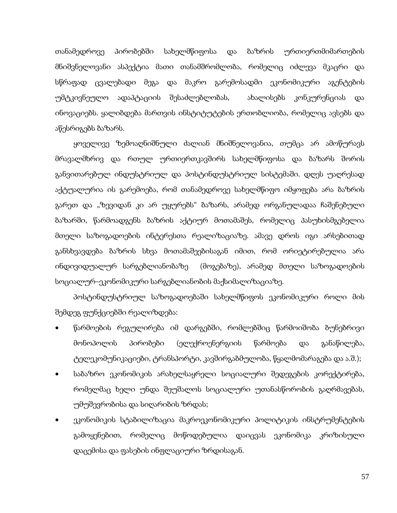თანამედროვე პირობებში სახელმწიფოსა და ბაზრის ურთიერთმიმართების მნიშვნელოვანი ასპექტია მათი თანამშრომლობა, რომელიც იძლევა მკაცრი და სწრაფად ცვალებადი მეგა და მაკრო გარემოსადმი ეკონომიკური აგენტების უმტკივნეულო ადაპტაციის შესაძლებლობას, ახალისებს კონკურენციას და ინოვაციებს. ყალიბდება მართვის ინსტიტუტების ერთობლიობა, რომელიც ავსებს და აწესრიგებს ბაზარს.

ყოველივე ზემოაღნიშნული ძალიან მნიშნელოვანია, თუმცა არ ამოწურავს მრავალმხრივ და რთულ ურთიერთკავშირს სახელმწიფოსა და ბაზარს შორის განვითარებულ ინდუსტრიულ და პოსტინდუსტრიულ სისტემაში. დღეს უაღრესად აქტუალურია ის გარემოება, რომ თანამედროვე სახელმწიფო იმყოფება არა ბაზრის გარეთ და "ზევიდან კი არ უყურებს" ბაზარს, არამედ ორგანულადაა ჩაშენებული ბაზარში, წარმოადგენს ბაზრის აქტიურ მოთამაშეს, რომელიც პასუხისმგებელია მთელი საზოგადოების ინტერესთა რეალიზაციაზე. ამავე დროს იგი არსებითად განსხვავდება ბაზრის სხვა მოთამაშეებისაგან იმით, რომ ორიეტირებულია არა ინდივიდუალურ სარგებლიანობაზე (მოგებაზე), არამედ მთელი საზოგადოების სოციალურ–ეკონომიკური სარგებლიანობის მაქსიმალიზაციაზე.

პოსტინდუსტრიულ საზოგადოებაში სახელმწიფოს ეკონომიკური როლი მის შემდეგ ფუნქციებში რეალიზდება:

- წარმოების რეგულირება იმ დარგებში, რომლებშიც წარმოიშობა ბუნებრივი მონოპოლის პირობები (ელექროენერგიის წარმოება და განაწილება, ტელეკომუნიკაციები, ტრანსპორტი, კავშირგაბმულობა, წყალმომარაგება და ა.შ.);
- საბაზრო ეკონომიკის არახელსაყრელი სოციალური შედეგების კორექტირება, რომელმაც ხელი უნდა შეუშალოს სოციალური უთანასწორობის გაღრმავებას, უმუშევრობისა და სიღარიბის ზრდას;
- ეკონომიკის სტაბილიზაცია მაკროეკონომიკური პოლიტიკის ინსტრუმენტების გამოყენებით, რომელიც მოწოდებულია დაიცვას ეკონომიკა კრიზისული დაცემისა და ფასების ინფლაციური ზრდისაგან.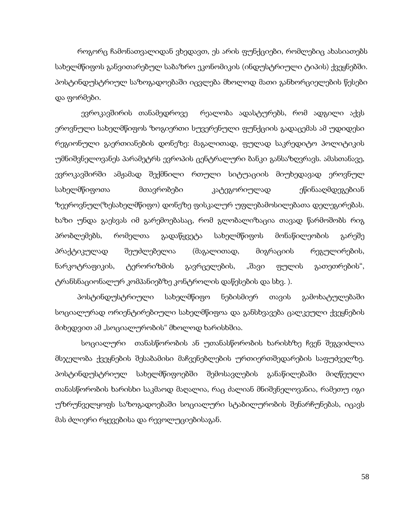როგორც ჩამონათვალიდან ვხედავთ, ეს არის ფუნქციები, რომლებიც ახასიათებს სახელმწიფოს განვითარებულ საბაზრო ეკონომიკის (ინდუსტრიული ტიპის) ქვეყნებში. პოსტინდუსტრიულ საზოგადოებაში იცვლება მხოლოდ მათი განხორციელების წესები და ფორმები.

 ევროკავშირის თანამედროვე რეალობა ადასტურებს, რომ ადგილი აქვს ეროვნული სახელმწიფოს ზოგიერთი სუვერენული ფუნქციის გადაცემას ამ უდიდესი რეგიონული გაერთიანების დონეზე: მაგალითად, ფულად საკრედიტო პოლიტიკის უმნიშვნელოვანეს პარამეტრს ევროპის ცენტრალური ბანკი განსაზღვრავს. ამასთანავე, ევროკავშირში ამჟამად შექმნილი რთული სიტუაციის მიუხედავად ეროვნულ სახელმწიფოთა მთავრობები კატეგორიულად ეწინააღმდეგებიან ზეეროვნულ(ზესახელმწიფო) დონეზე ფისკალურ უფლებამოსილებათა დელეგირებას. ხაზი უნდა გაესვას იმ გარემოებასაც, რომ გლობალიზაცია თავად წარმოშობს რიგ პრობლემებს, რომელთა გადაწყვეტა სახელმწიფოს მონაწილეობის გარეშე პრაქტიკულად შეუძლებელია (მაგალითად, მიგრაციის რეგულირების, ნარკოტრაფიკის, ტერორიზმის გავრცელების, "შავი ფულის გათეთრების", ტრანსნაციონალურ კომპანიებზე კონტროლის დაწესების და სხვ. ).

 პოსტინდუსტრიული სახელმწიფო ნებისმიერ თავის გამოხატულებაში სოციალურად ორიენტირებიული სახელმწიფოა და განსხვავება ცალკეული ქვეყნების მიხედვით ამ "სოციალურობის" მხოლოდ ხარისხშია.

 სოციალური თანასწორობის ან უთანასწორობის ხარისხზე ჩვენ შეგვიძლია მსჯელობა ქვეყნების შესაბამისი მაჩვენებლების ურთიერთშედარების საფუძველზე. პოსტინდუსტრიულ სახელმწიფოებში შემოსავლების განაწილებაში მიღწეული თანასწორობის ხარისხი საკმაოდ მაღალია, რაც ძალიან მნიშვნელოვანია, რამეთუ იგი უზრუნველყოფს საზოგადოებაში სოციალური სტაბილურობის შენარჩუნებას, იცავს მას ძლიერი რყევებისა და რევოლუციებისაგან.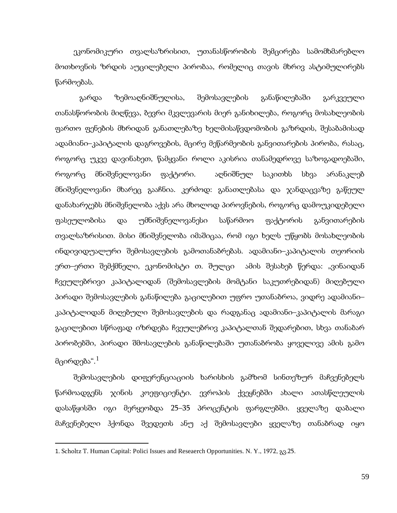ეკონომიკური თვალსაზრისით, უთანასწორობის შემცირება სამომხმარებლო მოთხოვნის ზრდის აუცილებელი პირობაა, რომელიც თავის მხრივ ასტიმულირებს წარმოებას.

 გარდა ზემოაღნიშნულისა, შემოსავლების განაწილებაში გარკვეული თანასწორობის მიღწევა, ბევრი მკვლევარის მიერ განიხილება, როგორც მოსახლეობის ფართო ფენების მხრიდან განათლებაზე ხელმისაწვდომობის გაზრდის, შესაბამისად ადამიანი–კაპიტალის დაგროვების, მცირე მეწარმეობის განვითარების პირობა, რასაც, როგორც უკვე დავინახეთ, წამყვანი როლი აკისრია თანამედროვე საზოგადოებაში, როგორც მნიშვნელოვანი ფაქტორი. აღნიშნულ საკითხს სხვა არანაკლებ მნიშვნელოვანი მხარეც გააჩნია. კერძოდ: განათლებასა და ჯანდაცვაზე გაწეულ დანახარჯებს მნიშვნელობა აქვს არა მხოლოდ პიროვნების, როგორც დამოუკიდებელი ფასეულობისა და უმნიშვნელოვანესი საწარმოო ფაქტორის განვითარების თვალსაზრისით. მისი მნიშვნელობა იმაშიცაა, რომ იგი ხელს უწყობს მოსახლეობის ინდივიდუალური შემოსავლების გამოთანაბრებას. ადამიანი–კაპიტალის თეორიის ერთ–ერთი შემქმნელი, ეკონომისტი თ. შულცი - ამის შესახებ წერდა: "ვინაიდან ჩვეულებრივი კაპიტალიდან (შემოსავლების მომტანი საკუთრებიდან) მიღებული პირადი შემოსავლების განაწილება გაცილებით უფრო უთანაბროა, ვიდრე ადამიანი– კაპიტალიდან მიღებული შემოსავლების და რადგანაც ადამიანი–კაპიტალის მარაგი გაცილებით სწრაფად იზრდება ჩვეულებრივ კაპიტალთან შედარებით, სხვა თანაბარ პირობებში, პირადი შმოსავლების განაწილებაში უთანაბრობა ყოველივე ამის გამო მცირდება". $^{\rm 1}$  $^{\rm 1}$  $^{\rm 1}$ 

შემოსავლების დიფერენციაციის ხარისხის გამზომ სინთეზურ მაჩვენებელს წარმოადგენს ჯინის კოეფიციენტი. ევროპის ქვეყნებში ახალი ათასწლეულის დასაწყისში იგი მერყეობდა 25–35 პროცენტის ფარგლებში. ყველაზე დაბალი მაჩვენებელი ჰქონდა შვედეთს ანუ აქ შემოსავლები ყველაზე თანაბრად იყო

**.** 

<span id="page-57-0"></span><sup>1</sup>. Scholtz T. Human Capital: Polici Issues and Reseaerch Opportunities. N. Y., 1972, გვ.25.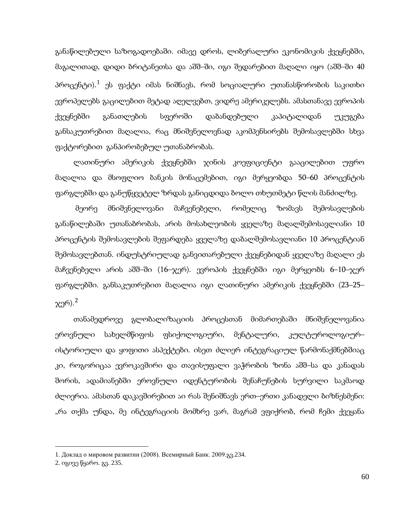განაწილებული საზოგადოებაში. იმავე დროს, ლიბერალური ეკონომიკის ქვეყნებში, მაგალითად, დიდი ბრიტანეთსა და აშშ–ში, იგი შედარებით მაღალი იყო (აშშ–ში 40 პროცენტი). $^1$  $^1$  ეს ფაქტი იმას ნიშნავს, რომ სოციალური უთანასწორობის საკითხი ევროპელებს გაცილებით მეტად აღელვებთ, ვიდრე ამერიკელებს. ამასთანავე ევროპის ქვეყნებში განათლების სფეროში დაბანდებული კაპიტალიდან უკუგება განსაკუთრებით მაღალია, რაც მნიშვნელოვნად აკომპენსირებს შემოსავლებში სხვა ფაქტორებით განპირობებულ უთანაბრობას.

ლათინური ამერიკის ქვეყნებში ჯინის კოეფიციენტი გააცილებით უფრო მაღალია და მსოფლიო ბანკის მონაცემებით, იგი მერყეობდა 50–60 პროცენტის ფარგლებში და განუწყვეტელ ზრდას განიცდიდა ბოლო თხუთმეტი წლის მანძილზე.

მეორე მნიშვნელოვანი მაჩვენებელი, რომელიც ზომავს შემოსავლების განაწილებაში უთანაბრობას, არის მოსახლეობის ყველაზე მაღალშემოსავლიანი 10 პროცენტის შემოსავლების შეფარდება ყველაზე დაბალშემოსავლიანი 10 პროცენტიან შემოსავლებთან. ინდუსტრიულად განვითარებული ქვეყნებიდან ყველაზე მაღალი ეს მაჩვენებელი არის აშშ–ში (16–ჯერ). ევროპის ქვეყნებში იგი მერყეობს 6–10–ჯერ ფარგლებში. განსაკუთრებით მაღალია იგი ლათინური ამერიკის ქვეყნებში (23–25– ჯერ).[2](#page-58-0)

თანამედროვე გლობალიზაციის პროცესთან მიმართებაში მნიშვნელოვანია ეროვნული სახელმწიფოს ფსიქოლოგიური, მენტალური, კულტუროლოგიურ– ისტორიული და ყოფითი ასპექტები. ისეთ ძლიერ ინტეგრაციულ წარმონაქმნებშიაც კი, როგორიცაა ევროკავშირი და თავისუფალი ვაჭრობის ზონა აშშ–სა და კანადას შორის, ადამიანებში ეროვნული იდენტურობის შენაჩუნების სურვილი საკმაოდ ძლიერია. ამასთან დაკავშირებით აი რას შენიშნავს ერთ–ერთი კანადელი ბიზნესმენი: "რა თქმა უნდა, მე ინტეგრაციის მომხრე ვარ, მაგრამ ვფიქრობ, რომ ჩემი ქვეყანა

**.** 

<span id="page-58-0"></span><sup>1</sup>. Доклад о мировом развитии (2008). Всемирный Банк. 2009.გვ.234.

<sup>2.</sup> იგივე წყარო. გვ. 235.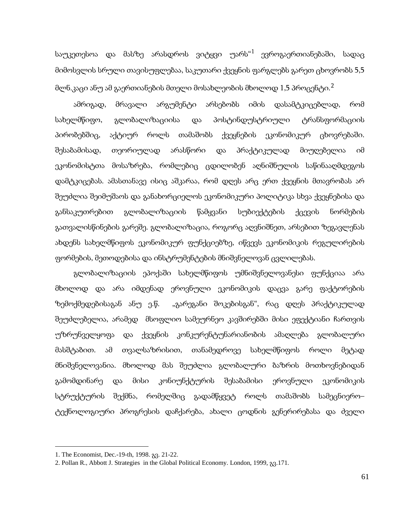საუკეთესოა და მასზე არასდროს ვიტყვი უარს<sup>«[1](#page-58-0)</sup> ევროგაერთიანებაში, სადაც მიმოსვლის სრული თავისუფლებაა, საკუთარი ქვეყნის ფარგლებს გარეთ ცხოვრობს 5,5 მლნ.კაცი ანუ ამ გაერთიანების მთელი მოსახლეობის მხოლოდ  $1$ ,5 პროცენტი. $^2$  $^2$ 

ამრიგად, მრავალი არგუმენტი არსებობს იმის დასამტკიცებლად, რომ სახელმწიფო, გლობალიზაციისა და პოსტინდუსტრიული ტრანსფორმაციის პირობებშიც, აქტიურ როლს თამაშობს ქვეყნების ეკონომიკურ ცხოვრებაში. შესაბამისად, თეორიულად არასწორი და პრაქტიკულად მიუღებელია იმ ეკონომისტთა მოსაზრება, რომლებიც ცდილობენ აღნიშნულის საწინააღმდეგოს დამტკიცებას. ამასთანავე ისიც აშკარაა, რომ დღეს არც ერთ ქვეყნის მთავრობას არ შეუძლია შეიმუშაოს და განახორციელოს ეკონომიკური პოლიტიკა სხვა ქვეყნებისა და განსაკუთრებით გლობალიზაციის წამყვანი სუბიექტების ქცევის ნორმების გათვალისწინების გარეშე. გლობალიზაცია, როგორც აღვნიშნეთ, არსებით ზეგავლენას ახდენს სახელმწიფოს ეკონომიკურ ფუნქციებზე, იწვევს ეკონომიკის რეგულირების ფორმების, მეთოდებისა და ინსტრუმენტების მნიშვნელოვან ცვლილებას.

გლობალიზაციის ეპოქაში სახელმწიფოს უმნიშვნელოვანესი ფუნქციაა არა მხოლოდ და არა იმდენად ეროვნული ეკონომიკის დაცვა გარე ფაქტორების ზემოქმედებისაგან ანუ ე.წ. "გარეგანი შოკებისგან", რაც დღეს პრაქტიკულად შეუძლებელია, არამედ მსოფლიო სამეურნეო კავშირებში მისი ეფექტიანი ჩართვის უზრუნველყოფა და ქვეყნის კონკურენტუნარიანობის ამაღლება გლობალური მასშტაბით. ამ თვალსაზრისით, თანამედროვე სახელმწიფოს როლი მეტად მნიშვნელოვანია. მხოლოდ მას შეუძლია გლობალური ბაზრის მოთხოვნებიდან გამომდინარე და მისი კონიუნქტურის შესაბამისი ეროვნული ეკონომიკის სტრუქტურის შექმნა, რომელშიც გადამწყვეტ როლს თამაშობს სამეცნიერო– ტექნოლოგიური პროგრესის დაჩქარება, ახალი ცოდნის გენერირებასა და ძველი

<span id="page-59-1"></span>**.** 

<span id="page-59-0"></span><sup>1.</sup> The Economist, Dec.-19-th, 1998. გვ. 21-22.

<sup>2.</sup> Pollan R., Abbott J. Strategies in the Global Political Economy. London, 1999, გვ.171.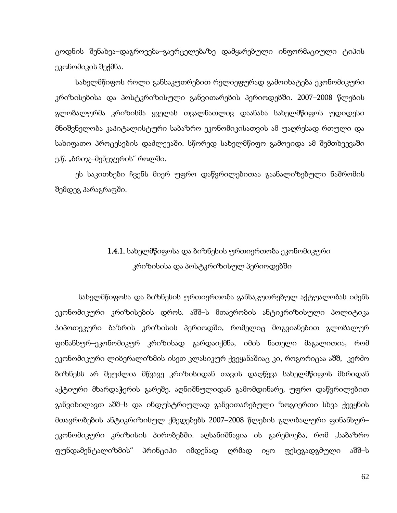ცოდნის შენახვა–დაგროვება–გავრცელებაზე დამყარებული ინფორმაციული ტიპის ეკონომიკის შექმნა.

სახელმწიფოს როლი განსაკუთრებით რელიეფურად გამოიხატება ეკონომიკური კრიზისებისა და პოსტკრიზისული განვითარების პერიოდებში. 2007–2008 წლების გლობალურმა კრიზისმა ყველას თვალნათლივ დაანახა სახელმწიფოს უდიდესი მნიშვნელობა კაპიტალისტური საბაზრო ეკონომიკისათვის ამ უაღრესად რთული და სახიფათო პროცესების დაძლევაში. სწორედ სახელმწიფო გამოვიდა ამ შემთხვევაში ე.წ. "ბრიჯ–მენეჯერის" როლში.

ეს საკითხები ჩვენს მიერ უფრო დაწვრილებითაა გაანალიზებული ნაშრომის შემდეგ პარაგრაფში.

## 1.4.1. სახელმწიფოსა და ბიზნესის ურთიერთობა ეკონომიკური კრიზისისა და პოსტკრიზისულ პერიოდებში

სახელმწიფოსა და ბიზნესის ურთიერთობა განსაკუთრებულ აქტუალობას იძენს ეკონომიკური კრიზისების დროს. აშშ–ს მთავრობის ანტიკრიზისული პოლიტიკა ჰიპოთეკური ბაზრის კრიზისის პერიოდში, რომელიც მოგვიანებით გლობალურ ფინანსურ–ეკონომიკურ კრიზისად გარდაიქმნა, იმის ნათელი მაგალითია, რომ ეკონომიკური ლიბერალიზმის ისეთ კლასიკურ ქვეყანაშიაც კი, როგორიცაა აშშ, კერძო ბიზნესს არ შეუძლია მწვავე კრიზისიდან თავის დაღწევა სახელმწიფოს მხრიდან აქტიური მხარდაჭერის გარეშე. აღნიშნულიდან გამომდინარე, უფრო დაწვრილებით განვიხილავთ აშშ–ს და ინდუსტრიულად განვითარებული ზოგიერთი სხვა ქევყნის მთავრობების ანტიკრიზისულ ქმედებებს 2007–2008 წლების გლობალური ფინანსურ– ეკონომიკური კრიზისის პირობებში. აღსანიშნავია ის გარემოება, რომ "საბაზრო ფუნდამენტალიზმის" პრინციპი იმდენად ღრმად იყო ფესვგადგმული აშშ–ს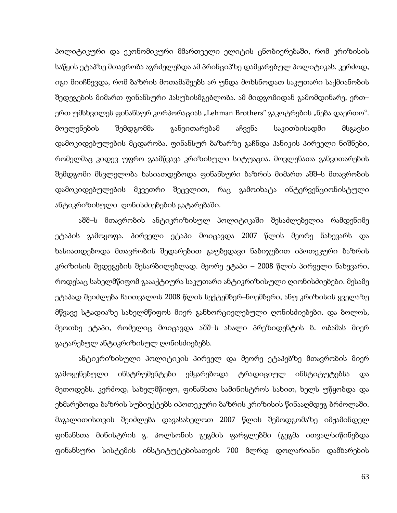პოლიტიკური და ეკონომიკური მმართველი ელიტის ცნობიერებაში, რომ კრიზისის საწყის ეტაპზე მთავრობა აგრძელებდა ამ პრინციპზე დამყარებულ პოლიტიკას. კერძოდ, იგი მიიჩნევდა, რომ ბაზრის მოთამაშეებს არ უნდა მოხსნოდათ საკუთარი საქმიანობის შედეგების მიმართ ფინანსური პასუხისმგებლობა. ამ მიდგომიდან გამომდინარე, ერთ– ერთ უმსხვილეს ფინანსურ კორპორაციას "Lehman Brothers" გაკოტრების "ნება დაერთო". მოვლენების შემდგომმა განვითარებამ აჩვენა საკითხისადმი მსგავსი დამოკიდებულების მცდარობა. ფინანსურ ბაზარზე გაჩნდა პანიკის პირველი ნიშნები, რომელმაც კიდევ უფრო გაამწვავა კრიზისული სიტუაცია. მოვლენათა განვითარების შემდგომი მსვლელობა ხასიათდებოდა ფინანსური ბაზრის მიმართ აშშ–ს მთავრობის დამოკიდებულების მკვეთრი შეცვლით, რაც გამოიხატა ინტერვენციონისტული ანტიკრიზისული ღონისძიებების გატარებაში.

აშშ–ს მთავრობის ანტიკრიზისულ პოლიტიკაში შესაძლებელია რამდენიმე ეტაპის გამოყოფა. პირველი ეტაპი მოიცავდა 2007 წლის მეორე ნახევარს და ხასიათდებოდა მთავრობის შედარებით გაუბედავი ნაბიჯებით იპოთეკური ბაზრის კრიზისის შედეგების შესარბილებლად. მეორე ეტაპი – 2008 წლის პირველი ნახევარი, როდესაც სახელმწიფომ გაააქტიურა საკუთარი ანტიკრიზისული ღიონისძიებები. მესამე ეტაპად შეიძლება ჩაითვალოს 2008 წლის სექტემბერ–ნოემბერი, ანუ კრიზისის ყველაზე მწვავე სტადიაზე სახელმწიფოს მიერ განხორციელებული ღონისძიებები. და ბოლოს, მეოთხე ეტაპი, რომელიც მოიცავდა აშშ–ს ახალი პრეზიდენტის ბ. ობამას მიერ გატარებულ ანტიკრიზისულ ღონისძიებებს.

ანტიკრიზისული პოლიტიკის პირველ და მეორე ეტაპებზე მთავრობის მიერ გამოყენებული ინსტრუმენტები ემყარებოდა ტრადიციულ ინსტიტუტებსა და მეთოდებს. კერძოდ, სახელმწიფო, ფინანსთა სამინისტროს სახით, ხელს უწყობდა და ეხმარებოდა ბაზრის სუბიექტებს იპოთეკური ბაზრის კრიზისის წინააღმდეგ ბრძოლაში. მაგალითისთვის შეიძლება დავასახელოთ 2007 წლის შემოდგომაზე იმჟამინდელ ფინანსთა მინისტრის გ. პოლსონის გეგმის ფარგლებში (გეგმა ითვალსიწინებდა ფინანსური სისტემის ინსტიტუტებისათვის 700 მლრდ დოლარიანი დამხარების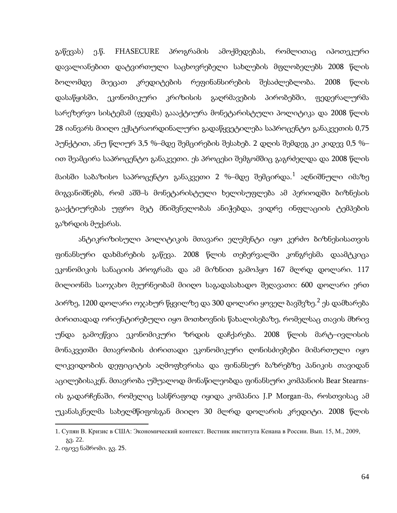გაწევას) ე.წ. FHASECURE პროგრამის ამოქმედებას, რომლითაც იპოთეკური დავალიანებით დატვირთული საცხოვრებელი სახლების მფლობელებს 2008 წლის ბოლომდე მიეცათ კრედიტების რეფინანსირების შესაძლებლობა. 2008 წლის დასაწყისში, ეკონომიკური კრიზისის გაღრმავების პირობებში, ფედერალურმა სარეზერვო სისტემამ (ფედმა) გაააქტიურა მონეტარისტული პოლიტიკა და 2008 წლის 28 იანვარს მიიღო ექსტრაორდინალური გადაწყვეტილება საპროცენტო განაკვეთის 0,75 პუნქტით, ანუ წლიურ 3,5 %–მდე შემცირების შესახებ. 2 დღის შემდეგ კი კიდევ 0,5 %– ით შეამცირა საპროცენტო განაკვეთი. ეს პროცესი შემგომშიც გაგრძელდა და 2008 წლის მაისში საბაზისო საპროცენტო განაკვეთი 2 %–მდე შემცირდა. $^1$  $^1$  აღნიშნული იმაზე მიგვანიშნებს, რომ აშშ–ს მონეტარისტული ხელისუფლება ამ პერიოდში ბიზნესის გააქტიურებას უფრო მეტ მნიშვნელობას ანიჭებდა, ვიდრე ინფლაციის ტემპების გაზრდის მუქარას.

ანტიკრიზისული პოლიტიკის მთავარი ელემენტი იყო კერძო ბიზნესისათვის ფინანსური დახმარების გაწევა. 2008 წლის თებერვალში კონგრესმა დაამტკიცა ეკონომიკის სანაციის პროგრამა და ამ მიზნით გამოჰყო 167 მლრდ დოლარი. 117 მილიონმა საოჯახო მეურნეობამ მიიღო საგადასახადო შეღავათი: 600 დოლარი ერთ პირზე, 1[2](#page-62-0)00 დოლარი ოჯახურ წყვილზე და 300 დოლარი ყოველ ბავშვზე.<sup>2</sup> ეს დამხარება ძირითადად ორიენტირებული იყო მოთხოვნის წახალისებაზე, რომელსაც თავის მხრივ უნდა გამოეწვია ეკონომიკური ზრდის დაჩქარება. 2008 წლის მარტ–ივლისის მონაკვეთში მთავრობის ძირითადი ეკონომიკური ღონისძიებები მიმართული იყო ლიკვიდობის დეფიციტის აღმოფხვრისა და ფინანსურ ბაზრებზე პანიკის თავიდან აცილებისაკენ. მთავრობა უშუალოდ მონაწილეობდა ფინანსური კომპანიის Bear Stearnsის გადარჩენაში, რომელიც სასწრაფოდ იყიდა კომპანია J.P Morgan-მა, როსთვისაც ამ უკანასკნელმა სახელმწიფოსგან მიიღო 30 მლრდ დოლარის კრედიტი. 2008 წლის

 $\overline{a}$ 

<span id="page-62-0"></span><sup>1.</sup> Супян В. Кризис в США: Экономический контекст. Вестник института Кенана в России. Вып. 15, М., 2009, გვ. 22.

<span id="page-62-1"></span><sup>2.</sup> იგივე ნაშრომი. გვ. 25.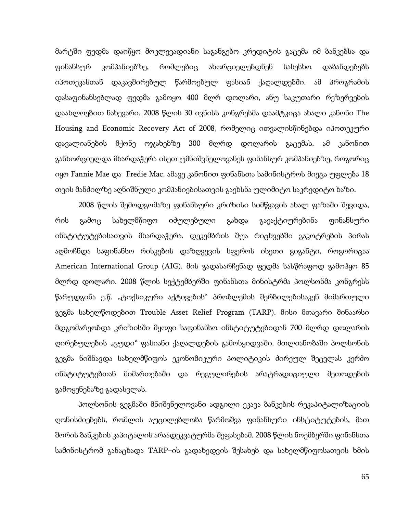მარტში ფედმა დაიწყო მოკლევადიანი საგანგებო კრედიტის გაცემა იმ ბანკებსა და ფინანსურ კომპანიებზე, რომლებიც ახორციელებდნენ სასესხო დაბანდებებს იპოთეკასთან დაკავშირებულ წარმოებულ ფასიან ქაღალდებში. ამ პროგრამის დასაფინანსებლად ფედმა გამოყო 400 მლრ დოლარი, ანუ საკუთარი რეზერვების დაახლოებით ნახევარი. 2008 წლის 30 ივნისს კონგრესმა დაამტკიცა ახალი კანონი The Housing and Economic Recovery Act of 2008, რომელიც ითვალისწინებდა იპოთეკური დავალიანების მქონე ოჯახებზე 300 მლრდ დოლარის გაცემას. ამ კანონით განხორციელდა მხარდაჭერა ისეთ უმნიშვნელოვანეს ფინანსურ კომპანიებზე, როგორიც იყო Fannie Mae და Fredie Mac. ამავე კანონით ფინანსთა სამინისტროს მიეცა უფლება 18 თვის მანძილზე აღნიშნული კომპანიებისათვის გაეხსნა ულიმიტო საკრედიტო ხაზი.

2008 წლის შემოდგომაზე ფინანსური კრიზისი სიმწვავის ახალ ფაზაში შევიდა, რის გამოც სახელმწიფო იძულებული გახდა გაეაქტიურებინა ფინანსური ინსტიტუტებისათვის მხარდაჭერა. დეკემბრის შუა რიცხვებში გაკოტრების პირას აღმოჩნდა საფინანსო რისკების დაზღვევის სფეროს ისეთი გიგანტი, როგორიცაა American International Group (AIG). მის გადასარჩენად ფედმა სასწრაფოდ გამოჰყო 85 მლრდ დოლარი. 2008 წლის სექტემბერში ფინანსთა მინისტრმა პოლსონმა კონგრესს წარუდგინა ე.წ. "ტოქსიკური აქტივების" პრობლემის შერბილებისაკენ მიმართული გეგმა სახელწოდებით Trouble Asset Relief Program (TARP). მისი მთავარი შინაარსი მდგომარეობდა კრიზისში მყოფი საფინანსო ინსტიტუტებიდან 700 მლრდ დოლარის ღირებულების "ცუდი" ფასიანი ქაღალდების გამოსყიდვაში. მთლიანობაში პოლსონის გეგმა ნიშნავდა სახელმწიფოს ეკონომიკური პოლიტიკის ძირეულ შეცვლას კერძო ინსტიტუტებთან მიმართებაში და რეგულირების არატრადიციული მეთოდების გამოყენებაზე გადასვლას.

პოლსონის გეგმაში მნიშვნელოვანი ადგილი ეკავა ბანკების რეკაპიტალიზაციის ღონისძიებებს, რომლის აუცილებლობა წარმოშვა ფინანსური ინსტიტუტების, მათ შორის ბანკების კაპიტალის არაადეკვატურმა შეფასებამ. 2008 წლის ნოემბერში ფინანსთა სამინისტრომ განაცხადა TARP–ის გადახედვის შესახებ და სახელმწიფოსათვის ხმის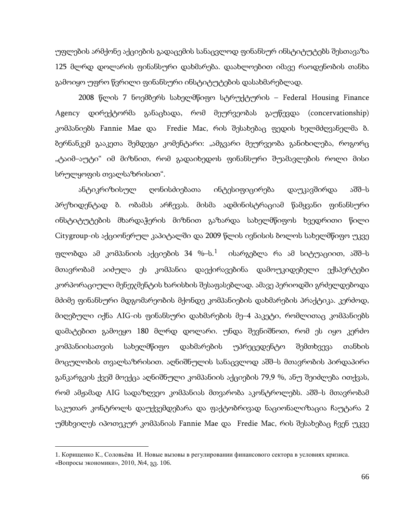უფლების არმქონე აქციების გადაცემის სანაცვლოდ ფინანსურ ინსტიტუტებს შესთავაზა 125 მლრდ დოლარის ფინანსური დახმარება. დაახლოებით იმავე რაოდენობის თანხა გამოიყო უფრო წვრილი ფინანსური ინსტიტუტების დასახმარებლად.

2008 წლის 7 ნოემბერს სახელმწიფო სტრუქტურის – Federal Housing Finance Agency დირექტორმა განაცხადა, რომ მეურვეობას გაუწევდა (concervationship) კომპანიებს Fannie Mae და Fredie Mac, რის შესახებაც ფედის ხელმძღვანელმა ბ. ბერნანკემ გააკეთა შემდეგი კომენტარი: "ამგვარი მეურვეობა განიხილება, როგორც "ტაიმ–აუტი" იმ მიზნით, რომ გადაიხედოს ფინანსური შუამავლების როლი მისი სრულყოფის თვალსაზრისით".

ანტიკრიზისულ ღონისძიებათა ინტესიფიცირება დაუკავშირდა აშშ–ს პრეზიდენტად ბ. ობამას არჩევას. მისმა ადმინისტრაციამ წამყვანი ფინანსური ინსტიტუტების მხარდაჭერის მიზნით გაზარდა სახელმწიფოს ხვედრითი წილი Citygroup-ის აქციონერულ კაპიტალში და 2009 წლის ივნისის ბოლოს სახელმწიფო უკვე ფლობდა ამ კომპანიის აქციების 34 %–ს. $^1$  $^1$  ისარგებლა რა ამ სიტუაციით, აშშ–ს მთავრობამ აიძულა ეს კომპანია დაექირავებინა დამოუკიდებელი ექსპერტები კორპორაციული მენეჯმენტის ხარისხის შესაფასებლად. ამავე პერიოდში გრძელდებოდა მძიმე ფინანსური მდგომარეობის მქონდე კომპანიების დახმარების პრაქტიკა. კერძოდ, მიღებული იქნა AIG-ის ფინანსური დახმარების მე–4 პაკეტი, რომლითაც კომპანიებს დამატებით გამოეყო 180 მლრდ დოლარი. უნდა შევნიშნოთ, რომ ეს იყო კერძო კომპანიისათვის სახელმწიფო დახმარების უპრეცედენტო შემთხვევა თანხის მოცულობის თვალსაზრისით. აღნიშნულის სანაცვლოდ აშშ–ს მთავრობის პირდაპირი განკარგვის ქვეშ მოექცა აღნიშნული კომპანიის აქციების 79,9 %, ანუ შეიძლება ითქვას, რომ ამჟამად AIG სადაზღვეო კომპანიას მთვარობა აკონტროლებს. აშშ–ს მთავრობამ საკუთარ კონტროლს დაუქვემდებარა და ფაქტობრივად ნაციონალიზაცია ჩაუტარა 2 უმსხვილეს იპოთეკურ კომპანიას Fannie Mae და Fredie Mac, რის შესახებაც ჩვენ უკვე

**.** 

<span id="page-64-0"></span><sup>1.</sup> Корищенко К., Соловьёва И. Новые вызовы в регулировании финансового сектора в условиях кризиса. «Вопросы экономики», 2010, №4, გვ. 106.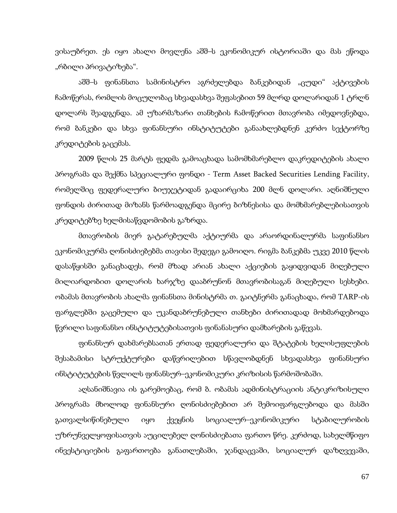ვისაუბრეთ. ეს იყო ახალი მოვლენა აშშ–ს ეკონომიკურ ისტორიაში და მას ეწოდა "რბილი პრივატიზება".

აშშ–ს ფინანსთა სამინისტრო აგრძელებდა ბანკებიდან "ცუდი" აქტივების ჩამოწერას, რომლის მოცულობაც სხვადასხვა შეფასებით 59 მლრდ დოლარიდან 1 ტრლნ დოლარს შეადგენდა. ამ უზარმაზარი თანხების ჩამოწერით მთავრობა იმედოვნებდა, რომ ბანკები და სხვა ფინანსური ინსტიტუტები განაახლებდნენ კერძო სექტორზე კრედიტების გაცემას.

2009 წლის 25 მარტს ფედმა გამოაცხადა სამომხმარებლო დაკრედიტების ახალი პროგრამა და შექმნა სპეციალური ფონდი - Term Asset Backed Securities Lending Facility, რომელშიც ფედერალური ბიუჯეტიდან გადაირციხა 200 მლნ დოლარი. აღნიშნული ფონდის ძირითად მიზანს წარმოადგენდა მცირე ბიზნესისა და მომხმარებლებისათვის კრედიტებზე ხელმისაწვდომობის გაზრდა.

მთავრობის მიერ გატარებულმა აქტიურმა და არაორდინალურმა საფინანსო ეკონომიკურმა ღონისძიებებმა თავისი შედეგი გამოიღო. რიგმა ბანკებმა უკვე 2010 წლის დასაწყისში განაცხადეს, რომ მზად არიან ახალი აქციების გაყიდვიდან მიღებული მილიარდობით დოლარის ხარჯზე დააბრუნონ მთავრობისაგან მიღებული სესხები. ობამას მთავრობის ახალმა ფინანსთა მინისტრმა თ. გაიტნერმა განაცხადა, რომ TARP-ის ფარგლებში გაცემული და უკანდაბრუნებული თანხები ძირითადად მოხმარდებოდა წვრილი საფინანსო ინსტიტუტებისათვის ფინანასური დამხარების გაწევას.

ფინანსურ დახმარებსათან ერთად ფედერალური და შტატების ხელისუფლების შესაბამისი სტრუქტურები დაწვრილებით სწავლობდნენ სხვადასხვა ფინანსური ინსტიტუტების წვლილს ფინანსურ–ეკონომიკური კრიზისის წარმოშობაში.

აღსანიშნავია ის გარემოებაც, რომ ბ. ობამას ადმინისტრაციის ანტიკრიზისული პროგრამა მხოლოდ ფინანსური ღონისძიებებით არ შემოიფარგლებოდა და მასში გათვალსიწინებული იყო ქვეყნის სოციალურ–ეკონომიკური სტაბილურობის უზრუნველყოფისათვის აუცილებელ ღონისძიებათა ფართო წრე. კერძოდ, სახელმწიფო ინვესტიციების გაფართოება განათლებაში, ჯანდაცვაში, სოციალურ დაზღვევაში,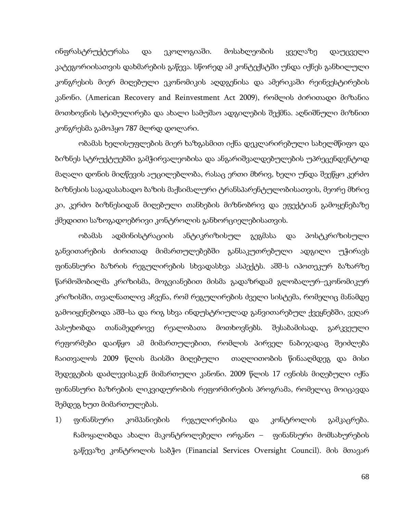ინფრასტრუქტურასა და ეკოლოგიაში. მოსახლეობის ყველაზე დაუცველი კატეგორიისათვის დახმარების გაწევა. სწორედ ამ კონტექსტში უნდა იქნეს განხილული კონგრესის მიერ მიღებული ეკონომიკის აღდგენისა და ამერიკაში რეინვესტირების კანონი. (American Recovery and Reinvestment Act 2009), რომლის ძირითადი მიზანია მოთხოვნის სტიმულირება და ახალი სამუშაო ადგილების შექმნა. აღნიშნული მიზნით კონგრესმა გამოჰყო 787 მლრდ დოლარი.

ობამას ხელისუფლების მიერ ხაზგასმით იქნა დეკლარირებული სახელმწიფო და ბიზნეს სტრუქტუებში გამჭირვალეობისა და ანგარიშვალდებულების უპრეცენდენტოდ მაღალი დონის მიღწევის აუცილებლობა, რასაც ერთი მხრივ, ხელი უნდა შეეწყო კერძო ბიზნესის საგადასახადო ბაზის მაქსიმალური ტრანსპარენტულობისათვის, მეორე მხრივ კი, კერძო ბიზნესიდან მიღებული თანხების მიზნობრივ და ეფექტიან გამოყენებაზე ქმედითი საზოგადოებრივი კონტროლის განხორციელებისათვის.

ობამას ადმინისტრაციის ანტიკრიზისულ გეგმასა და პოსტკრიზისული განვითარების ძირითად მიმართულებებში განსაკუთრებული ადგილი უჭირავს ფინანსური ბაზრის რეგულირების სხვადასხვა ასპექტს. აშშ-ს იპოთეკურ ბაზარზე წარმოშობილმა კრიზისმა, მოგვიანებით მისმა გადაზრდამ გლობალურ–ეკონომიკურ კრიზისში, თვალნათლივ აჩვენა, რომ რეგულირების ძველი სისტემა, რომელიც მანამდე გამოიყენებოდა აშშ–სა და რიგ სხვა ინდუსტრიულად განვითარებულ ქვეყნებში, ვეღარ პასუხობდა თანამედროვე რეალობათა მოთხოვნებს. შესაბამისად, გარკვეული რეფორმები დაიწყო ამ მიმართულებით, რომლის პირველ ნაბიჯადაც შეიძლება ჩაითვალოს 2009 წლის მაისში მიღებული თაღლითობის წინააღმდეგ და მისი შედეგების დაძლევისაკენ მიმართული კანონი. 2009 წლის 17 ივნისს მიღებული იქნა ფინანსური ბაზრების ლიკვიდურობის რეფორმირების პროგრამა, რომელიც მოიცავდა შემდეგ ხუთ მიმართულებას.

1) ფინანსური კომპანიების რეგულირებისა და კონტროლის გამკაცრება. ჩამოყალიბდა ახალი მაკონტროლებელი ორგანო – ფინანსური მომსახურების გაწევაზე კონტროლის საბჭო (Financial Services Oversight Council). მის მთავარ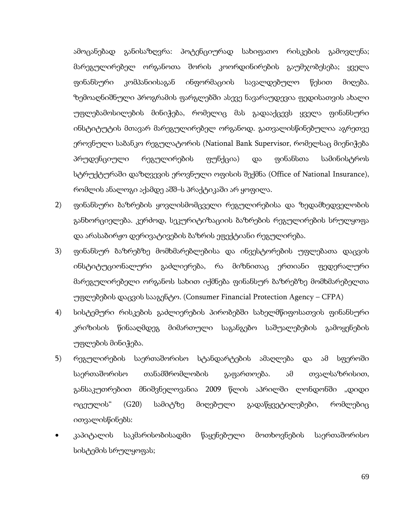ამოცანებად განისაზღვრა: პოტენციურად სახიფათო რისკების გამოვლენა; მარეგულირებელ ორგანოთა შორის კოორდინირების გაუმჯობესება; ყველა ფინანსური კომპანიისაგან ინფორმაციის სავალდებულო წესით მიღება. ზემოაღნიშნული პროგრამის ფარგლებში ასევე ნავარაუდევია ფედისათვის ახალი უფლებამოსილების მინიჭება, რომელიც მას გადააქცევს ყველა ფინანსური ინსტიტუტის მთავარ მარეგულირებელ ორგანოდ. გათვალისწინებულია აგრეთვე ეროვნული საბანკო რეგულატორის (National Bank Supervisor, რომელსაც მიენიჭება პრუდენციული რეგულირების ფუნქცია) და ფინანსთა სამინისტროს სტრუქტურაში დაზღვევის ეროვნული ოფისის შექმნა (Office of National Insurance), რომლის ანალოგი აქამდე აშშ–ს პრაქტიკაში არ ყოფილა.

- 2) ფინანსური ბაზრების ყოვლისმომცველი რეგულირებისა და ზედამხედველობის განხორციელება. კერძოდ, სეკურიტიზაციის ბაზრების რეგულირების სრულყოფა და არასაბირჟო დერივატივების ბაზრის ეფექტიანი რეგულირება.
- 3) ფინანსურ ბაზრებზე მომხმარებლებისა და ინვესტორების უფლებათა დაცვის ინსტიტუციონალური გაძლიერება, რა მიზნითაც ერთიანი ფედერალური მარეგულირებელი ორგანოს სახით იქმნება ფინანსურ ბაზრებზე მომხმარებელთა უფლებების დაცვის სააგენტო. (Consumer Financial Protection Agency – CFPA)
- 4) სისტემური რისკების გაძლიერების პირობებში სახელმწიფოსათვის ფინანსური კრიზისის წინააღმდეგ მიმართული საგანგებო საშუალებების გამოყენების უფლების მინიჭება.
- 5) რეგულირების საერთაშორისო სტანდარტების ამაღლება და ამ სფეროში საერთაშორისო თანამშრომლობის გაფართოება. ამ თვალსაზრისით, განსაკუთრებით მნიშვნელოვანია 2009 წლის აპრილში ლონდონში "დიდი ოცეულის" (G20) სამიტზე მიღებული გადაწყვეტილებები, რომლებიც ითვალისწინებს:
- კაპიტალის საკმარისობისადმი წაყენებული მოთხოვნების საერთაშორისო სისტემის სრულყოფას;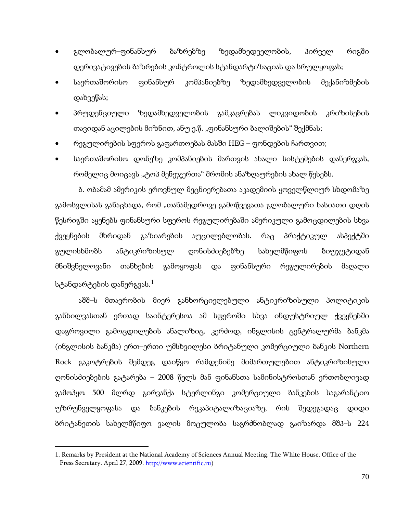- გლობალურ–ფინანსურ ბაზრებზე ზედამხედველობის, პირველ რიგში დერივატივების ბაზრების კონტროლის სტანდარტიზაციას და სრულყოფას;
- საერთაშორისო ფინანსურ კომპანიებზე ზედამხედველობის მექანიზმების დახვეწას;
- პრუდენციული ზედამხედველობის გამკაცრებას ლიკვიდობის კრიზისების თავიდან აცილების მიზნით, ანუ ე.წ. "ფინანსური ბალიშების" შექმნას;
- რეგულირების სფეროს გაფართოებას მასში HEG ფონდების ჩართვით;
- საერთაშორისო დონეზე კომპანიების მართვის ახალი სისტემების დანერგვას, რომელიც მოიცავს "ტოპ მენეჯერთა" შრომის ანაზღაურების ახალ წესებს.

ბ. ობამამ ამერიკის ეროვნულ მეცნიერებათა აკადემიის ყოველწლიურ სხდომაზე გამოსვლისას განაცხადა, რომ "თანამედროვე გამოწვევათა გლობალური ხასიათი დღის წესრიგში აყენებს ფინანსური სფეროს რეგულირებაში ამერიკული გამოცდილების სხვა ქვეყნების მხრიდან გაზიარების აუცილებლობას. რაც პრაქტიკულ ასპექტში გულისხმობს ანტიკრიზისულ ღონისძიებებზე სახელმწიფოს ბიუჯეტიდან მნიშვნელოვანი თანხების გამოყოფას და ფინანსური რეგულირების მაღალი სტანდარტების დანერგვას. $^1$  $^1$ 

აშშ–ს მთავრობის მიერ განხორციელებული ანტიკრიზისული პოლიტიკის განხილვასთან ერთად საინტერესოა ამ სფეროში სხვა ინდუსტრიულ ქვეყნებში დაგროვილი გამოცდილების ანალიზიც. კერძოდ, ინგლისის ცენტრალურმა ბანკმა (ინგლისის ბანკმა) ერთ–ერთი უმსხვილესი ბრიტანული კომერციული ბანკის Northern Rock გაკოტრების შემდეგ დაიწყო რამდენიმე მიმართულებით ანტიკრიზისული ღონისძიებების გატარება – 2008 წელს მან ფინანსთა სამინისტროსთან ერთობლივად გამოჰყო 500 მლრდ გირვანქა სტერლინგი კომერციული ბანკების საგარანტიო უზრუნველყოფასა და ბანკების რეკაპიტალიზაციაზე, რის შედეგადაც დიდი ბრიტანეთის სახელმწიფო ვალის მოცულობა საგრძნობლად გაიზარდა მშპ–ს 224

<span id="page-68-0"></span>**.** 

<sup>1.</sup> Remarks by President at the National Academy of Sciences Annual Meeting. The White House. Office of the Press Secretary. April 27, 2009[. http://www.scientific.ru\)](http://www.scientific.ru/)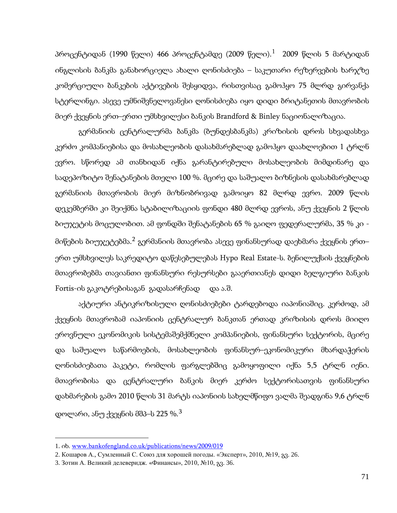პროცენტიდან ([1](#page-68-0)990 წელი) 466 პროცენტამდე (2009 წელი). $^1$  2009 წლის 5 მარტიდან ინგლისის ბანკმა განახორციელა ახალი ღონისძიება – საკუთარი რეზერვების ხარჯზე კომერციული ბანკების აქტივების შესყიდვა, რისთვისაც გამოჰყო 75 მლრდ გირვანქა სტერლინგი. ასევე უმნიშვნელოვანესი ღონისძიება იყო დიდი ბრიტანეთის მთავრობის მიერ ქვეყნის ერთ–ერთი უმსხვილესი ბანკის Brandford & Binley ნაციონალიზაცია.

გერმანიის ცენტრალურმა ბანკმა (ბუნდესბანკმა) კრიზისის დროს სხვადასხვა კერძო კომპანიებისა და მოსახლეობის დასახმარებლად გამოჰყო დაახლოებით 1 ტრლნ ევრო. სწორედ ამ თანხიდან იქნა გარანტირებული მოსახლეობის მიმდინარე და სადეპოზიტო შენატანების მთელი 100 %. მცირე და საშუალო ბიზნესის დასახმარებლად გერმანიის მთავრობის მიერ მიზნობრივად გამოიყო 82 მლრდ ევრო. 2009 წლის დეკემბერში კი შეიქმნა სტაბილიზაციის ფონდი 480 მლრდ ევროს, ანუ ქვეყნის 2 წლის ბიუჯეტის მოცულობით. ამ ფონდში შენატანების 65 % გაიღო ფედერალურმა, 35 % კი - მიწების ბიუჯეტებმა.<sup>[2](#page-69-0)</sup> გერმანიის მთავრობა ასევე ფინანსურად დაეხმარა ქვეყნის ერთ– ერთ უმსხვილეს საკრედიტო დაწესებულებას Hypo Real Estate-ს. ბენილუქსის ქვეყნების მთავრობებმა თავიანთი ფინანსური რესურსები გააერთიანეს დიდი ბელგიური ბანკის Fortis-ის გაკოტრებისაგან გადასარჩენად და ა.შ.

აქტიური ანტიკრიზისული ღონისძიებები ტარდებოდა იაპონიაშიც. კერძოდ, ამ ქვეყნის მთავრობამ იაპონიის ცენტრალურ ბანკთან ერთად კრიზისის დროს მიიღო ეროვნული ეკონომიკის სისტემაშემქმნელი კომპანიების, ფინანსური სექტორის, მცირე და საშუალო საწარმოების, მოსახლეობის ფინანსურ–ეკონომიკური მხარდაჭერის ღონისძიებათა პაკეტი, რომლის ფარგლებშიც გამოყოფილი იქნა 5,5 ტრლნ იენი. მთავრობისა და ცენტრალური ბანკის მიერ კერძო სექტორისათვის ფინანსური დახმარების გამო 2010 წლის 31 მარტს იაპონიის სახელმწიფო ვალმა შეადგინა 9,6 ტრლნ დოლარი, ანუ ქვეყნის მშპ–ს 225 %. $^3$  $^3$ 

 $\overline{a}$ 

<span id="page-69-0"></span><sup>1.</sup> იხ. [www.bankofengland.co.uk/publications/news/2009/019](http://www.bankofengland.co.uk/publications/news/2009/019)

<sup>2</sup>. Кошаров А., Сумленный С. Союз для хорошей погоды. «Эксперт», 2010, №19, გვ. 26.

<sup>3</sup>. Зотин А. Великий делеверидж. «Финансы», 2010, №10, გვ. 36.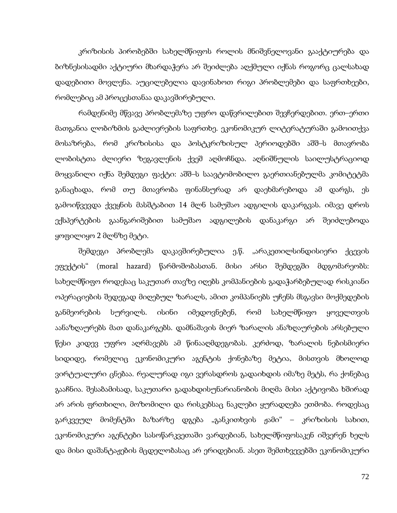კრიზისის პირობებში სახელმწიფოს როლის მნიშვნელოვანი გააქტიურება და ბიზნესისადმი აქტიური მხარდაჭერა არ შეიძლება აღქმული იქნას როგორც ცალსახად დადებითი მოვლენა. აუცილებელია დავინახოთ რიგი პრობლემები და საფრთხეები, რომლებიც ამ პროცესთანაა დაკავშირებული.

რამდენიმე მწვავე პრობლემაზე უფრო დაწვრილებით შევჩერდებით. ერთ–ერთი მათგანია ლობიზმის გაძლიერების საფრთხე. ეკონომიკურ ლიტერატურაში გამოითქვა მოსაზრება, რომ კრიზისისა და პოსტკრიზისულ პერიოდებში აშშ–ს მთავრობა ლობისტთა ძლიერი ზეგავლენის ქვეშ აღმოჩნდა. აღნიშნულის საილუსტრაციოდ მოყვანილი იქნა შემდეგი ფაქტი: აშშ–ს საავტომობილო გაერთიანებულმა კომიტეტმა განაცხადა, რომ თუ მთავრობა ფინანსურად არ დაეხმარებოდა ამ დარგს, ეს გამოიწვევდა ქვეყნის მასშტაბით 14 მლნ სამუშაო ადგილის დაკარგვას. იმავე დროს ექსპერტების გაანგარიშებით სამუშაო ადგილების დანაკარგი არ შეიძლებოდა ყოფილიყო 2 მლნზე მეტი.

შემდეგი პრობლემა დაკავშირებულია ე.წ. "არაკეთილსინდისიერი ქცევის ეფექტის" (moral hazard) წარმოშობასთან. მისი არსი შემდეგში მდგომარეობს: სახელმწიფო როდესაც საკუთარ თავზე იღებს კომპანიების გადაჭარბებულად რისკიანი ოპერაციების შედეგად მიღებულ ზარალს, ამით კომპანიებს უჩენს მსგავსი მოქმედების განმეორების სურვილს. ისინი იმედოვნებენ, რომ სახელმწიფო ყოველთვის აანაზღაურებს მათ დანაკარგებს. დამნაშავის მიერ ზარალის ანაზღაურების არსებული წესი კიდევ უფრო აღრმავებს ამ წინააღმდეგობას. კერძოდ, ზარალის ნებისმიერი სიდიდე, რომელიც ეკონომიკური აგენტის ქონებაზე მეტია, მისთვის მხოლოდ ვირტუალური ცნებაა. რეალურად იგი ვერასდროს გადაიხდის იმაზე მეტს, რა ქონებაც გააჩნია. შესაბამისად, საკუთარი გადახდისუნარიანობის მიღმა მისი აქტივობა ხშირად არ არის ფრთხილი, მოზომილი და რისკებსაც ნაკლები ყურადღება ეთმობა. როდესაც გარკვეულ მომენტში ბაზარზე დგება "განკითხვის ჟამი" – კრიზისის სახით, ეკონომიკური აგენტები სასოწარკვეთაში ვარდებიან, სახელმწიფოსაკენ იშვერენ ხელს და მისი დაშანტაჟების მცდელობასაც არ ერიდებიან. ასეთ შემთხვევებში ეკონომიკური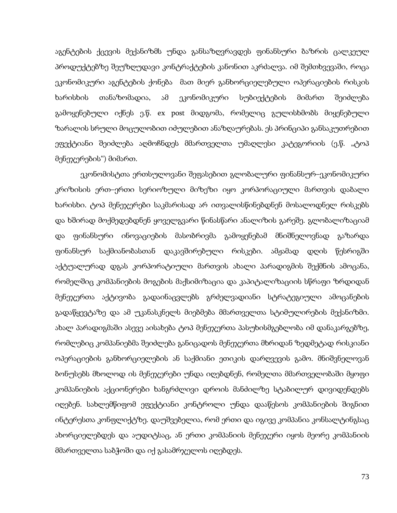აგენტების ქცევის მექანიზმს უნდა განსაზღვრავდეს ფინანსური ბაზრის ცალკეულ პროდუქტებზე შეუზღუდავი კონტრაქტების კანონით აკრძალვა. იმ შემთხვევაში, როცა ეკონომიკური აგენტების ქონება მათ მიერ განხორციელებული ოპერაციების რისკის ხარისხის თანაზომადია, ამ ეკონომიკური სუბიექტების მიმართ შეიძლება გამოყენებული იქნეს ე.წ. ex post მიდგომა, რომელიც გულისხმობს მიყენებული ზარალის სრული მოცულობით იძულებით ანაზღაურებას. ეს პრინციპი განსაკუთრებით ეფექტიანი შეიძლება აღმოჩნდეს მმართველთა უმაღლესი კატეგორიის (ე.წ. "ტოპ მენეჯერების") მიმართ.

ეკონომისტთა ერთსულოვანი შეფასებით გლობალური ფინანსურ–ეკონომიკური კრიზისის ერთ–ერთი სერიოზული მიზეზი იყო კორპორაციული მართვის დაბალი ხარისხი. ტოპ მენეჯერები საკმარისად არ ითვალისწინებდნენ მოსალოდნელ რისკებს და ხშირად მოქმედებდნენ ყოველგვარი წინასწარი ანალიზის გარეშე. გლობალიზაციამ და ფინანსური ინოვაციების მასობრივმა გამოყენებამ მნიშნელოვნად გაზარდა ფინანსურ საქმიანობასთან დაკავშირებული რისკები. ამჟამად დღის წესრიგში აქტუალურად დგას კორპორატიული მართვის ახალი პარადიგმის შექმნის ამოცანა, რომელშიც კომპანიების მოგების მაქსიმიზაცია და კაპიტალიზაციის სწრაფი ზრდიდან მენეჯერთა აქტივობა გადაინაცვლებს გრძელვადიანი სტრატეგიული ამოცანების გადაწყევტაზე და ამ უკანასკნელს მიებმება მმართველთა სტიმულირების მექანიზმი. ახალ პარადიგმაში ასევე აისახება ტოპ მენეჯერთა პასუხისმგებლობა იმ დანაკარგებზე, რომლებიც კომპანიებმა შეიძლება განიცადოს მენეჯერთა მხრიდან ზედმეტად რისკიანი ოპერაციების განხორციელების ან საქმიანი ეთიკის დარღვევის გამო. მნიშვნელოვან ბონუსებს მხოლოდ ის მენეჯერები უნდა იღებდნენ, რომელთა მმართველობაში მყოფი კომპანიების აქციონერები ხანგრძლივი დროის მანძილზე სტაბილურ დივიდენდებს იღებენ. სახლემწიფომ ეფექტიანი კონტროლი უნდა დააწესოს კომპანიების შიგნით ინტერესთა კონფლიქტზე. დაუშვებელია, რომ ერთი და იგივე კომპანია კონსალტინგსაც ახორციელებდეს და აუდიტსაც, ან ერთი კომპანიის მენეჯერი იყოს მეორე კომპანიის მმართველთა საბჭოში და იქ გასამრჯელოს იღებდეს.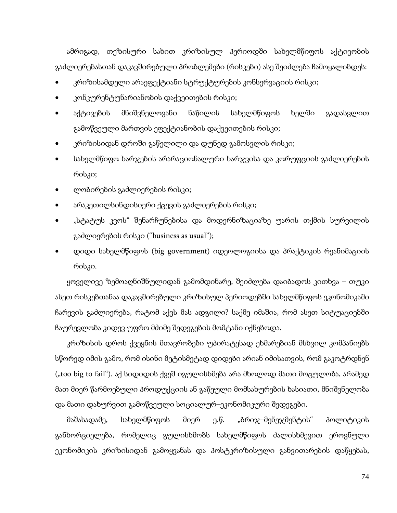ამრიგად, თეზისური სახით კრიზისულ პერიოდში სახელმწიფოს აქტივობის გაძლიერებასთან დაკავშირებული პრობლემები (რისკები) ასე შეიძლება ჩამოყალიბდეს:

- კრიზისამდელი არაეფექტიანი სტრუქტურების კონსერვაციის რისკი;
- კონკურენტუნარიანობის დაქვეითების რისკი;
- აქტივების მნიშვნელოვანი ნაწილის სახელმწიფოს ხელში გადასვლით გამოწვეული მართვის ეფექტიანობის დაქვეითების რისკი;
- კრიზისიდან დროში გაწელილი და დუნედ გამოსვლის რისკი;
- სახელმწიფო ხარჯების არარაციონალური ხარჯვისა და კორუფციის გაძლიერების რისკი;
- ლობირების გაძლიერების რისკი;
- არაკეთილსინდისიერი ქცევის გაძლიერების რისკი;
- "სტატუს კვოს" შენარჩუნებისა და მოდერნიზაციაზე უარის თქმის სურვილის გაძლიერების რისკი ("business as usual");
- დიდი სახელმწიფოს (big government) იდეოლოგიისა და პრაქტიკის რეანიმაციის რისკი.

ყოველივე ზემოაღნიშნულიდან გამომდინარე, შეიძლება დაიბადოს კითხვა – თუკი ასეთ რისკებთანაა დაკავშირებული კრიზისულ პერიოდებში სახელმწიფოს ეკონომიკაში ჩარევის გაძლიერება, რატომ აქვს მას ადგილი? საქმე იმაშია, რომ ასეთ სიტუაციებში ჩაურევლობა კიდევ უფრო მძიმე შედეგების მომტანი იქნებოდა.

კრიზისის დროს ქვეყნის მთავრობები უპირატესად ეხმარებიან მსხვილ კომპანიებს სწორედ იმის გამო, რომ ისინი მეტისმეტად დიდები არიან იმისათვის, რომ გაკოტრდნენ ("too big to fail"). აქ სიდიდის ქვეშ იგულისხმება არა მხოლოდ მათი მოცულობა, არამედ მათ მიერ წარმოებული პროდუქციის ან გაწეული მომსახურების ხასიათი, მნიშვნელობა და მათი დახურვით გამოწვეული სოციალურ–ეკონომიკური შედეგები.

მაშასადამე, სახელმწიფოს მიერ ე.წ. "ბრიჯ–მენეჯმენტის" პოლიტიკის განხორციელება, რომელიც გულისხმობს სახელმწიფოს ძალისხმევით ეროვნული ეკონომიკის კრიზისიდან გამოყვანას და პოსტკრიზისული განვითარების დაწყებას,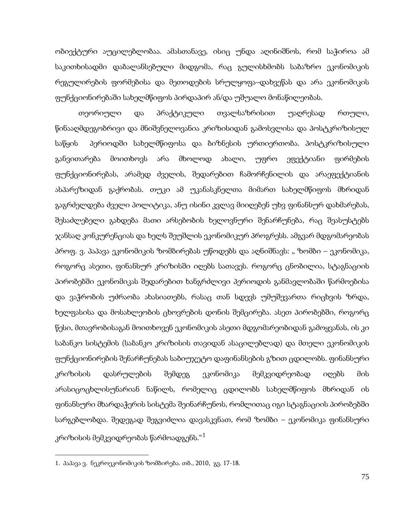ობიექტური აუცილებლობაა. ამასთანავე, ისიც უნდა აღინიშნოს, რომ საჭიროა ამ საკითხისადმი დაბალანსებული მიდგომა, რაც გულისხმობს საბაზრო ეკონომიკის რეგულირების ფორმებისა და მეთოდების სრულყოფა–დახვეწას და არა ეკონომიკის ფუნქციონირებაში სახელმწიფოს პირდაპირ ან/და უშუალო მონაწილეობას.

თეორიული და პრაქტიკული თვალსაზრისით უაღრესად რთული, წინააღმდეგობრივი და მნიშვნელოვანია კრიზისიდან გამოსვლისა და პოსტკრიზისულ საწყის პერიოდში სახელმწიფოსა და ბიზნესის ურთიერთობა. პოსტკრიზისული განვითარება მოითხოვს არა მხოლოდ ახალი, უფრო ეფექტიანი ფირმების ფუნქციონირებას, არამედ ძველის, შედარებით ჩამორჩენილის და არაეფექტიანის ასპარეზიდან გაქრობას. თუკი ამ უკანასკნელთა მიმართ სახელმწიფოს მხრიდან გაგრძელდება ძველი პოლიტიკა, ანუ ისინი კვლავ მიიღებენ უხვ ფინანსურ დახმარებას, შესაძლებელი გახდება მათი არსებობის ხელოვნური შენარჩუნება, რაც შეასუსტებს ჯანსაღ კონკურენციას და ხელს შეუშლის ეკონომიკურ პროგრესს. ამგვარ მდგომარეობას პროფ. ვ. პაპავა ეკონომიკის ზომბირებას უწოდებს და აღნიშნავს: " ზომბი – ეკონომიკა, როგორც ასეთი, ფინანსურ კრიზისში იღებს სათავეს. როგორც ცნობილია, სტაგნაციის პირობებში ეკონომიკას შედარებით ხანგრძლივი პერიოდის განმავლობაში წარმოებისა და ვაჭრობის უძრაობა ახასიათებს, რასაც თან სდევს უმუშევართა რიცხვის ზრდა, ხელფასისა და მოსახლეობის ცხოვრების დონის შემცირება. ასეთ პირობებში, როგორც წესი, მთავრობისაგან მოითხოვენ ეკონომიკის ასეთი მდგომარეობიდან გამოყვანას, ის კი საბანკო სისტემის (საბანკო კრიზისის თავიდან ასაცილებლად) და მთელი ეკონომიკის ფუნქციონირების შენარჩუნებას საბიუჯეტო დაფინანსების გზით ცდილობს. ფინანსური კრიზისის დასრულების შემდეგ ეკონომიკა მემკვიდრეობად იღებს მის არასიცოცხლისუნარიან ნაწილს, რომელიც ცდილობს სახელმწიფოს მხრიდან ის ფინანსური მხარდაჭერის სისტემა შეინარჩუნოს, რომლითაც იგი სტაგნაციის პირობებში სარგებლობდა. შედეგად შეგვიძლია დავასკვნათ, რომ ზომბი – ეკონომიკა ფინანსური კრიზისის მემკვიდრეობას წარმოადგენს."[1](#page-69-0)

**.** 

<span id="page-73-0"></span><sup>1.</sup> პაპავა ვ. ნეკროეკონომიკის ზომბირება. თბ., 2010, გვ. 17-18.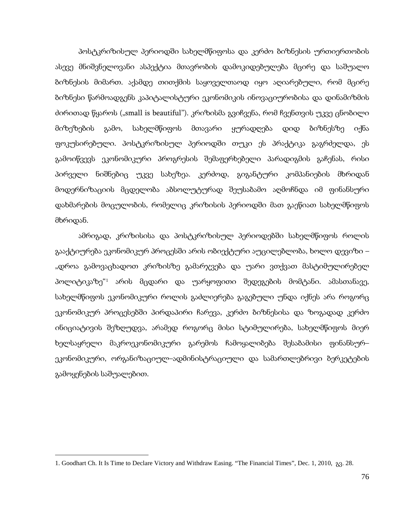პოსტკრიზისულ პერიოდში სახელმწიფოსა და კერძო ბიზნესის ურთიერთობის ასევე მნიშვნელოვანი ასპექტია მთავრობის დამოკიდებულება მცირე და საშუალო ბიზნესის მიმართ. აქამდე თითქმის საყოველთაოდ იყო აღიარებული, რომ მცირე ბიზნესი წარმოადგენს კაპიტალისტური ეკონომიკის ინოვაციურობისა და დინამიზმის ძირითად წყაროს ("small is beautiful"). კრიზისმა გვიჩვენა, რომ ჩვენთვის უკვე ცნობილი მიზეზების გამო, სახელმწიფოს მთავარი ყურადღება დიდ ბიზნესზე იქნა ფოკუსირებული. პოსტკრიზისულ პერიოდში თუკი ეს პრაქტიკა გაგრძელდა, ეს გამოიწვევს ეკონომიკური პროგრესის შემაფერხებელი პარადიგმის გაჩენას, რისი პირველი ნიშნებიც უკვე სახეზეა. კერძოდ, გიგანტური კომპანიების მხრიდან მოდერნიზაციის მცდელობა აბსოლუტურად შეუსაბამო აღმოჩნდა იმ ფინანსური დახმარების მოცულობის, რომელიც კრიზისის პერიოდში მათ გაეწიათ სახელმწიფოს მხრიდან.

ამრიგად, კრიზისისა და პოსტკრიზისულ პერიოდებში სახელმწიფოს როლის გააქტიურება ეკონომიკურ პროცესში არის ობიექტური აუცილებლობა, ხოლო დევიზი – "დროა გამოვაცხადოთ კრიზისზე გამარჯვება და უარი ვთქვათ მასტიმულირებელ პოლიტიკაზე["1](#page-73-0) არის მცდარი და უარყოფითი შედეგების მომტანი. ამასთანავე, სახელმწიფოს ეკონომიკური როლის გაძლიერება გაგებული უნდა იქნეს არა როგორც ეკონომიკურ პროცესებში პირდაპირი ჩარევა, კერძო ბიზნესისა და ზოგადად კერძო ინიციატივის შეზღუდვა, არამედ როგორც მისი სტიმულირება, სახელმწიფოს მიერ ხელსაყრელი მაკროეკონომიკური გარემოს ჩამოყალიბება შესაბამისი ფინანსურ– ეკონომიკური, ორგანიზაციულ–ადმინისტრაციული და სამართლებრივი ბერკეტების გამოყენების საშუალებით.

<span id="page-74-0"></span>**.** 

<sup>1.</sup> Goodhart Ch. It Is Time to Declare Victory and Withdraw Easing. "The Financial Times", Dec. 1, 2010, გვ. 28.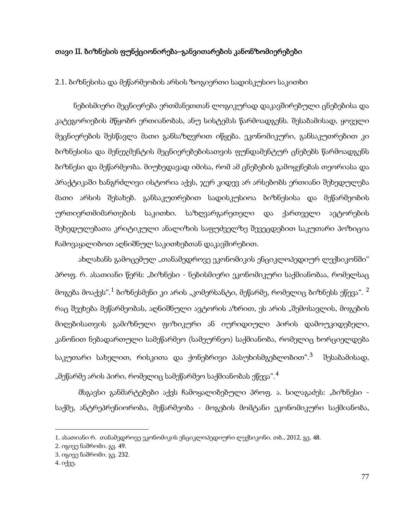## თავი II. ბიზნესის ფუნქციონირება–განვითარების კანონზომიერებები

2.1. ბიზნესისა და მეწარმეობის არსის ზოგიერთი სადისკუსიო საკითხი

ნებისმიერი მეცნიერება ერთმანეთთან ლოგიკურად დაკავშირებული ცნებებისა და კატეგორიების მწყობრ ერთიანობას, ანუ სისტემას წარმოადგენს. შესაბამისად, ყოველი მეცნიერების შესწავლა მათი განსაზღვრით იწყება. ეკონომიკური, განსაკუთრებით კი ბიზნესისა და მენეჯმენტის მეცნიერებებისათვის ფუნდამენტურ ცნებებს წარმოადგენს ბიზნესი და მეწარმეობა. მიუხედავად იმისა, რომ ამ ცნებების გამოყენებას თეორიასა და პრაქტიკაში ხანგრძლივი ისტორია აქვს, ჯერ კიდევ არ არსებობს ერთიანი შეხედულება მათი არსის შესახებ. განსაკუთრებით სადისკუსიოა ბიზნესისა და მეწარმეობის ურთიერთმიმართების საკითხი. საზღვარგარეთელი და ქართველი ავტორების შეხედულებათა კრიტიკული ანალიზის საფუძველზე შევეცდებით საკუთარი პოზიცია ჩამოვაყალიბოთ აღნიშნულ საკითხებთან დაკავშირებით.

ახლახანს გამოცემულ "თანამედროვე ეკონომიკის ენციკლოპედიურ ლექსიკონში" პროფ. რ. ასათიანი წერს: "ბიზნესი - ნებისმიერი ეკონომიკური საქმიანობაა, რომელსაც მოგება მოაქვს".<sup>[1](#page-74-0)</sup> ბიზნესმენი კი არის "კომერსან<sub>(</sub>გი, მეწარმე, რომელიც ბიზნესს ეწევა". <sup>[2](#page-75-0)</sup> რაც შეეხება მეწარმეობას, აღნიშნული ავტორის აზრით, ეს არის "შემოსავლის, მოგების მიღებისათვის გამიზნული ფიზიკური ან იურიდიული პირის დამოუკიდებელი, კანონით ნებადართული სამეწარმეო (სამეურნეო) საქმიანობა, რომელიც ხორციელდება საკუთარი სახელით, რისკითა და ქონებრივი პასუხისმგებლობით".<sup>[3](#page-75-0)</sup> შესაბამისად, "მეწარმე არის პირი, რომელიც სამეწარმეო საქმიანობას ეწევა". $^4$  $^4$ 

მსგავსი განმარტებები აქვს ჩამოყალიბებული პროფ. ა. სილაგაძეს: "ბიზნესი საქმე, ანტრეპრენიორობა, მეწარმეობა - მოგების მომტანი ეკონომიკური საქმიანობა,

<span id="page-75-1"></span><span id="page-75-0"></span><sup>1.</sup> ასათიანი რ. თანამედროვე ეკონომიკის ენციკლოპედიური ლექსიკონი. თბ., 2012, გვ. 48.

<sup>2.</sup> იგივე ნაშრომი. გვ. 49.

<sup>3.</sup> იგივე ნაშრომი. გვ. 232.

<sup>4.</sup> იქვე.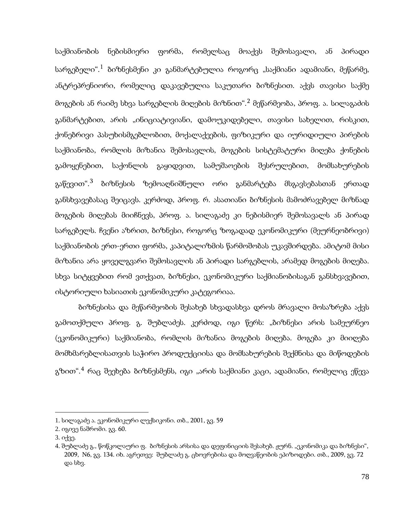საქმიანობის ნებისმიერი ფორმა, რომელსაც მოაქვს შემოსავალი, ან პირადი სარგებელი". $^1$  $^1$  ბიზნესმენი კი განმარტებულია როგორც "საქმიანი ადამიანი, მეწარმე, ანტრეპრენიორი, რომელიც დაკავებულია საკუთარი ბიზნესით. აქვს თავისი საქმე მოგების ან რაიმე სხვა სარგებლის მიღების მიზნით".<sup>[2](#page-76-0)</sup> მეწარმეობა, პროფ. ა. სილაგაძის განმარტებით, არის "ინიციატივიანი, დამოუკიდებელი, თავისი სახელით, რისკით, ქონებრივი პასუხისმგებლობით, მოქალაქეების, ფიზიკური და იურიდიული პირების საქმიანობა, რომლის მიზანია შემოსავლის, მოგების სისტემატური მიღება ქონების გამოყენებით, საქონლის გაყიდვით, სამუშაოების შესრულებით, მომსახურების გაწევით".<sup>[3](#page-76-0)</sup> ბიზნესის ზემოაღნიშნული ორი განმარტება მსგავსებასთან ერთად განსხვავებასაც შეიცავს. კერძოდ, პროფ. რ. ასათიანი ბიზნესის მამოძრავებელ მიზნად მოგების მიღებას მიიჩნევს, პროფ. ა. სილაგაძე კი ნებისმიერ შემოსავალს ან პირად სარგებელს. ჩვენი აზრით, ბიზნესი, როგორც ზოგადად ეკონომიკური (მეურნეობრივი) საქმიანობის ერთ-ერთი ფორმა, კაპიტალიზმის წარმოშობას უკავშირდება. ამიტომ მისი მიზანია არა ყოველგვარი შემოსავლის ან პირადი სარგებლის, არამედ მოგების მიღება. სხვა სიტყვებით რომ ვთქვათ, ბიზნესი, ეკონომიკური საქმიანობისაგან განსხვავებით, ისტორიული ხასიათის ეკონომიკური კატეგორიაა.

ბიზნესისა და მეწარმეობის შესახებ სხვადასხვა დროს მრავალი მოსაზრება აქვს გამოთქმული პროფ. გ. შუბლაძეს. კერძოდ, იგი წერს: "ბიზნესი არის სამეურნეო (ეკონომიკური) საქმიანობა, რომლის მიზანია მოგების მიღება. მოგება კი მიიღება მომხმარებლისათვის საჭირო პროდუქციისა და მომსახურების შექმნისა და მიწოდების გზით". $^4$  $^4$  რაც შეეხება ბიზნესმენს, იგი "არის საქმიანი კაცი, ადამიანი, რომელიც ეწევა

<span id="page-76-1"></span><span id="page-76-0"></span><sup>1.</sup> სილაგაძე ა. ეკონომიკური ლექსიკონი. თბ., 2001, გვ. 59

<sup>2.</sup> იგივე ნაშრომი. გვ. 60.

<sup>3.</sup> იქვე.

<sup>4.</sup> შუბლაძე გ., წოწკოლაური ფ. ბიზნესის არსისა და დეფინიციის შესახებ. ჟურნ. "ეკონომიკა და ბიზნესი", 2009, N6, გვ. 134. იხ. აგრეთვე: შუბლაძე გ. ცხოვრებისა და მოღვაწეობის ეპიზოდები. თბ., 2009, გვ. 72 და სხვ.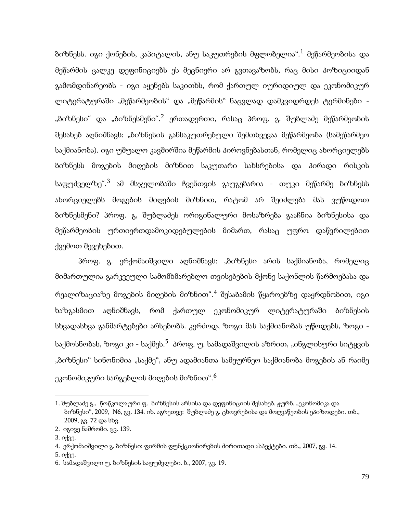ბიზნესს. იგი ქონების, კაპიტალის, ანუ საკუთრების მფლობელია".[1](#page-76-1) მეწარმეობისა და მეწარმის ცალკე დეფინიციებს ეს მეცნიერი არ გვთავაზობს, რაც მისი პოზიციიდან გამომდინარეობს - იგი აყენებს საკითხს, რომ ქართულ იურიდიულ და ეკონომიკურ ლიტერატურაში "მეწარმეობის" და "მეწარმის" ნაცვლად დამკვიდრდეს ტერმინები -"ბიზნესი" და "ბიზნესმენი".<sup>[2](#page-77-0)</sup> ერთადერთი, რასაც პროფ. გ. შუბლაძე მეწარმეობის შესახებ აღნიშნავს: "ბიზნესის განსაკუთრებული შემთხვევაა მეწარმეობა (სამეწარმეო საქმიანობა). იგი უშუალო კავშირშია მეწარმის პიროვნებასთან, რომელიც ახორციელებს ბიზნესს მოგების მიღების მიზნით საკუთარი სახსრებისა და პირადი რისკის საფუძველზე".<sup>[3](#page-77-0)</sup> ამ მსჯელობაში ჩვენთვის გაუგებარია - თუკი მეწარმე ბიზნესს ახორციელებს მოგების მიღების მიზნით, რატომ არ შეიძლება მას ვუწოდოთ ბიზნესმენი? პროფ. გ, შუბლაძეს ორიგინალური მოსაზრება გააჩნია ბიზნესისა და მეწარმეობის ურთიერთდამოკიდებულების მიმართ, რასაც უფრო დაწვრილებით ქვემოთ შევეხებით.

პროფ. გ. ერქომაიშვილი აღნიშნავს: "ბიზნესი არის საქმიანობა, რომელიც მიმართულია გარკვეული სამომხმარებლო თვისებების მქონე საქონლის წარმოებასა და რეალიზაციაზე მოგების მიღების მიზნით".[4](#page-77-0) შესაბამის წყაროებზე დაყრდნობით, იგი ხაზგასმით აღნიშნავს, რომ ქართულ ეკონომიკურ ლიტერატურაში ბიზნესის სხვადასხვა განმარტებები არსებობს. კერძოდ, ზოგი მას საქმიანობას უწოდებს, ზოგი საქმოსნობას, ზოგი კი - საქმეს.<sup>5</sup> პროფ. უ. სამადაშვილის აზრით, "ინგლისური სიტყვის "ბიზნესი" სინონიმია "საქმე", ანუ ადამიანთა სამეურნეო საქმიანობა მოგების ან რაიმე ეკონომიკური სარგებლის მიღების მიზნით". $^{\rm 6}$  $^{\rm 6}$  $^{\rm 6}$ 

3. იქვე.

**.** 

5. იქვე.

<span id="page-77-0"></span><sup>1.</sup> შუბლაძე გ., წოწკოლაური ფ. ბიზნესის არსისა და დეფინიციის შესახებ. ჟურნ. "ეკონომიკა და ბიზნესი", 2009, N6, გვ. 134. იხ. აგრეთვე: შუბლაძე გ. ცხოვრებისა და მოღვაწეობის ეპიზოდები. თბ., 2009, გვ. 72 და სხვ.

<sup>2.</sup> იგივე ნაშრომი. გვ. 139.

<sup>4.</sup> ერქომაიშვილი გ. ბიზნესი: ფირმის ფუნქციონირების ძირითადი ასპექტები. თბ., 2007, გვ. 14.

<sup>6.</sup> სამადაშვილი უ. ბიზნესის საფუძვლები. ბ., 2007, გვ. 19.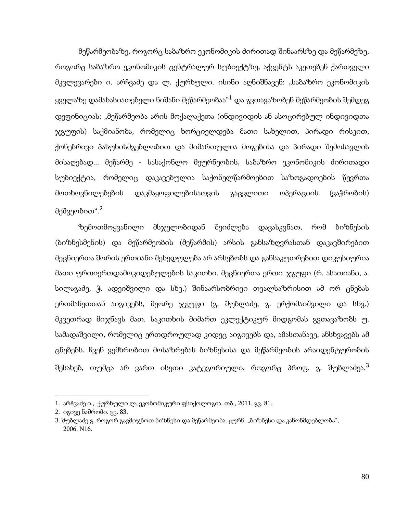მეწარმეობაზე, როგორც საბაზრო ეკონომიკის ძირითად შინაარსზე და მეწარმეზე, როგორც საბაზრო ეკონომიკის ცენტრალურ სუბიექტზე, აქცენტს აკეთებენ ქართველი მკვლევარები ი. არჩვაძე და ლ. ქურხული. ისინი აღნიშნავენ: "საბაზრო ეკონომიკის ყველაზე დამახასიათებელი ნიშანი მეწარმეობაა $^{\prime 1}$  $^{\prime 1}$  $^{\prime 1}$  და გვთავაზობენ მეწარმეობის შემდეგ დეფინიციას: "მეწარმეობა არის მოქალაქეთა (ინდივიდის ან ასოცირებულ ინდივიდთა ჯგუფის) საქმიანობა, რომელიც ხორციელდება მათი სახელით, პირადი რისკით, ქონებრივი პასუხისმგებლობით და მიმართულია მოგებისა და პირადი შემოსავლის მისაღებად... მეწარმე - სასაქონლო მეურნეობის, საბაზრო ეკონომიკის ძირითადი სუბიექტია, რომელიც დაკავებულია საქონელწარმოებით საზოგადოების წევრთა მოთხოვნილებების დაკმაყოფილებისათვის გაცვლითი ოპერაციის (ვაჭრობის) მეშვეობით". $^2$  $^2$ 

ზემოთმოყვანილი მსჯელობიდან შეიძლება დავასკვნათ, რომ ბიზნესის (ბიზნესმენის) და მეწარმეობის (მეწარმის) არსის განსაზღვრასთან დაკავშირებით მეცნიერთა შორის ერთიანი შეხედულება არ არსებობს და განსაკუთრებით დიკუსიურია მათი ურთიერთდამოკიდებულების საკითხი. მეცნიერთა ერთი ჯგუფი (რ. ასათიანი, ა. სილაგაძე, ჭ. ადეიშვილი და სხვ.) შინაარსობრივი თვალსაზრისით ამ ორ ცნებას ერთმანეთთან აიგივებს, მეორე ჯგუფი (გ. შუბლაძე, გ. ერქომაიშვილი და სხვ.) მკვეთრად მიჯნავს მათ. საკითხის მიმართ ეკლექტიკურ მიდგომას გვთავაზობს უ. სამადაშვილი, რომელიც ერთდროულად კიდეც აიგივებს და, ამასთანავე, ანსხვავებს ამ ცნებებს. ჩვენ ვემხრობით მოსაზრებას ბიზნესისა და მეწარმეობის არაიდენტურობის შესახებ, თუმცა არ ვართ ისეთი კატეგორიული, როგორც პროფ. გ. შუბლაძეა.<sup>[3](#page-78-0)</sup>

**.** 

<span id="page-78-1"></span><span id="page-78-0"></span><sup>1.</sup> არჩვაძე ი., ქურხული ლ. ეკონომიკური ფსიქოლოგია. თბ., 2011, გვ. 81.

<sup>2.</sup> იგივე ნაშრომი. გვ. 83.

<sup>3.</sup> შუბლაძე გ. როგორ გავმიჯნოთ ბიზნესი და მეწარმეობა. ჟურნ. "ბიზნესი და კანონმდებლობა", 2006, N16.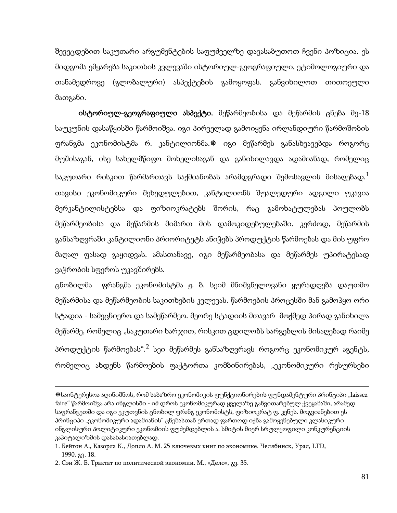შევეცდებით საკუთარი არგუმენტების საფუძველზე დავასაბუთოთ ჩვენი პოზიცია. ეს მიდგომა ემყარება საკითხის კვლევაში ისტორიულ-გეოგრაფიული, ეტიმოლოგიური და თანამედროვე (გლობალური) ასპექტების გამოყოფას. განვიხილოთ თითოეული მათგანი.

ისტორიულ-გეოგრაფიული ასპექტი. მეწარმეობისა და მეწარმის ცნება მე-18 საუკუნის დასაწყისში წარმოიშვა. იგი პირველად გამოიყენა ირლანდიური წარმოშობის ფრანგმა ეკონომისტმა რ. კანტილიონმა.� იგი მეწარმეს განასხვავებდა როგორც მუშისაგან, ისე სახელმწიფო მოხელისაგან და განიხილავდა ადამიანად, რომელიც საკუთარი რისკით წარმართავს საქმიანობას არამდგრადი შემოსავლის მისაღებად. $^1$  $^1$ თავისი ეკონომიკური შეხედულებით, კანტილიონს შუალედური ადგილი უკავია მერკანტილისტებსა და ფიზიოკრატებს შორის, რაც გამოხატულებას პოულობს მეწარმეობისა და მეწარმის მიმართ მის დამოკიდებულებაში. კერძოდ, მეწარმის განსაზღვრაში კანტილიონი პრიორიტეტს ანიჭებს პროდუქტის წარმოებას და მის უფრო მაღალ ფასად გაყიდვას. ამასთანავე, იგი მეწარმეობასა და მეწარმეს უპირატესად ვაჭრობის სფეროს უკავშირებს.

ცნობილმა ფრანგმა ეკონომისტმა ჟ. ბ. სეიმ მნიშვნელოვანი ყურადღება დაუთმო მეწარმისა და მეწარმეობის საკითხების კვლევას. წარმოების პროცესში მან გამოჰყო ორი სტადია - სამეცნიერო და სამეწარმეო. მეორე სტადიის მთავარ მოქმედ პირად განიხილა მეწარმე, რომელიც "საკუთარი ხარჯით, რისკით ცდილობს სარგებლის მისაღებად რაიმე პროდუქტის წარმოებას".<sup>[2](#page-79-0)</sup> სეი მეწარმეს განსაზღვრავს როგორც ეკონომიკურ აგენტს, რომელიც ახდენს წარმოების ფაქტორთა კომბინირებას, "ეკონომიკური რესურსები

**.** 

<span id="page-79-0"></span>საინტერესოა აღინიშნოს, რომ საბაზრო ეკონომიკის ფუნქციონირების ფუნდამენტური პრინციპი "laissez faire" წარმოიშვა არა ინგლისში - იმ დროს ეკონომიკურად ყველაზე განვითარებულ ქვეყანაში, არამედ საფრანგეთში და იგი ეკუთვნის ცნობილ ფრანგ ეკონომისტს, ფიზიოკრატ ფ. კენეს. მოგვიანებით ეს პრინციპი "ეკონომიკური ადამიანის" ცნებასთან ერთად ფართოდ იქნა გამოყენებული კლასიკური ინგლისური პოლიტიკური ეკონომიის ფუძემდებლის ა. სმიტის მიერ სრულყოფილი კონკურენციის კაპიტალიზმის დასახასიათებლად.

<span id="page-79-1"></span><sup>1</sup>. Бейтон А., Казорла К., Допло А. М. 25 ключевых книг по экономике. Челябинск, Урал, LTD, 1990, გვ. 18.

<sup>2</sup>. Сэи Ж. Б. Трактат по политической экономии. М., «Дело», გვ. 35.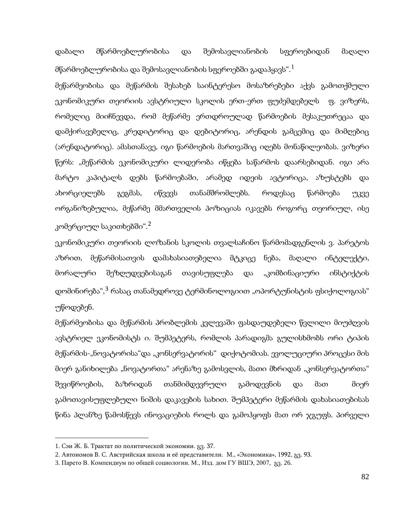დაბალი მწარმოებლურობისა და შემოსავლიანობის სფეროებიდან მაღალი მწარმოებლურობისა და შემოსავლიანობის სფეროებში გადაჰყავს".[1](#page-79-1)

მეწარმეობისა და მეწარმის შესახებ საინტერესო მოსაზრებები აქვს გამოთქმული ეკონომიკური თეორიის ავსტრიული სკოლის ერთ-ერთ ფუძემდებელს ფ. ვიზერს, რომელიც მიიჩნევდა, რომ მეწარმე ერთდროულად წარმოების მესაკუთრეცაა და დამქირავებელიც, კრედიტორიც და დებიტორიც, არენდის გამცემიც და მიმღებიც (არენდატორიც). ამასთანავე, იგი წარმოების მართვაშიც იღებს მონაწილეობას. ვიზერი წერს: "მეწარმის ეკონომიკური ლიდერობა იწყება საწარმოს დაარსებიდან. იგი არა მარტო კაპიტალს დებს წარმოებაში, არამედ იდეის ავტორიცა, აზუსტებს და ახორციელებს გეგმას, იწვევს თანამშრომლებს. როდესაც წარმოება უკვე ორგანიზებულია, მეწარმე მმართველის პოზიციას იკავებს როგორც თეორიულ, ისე კომერციულ საკითხებში". $^2$  $^2$ 

ეკონომიკური თეორიის ლოზანის სკოლის თვალსაჩინო წარმომადგენლის ვ. პარეტოს აზრით, მეწარმისათვის დამახასიათებელია მტკიცე ნება, მაღალი ინტელექტი, მორალური შეზღუდვებისაგან თავისუფლება და "კომბინაციური ინსტიქტის დომინირება",<sup>[3](#page-80-0)</sup> რასაც თანამედროვე ტერმინოლოგიით "ოპორტუნისტის ფსიქოლოგიას" უწოდებენ.

მეწარმეობისა და მეწარმის პრობლემის კვლევაში ფასდაუდებელი წვლილი მიუძღვის ავსტრიელ ეკონომისტს ი. შუმპეტერს, რომლის პარადიგმა გულისხმობს ორი ტიპის მეწარმის-"ნოვატორისა"და "კონსერვატორის" დიქოტომიას. ევოლუციური პროცესი მის მიერ განიხილება "ნოვატორთა" არენაზე გამოსვლის, მათი მხრიდან "კონსერვატორთა" შევიწროების, ბაზრიდან თანმიმდევრული გამოდევნის და მათ მიერ გამოთავისუფლებული ნიშის დაკავების სახით. შუმპეტერი მეწარმის დახასიათებისას წინა პლანზე წამოსწევს ინოვაციების როლს და გამოჰყოფს მათ ორ ჯგუფს. პირველი

<span id="page-80-0"></span><sup>1</sup>. Сэи Ж. Б. Трактат по политической экономии. გვ. 37.

<sup>2</sup>. Автономов В. С. Австрийская школа и её представители. М., «Экономика», 1992, გვ. 93.

<sup>3</sup>. Парето В. Компендиум по общей социологии. М., Изд. дом ГУ ВШЭ, 2007, გვ. 26.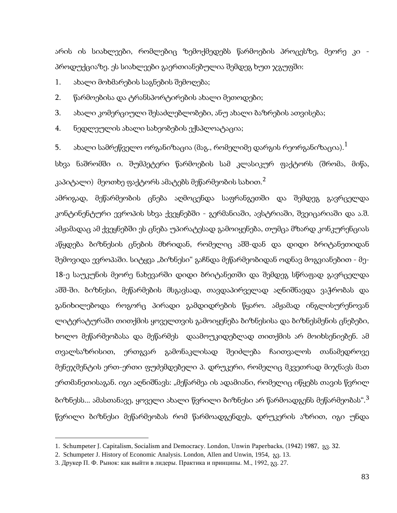არის ის სიახლეები, რომლებიც ზემოქმედებს წარმოების პროცესზე, მეორე კი პროდუქციაზე. ეს სიახლეები გაერთიანებულია შემდეგ ხუთ ჯგუფში:

1. ახალი მოხმარების საგნების შემოღება;

2. წარმოებისა და ტრანსპორტირების ახალი მეთოდები;

3. ახალი კომერციული შესაძლებლობები, ანუ ახალი ბაზრების ათვისება;

4. ნედლეულის ახალი სახეობების ექსპლოატაცია;

5. ახალი სამრეწველო ორგანიზაცია (მაგ., რომელიმე დარგის რეორგანიზაცია). $^{\rm 1}$  $^{\rm 1}$  $^{\rm 1}$ 

სხვა ნაშრომში ი. შუმპეტერი წარმოების სამ კლასიკურ ფაქტორს (შრომა, მიწა, კაპიტალი) მეოთხე ფაქტორს ამატებს მეწარმეობის სახით. $^{\text{2}}$  $^{\text{2}}$  $^{\text{2}}$ 

ამრიგად, მეწარმეობის ცნება აღმოცენდა საფრანგეთში და შემდეგ გავრცელდა კონტინენტური ევროპის სხვა ქვეყნებში - გერმანიაში, ავსტრიაში, შვეიცარიაში და ა.შ. ამჟამადაც ამ ქვეყნებში ეს ცნება უპირატესად გამოიყენება, თუმცა მზარდ კონკურენციას აწყდება ბიზნესის ცნების მხრიდან, რომელიც აშშ-დან და დიდი ბრიტანეთიდან შემოვიდა ევროპაში. სიტყვა "ბიზნესი" გაჩნდა მეწარმეობიდან ოდნავ მოგვიანებით - მე-18-ე საუკუნის მეორე ნახევარში დიდი ბრიტანეთში და შემდეგ სწრაფად გავრცელდა აშშ-ში. ბიზნესი, მეწარმების მსგავსად, თავდაპირველად აღნიშნავდა ვაჭრობას და განიხილებოდა როგორც პირადი გამდიდრების წყარო. ამჟამად ინგლისურენოვან ლიტერატურაში თითქმის ყოველთვის გამოიყენება ბიზნესისა და ბიზნესმენის ცნებები, ხოლო მეწარმეობასა და მეწარმეს დაამოუკიდებლად თითქმის არ მოიხსენიებენ. ამ თვალსაზრისით, ერთგვარ გამონაკლისად შეიძლება ჩაითვალოს თანამედროვე მენეჯმენტის ერთ-ერთი ფუძემდებელი პ. დრუკერი, რომელიც მკვეთრად მიჯნავს მათ ერთმანეთისაგან. იგი აღნიშნავს: "მეწარმეა ის ადამიანი, რომელიც იწყებს თავის წვრილ ბიზნესს... ამასთანავე, ყოველი ახალი წვრილი ბიზნესი არ წარმოადგენს მეწარმეობას".[3](#page-81-0) წვრილი ბიზნესი მეწარმეობას რომ წარმოადგენდეს, დრუკერის აზრით, იგი უნდა

<span id="page-81-1"></span><span id="page-81-0"></span><sup>1</sup>. Schumpeter J. Capitalism, Socialism and Democracy. London, Unwin Paperbacks, (1942) 1987, გვ. 32.

<sup>2</sup>. Schumpeter J. History of Economic Analysis. London, Allen and Unwin, 1954, გვ. 13.

<sup>3</sup>. Друкер П. Ф. Рынок: как выйти в лидеры. Практика и принципы. М., 1992, გვ. 27.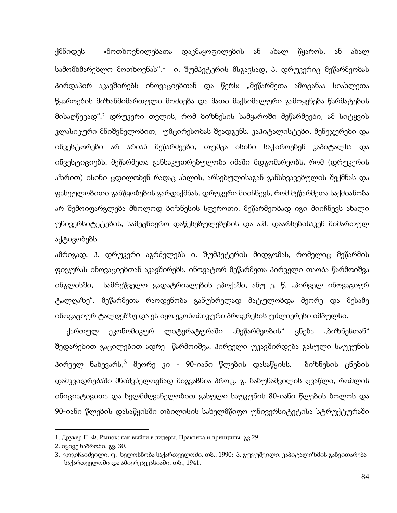ქმნიდეს «მოთხოვნილებათა დაკმაყოფილების ან ახალ წყაროს, ან ახალ სამომხმარებლო მოთხოვნას".<sup>[1](#page-81-1)</sup> ი. შუმპეტერის მსგავსად, პ. დრუკერიც მეწარმეობას პირდაპირ აკავშირებს ინოვაციებთან და წერს: "მეწარმეთა ამოცანაა სიახლეთა წყაროების მიზანმიმართული მოძიება და მათი მაქსიმალური გამოყენება წარმატების მისაღწევად".[2](#page-82-0) დრუკერი თვლის, რომ ბიზნესის სამყაროში მეწარმეები, ამ სიტყვის კლასიკური მნიშვნელობით, უმცირესობას შეადგენს. კაპიტალისტები, მენეჯერები და ინვესტორები არ არიან მეწარმეები, თუმცა ისინი საჭიროებენ კაპიტალსა და ინვესტიციებს. მეწარმეთა განსაკუთრებულობა იმაში მდგომარეობს, რომ (დრუკერის აზრით) ისინი ცდილობენ რაღაც ახლის, არსებულისაგან განსხვავებულის შექმნას და ფასეულობითი განწყობების გარდაქმნას. დრუკერი მიიჩნევს, რომ მეწარმეთა საქმიანობა არ შემოიფარგლება მხოლოდ ბიზნესის სფეროთი. მეწარმეობად იგი მიიჩნევს ახალი უნივერსიტეტების, სამეცნიერო დაწესებულებების და ა.შ. დაარსებისაკენ მიმართულ აქტივობებს.

ამრიგად, პ. დრუკერი აგრძელებს ი. შუმპეტერის მიდგომას, რომელიც მეწარმის ფიგურას ინოვაციებთან აკავშირებს. ინოვატორ მეწარმეთა პირველი თაობა წარმოიშვა ინგლისში, სამრეწველო გადატრიალების ეპოქაში, ანუ ე. წ. "პირველ ინოვაციურ ტალღაზე". მეწარმეთა რაოდენობა განუხრელად მატულობდა მეორე და მესამე ინოვაციურ ტალღებზე და ეს იყო ეკონომიკური პროგრესის უძლიერესი იმპულსი.

ქართულ ეკონომიკურ ლიტერატურაში "მეწარმეობის" ცნება "ბიზნესთან" შედარებით გაცილებით ადრე წარმოიშვა. პირველი უკავშირდება გასული საუკუნის პირველ ნახევარს,<sup>[3](#page-82-0)</sup> მეორე კი - 90-იანი წლების დასაწყისს. ბიზნესის ცნების დამკვიდრებაში მნიშვნელოვნად მიგვაჩნია პროფ. გ. ბაბუნაშვილის ღვაწლი, რომლის ინიციატივითა და ხელმძღვანელობით გასული საუკუნის 80-იანი წლების ბოლოს და 90-იანი წლების დასაწყისში თბილისის სახელმწიფო უნივერსიტეტისა სტრუქტურაში

<span id="page-82-1"></span><span id="page-82-0"></span><sup>1</sup>. Друкер П. Ф. Рынок: как выйти в лидеры. Практика и принципы. გვ.29.

<sup>2</sup>. იგივე ნაშრომი. გვ. 30.

<sup>3</sup>. გოგიჩაიშვილი. ფ. ხელოსნობა საქართველოში. თბ., 1990; პ. გუგუშვილი. კაპიტალიზმის განვითარება საქართველოში და ამიერკავკასიაში. თბ., 1941.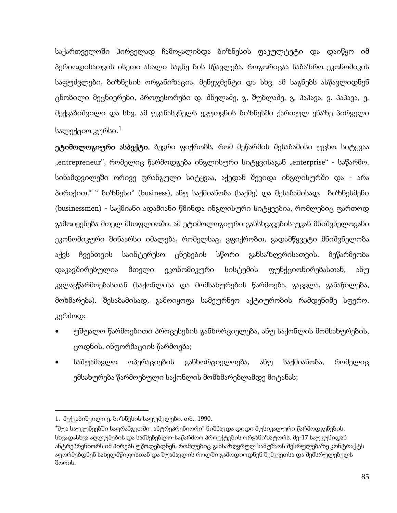საქართველოში პირველად ჩამოყალიბდა ბიზნესის ფაკულტეტი და დაიწყო იმ პერიოდისათვის ისეთი ახალი საგნე ბის სწავლება, როგორიცაა საბაზრო ეკონომიკის საფუძვლები, ბიზნესის ორგანიზაცია, მენეჯმენტი და სხვ. ამ საგნებს ასწავლიდნენ ცნობილი მეცნიერები, პროფესორები დ. ძნელაძე, გ, შუბლაძე, გ, პაპავა, ვ. პაპავა, ე. მექვაბიშვილი და სხვ. ამ უკანასკნელს ეკუთვნის ბიზნესში ქართულ ენაზე პირველი სალექციო კურსი. $^{\rm 1}$  $^{\rm 1}$  $^{\rm 1}$ 

ეტიმოლოგიური ასპექტი. ბევრი ფიქრობს, რომ მეწარმის შესაბამისი უცხო სიტყვაა "entrepreneur", რომელიც წარმოდგება ინგლისური სიტყვისაგან "enterprise" - საწარმო. სინამდვილეში ორივე ფრანგული სიტყვაა, აქედან შევიდა ინგლისურში და - არა პირიქით.\* " ბიზნესი" (business), ანუ საქმიანობა (საქმე) და შესაბამისად, ბიზნესმენი (businessmen) - საქმიანი ადამიანი წმინდა ინგლისური სიტყვებია, რომლებიც ფართოდ გამოიყენება მთელ მსოფლიოში. ამ ეტიმოლოგიური განსხვავების უკან მნიშვნელოვანი ეკონომიკური შინაარსი იმალება, რომელსაც, ვფიქრობთ, გადამწყვეტი მნიშვნელობა აქვს ჩვენთვის საინტერესო ცნებების სწორი განსაზღვრისათვის. მეწარმეობა დაკავშირებულია მთელი ეკონომიკური სისტემის ფუნქციონირებასთან, ანუ კვლავწარმოებასთან (საქონლისა და მომსახურების წარმოება, გაცვლა, განაწილება, მოხმარება). შესაბამისად, გამოიყოფა სამეურნეო აქტიურობის რამდენიმე სფერო. კერძოდ:

- უშუალო წარმოებითი პროცესების განხორციელება, ანუ საქონლის მომსახურების, ცოდნის, ინფორმაციის წარმოება;
- საშუამავლო ოპერაციების განხორციელოება, ანუ საქმიანობა, რომელიც ემსახურება წარმოებული საქონლის მომხმარებლამდე მიტანას;

<sup>1.</sup> მექვაბიშვილი ე. ბიზნესის საფუძვლები. თბ., 1990.

<span id="page-83-0"></span><sup>\*</sup>შუა საუკუნეებში საფრანგეთში "ანტრეპრენიორი" ნიშნავდა დიდი მუსიკალური წარმოდგენების, სხვადასხვა აღლუმების და სამშენებლო-საწარმოო პროექტების ორგანიზატორს. მე-17 საუკუნიდან ანტრეპრენიორს იმ პირებს უწოდებდნენ, რომლებიც განსაზღვრულ სამუშაოს შესრულებაზე კონტრაქტს აფორმებდნენ სახელმწიფოსთან და შუამავლის როლში გამოდიოდნენ შემკვეთსა და შემსრულებელს შორის.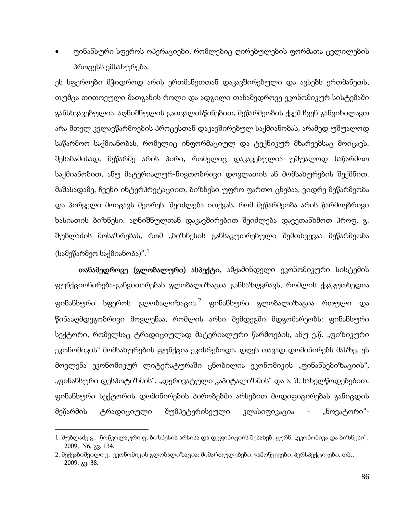• ფინანსური სფეროს ოპერაციები, რომლებიც ღირებულების ფორმათა ცვლილების პროცესს ემსახურება.

ეს სფეროები მჭიდროდ არის ერთმანეთთან დაკავშირებული და ავსებს ერთმანეთს, თუმცა თითოეული მათგანის როლი და ადგილი თანამედროვე ეკონომიკურ სისტემაში განსხვავებულია. აღნიშნულის გათვალისწინებით, მეწარმეობის ქვეშ ჩვენ განვიხილავთ არა მთელ კვლავწარმოების პროცესთან დაკავშირებულ საქმიანობას, არამედ უშუალოდ საწარმოო საქმიანობას, რომელიც ინფორმაციულ და ტექნიკურ მხარეებსაც მოიცავს. შესაბამისად, მეწარმე არის პირი, რომელიც დაკავებულია უშუალოდ საწარმოო საქმიანობით, ანუ მატერიალურ-ნივთობრივი დოვლათის ან მომსახურების შექმნით. მაშასადამე, ჩვენი ინტერპრეტაციით, ბიზნესი უფრო ფართო ცნებაა, ვიდრე მეწარმეობა და პირველი მოიცავს მეორეს. შეიძლება ითქვას, რომ მეწარმეობა არის წარმოებრივი ხასიათის ბიზნესი. აღნიშნულთან დაკავშირებით შეიძლება დავეთანხმოთ პროფ. გ. შუბლაძის მოსაზრებას, რომ "ბიზნესის განსაკუთრებული შემთხვევაა მეწარმეობა (სამეწარმეო საქმიანობა)". $^1$  $^1$ 

თანამედროვე (გლობალური) ასპექტი. ამჟამინდელი ეკონომიკური სისტემის ფუნქციონირება-განვითარებას გლობალიზაცია განსაზღვრავს, რომლის ქვაკუთხედია ფინანსური სფეროს გლობალიზაცია. $^2$  $^2$  ფინანსური გლობალიზაცია რთული და წინააღმდეგობრივი მოვლენაა, რომლის არსი შემდეგში მდგომარეობს: ფინანსური სექტორი, რომელსაც ტრადიციულად მატერიალური წარმოების, ანუ ე.წ. "ფიზიკური ეკონომიკის" მომსახურების ფუნქცია ეკისრებოდა, დღეს თავად დომინირებს მასზე. ეს მოვლენა ეკონომიკურ ლიტერატურაში ცნობილია ეკონომიკის "ფინანსებიზაციის", "ფინანსური დესპოტიზმის", "დერივატული კაპიტალიზმის" და ა. შ. სახელწოდებებით. ფინანსური სექტორის დომინირების პირობებში არსებით მოდიფიცირებას განიცდის მეწარმის ტრადიციული შუმპეტერისეული კლასიფიკაცია - "ნოვატორი"-

<span id="page-84-1"></span><span id="page-84-0"></span><sup>1</sup>. შუბლაძე გ., წოწკოლაური ფ. ბიზნესის არსისა და დეფინიციის შესახებ. ჟურნ. "ეკონომიკა და ბიზნესი", 2009, N6, გვ. 134.

<sup>2</sup>. მექვაბიშვილი ე. ეკონომიკის გლობალიზაცია: მიმართულებები, გამოწვევები, პერსპექტივები. თბ., 2009, გვ. 38.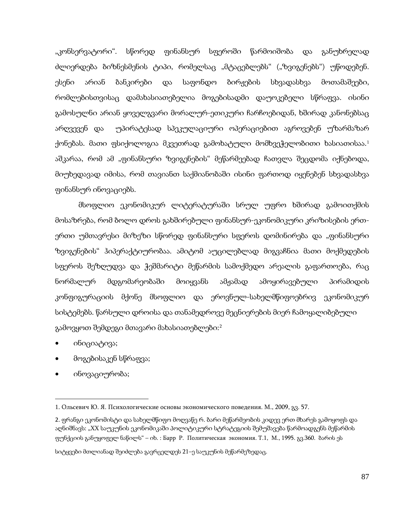"კონსერვატორი". სწორედ ფინანსურ სფეროში წარმოიშობა და განუხრელად ძლიერდება ბიზნესმენის ტიპი, რომელსაც "მტაცებლებს" ("ზვიგენებს") უწოდებენ. ესენი არიან ბანკირები და საფონდო ბირჟების სხვადასხვა მოთამაშეები, რომლებისთვისაც დამახასიათებელია მოგებისადმი დაუოკებელი სწრაფვა. ისინი გამოსულნი არიან ყოველგვარი მორალურ-ეთიკური ჩარჩოებიდან, ხშირად კანონებსაც არღვევენ და უპირატესად სპეკულაციური ოპერაციებით აგროვებენ უზარმაზარ ქონებას. მათი ფსიქოლოგია მკვეთრად გამოხატული მომხვეჭელობითი ხასიათისაა. [1](#page-84-1) აშკარაა, რომ ამ "ფინანსური ზვიგენების" მეწარმეებად ჩათვლა შეცდომა იქნებოდა, მიუხედავად იმისა, რომ თავიანთ საქმიანობაში ისინი ფართოდ იყენებენ სხვადასხვა ფინანსურ ინოვაციებს.

მსოფლიო ეკონომიკურ ლიტერატურაში სრულ უფრო ხშირად გამოითქმის მოსაზრება, რომ ბოლო დროს გახშირებული ფინანსურ-ეკონომიკური კრიზისების ერთერთი უმთავრესი მიზეზი სწორედ ფინანსური სფეროს დომინირება და "ფინანსური ზვიგენების" ჰიპერაქტიურობაა. ამიტომ აუცილებლად მიგვაჩნია მათი მოქმედების სფეროს შეზღუდვა და ჭეშმარიტი მეწარმის სამოქმედო არეალის გაფართოება, რაც ნორმალურ მდგომარეობაში მოიყვანს ამჟამად ამოყირავებული პირამიდის კონფიგურაციის მქონე მსოფლიო და ეროვნულ-სახელმწიფოებრივ ეკონომიკურ სისტემებს. წარსული დროისა და თანამედროვე მეცნიერების მიერ ჩამოყალიბებული გამოვყოთ შემდეგი მთავარი მახასიათებლები:[2](#page-85-0)

• ინიციატივა;

**.** 

- მოგებისაკენ სწრაფვა;
- ინოვაციურობა;

<span id="page-85-1"></span>სიტყვები მთლიანად შეიძლება გავრცელდეს 21–ე საუკუნის მეწარმეზედაც.

<span id="page-85-0"></span><sup>1</sup>. Ольсевич Ю. Я. Психологические основы экономического поведения. М., 2009, გვ. 57.

<sup>2</sup>. ფრანგი ეკონომისტი და სახელმწიფო მოღვაწე რ. ბარი მეწარმეობის კიდევ ერთ მხარეს გამოყოფს და აღნიშნავს: "XX საუკუნის ეკონომიკაში პოლიტიკური სტრატეგიის შემუშავება წარმოადგენს მეწარმის ფუნქციის განუყოფელ ნაწილს" – იხ. : Барр Р. Политическая экономия. Т.1, М., 1995. გვ.360. ბარის ეს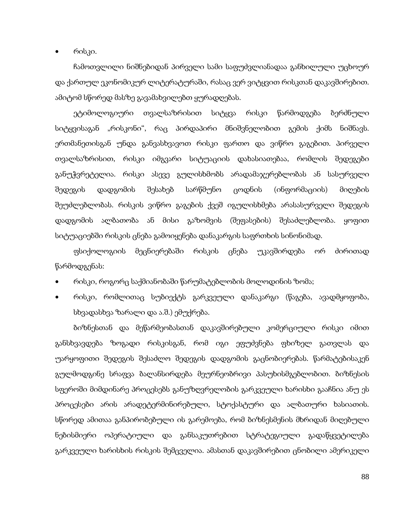• რისკი.

ჩამოთვლილი ნიშნებიდან პირველი სამი საფუძვლიანადაა განხილული უცხოურ და ქართულ ეკონომიკურ ლიტერატურაში, რასაც ვერ ვიტყვით რისკთან დაკავშირებით. ამიტომ სწორედ მასზე გავამახვილებთ ყურადღებას.

ეტიმოლოგიური თვალსაზრისით სიტყვა რისკი წარმოდგება ბერძნული სიტყვისაგან "რისკონი", რაც პირდაპირი მნიშვნელობით გემის ქიმს ნიშნავს. ერთმანეთისგან უნდა განვასხვავოთ რისკი ფართო და ვიწრო გაგებით. პირველი თვალსაზრისით, რისკი იმგვარი სიტუაციის დახასიათებაა, რომლის შედეგები განუჭვრეტელია. რისკი ასევე გულისხმობს არადამაჯერებლობას ან სასურველი შედეგის დადგომის შესახებ სარწმუნო ცოდნის (ინფორმაციის) მიღების შეუძლებლობას. რისკის ვიწრო გაგების ქვეშ იგულისხმება არასასურველი შედეგის დადგომის ალბათობა ან მისი გაზომვის (შეფასების) შესაძლებლობა. ყოფით სიტუაციებში რისკის ცნება გამოიყენება დანაკარგის საფრთხის სინონიმად.

ფსიქოლოგიის მეცნიერებაში რისკის ცნება უკავშირდება ორ ძირითად წარმოდგენას:

- რისკი, როგორც საქმიანობაში წარუმატებლობის მოლოდინის ზომა;
- რისკი, რომლითაც სუბიექტს გარკვეული დანაკარგი (წაგება, ავადმყოფობა, სხვადასხვა ზარალი და ა.შ.) ემუქრება.

ბიზნესთან და მეწარმეობასთან დაკავშირებული კომერციული რისკი იმით განსხვავდება ზოგადი რისკისგან, რომ იგი ეფუძვნება ფხიზელ გათვლას და უარყოფითი შედეგის შესაძლო შედეგის დადგომის გაცნობიერებას. წარმატებისაკენ გულმოდგინე სრაფვა ბალანსირდება მეურნეობრივი პასუხისმგებლობით. ბიზნესის სფეროში მიმდინარე პროცესებს განუზღვრელობის გარკვეული ხარისხი გააჩნია ანუ ეს პროცესები არის არადეტერმინირებული, სტოქასტური და ალბათური ხასიათის. სწორედ ამითაა განპირობებული ის გარემოება, რომ ბიზნესმენის მხრიდან მიღებული ნებისმიერი ოპერატიული და განსაკუთრებით სტრატეგიული გადაწყვეტილება გარკვეული ხარისხის რისკის შემცველია. ამასთან დაკავშირებით ცნობილი ამერიკელი

88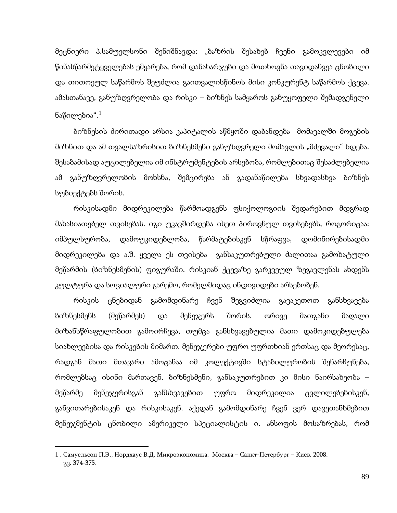მეცნიერი პ.სამუელსონი შენიშნავდა: "ბაზრის შესახებ ჩვენი გამოკვლევები იმ წინასწარმეტყველებას ემყარება, რომ დანახარჯები და მოთხოვნა თავიდანვეა ცნობილი და თითოეულ საწარმოს შეუძლია გაითვალისწინოს მისი კონკურენტ საწარმოს ქცევა. ამასთანავე, განუზღვრელობა და რისკი – ბიზნეს სამყაროს განუყოფელი შემადგენელი ნაწილებია". $^1$  $^1$ 

ბიზნესის ძირითადი არსია კაპიტალის აწმყოში დაბანდება მომავალში მოგების მიზნით და ამ თვალსაზრისით ბიზნესმენი განუზღვრელი მომავლის "მძევალი" ხდება. შესაბამისად აუცილებელია იმ ინსტრუმენტების არსებობა, რომლებითაც შესაძლებელია ამ განუზღვრელობის მოხსნა, შემცირება ან გადანაწილება სხვადასხვა ბიზნეს სუბიექტებს შორის.

რისკისადმი მიდრეკილება წარმოადგენს ფსიქოლოგიის შედარებით მდგრად მახასიათებელ თვისებას. იგი უკავშირდება ისეთ პიროვნულ თვისებებს, როგორიცაა: იმპულსურობა, დამოუკიდებლობა, წარმატებისკენ სწრაფვა, დომინირებისადმი მიდრეკილება და ა.შ. ყველა ეს თვისება განსაკუთრებული ძალითაა გამოხატული მეწარმის (ბიზნესმენის) ფიგურაში. რისკიან ქცევაზე გარკვეულ ზეგავლენას ახდენს კულტურა და სოციალური გარემო, რომელშიდაც ინდივიდები არსებობენ.

რისკის ცნებიდან გამომდინარე ჩვენ შეგვიძლია გავაკეთოთ განსხვავება ბიზნესმენს (მეწარმეს) და მენეჯერს შორის. ორივე მათგანი მაღალი მიზანსწრაფულობით გამოირჩევა, თუმცა განსხვავებულია მათი დამოკიდებულება სიახლეებისა და რისკების მიმართ. მენეჯერები უფრო უფრთხიან ერთსაც და მეორესაც, რადგან მათი მთავარი ამოცანაა იმ კოლექტივში სტაბილურობის შენარჩუნება, რომლებსაც ისინი მართავენ. ბიზნესმენი, განსაკუთრებით კი მისი ნაირსახეობა – მეწარმე მენეჯერისგან განსხვავებით უფრო მიდრეკილია ცვლილებებისკენ, განვითარებისაკენ და რისკისაკენ. აქედან გამომდინარე ჩვენ ვერ დავეთანხმებით მენეჯმენტის ცნობილი ამერიკელი სპეციალისტის ი. ანსოფის მოსაზრებას, რომ

**.** 

<span id="page-87-0"></span><sup>1</sup> . Самуельсон П.Э., Нордхаус В.Д. Микроэкономика. Москва – Санкт-Петербург – Киев. 2008. გვ. 374-375.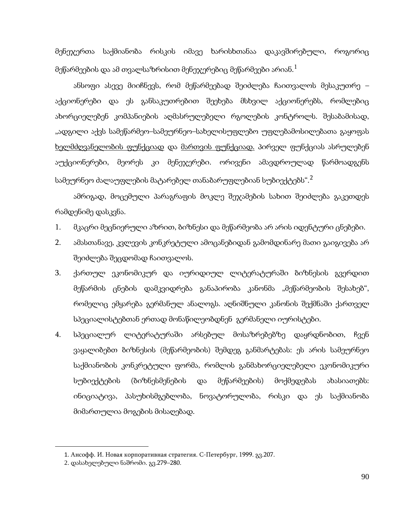მენეჯერთა საქმიანობა რისკის იმავე ხარისხთანაა დაკავშირებული, როგორიც მეწარმეების და ამ თვალსაზრისით მენეჯერებიც მეწარმეები არიან. $^1$  $^1$ 

ანსოფი ასევე მიიჩნევს, რომ მეწარმეებად შეიძლება ჩაითვალოს მესაკუთრე – აქციონერები და ეს განსაკუთრებით შეეხება მსხვილ აქციონერებს, რომლებიც ახორციელებენ კომპანიების აღმასრულებელი რგოლების კონტროლს. შესაბამისად, "ადგილი აქვს სამეწარმეო–სამეურნეო–სახელისუფლებო უფლებამოსილებათა გაყოფას ხელმძღვანელობის ფუნქციად და მართვის ფუნქციად. პირველ ფუნქციას ასრულებენ აუქციონერები, მეორეს კი მენეჯერები. ორივენი ამავდროულად წარმოადგენს სამეურნეო ძალაუფლების მატარებელ თანაბარუფლებიან სუბიექტებს".[2](#page-88-0)

ამრიგად, მოცემული პარაგრაფის მოკლე შეჯამების სახით შეიძლება გაკეთდეს რამდენიმე დასკვნა.

- 1. მკაცრი მეცნიერული აზრით, ბიზნესი და მეწარმეობა არ არის იდენტური ცნებები.
- 2. ამასთანავე, კვლევის კონკრეტული ამოცანებიდან გამომდინარე მათი გაიგივება არ შეიძლება შეცდომად ჩაითვალოს.
- 3. ქართულ ეკონომიკურ და იურიდიულ ლიტერატურაში ბიზნესის გვერდით მეწარმის ცნების დამკვიდრება განაპირობა კანონმა "მეწარმეობის შესახებ", რომელიც ემყარება გერმანულ ანალოგს. აღნიშნული კანონის შექმნაში ქართველ სპეციალისტებთან ერთად მონაწილეობდნენ გერმანელი იურისტები.
- 4. სპეციალურ ლიტერატურაში არსებულ მოსაზრებებზე დაყრდნობით, ჩვენ ვაყალიბებთ ბიზნესის (მეწარმეობის) შემდეგ განმარტებას: ეს არის სამეურნეო საქმიანობის კონკრეტული ფორმა, რომლის განმახორციელებელი ეკონომიკური სუბიექტების (ბიზნესმენების და მეწარმეების) მოქმედებას ახასიათებს: ინიციატივა, პასუხისმგებლობა, ნოვატორულობა, რისკი და ეს საქმიანობა მიმართულია მოგების მისაღებად.

<span id="page-88-1"></span><span id="page-88-0"></span>**.** 

<sup>1</sup>. Ансофф. И. Новая корпоративная стратегия. С-Петербург, 1999. გვ.207.

<sup>2</sup>. დასახელებული ნაშრომი. გვ.279–280.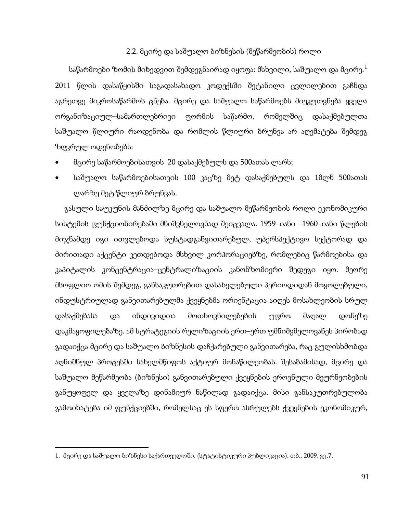#### 2.2. მცირე და საშუალო ბიზნესის (მეწარმეობის) როლი

საწარმოები ზომის მიხედვით შემდეგნაირად იყოფა: მსხვილი, საშუალო და მცირე. $^{\rm 1}$  $^{\rm 1}$  $^{\rm 1}$ 2011 წლის დასაწყისში საგადასახადო კოდექსში შეტანილი ცვლილებით გაჩნდა აგრეთვე მიკროსაწარმოს ცნება. მცირე და საშუალო საწარმოებს მიეკუთვნება ყველა ორგანიზაციულ–სამართლებრივი ფორმის საწარმო, რომელშიც დასაქმებულთა საშუალო წლიური რაოდენობა და რომლის წლიური ბრუნვა არ აღემატება შემდეგ ზღვრულ ოდენობებს:

- მცირე საწარმოებისათვის 20 დასაქმებულს და 500ათას ლარს;
- საშუალო საწარმოებისათვის 100 კაცზე მეტ დასაქმებულს და 1მლნ 500ათას ლარზე მეტ წლიურ ბრუნვას.

გასული საუკუნის მანძილზე მცირე და საშუალო მეწარმეობის როლი ეკონომიკური სისტემის ფუნქციონირებაში მნიშვნელოვნად შეიცვალა. 1959–იანი –1960–იანი წლების მიჯნამდე იგი ითვლებოდა სუსტადგანვითარებულ, უპერსპექტივო სექტორად და ძირითადი აქცენტი კეთდებოდა მსხვილ კორპორაციებზე, რომლებიც წარმოებისა და კაპიტალის კონცენტრაცია–ცენტრალიზაციის კანონზომიერი შედეგი იყო. მეორე მსოფლიო ომის შემდეგ, განსაკუთრებით დასახელებული პერიოდიდან მოყოლებული, ინდუსტრიულად განვითარებულმა ქვეყნებმა ორიენტაცია აიღეს მოსახლეობის სრულ დასაქმებასა და ინდივიდთა მოთხოვნილებების უფრო მაღალ დონეზე დაკმაყოფილებაზე. ამ სტრატეგიის რელიზაციის ერთ–ერთ უმნიშვმელოვანეს პირობად გადაიქცა მცირე და საშუალო ბიზნესის დაჩქარებული განვითარება, რაც გულისხმობდა აღნიშნულ პროცესში სახელმწიფოს აქტიურ მონაწილეობას. შესაბამისად, მცირე და საშუალო მეწარმეობა (ბიზნესი) განვითარებული ქვეყნების ეროვნული მეურნეობების განუყოფელ და ყველაზე დინამიურ ნაწილად გადაიქცა. მისი განსაკუთრებულობა გამოიხატება იმ ფუნქციებში, რომელსაც ეს სფერო ასრულებს ქვეყნების ეკონომიკურ,

 $\overline{\phantom{a}}$ 

91

<span id="page-89-0"></span><sup>1</sup>. მცირე და საშუალო ბიზნესი საქართველოში. (სტატისტიკური პუბლიკაცია). თბ., 2009, გვ.7.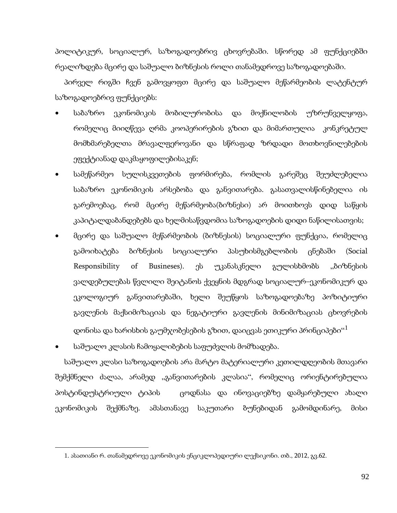პოლიტიკურ, სოციალურ, საზოგადოებრივ ცხოვრებაში. სწორედ ამ ფუნქციებში რეალიზდება მცირე და საშუალო ბიზნესის როლი თანამედროვე საზოგადოებაში.

პირველ რიგში ჩვენ გამოვყოფთ მცირე და საშუალო მეწარმეობის ლატენტურ საზოგადოებრივ ფუნქციებს:

- საბაზრო ეკონომიკის მობილურობისა და მოქნილობის უზრუნველყოფა, რომელიც მიიღწევა ღრმა კოოპერირების გზით და მიმართულია კონკრეტულ მომხმარებელთა მრავალფეროვანი და სწრაფად ზრდადი მოთხოვნილებების ეფექტიანად დაკმაყოფილებისაკენ;
- სამეწარმეო სულისკვეთების ფორმირება, რომლის გარეშეც შეუძლებელია საბაზრო ეკონომიკის არსებობა და განვითარება. გასათვალისწინებელია ის გარემოებაც, რომ მცირე მეწარმეობა(ბიზნესი) არ მოითხოვს დიდ საწყის კაპიტალდაბანდებებს და ხელმისაწვდომია საზოგადოების დიდი ნაწილისათვის;
- მცირე და საშუალო მეწარმეობის (ბიზნესის) სოციალური ფუნქცია, რომელიც გამოიხატება ბიზნესის სოციალური პასუხისმგებლობის ცნებაში (Social Responsibility of Busineses). ეს უკანასკნელი გულისხმობს "ბიზნესის ვალდებულებას წვლილი შეიტანოს ქვეყნის მდგრად სოციალურ–ეკონომიკურ და ეკოლოგიურ განვითარებაში, ხელი შეუწყოს საზოგადოებაზე პოზიტიური გავლენის მაქსიმიზაციას და ნეგატიური გავლენის მინიმიზაციას ცხოვრების დონისა და ხარისხის გაუმჯობესების გზით, დაიცვას ეთიკური პრინციპები $^{\rm c1}$  $^{\rm c1}$  $^{\rm c1}$

• საშუალო კლასის ჩამოყალიბების საფუძვლის მომზადება.

<span id="page-90-0"></span> $\overline{\phantom{a}}$ 

საშუალო კლასი საზოგადოების არა მარტო მატერიალური კეთილდღეობის მთავარი შემქმნელი ძალაა, არამედ "განვითარების კლასია", რომელიც ორიენტირებულია პოსტინდუსტრიული ტიპის ცოდნასა და ინოვაციებზე დამყარებული ახალი ეკონომიკის შექმნაზე. ამასთანავე საკუთარი ბუნებიდან გამომდინარე, მისი

92

<sup>1</sup>. ასათიანი რ. თანამედროვე ეკონომიკის ენციკლოპედიური ლექსიკონი. თბ., 2012, გვ.62.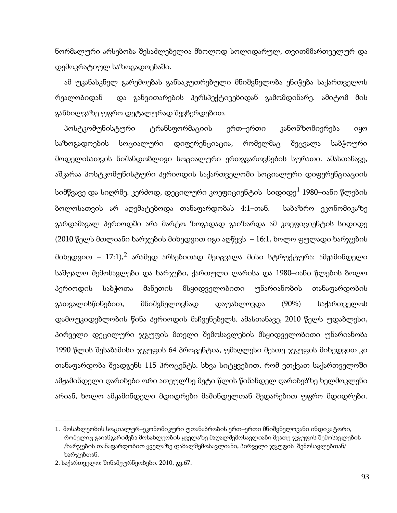ნორმალური არსებობა შესაძლებელია მხოლოდ სოლიდარულ, თვითმმართველურ და დემოკრატიულ საზოგადოებაში.

ამ უკანასკნელ გარემოებას განსაკუთრებული მნიშვნელობა ენიჭება საქართველოს რეალობიდან და განვითარების პერსპექტივებიდან გამომდინარე. ამიტომ მის განხილვაზე უფრო დეტალურად შევჩერდებით.

პოსტკომუნისტური ტრანსფორმაციის ერთ–ერთი კანონზომიერება იყო საზოგადოების სოციალური დიფერენციაცია, რომელმაც შეცვალა საბჭოური მოდელისათვის ნიშანდობლივი სოციალური ერთგვაროვნების სურათი. ამასთანავე, აშკარაა პოსტკომუნისტური პერიოდის საქართველოში სოციალური დიფერენციაციის სიმწვავე და სიღრმე. კერძოდ, დეცილური კოეფიციენტის სიდიდე $^1$  $^1$  1980–იანი წლების ბოლოსათვის არ აღემატებოდა თანაფარდობას 4:1–თან. საბაზრო ეკონომიკაზე გარდამავალ პერიოდში არა მარტო ზოგადად გაიზარდა ამ კოეფიციენტის სიდიდე (2010 წელს მთლიანი ხარჯების მიხედვით იგი აღწევს – 16:1, ხოლო ფულადი ხარჯების მიხედვით –  $17:1$ ), $^2$  $^2$  არამედ არსებითად შეიცვალა მისი სტრუქტურა: ამჟამინდელი საშუალო შემოსავლები და ხარჯები, ქართული ლარისა და 1980–იანი წლების ბოლო პერიოდის საბჭოთა მანეთის მსყიდველობითი უნარიანობის თანაფარდობის გათვალისწინებით, მნიშვნელოვნად დაუახლოვდა (90%) საქართველოს დამოუკიდებლობის წინა პერიოდის მაჩვენებელს. ამასთანავე, 2010 წელს უდაბლესი, პირველი დეცილური ჯგუფის მთელი შემოსავლების მსყიდველობითი უნარიანობა 1990 წლის შესაბამისი ჯგუფის 64 პროცენტია, უმაღლესი მეათე ჯგუფის მიხედვით კი თანაფარდობა შეადგენს 115 პროცენტს. სხვა სიტყვებით, რომ ვთქვათ საქართველოში ამჟამინდელი ღარიბები ორი ათეულზე მეტი წლის წინანდელ ღარიბებზე ხელმოკლენი არიან, ხოლო ამჟამინდელი მდიდრები მაშინდელთან შედარებით უფრო მდიდრები.

<span id="page-91-1"></span><span id="page-91-0"></span><sup>1.</sup> მოსახლეობის სოციალურ–ეკონომიკური უთანაბრობის ერთ–ერთი მნიშვნელოვანი ინდიკატორი, რომელიც გაიანგარიშება მოსახლეობის ყველაზე მაღალშემოსავლიანი მეათე ჯგუფის შემოსავლების /ხარჯების თანაფარდობით ყველაზე დაბალშემოსავლიანი, პირველი ჯგუფის შემოსავლებთან/ ხარჯებთან.

<sup>2.</sup> საქართველო: შინამეურნეობები. 2010, გვ.67.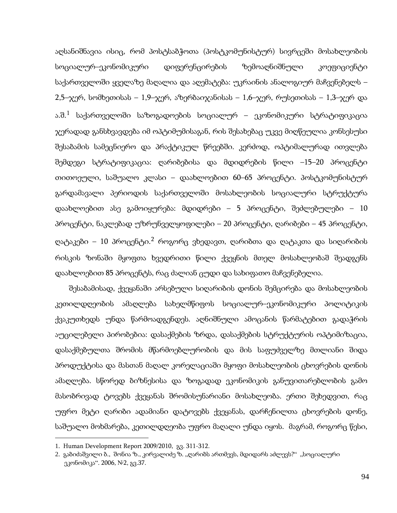აღსანიშნავია ისიც, რომ პოსტსაბჭოთა (პოსტკომუნისტურ) სივრცეში მოსახლეობის სოციალურ–ეკონომიკური დიფერენცირების ზემოაღნიშნული კოეფიციენტი საქართველოში ყველაზე მაღალია და აღემატება: უკრაინის ანალოგიურ მაჩვენებელს – 2,5–ჯერ, სომხეთისას – 1,9–ჯერ, აზერბაიჯანისას – 1,6–ჯერ, რუსეთისას – 1,3–ჯერ და ა.შ. [1](#page-91-1) საქართველოში საზოგადოების სოციალურ – ეკონომიკური სტრატიფიკაცია ჯერადად განსხვავდება იმ ოპტიმუმისაგან, რის შესახებაც უკვე მიღწეულია კონსესუსი შესაბამის სამეცნიერო და პრაქტიკულ წრეებში. კერძოდ, ოპტიმალურად ითვლება შემდეგი სტრატიფიკაცია: ღარიბებისა და მდიდრების წილი –15–20 პროცენტი თითოეული, საშუალო კლასი – დაახლოებით 60–65 პროცენტი. პოსტკომუნისტურ გარდამავალი პერიოდის საქართველოში მოსახლეობის სოციალური სტრუქტურა დაახლოებით ასე გამოიყურება: მდიდრები – 5 პროცენტი, შეძლებულები – 10 პროცენტი, ნაკლებად უზრუნველყოფილები – 20 პროცენტი, ღარიბები – 45 პროცენტი, ღატაკები – 10 პროცენტი.<sup>[2](#page-92-0)</sup> როგორც ვხედავთ, ღარიბთა და ღატაკთა და სიღარიბის რისკის ზონაში მყოფთა ხვედრითი წილი ქვეყნის მთელ მოსახლეობაშ შეადგენს დაახლოებით 85 პროცენტს, რაც ძალიან ცუდი და სახიფათო მაჩვენებელია.

შესაბამისად, ქვეყანაში არსებული სიღარიბის დონის შემცირება და მოსახლეობის კეთილდღეობის ამაღლება სახელმწიფოს სოციალურ–ეკონომიკური პოლიტიკის ქვაკუთხედს უნდა წარმოადგენდეს. აღნიშნული ამოცანის წარმატებით გადაჭრის აუცილებელი პირობებია: დასაქმების ზრდა, დასაქმების სტრუქტურის ოპტიმიზაცია, დასაქმებულთა შრომის მწარმოებლურობის და მის საფუძველზე მთლიანი შიდა პროდუქტისა და მასთან მაღალ კორელაციაში მყოფი მოსახლეობის ცხოვრების დონის ამაღლება. სწორედ ბიზნესისა და ზოგადად ეკონომიკის განუვითარებლობის გამო მასობრივად ტოვებს ქვეყანას შრომისუნარიანი მოსახლეობა. ერთი შეხედვით, რაც უფრო მეტი ღარიბი ადამიანი დატოვებს ქვეყანას, დარჩენილთა ცხოვრების დონე, საშუალო მოხმარება, კეთილდღეობა უფრო მაღალი უნდა იყოს. მაგრამ, როგორც წესი,

<span id="page-92-0"></span><sup>1.</sup> Human Development Report 2009/2010, გვ. 311-312.

<sup>2.</sup> გაბიძაშვილი ბ., შონია ზ., კირვალიძე ზ. "ღარიბს ართმევს, მდიდარს აძლევს?" "სოციალური ეკონომიკა". 2006,  $N_{2}$ , გვ.37.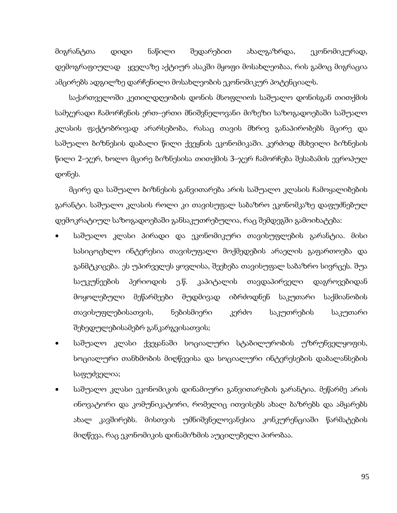მიგრანტთა დიდი ნაწილი შედარებით ახალგაზრდა, ეკონომიკურად, დემოგრაფიულად ყველაზე აქტიურ ასაკში მყოფი მოსახლეობაა, რის გამოც მიგრაცია ამცირებს ადგილზე დარჩენილი მოსახლეობის ეკონომიკურ პოტენციალს.

საქართველოში კეთილდღეობის დონის მსოფლიოს საშუალო დონისგან თითქმის სამჯერადი ჩამორჩენის ერთ–ერთი მნიშვნელოვანი მიზეზი საზოგადოებაში საშუალო კლასის ფაქტობრივად არარსებობა, რასაც თავის მხრივ განაპირობებს მცირე და საშუალო ბიზნესის დაბალი წილი ქვეყნის ეკონომიკაში. კერძოდ მსხვილი ბიზნესის წილი 2–ჯერ, ხოლო მცირე ბიზნესისა თითქმის 3–ჯერ ჩამორჩება შესაბამის ევროპულ დონეს.

მცირე და საშუალო ბიზნესის განვითარება არის საშუალო კლასის ჩამოყალიბების გარანტი. საშუალო კლასის როლი კი თავისუფალ საბაზრო ეკონომკაზე დაფუძნებულ დემოკრატიულ საზოგადოებაში განსაკუთრებულია, რაც შემდეგში გამოიხატება:

- საშუალო კლასი პირადი და ეკონომიკური თავისუფლების გარანტია. მისი სასიცოცხლო ინტერესია თავისუფალი მოქმედების არაელის გაფართოება და განმტკიცება. ეს უპირველეს ყოვლისა, შეეხება თავისუფალ საბაზრო სივრცეს. შუა საუკუნეების პერიოდის ე.წ. კაპიტალის თავდაპირველი დაგროვებიდან მოყოლებული მეწარმეები მუდმივად იბრძოდნენ საკუთარი საქმიანობის თავისუფლებისათვის, ნებისმიერი კერძო საკუთრების საკუთარი შეხედულებისამებრ განკარგვისათვის;
- საშუალო კლასი ქვეყანაში სოციალური სტაბილურობის უზრუნველყოფის, სოციალური თანხმობის მიღწევისა და სოციალური ინტერესების დაბალანსების საფუძველია;
- საშუალო კლასი ეკონომიკის დინამიური განვითარების გარანტია. მეწარმე არის ინოვატორი და კომუნიკატორი, რომელიც ითვისებს ახალ ბაზრებს და ამყარებს ახალ კავშირებს. მისთვის უმნიშვნელოვანესია კონკურენციაში წარმატების მიღწევა, რაც ეკონომიკის დინამიზმის აუცილებელი პირობაა.

95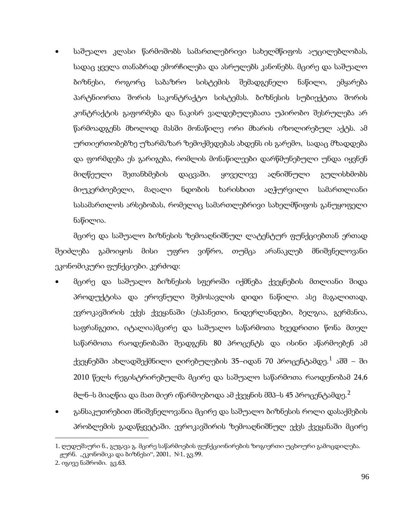• საშუალო კლასი წარმოშობს სამართლებრივი სახელმწიფოს აუცილებლობას, სადაც ყველა თანაბრად ემორჩილება და ასრულებს კანონებს. მცირე და საშუალო ბიზნესი, როგორც საბაზრო სისტემის შემადგენელი ნაწილი, ემყარება პარტნიორთა შორის საკონტრაქტო სისტემას. ბიზნესის სუბიექტთა შორის კონტრაქტის გაფორმება და ნაკისრ ვალდებულებათა უპირობო შესრულება არ წარმოადგენს მხოლოდ მასში მონაწილე ორი მხარის იზოლირებულ აქტს. ამ ურთიერთობებზე უზარმაზარ ზემოქმედებას ახდენს ის გარემო, სადაც მზადდება და ფორმდება ეს გარიგება, რომლის მონაწილეები დარწმუნებული უნდა იყვნენ მიღწეული შეთანხმების დაცვაში. ყოველივე აღნიშნული გულისხმობს მიუკერძოებელი, მაღალი ნდობის ხარისხით აღჭურვილი სამართლიანი სასამართლოს არსებობას, რომელიც სამართლებრივი სახელმწიფოს განუყოფელი ნაწილია.

მცირე და საშუალო ბიზნესის ზემოაღნიშნულ ლატენტურ ფუნქციებთან ერთად შეიძლება გამოიყოს მისი უფრო ვიწრო, თუმცა არანაკლებ მნიშვნელოვანი ეკონომიკური ფუნქციები. კერძოდ:

- მცირე და საშუალო ბიზნესის სფეროში იქმნება ქვეყნების მთლიანი შიდა პროდუქტისა და ეროვნული შემოსავლის დიდი ნაწილი. ასე მაგალითად, ევროკავშირის ექვს ქვეყანაში (ესპანეთი, ნიდერლანდები, ბელგია, გერმანია, საფრანგეთი, იტალია)მცირე და საშუალო საწარმოთა ხვედრითი წონა მთელ საწარმოთა რაოდენობაში შეადგენს 80 პროცენტს და ისინი აწარმოებენ ამ ქვეყნებში ახლადშექმნილი ღირებულების 35–იდან 70 პროცენტამდე. $^1$  $^1$  აშშ – ში 2010 წელს რეგისტრირებულმა მცირე და საშუალო საწარმოთა რაოდენობამ 24,6 მლნ–ს მიაღწია და მათ მიერ იწარმოებოდა ამ ქვეყნის მშპ–ს 45 პროცენტამდე. $^{\mathsf{2}}$  $^{\mathsf{2}}$  $^{\mathsf{2}}$
- განსაკუთრებით მნიშვნელოვანია მცირე და საშუალო ბიზნესის როლი დასაქმების პრობლემის გადაწყვეტაში. ევროკავშირის ზემოაღნიშნულ ექვს ქვეყანაში მცირე

<span id="page-94-1"></span><span id="page-94-0"></span><sup>1.</sup> ღუდუშაური ნ., გუგავა გ. მცირე საწარმოების ფუნქციონირების ზოგიერთი უცხოური გამოცდილება. ჟურნ. "ეკონომიკა და ბიზნესი", 2001, №1, გვ.99.

<sup>2.</sup> იგივე ნაშრომი. გვ.63.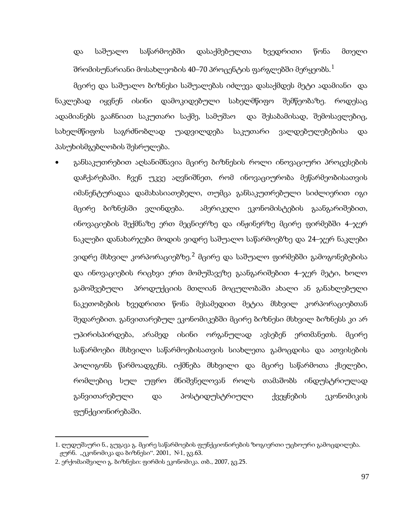და საშუალო საწარმოებში დასაქმებულთა ხვედრითი წონა მთელი შრომისუნარიანი მოსახლეობის 40–70 პროცენტის ფარგლებში მერყეობს. $^{\rm 1}$  $^{\rm 1}$  $^{\rm 1}$ 

მცირე და საშუალო ბიზნესი საშუალებას იძლევა დასაქმდეს მეტი ადამიანი და ნაკლებად იყვნენ ისინი დამოკიდებული სახელმწიფო შემწეობაზე. როდესაც ადამიანებს გააჩნიათ საკუთარი საქმე, სამუშაო და შესაბამისად, შემოსავლებიც, სახელმწიფოს საგრძნობლად უადვილდება საკუთარი ვალდებულებებისა და პასუხისმგებლობის შესრულება.

• განსაკუთრებით აღსანიშნავია მცირე ბიზნესის როლი ინოვაციური პროცესების დაჩქარებაში. ჩვენ უკვე აღვნიშნეთ, რომ ინოვაციურობა მეწარმეობისათვის იმანენტურადაა დამახასიათებელი, თუმცა განსაკუთრებული სიძლიერით იგი მცირე ბიზნესში ვლინდება. ამერიკელი ეკონომისტების გაანგარიშებით, ინოვაციების შექმნაზე ერთ მეცნიერზე და ინჟინერზე მცირე ფირმებში 4–ჯერ ნაკლები დანახარჯები მოდის ვიდრე საშუალო საწარმოებზე და 24–ჯერ ნაკლები ვიდრე მსხვილ კორპორაციებზე.<sup>[2](#page-95-0)</sup> მცირე და საშუალო ფირმებში გამოგონებებისა და ინოვაციების რიცხვი ერთ მომუშავეზე გაანგარიშებით 4–ჯერ მეტი, ხოლო გამოშვებული პროდუქციის მთლიან მოცულობაში ახალი ან განახლებული ნაკეთობების ხვედრითი წონა მესამედით მეტია მსხვილ კორპორაციებთან შედარებით. განვითარებულ ეკონომიკებში მცირე ბიზნესი მსხვილ ბიზნესს კი არ უპირისპირდება, არამედ ისინი ორგანულად ავსებენ ერთმანეთს. მცირე საწარმოები მსხვილი საწარმოებისათვის სიახლეთა გამოცდისა და ათვისების პოლიგონს წარმოადგენს. იქმნება მსხვილი და მცირე საწარმოთა ქსელები, რომლებიც სულ უფრო მნიშვნელოვან როლს თამაშობს ინდუსტრიულად განვითარებული და პოსტიდუსტრიული ქვეყნების ეკონომიკის ფუნქციონირებაში.

<span id="page-95-0"></span><sup>1</sup>. ღუდუშაური ნ., გუგავა გ. მცირე საწარმოების ფუნქციონირების ზოგიერთი უცხოური გამოცდილება. ჟურნ. "ეკონომიკა და ბიზნესი". 2001,  $N_{\rm P}$ 1, გვ.63.

<span id="page-95-1"></span><sup>2.</sup> ერქომაიშვილი გ. ბიზნესი: ფირმის ეკონომიკა. თბ., 2007, გვ.25.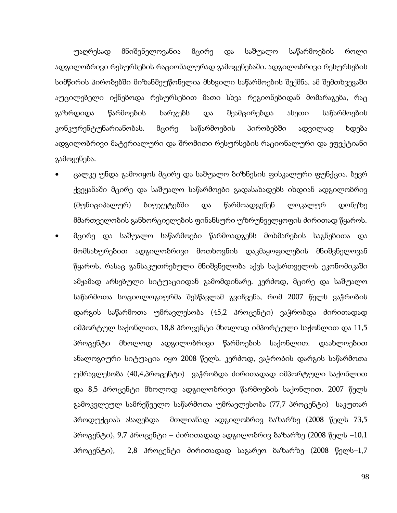უაღრესად მნიშვნელოვანია მცირე და საშუალო საწარმოების როლი ადგილობრივი რესურსების რაციონალურად გამოყენებაში. ადგილობრივი რესურსების სიმწირის პირობებში მიზანშეუწონელია მსხვილი საწარმოების შექმნა. ამ შემთხვევაში აუცილებელი იქნებოდა რესურსებით მათი სხვა რეგიონებიდან მომარაგება, რაც გაზრდიდა წარმოების ხარჯებს და შეამცირებდა ასეთი საწარმოების კონკურენტუნარიანობას. მცირე საწარმოების პირობებში ადვილად ხდება ადგილობრივი მატერიალური და შრომითი რესურსების რაციონალური და ეფექტიანი გამოყენება.

- ცალკე უნდა გამოიყოს მცირე და საშუალო ბიზნესის ფისკალური ფუნქცია. ბევრ ქვეყანაში მცირე და საშუალო საწარმოები გადასახადებს იხდიან ადგილობრივ (მუნიციპალურ) ბიუჯეტებში და წარმოადგენენ ლოკალურ დონეზე მმართველობის განხორციელების ფინანსური უზრუნველყოფის ძირითად წყაროს.
- მცირე და საშუალო საწარმოები წარმოადგენს მოხმარების საგნებითა და მომსახურებით ადგილობრივი მოთხოვნის დაკმაყოფილების მნიშვნელოვან წყაროს, რასაც განსაკუთრებული მნიშვნელობა აქვს საქართველოს ეკონომიკაში ამჟამად არსებული სიტუაციიდან გამომდინარე. კერძოდ, მცირე და საშუალო საწარმოთა სოციოლოგიურმა შესწავლამ გვიჩვენა, რომ 2007 წელს ვაჭრობის დარგის საწარმოთა უმრავლესობა (45,2 პროცენტი) ვაჭრობდა ძირითადად იმპორტულ საქონლით, 18,8 პროცენტი მხოლოდ იმპორტული საქონლით და 11,5 პროცენტი მხოლოდ ადგილობრივი წარმოების საქონლით. დაახლოებით ანალოგიური სიტუაცია იყო 2008 წელს. კერძოდ, ვაჭრობის დარგის საწარმოთა უმრავლესობა (40,4,პროცენტი) ვაჭრობდა ძირითადად იმპორტული საქონლით და 8,5 პროცენტი მხოლოდ ადგილობრივი წარმოების საქონლით. 2007 წელს გამოკვლეულ სამრეწველო საწარმოთა უმრავლესობა (77,7 პროცენტი) საკუთარ პროდუქციას ასაღებდა მთლიანად ადგილობრივ ბაზარზე (2008 წელს 73,5 პროცენტი), 9,7 პროცენტი – ძირითადად ადგილობრივ ბაზარზე (2008 წელს –10,1 პროცენტი), 2,8 პროცენტი ძირითადად საგარეო ბაზარზე (2008 წელს–1,7

98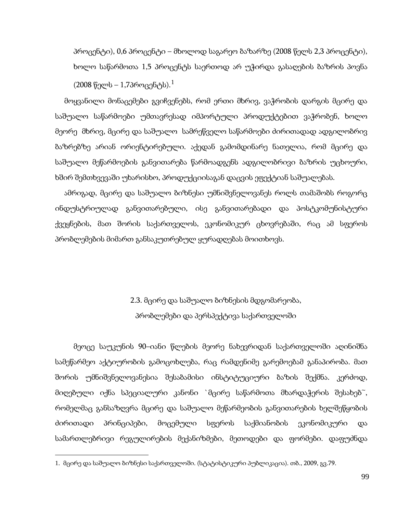პროცენტი), 0,6 პროცენტი – მხოლოდ საგარეო ბაზარზე (2008 წელს 2,3 პროცენტი), ხოლო საწარმოთა 1,5 პროცენტს საერთოდ არ უჭირდა გასაღების ბაზრის პოვნა  $(2008 \ \n% \$ ელს – [1](#page-95-1),7პროცენტს). $^1$ 

მოყვანილი მონაცემები გვიჩვენებს, რომ ერთი მხრივ, ვაჭრობის დარგის მცირე და საშუალო საწარმოები უმთავრესად იმპორტული პროდუქტებით ვაჭრობენ, ხოლო მეორე მხრივ, მცირე და საშუალო სამრეწველო საწარმოები ძირითადად ადგილობრივ ბაზრებზე არიან ორიენტირებული. აქედან გამომდინარე ნათელია, რომ მცირე და საშუალო მეწარმოების განვითარება წარმოადგენს ადგილობრივი ბაზრის უცხოური, ხშირ შემთხვევაში უხარისხო, პროდუქციისაგან დაცვის ეფექტიან საშუალებას.

ამრიგად, მცირე და საშუალო ბიზნესი უმნიშვნელოვანეს როლს თამაშობს როგორც ინდუსტრიულად განვითარებული, ისე განვითარებადი და პოსტკომუნისტური ქვეყნების, მათ შორის საქართველოს, ეკონომიკურ ცხოვრებაში, რაც ამ სფეროს პრობლემების მიმართ განსაკუთრებულ ყურადღებას მოითხოვს.

# 2.3. მცირე და საშუალო ბიზნესის მდგომარეობა, პრობლემები და პერსპექტივა საქართველოში

მეოცე საუკუნის 90–იანი წლების მეორე ნახევრიდან საქართველოში აღინიშნა სამეწარმეო აქტიურობის გამოცოხლება, რაც რამდენიმე გარემოებამ განაპირობა. მათ შორის უმნიშვნელოვანესია შესაბამისი ინსტიტუციური ბაზის შექმნა. კერძოდ, მიღებული იქნა სპეციალური კანონი `მცირე საწარმოთა მხარდაჭერის შესახებ~, რომელმაც განსაზღვრა მცირე და საშუალო მეწარმეობის განვითარების ხელშეწყობის ძირითადი პრინციპები, მოცემული სფეროს საქმიანობის ეკონომიკური და სამართლებრივი რეგულირების მექანიზმები, მეთოდები და ფორმები. დაფუძნდა

**.** 

<sup>1.</sup> მცირე და საშუალო ბიზნესი საქართველოში. (სტატისტიკური პუბლიკაცია). თბ., 2009, გვ.79.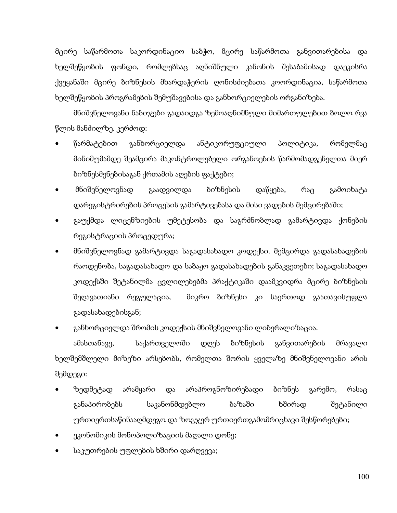მცირე საწარმოთა საკორდინაციო საბჭო, მცირე საწარმოთა განვითარებისა და ხელშეწყობის ფონდი, რომლებსაც აღნიშნული კანონის შესაბამისად დაეკისრა ქვეყანაში მცირე ბიზნესის მხარდაჭერის ღონისძიებათა კოორდინაცია, საწარმოთა ხელშეწყობის პროგრამების შემუშავებისა და განხორციელების ორგანიზება.

მნიშვნელოვანი ნაბიჯები გადაიდგა ზემოაღნიშნული მიმართულებით ბოლო რვა წლის მანძილზე. კერძოდ:

- წარმატებით განხორციელდა ანტიკორუფციული პოლიტიკა, რომელმაც მინიმუმამდე შეამცირა მაკონტროლებელი ორგანოების წარმომადგენელთა მიერ ბიზნესმენებისაგან ქრთამის აღების ფაქტები;
- მნიშვნელოვნად გაადვილდა ბიზნესის დაწყება, რაც გამოიხატა დარეგისტრირების პროცესის გამარტივებასა და მისი ვადების შემცირებაში;
- გაუქმდა ლიცენზიების უმეტესობა და საგრძნობლად გამარტივდა ქონების რეგისტრაციის პროცედურა;
- მნიშვნელოვნად გამარტივდა საგადასახადო კოდექსი. შემცირდა გადასახადების რაოდენობა, საგადასახადო და საბაჟო გადასახადების განაკვეთები; საგადასახადო კოდექსში შეტანილმა ცვლილებებმა პრაქტიკაში დაამკვიდრა მცირე ბიზნესის შეღავათიანი რეგულაცია, მიკრო ბიზნესი კი საერთოდ გაათავისუფლა გადასახადებისგან;
- განხორციელდა შრომის კოდექსის მნიშვნელოვანი ლიბერალიზაცია.

ამასთანავე, საქართველოში დღეს ბიზნესის განვითარების მრავალი ხელშემშლელი მიზეზი არსებობს, რომელთა შორის ყველაზე მნიშვნელოვანი არის შემდეგი:

- ზედმეტად არამყარი და არაპროგნოზირებადი ბიზნეს გარემო, რასაც განაპირობებს საკანონმდებლო ბაზაში ხშირად შეტანილი ურთიერთსაწინააღმდეგო და ზოგჯერ ურთიერთგამომრიცხავი შესწორებები;
- ეკონომიკის მონოპოლიზაციის მაღალი დონე;
- საკუთრების უფლების ხშირი დარღვევა;

100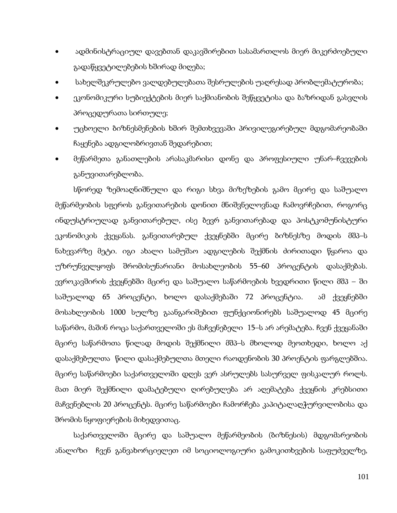- ადმინისტრაციულ დავებთან დაკავშირებით სასამართლოს მიერ მიკერძოებული გადაწყვეტილებების ხშირად მიღება;
- სახელშეკრულებო ვალდებულებათა შესრულების უაღრესად პრობლემატურობა;
- ეკონომიკური სუბიექტების მიერ საქმიანობის შეწყვეტისა და ბაზრიდან გასვლის პროცედურათა სირთულე;
- უცხოელი ბიზნესმენების ხშირ შემთხვევაში პრივილეგირებულ მდგომარეობაში ჩაყენება ადგილობრივთან შედარებით;
- მეწარმეთა განათლების არასაკმარისი დონე და პროფესიული უნარ–ჩვევების განუვითარებლობა.

სწორედ ზემოაღნიშნული და რიგი სხვა მიზეზების გამო მცირე და საშუალო მეწარმეობის სფეროს განვითარების დონით მნიშვნელოვნად ჩამოვრჩებით, როგორც ინდუსტრიულად განვითარებულ, ისე ბევრ განვითარებად და პოსტკომუნისტური ეკონომიკის ქვეყანას. განვითარებულ ქვეყნებში მცირე ბიზნესზე მოდის მშპ–ს ნახევარზე მეტი. იგი ახალი სამუშაო ადგილების შექმნის ძირითადი წყაროა და უზრუნველყოფს შრომისუნარიანი მოსახლეობის 55–60 პროცენტის დასაქმებას. ევროკავშირის ქვეყნებში მცირე და საშუალო საწარმოების ხვედრითი წილი მშპ – ში საშუალოდ 65 პროცენტი, ხოლო დასაქმებაში 72 პროცენტია. ამ ქვეყნებში მოსახლეობის 1000 სულზე გაანგარიშებით ფუნქციონირებს საშუალოდ 45 მცირე საწარმო, მაშინ როცა საქართველოში ეს მაჩვენებელი 15–ს არ არემატება. ჩვენ ქვეყანაში მცირე საწარმოთა წილად მოდის შექმნილი მშპ–ს მხოლოდ მეოთხედი, ხოლო აქ დასაქმებულთა წილი დასაქმებულთა მთელი რაოდენობის 30 პროენტის ფარგლებშია. მცირე საწარმოები საქართველოში დღეს ვერ ასრულებს სასურველ ფისკალურ როლს. მათ მიერ შექმნილი დამატებული ღირებულება არ აღემატება ქვეყნის კრებსითი მაჩვენებლის 20 პროცენტს. მცირე საწარმოები ჩამორჩება კაპიტალაღჭურვილობისა და შრომის ნყოფიერების მიხედვითაც.

საქართველოში მცირე და საშუალო მეწარმეობის (ბიზნესის) მდგომარეობის ანალიზი ჩვენ განვახორციელეთ იმ სოციოლოგიური გამოკითხვების საფუძველზე,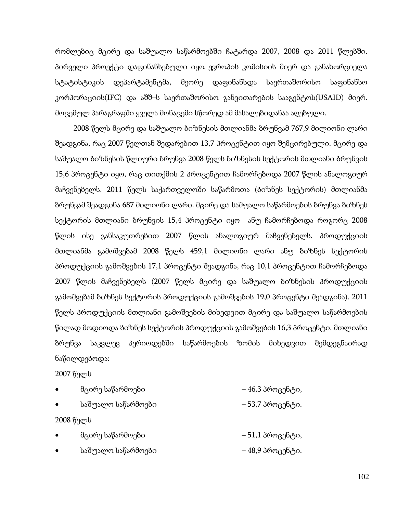რომლებიც მცირე და საშუალო საწარმოებში ჩატარდა 2007, 2008 და 2011 წლებში. პირველი პროექტი დაფინანსებული იყო ევროპის კომისიის მიერ და განახორციელა სტატისტიკის დეპარტამენტმა, მეორე დაფინანსდა საერთაშორისო საფინანსო კორპორაციის(IFC) და აშშ–ს საერთაშორისო განვითარების სააგენტოს(USAID) მიერ. მოცემულ პარაგრაფში ყველა მონაცემი სწორედ ამ მასალებიდანაა აღებული.

2008 წელს მცირე და საშუალო ბიზნესის მთლიანმა ბრუნვამ 767,9 მილიონი ლარი შეადგინა, რაც 2007 წელთან შედარებით 13,7 პროცენტით იყო შემცირებული. მცირე და საშუალო ბიზნესის წლიური ბრუნვა 2008 წელს ბიზნესის სექტორის მთლიანი ბრუნვის 15,6 პროცენტი იყო, რაც თითქმის 2 პროცენტით ჩამორჩებოდა 2007 წლის ანალოგიურ მაჩვენებელს. 2011 წელს საქართველოში საწარმოთა (ბიზნეს სექტორის) მთლიანმა ბრუნვამ შეადგინა 687 მილიონი ლარი. მცირე და საშუალო საწარმოების ბრუნვა ბიზნეს სექტორის მთლიანი ბრუნვის 15,4 პროცენტი იყო ანუ ჩამორჩებოდა როგორც 2008 წლის ისე განსაკუთრებით 2007 წლის ანალოგიურ მაჩვენებელს. პროდუქციის მთლიანმა გამოშვებამ 2008 წელს 459,1 მილიონი ლარი ანუ ბიზნეს სექტორის პროდუქციის გამოშვების 17,1 პროცენტი შეადგინა, რაც 10,1 პროცენტით ჩამორჩებოდა 2007 წლის მაჩვენებელს (2007 წელს მცირე და საშუალო ბიზნესის პროდუქციის გამოშვებამ ბიზნეს სექტორის პროდუქციის გამოშვების 19,0 პროცენტი შეადგინა). 2011 წელს პროდუქციის მთლიანი გამოშვების მიხედვით მცირე და საშუალო საწარმოების წილად მოდიოდა ბიზნეს სექტორის პროდუქციის გამოშვების 16,3 პროცენტი. მთლიანი ბრუნვა საკვლევ პერიოდებში საწარმოების ზომის მიხედვით შემდეგნაირად ნაწილდებოდა:

2007 წელს

| ٠         | მცირე საწარმოები   | – 46,3 პროცენტი, |
|-----------|--------------------|------------------|
| $\bullet$ | საშუალო საწარმოები | – 53,7 პროცენტი. |
|           | 2008 წელს          |                  |
| $\bullet$ | მცირე საწარმოები   | – 51,1 პროცენტი, |
| $\bullet$ | საშუალო საწარმოები | – 48,9 პროცენტი. |

102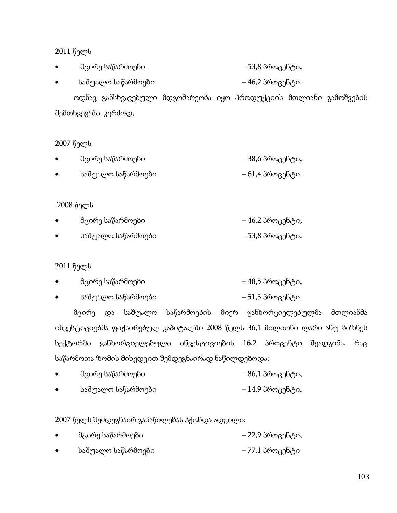| მცირე საწარმოები | – 53,8 პროცენტი, |
|------------------|------------------|
|                  |                  |

• საშუალო საწარმოები – 46,2 პროცენტი.

ოდნავ განსხვავებული მდგომარეობა იყო პროდუქციის მთლიანი გამოშვების შემთხვევაში. კერძოდ,

2007 წელს

| მცირე საწარმოები   | – 38,6 პროცენტი,  |
|--------------------|-------------------|
| საშუალო საწარმოები | $-61,43$ როცენტი. |

2008 წელს

| მცირე საწარმოები   | – 46,2 პროცენტი, |
|--------------------|------------------|
| საშუალო საწარმოები | – 53,8 პროცენტი. |

2011 წელს

| მცირე საწარმოები | – 48,5 პროცენტი, |
|------------------|------------------|
|                  |                  |

 $\bullet$  საშუალო საწარმოები – 61,5 პროცენტი.

მცირე და საშუალო საწარმოების მიერ განხორციელებულმა მთლიანმა ინვესტიციებმა ფიქსირებულ კაპიტალში 2008 წელს 36,1 მილიონი ლარი ანუ ბიზნეს სექტორში განხორციელებული ინვესტიციების 16,2 პროცენტი შეადგინა, რაც საწარმოთა ზომის მიხედვით შემდეგნაირად ნაწილდებოდა:

- $\bullet$  მცირე საწარმოები 26,1 პროცენტი,
- საშუალო საწარმოები 14,9 პროცენტი.

2007 წელს შემდეგნაირ განაწილებას ჰქონდა ადგილი:

- $\bullet$  მცირე საწარმოები 22,9 პროცენტი,
- $\bullet$  საშუალო საწარმოები 77,1 პროცენტი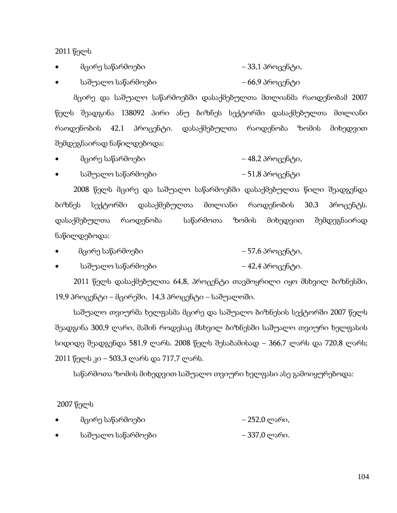- მცირე საწარმოები  $-33,1$  პროცენტი,
- საშუალო საწარმოები 66,9 პროცენტი

მცირე და საშუალო საწარმოებში დასაქმებულთა მთლიანმა რაოდენობამ 2007 წელს შეადგინა 138092 პირი ანუ ბიზნეს სექტორში დასაქმებულთა მთლიანი რაოდენობის 42,1 პროცენტი. დასაქმებულთა რაოდენობა ზომის მიხედვით შემდეგნაირად ნაწილდებოდა:

- მცირე საწარმოები 48,2 პროცენტი,
- საშუალო საწარმოები 51,8 პროცენტი

2008 წელს მცირე და საშუალო საწარმოებში დასაქმებულთა წილი შეადგენდა ბიზნეს სექტორში დასაქმებულთა მთლიანი რაოდენობის 30,3 პროცენტს. დასაქმებულთა რაოდენობა საწარმოთა ზომის მიხედვით შემდეგნაირად ნაწილდებოდა:

- მცირე საწარმოები 67,6 პროცენტი,
- საშუალო საწარმოები – – 42,4 პროცენტი.

2011 წელს დასაქმებულთა 64,8, პროცენტი თავმოყრილი იყო მსხვილ ბიზნესში,  $19,9$  პროცენტი – მცირეში,  $14,3$  პროცენტი – საშუალოში.

საშუალო თვიურმა ხელფასმა მცირე და საშუალო ბიზნესის სექტორში 2007 წელს შეადგინა 300,9 ლარი, მაშინ როდესაც მსხვილ ბიზნესში საშუალო თვიური ხელფასის სიდიდე შეადგენდა 581,9 ლარს. 2008 წელს შესაბამისად – 366,7 ლარს და 720,8 ლარს; 2011 წელს კი – 503,3 ლარს და 717,7 ლარს.

საწარმოთა ზომის მიხედვით საშუალო თვიური ხელფასი ასე გამოიყურებოდა:

2007 წელს

- მცირე საწარმოები 252,0 ლარი,
- საშუალო საწარმოები 337,0 ლარი.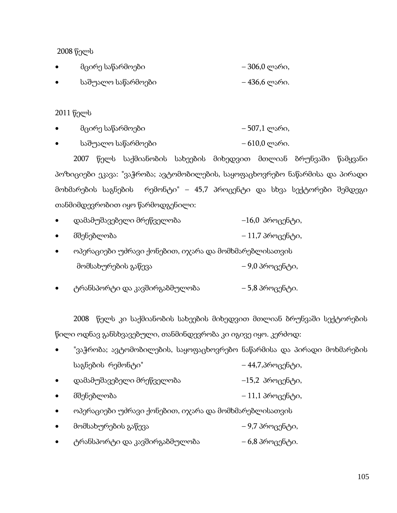| მცირე საწარმოები   | – 306,0 ლარი, |
|--------------------|---------------|
| საშუალო საწარმოები | – 436,6 ლარი. |

2011 წელს

- მცირე საწარმოები  $-507,1$  ლარი,
- საშუალო საწარმოები 610,0 ლარი.

2007 წელს საქმიანობის სახეების მიხედვით მთლიან ბრუნვაში წამყვანი პოზიციები ეკავა: "ვაჭრობა; ავტომობილების, საყოფაცხოვრებო ნაწარმისა და პირადი მოხმარების საგნების რემონტი" – 45,7 პროცენტი და სხვა სექტორები შემდეგი თანმიმდევრობით იყო წარმოდგენილი:

- დამამუშავებელი მრეწველობა –16,0 პროცენტი,
- მშენებლობა 11,7 პროცენტი,
- ოპერაციები უძრავი ქონებით, იჯარა და მომხმარებლისათვის მომსახურების გაწევა – 9,0 პროცენტი,
- ტრანსპორტი და კავშირგაბმულობა 5,8 პროცენტი.

2008 წელს კი საქმიანობის სახეების მიხედვით მთლიან ბრუნვაში სექტორების წილი ოდნავ განსხვავებული, თანმინდევრობა კი იგივე იყო. კერძოდ:

|                   | "ვაჭრობა; ავტომობილების, საყოფაცხოვრებო ნაწარმისა და პირადი მოხმარების |                  |  |  |
|-------------------|------------------------------------------------------------------------|------------------|--|--|
| საგნების რემონტი" |                                                                        | – 44,7,პროცენტი, |  |  |

- დამამუშავებელი მრეწველობა –15,2 პროცენტი,
- მშენებლობა 11,1 პროცენტი,
- ოპერაციები უძრავი ქონებით, იჯარა და მომხმარებლისათვის
- მომსახურების გაწევა 9,7 პროცენტი,
- ტრანსპორტი და კავშირგაბმულობა 6,8 პროცენტი.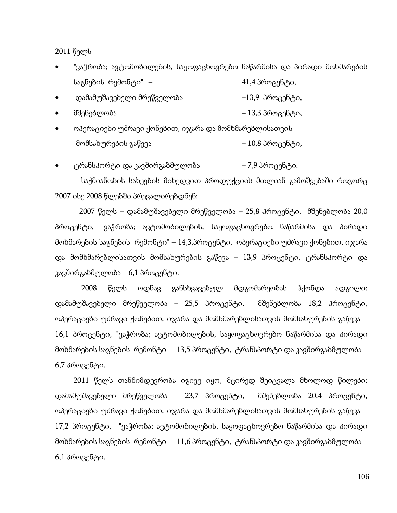- "ვაჭრობა; ავტომობილების, საყოფაცხოვრებო ნაწარმისა და პირადი მოხმარების საგნების რემონტი" –  $41,4$  პროცენტი,
- დამამუშავებელი მრეწველობა –13,9 პროცენტი,
- მშენებლობა 13,3 პროცენტი,
- ოპერაციები უძრავი ქონებით, იჯარა და მომხმარებლისათვის მომსახურების გაწევა – 10,8 პროცენტი,
- ტრანსპორტი და კავშირგაბმულობა 7,9 პროცენტი.

 საქმიანობის სახეების მიხედვით პროდუქციის მთლიან გამოშვებაში როგორც 2007 ისე 2008 წლებში პრევალირებდნენ:

 2007 წელს – დამამუშავებელი მრეწველობა – 25,8 პროცენტი, მშენებლობა 20,0 პროცენტი, "ვაჭრობა; ავტომობილების, საყოფაცხოვრებო ნაწარმისა და პირადი მოხმარების საგნების რემონტი" – 14,3,პროცენტი, ოპერაციები უძრავი ქონებით, იჯარა და მომხმარებლისათვის მომსახურების გაწევა – 13,9 პროცენტი, ტრანსპორტი და კავშირგაბმულობა – 6,1 პროცენტი.

 2008 წელს ოდნავ განსხვავებულ მდგომარეობას ჰქონდა ადგილი: დამამუშავებელი მრეწველობა – 25,5 პროცენტი, მშენებლობა 18,2 პროცენტი, ოპერაციები უძრავი ქონებით, იჯარა და მომხმარებლისათვის მომსახურების გაწევა – 16,1 პროცენტი, "ვაჭრობა; ავტომობილების, საყოფაცხოვრებო ნაწარმისა და პირადი მოხმარების საგნების რემონტი" – 13,5 პროცენტი, ტრანსპორტი და კავშირგაბმულობა –  $6,7$  პროცენტი.

2011 წელს თანმიმდევრობა იგივე იყო, მცირედ შეიცვალა მხოლოდ წილები: დამამუშავებელი მრეწველობა – 23,7 პროცენტი, მშენებლობა 20,4 პროცენტი, ოპერაციები უძრავი ქონებით, იჯარა და მომხმარებლისათვის მომსახურების გაწევა – 17,2 პროცენტი, "ვაჭრობა; ავტომობილების, საყოფაცხოვრებო ნაწარმისა და პირადი მოხმარების საგნების რემონტი" – 11,6 პროცენტი, ტრანსპორტი და კავშირგაბმულობა – 6,1 პროცენტი.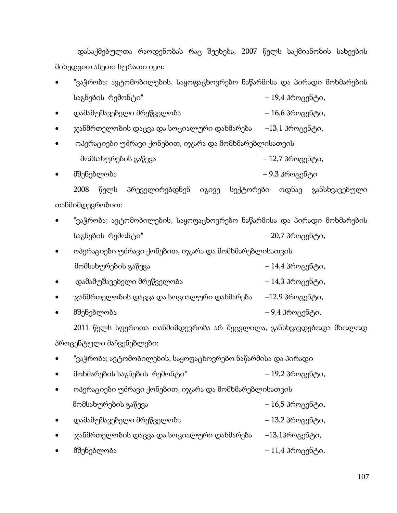დასაქმებულთა რაოდენობას რაც შეეხება, 2007 წელს საქმიანობის სახეების მიხედვით ასეთი სურათი იყო:

- "ვაჭრობა; ავტომობილების, საყოფაცხოვრებო ნაწარმისა და პირადი მოხმარების საგნების რემონტი" – 19,4 პროცენტი,
- დამამუშავებელი მრეწველობა 16,6 პროცენტი,
- $\chi$ ანმრთელობის დაცვა და სოციალური დახმარება  $-13,1$  პროცენტი,
- ოპერაციები უძრავი ქონებით, იჯარა და მომხმარებლისათვის მომსახურების გაწევა – 12,7 პროცენტი,
- მშენებლობა 9,3 პროცენტი

2008 წელს პრეველირებდნენ იგივე სექტორები ოდნავ განსხვავებული თანმიმდევრობით:

- "ვაჭრობა; ავტომობილების, საყოფაცხოვრებო ნაწარმისა და პირადი მოხმარების საგნების რემონტი" – 20,7 პროცენტი,
- ოპერაციები უძრავი ქონებით, იჯარა და მომხმარებლისათვის მომსახურების გაწევა – 14,4 პროცენტი,
- დამამუშავებელი მრეწველობა 14,3 პროცენტი,
- $\chi$ ანმრთელობის დაცვა და სოციალური დახმარება –12,9 პროცენტი,
- მშენებლობა 9,4 პროცენტი.

2011 წელს სფეროთა თანმიმდევრობა არ შეცვლილა, განსხვავდებოდა მხოლოდ პროცენტული მაჩვენებლები:

- "ვაჭრობა; ავტომობილების, საყოფაცხოვრებო ნაწარმისა და პირადი
- მოხმარების საგნების რემონტი" 19,2 პროცენტი,
- $\bullet$  ოპერაციები უძრავი ქონებით, ი $\chi$ არა და მომხმარებლისათვის მომსახურების გაწევა – 16,5 პროცენტი,
- დამამუშავებელი მრეწველობა 13,2 პროცენტი,
- $\chi$ ანმრთელობის დაცვა და სოციალური დახმარება –13,1პროცენტი,
- $\bullet$  6შენებლობა 11,4 პროცენტი.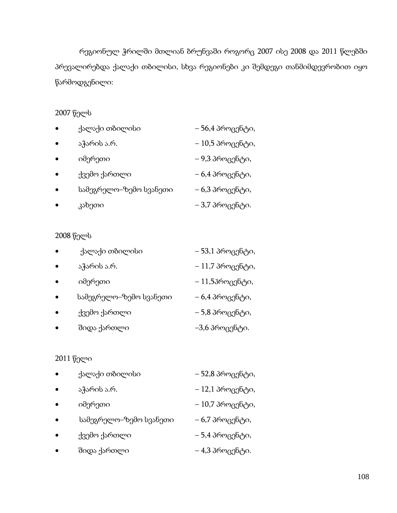რეგიონულ ჭრილში მთლიან ბრუნვაში როგორც 2007 ისე 2008 და 2011 წლებში პრევალირებდა ქალაქი თბილისი, სხვა რეგიონები კი შემდეგი თანმიმდევრობით იყო წარმოდგენილი:

# 2007 წელს

| ٠         | ქალაქი თბილისი         | – 56,4 პროცენტი, |
|-----------|------------------------|------------------|
| $\bullet$ | აჭარის ა.რ.            | – 10,5 პროცენტი, |
| $\bullet$ | იმერეთი                | – 9,3 პროცენტი,  |
| $\bullet$ | ქვემო ქართლი           | – 6,4 პროცენტი,  |
| $\bullet$ | სამეგრელო–ზემო სვანეთი | – 6,3 პროცენტი,  |
|           | კახეთი                 | – 3,7 პროცენტი.  |

# 2008 წელს

| ٠         | ქალაქი თბილისი         | – 53,1 პროცენტი, |
|-----------|------------------------|------------------|
| ٠         | აჭარის ა.რ.            | – 11,7 პროცენტი, |
| $\bullet$ | იმერეთი                | – 11,5პროცენტი,  |
| $\bullet$ | სამეგრელო–ზემო სვანეთი | – 6,4 პროცენტი,  |
| ٠         | ქვემო ქართლი           | – 5,8 პროცენტი,  |
|           | შიდა ქართლი            | –3,6 პროცენტი.   |

# 2011 წელი

| $\bullet$ | ქალაქი თბილისი         | – 52,8 პროცენტი, |
|-----------|------------------------|------------------|
| $\bullet$ | აჭარის ა.რ.            | – 12,1 პროცენტი, |
| $\bullet$ | იმერეთი                | – 10,7 პროცენტი, |
| $\bullet$ | სამეგრელო–ზემო სვანეთი | – 6,7 პროცენტი,  |
|           | ქვემო ქართლი           | – 5,4 პროცენტი,  |
|           | შიდა ქართლი            | – 4,3 პროცენტი.  |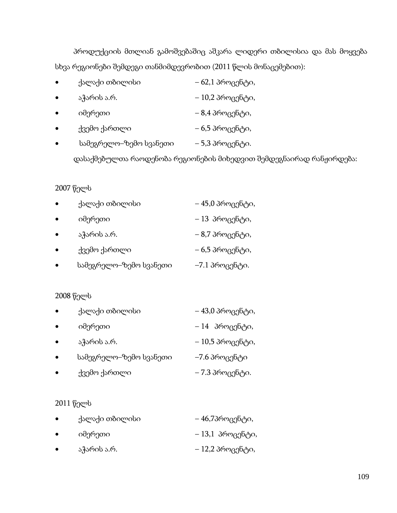პროდუქციის მთლიან გამოშვებაშიც აშკარა ლიდერი თბილისია და მას მოყვება სხვა რეგიონები შემდეგი თანმიმდევრობით (2011 წლის მონაცემებით):

|   | ქალაქი თბილისი         | – 62,1 პროცენტი, |
|---|------------------------|------------------|
| ٠ | აჭარის ა.რ.            | – 10,2 პროცენტი, |
| ٠ | იმერეთი                | – 8,4 პროცენტი,  |
| ٠ | ქვემო ქართლი           | – 6,5 პროცენტი,  |
| ٠ | სამეგრელო–ზემო სვანეთი | – 5,3 პროცენტი.  |
|   |                        |                  |

დასაქმებულთა რაოდენობა რეგიონების მიხედვით შემდეგნაირად რანჟირდება:

#### 2007 წელს

| ٠         | ქალაქი თბილისი         | – 45,0 პროცენტი, |
|-----------|------------------------|------------------|
| ٠         | იმერეთი                | – 13 პროცენტი,   |
| ٠         | აჭარის ა.რ.            | – 8,7 პროცენტი,  |
| $\bullet$ | ქვემო ქართლი           | – 6,5 პროცენტი,  |
| $\bullet$ | სამეგრელო–ზემო სვანეთი | $-7.1$ პროცენტი. |

## 2008 წელს

| $\bullet$ | ქალაქი თბილისი         | – 43,0 პროცენტი, |
|-----------|------------------------|------------------|
| $\bullet$ | იმერეთი                | – 14 პროცენტი,   |
| $\bullet$ | აჭარის ა.რ.            | – 10,5 პროცენტი, |
| $\bullet$ | სამეგრელო–ზემო სვანეთი | –7.6 პროცენტი    |
| $\bullet$ | ქვემო ქართლი           | – 7.3 პროცენტი.  |

#### 2011 წელს

| ٠         | ქალაქი თბილისი | – 46,7პროცენტი,   |
|-----------|----------------|-------------------|
| $\bullet$ | იმერეთი        | $-13,1$ პროცენტი, |
| $\bullet$ | აჭარის ა.რ.    | – 12,2 პროცენტი,  |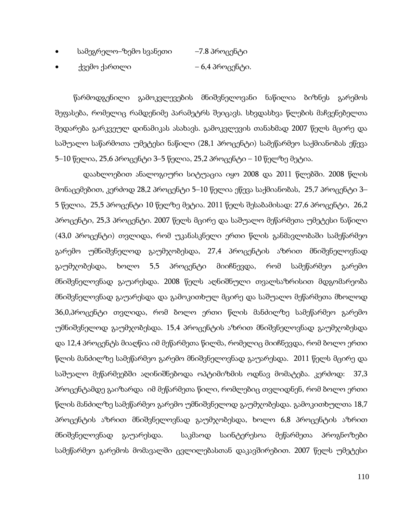| სამეგრელო–ზემო სვანეთი | –7.8 პროცენტი |
|------------------------|---------------|
|------------------------|---------------|

• ქვემო ქართლი – 6,4 პროცენტი.

წარმოდგენილი გამოკვლევების მნიშვნელოვანი ნაწილია ბიზნეს გარემოს შეფასება, რომელიც რამდენიმე პარამეტრს შეიცავს. სხვდასხვა წლების მაჩვენებელთა შედარება გარკვეულ დინამიკას ასახავს. გამოკვლევის თანახმად 2007 წელს მცირე და საშუალო საწარმოთა უმეტესი ნაწილი (28,1 პროცენტი) სამეწარმეო საქმიანობას ეწევა 5–10 წელია, 25,6 პროცენტი 3–5 წელია, 25,2 პროცენტი – 10 წელზე მეტია.

 დაახლოებით ანალოგიური სიტუაცია იყო 2008 და 2011 წლებში. 2008 წლის მონაცემებით, კერძოდ 28,2 პროცენტი 5–10 წელია ეწევა საქმიანობას, 25,7 პროცენტი 3– 5 წელია, 25,5 პროცენტი 10 წელზე მეტია. 2011 წელს შესაბამისად: 27,6 პროცენტი, 26,2 პროცენტი, 25,3 პროცენტი. 2007 წელს მცირე და საშუალო მეწარმეთა უმეტესი ნაწილი (43,0 პროცენტი) თვლიდა, რომ უკანასკნელი ერთი წლის განმავლობაში სამეწარმეო გარემო უმნიშვნელოდ გაუმჯობესდა, 27,4 პროცენტის აზრით მნიშვნელოვნად გაუმჯობესდა, ხოლო 5,5 პროცენტი მიიჩნევდა, რომ სამეწარმეო გარემო მნიშვნელოვნად გაუარესდა. 2008 წელს აღნიშნული თვალსაზრისით მდგომარეობა მნიშვნელოვნად გაუარესდა და გამოკითხულ მცირე და საშუალო მეწარმეთა მხოლოდ 36,0,პროცენტი თვლიდა, რომ ბოლო ერთი წლის მანძილზე სამეწარმეო გარემო უმნიშვნელოდ გაუმჯობესდა. 15,4 პროცენტის აზრით მნიშვნელოვნად გაუმჯობესდა და 12,4 პროცენტს მიაღწია იმ მეწარმეთა წილმა, რომელიც მიიჩნევდა, რომ ბოლო ერთი წლის მანძილზე სამეწარმეო გარემო მნიშვნელოვნად გაუარესდა. 2011 წელს მცირე და საშუალო მეწარმეებში აღინიშნებოდა ოპტიმიზმის ოდნავ მომატება. კერძოდ: 37,3 პროცენტამდე გაიზარდა იმ მეწარმეთა წილი, რომლებიც თვლიდნენ, რომ ბოლო ერთი წლის მანძილზე სამეწარმეო გარემო უმნიშვნელოდ გაუმჯობესდა. გამოკითხულთა 18,7 პროცენტის აზრით მნიშვნელოვნად გაუმჯობესდა, ხოლო 6,8 პროცენტის აზრით მნიშვნელოვნად გაუარესდა. საკმაოდ საინტერესოა მეწარმეთა პროგნოზები სამეწარმეო გარემოს მომავალში ცვლილებასთან დაკავშირებით. 2007 წელს უმეტესი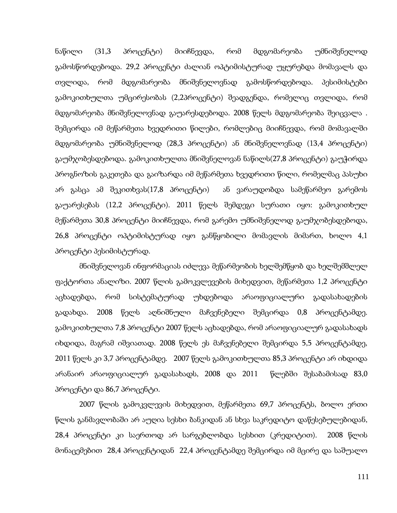ნაწილი (31,3 პროცენტი) მიიჩნევდა, რომ მდგომარეობა უმნიშვნელოდ გამოსწორდებოდა. 29,2 პროცენტი ძალიან ოპტიმისტურად უყურებდა მომავალს და თვლიდა, რომ მდგომარეობა მნიშვნელოვნად გამოსწორდებოდა. პესიმისტები გამოკითხულთა უმცირესობას (2,2პროცენტი) შეადგენდა, რომელიც თვლიდა, რომ მდგომარეობა მნიშვნელოვნად გაუარესდებოდა. 2008 წელს მდგომარეობა შეიცვალა . შემცირდა იმ მეწარმეთა ხვედრითი წილები, რომლებიც მიიჩნევდა, რომ მომავალში მდგომარეობა უმნიშვნელოდ (28,3 პროცენტი) ან მნიშვნელოვნად (13,4 პროცენტი) გაუმჯობესდებოდა. გამოკითხულთა მნიშვნელოვან ნაწილს(27,8 პროცენტი) გაუჭირდა პროგნოზის გაკეთება და გაიზარდა იმ მეწარმეთა ხვედრითი წილი, რომელმაც პასუხი არ გასცა ამ შეკითხვას(17,8 პროცენტი) ან ვარაუდობდა სამეწარმეო გარემოს გაუარესებას (12,2 პროცენტი). 2011 წელს შემდეგი სურათი იყო: გამოკითხულ მეწარმეთა 30,8 პროცენტი მიიჩნევდა, რომ გარემო უმნიშვნელოდ გაუმჯობესდებოდა, 26,8 პროცენტი ოპტიმისტურად იყო განწყობილი მომავლის მიმართ, ხოლო 4,1 პროცენტი პესიმისტურად.

 მნიშვნელოვან ინფორმაციას იძლევა მეწარმეობის ხელშემწყობ და ხელშემშლელ ფაქტორთა ანალიზი. 2007 წლის გამოკვლევების მიხედვით, მეწარმეთა 1,2 პროცენტი აცხადებდა, რომ სისტემატურად უხდებოდა არაოფიციალური გადასახადების გადახდა. 2008 წელს აღნიშნული მაჩვენებელი შემცირდა 0,8 პროცენტამდე. გამოკითხულთა 7,8 პროცენტი 2007 წელს აცხადებდა, რომ არაოფიციალურ გადასახადს იხდიდა, მაგრამ იშვიათად. 2008 წელს ეს მაჩვენებელი შემცირდა 5,5 პროცენტამდე, 2011 წელს კი 3,7 პროცენტამდე. 2007 წელს გამოკითხულთა 85,3 პროცენტი არ იხდიდა არანაირ არაოფიციალურ გადასახადს, 2008 და 2011 წლებში შესაბამისად 83,0 პროცენტი და 86,7 პროცენტი.

 2007 წლის გამოკვლევის მიხედვით, მეწარმეთა 69,7 პროცენტს, ბოლო ერთი წლის განმავლობაში არ აუღია სესხი ბანკიდან ან სხვა საკრედიტო დაწესებულებიდან, 28,4 პროცენტი კი საერთოდ არ სარგებლობდა სესხით (კრედიტით). 2008 წლის მონაცემებით 28,4 პროცენტიდან 22,4 პროცენტამდე შემცირდა იმ მცირე და საშუალო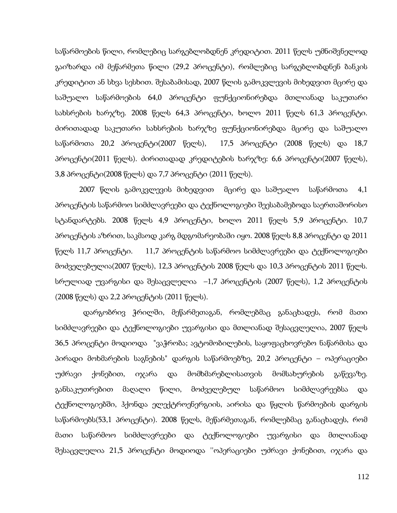საწარმოების წილი, რომლებიც სარგებლობდნენ კრედიტით. 2011 წელს უმნიშვნელოდ გაიზარდა იმ მეწარმეთა წილი (29,2 პროცენტი), რომლებიც სარგებლობდნენ ბანკის კრედიტით ან სხვა სესხით. შესაბამისად, 2007 წლის გამოკვლევის მიხედვით მცირე და საშუალო საწარმოების 64,0 პროცენტი ფუნქციონირებდა მთლიანად საკუთარი სახსრების ხარჯზე. 2008 წელს 64,3 პროცენტი, ხოლო 2011 წელს 61,3 პროცენტი. ძირითადად საკუთარი სახსრების ხარჯზე ფუნქციონირებდა მცირე და საშუალო საწარმოთა 20,2 პროცენტი(2007 წელს), 17,5 პროცენტი (2008 წელს) და 18,7 პროცენტი(2011 წელს). ძირითადად კრედიტების ხარჯზე: 6,6 პროცენტი(2007 წელს), 3,8 პროცენტი(2008 წელს) და 7,7 პროცენტი (2011 წელს).

 2007 წლის გამოკვლევის მიხედვით მცირე და საშუალო საწარმოთა 4,1 პროცენტის საწარმოო სიმძლავრეები და ტექნოლოგიები შეესაბამებოდა საერთაშორისო სტანდარტებს. 2008 წელს 4,9 პროცენტი, ხოლო 2011 წელს 5,9 პროცენტი. 10,7 პროცენტის აზრით, საკმაოდ კარგ მდგომარეობაში იყო. 2008 წელს 8,8 პროცენტი დ 2011 წელს 11,7 პროცენტი. 11,7 პროცენტის საწარმოო სიმძლავრეები და ტექნოლოგიები მოძველებულია(2007 წელს), 12,3 პროცენტის 2008 წელს და 10,3 პროცენტის 2011 წელს. სრულიად უვარგისი და შესაცვლელია –1,7 პროცენტის (2007 წელს), 1,2 პროცენტის (2008 წელს) და 2,2 პროცენტის (2011 წელს).

 დარგობრივ ჭრილში, მეწარმეთაგან, რომლებმაც განაცხადეს, რომ მათი სიმძლავრეები და ტექნოლოგიები უვარგისი და მთლიანად შესაცვლელია, 2007 წელს 36,5 პროცენტი მოდიოდა "ვაჭრობა; ავტომობილების, საყოფაცხოვრებო ნაწარმისა და პირადი მოხმარების საგნების" დარგის საწარმოებზე, 20,2 პროცენტი – ოპერაციები უძრავი ქონებით, იჯარა და მომხმარებლისათვის მომსახურების გაწევაზე. განსაკუთრებით მაღალი წილი, მოძველებულ საწარმოო სიმძლავრეებსა და ტექნოლოგიებში, ჰქონდა ელექტროენერგიის, აირისა და წყლის წარმოების დარგის საწარმოებს(53,1 პროცენტი). 2008 წელს, მეწარმეთაგან, რომლებმაც განაცხადეს, რომ მათი საწარმოო სიმძლავრეები და ტექნოლოგიები უვარგისი და მთლიანად შესაცვლელია 21,5 პროცენტი მოდიოდა ''ოპერაციები უძრავი ქონებით, იჯარა და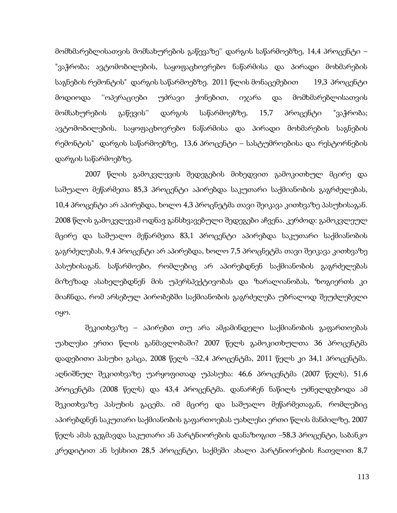მომხმარებლისათვის მომსახურების გაწევაზე'' დარგის საწარმოებზე, 14,4 პროცენტი – "ვაჭრობა; ავტომობილების, საყოფაცხოვრებო ნაწარმისა და პირადი მოხმარების საგნების რემონტის" დარგის საწარმოებზე. 2011 წლის მონაცემებით 19,3 პროცენტი მოდიოდა ''ოპერაციები უძრავი ქონებით, იჯარა და მომხმარებლისათვის მომსახურების გაწევის'' დარგის საწარმოებზე, 15,7 პროცენტი "ვაჭრობა; ავტომობილების, საყოფაცხოვრებო ნაწარმისა და პირადი მოხმარების საგნების რემონტის" დარგის საწარმოებზე, 13,6 პროცენტი – სასტუმროებისა და რესტორნების დარგის საწარმოებზე.

 2007 წლის გამოკვლევის შედეგების მიხედვით გამოკითხულ მცირე და საშუალო მეწარმეთა 85,3 პროცენტი აპირებდა საკუთარი საქმიანობის გაგრძელებას, 10,4 პროცენტი არ აპირებდა, ხოლო 4,3 პროცნეტმა თავი შეიკავა კითხვაზე პასუხისაგან. 2008 წლის გამოკვლევამ ოდნავ განსხვავებული შედეგები აჩვენა. კერძოდ: გამოკვლეულ მცირე და საშუალო მეწარმეთა 83,1 პროცენტი აპირებდა საკუთარი საქმიანობის გაგრძელებას, 9,4 პროცენტი არ აპირებდა, ხოლო 7,5 პროცნეტმა თავი შეიკავა კითხვაზე პასუხისაგან. საწარმოები, რომლებიც არ აპირებდნენ საქმიანობის გაგრძელებას მიზეზად ასახელებდნენ მის უპერსპექტივობას და ზარალიანობას, ზოგიერთს კი მიაჩნდა, რომ არსებულ პირობებში საქმიანობის გაგრძელება უბრალოდ შეუძლებელი იყო.

 შეკითხვაზე – აპირებთ თუ არა ამჟამინდელი საქმიანობის გაფართოებას უახლესი ერთი წლის განმავლობაში? 2007 წელს გამოკითხულთა 36 პროცენტმა დადებითი პასუხი გასცა, 2008 წელს –32,4 პროცენტმა, 2011 წელს კი 34,1 პროცენტმა. აღნიშნულ შეკითხვაზე უარყოფითად უპასუხა: 46,6 პროცენტმა (2007 წელს), 51,6 პროცენტმა (2008 წელს) და 43,4 პროცენტმა. დანარჩენ ნაწილს უძნელდებოდა ამ შეკითხვაზე პასუხის გაცემა. იმ მცირე და საშუალო მეწარმეთაგან, რომლებიც აპირებდნენ საკუთარი საქმიანობის გაფართოებას უახლესი ერთი წლის მანძილზე, 2007 წელს ამას გეგმავდა საკუთარი ან პარტნიორების დანაზოგით –58,3 პროცენტი, საბანკო კრედიტით ან სესხით 28,5 პროცენტი, საქმეში ახალი პარტნიორების ჩათვლით 8,7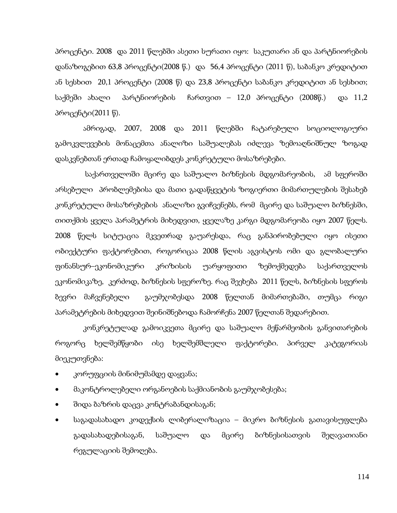პროცენტი. 2008 და 2011 წლებში ასეთი სურათი იყო: საკუთარი ან და პარტნიორების დანაზოგებით 63,8 პროცენტი(2008 წ.) და 56,4 პროცენტი (2011 წ), საბანკო კრედიტით ან სესხით 20,1 პროცენტი (2008 წ) და 23,8 პროცენტი საბანკო კრედიტით ან სესხით; საქმეში ახალი პარტნიორების ჩართვით – 12,0 პროცენტი (2008წ.) და 11,2 პროცენტი(2011 წ).

 ამრიგად, 2007, 2008 და 2011 წლებში ჩატარებული სოციოლოგიური გამოკვლევების მონაცემთა ანალიზი საშუალებას იძლევა ზემოაღნიშნულ ზოგად დასკვნებთან ერთად ჩამოყალიბდეს კონკრეტული მოსაზრებები.

 საქართველოში მცირე და საშუალო ბიზნესის მდგომარეობის, ამ სფეროში არსებული პრობლემებისა და მათი გადაწყვეტის ზოგიერთი მიმართულების შესახებ კონკრეტული მოსაზრებების ანალიზი გვიჩვენებს, რომ მცირე და საშუალო ბიზნესში, თითქმის ყველა პარამეტრის მიხედვით, ყველაზე კარგი მდგომარეობა იყო 2007 წელს. 2008 წელს სიტუაცია მკვეთრად გაუარესდა, რაც განპირობებული იყო ისეთი ობიექტური ფაქტორებით, როგორიცაა 2008 წლის აგვისტოს ომი და გლობალური ფინანსურ–ეკონომიკური კრიზისის უარყოფითი ზემოქმედება საქართველოს ეკონომიკაზე, კერძოდ, ბიზნესის სფეროზე. რაც შეეხება 2011 წელს, ბიზნესის სფეროს ბევრი მაჩვენებელი გაუმჯობესდა 2008 წელთან მიმართებაში, თუმცა რიგი პარამეტრების მიხედვით შეინიშნებოდა ჩამორჩენა 2007 წელთან შედარებით.

 კონკრეტულად გამოიკვეთა მცირე და საშუალო მეწარმეობის განვითარების როგორც ხელშემწყობი ისე ხელშემშლელი ფაქტორები. პირველ კატეგორიას მიეკუთვნება:

- კორუფციის მინიმუმამდე დაყვანა;
- მაკონტროლებელი ორგანოების საქმიანობის გაუმჯობესება;
- შიდა ბაზრის დაცვა კონტრაბანდისაგან;
- საგადასახადო კოდექსის ლიბერალიზაცია მიკრო ბიზნესის გათავისუფლება გადასახადებისაგან, საშუალო და მცირე ბიზნესისათვის შეღავათიანი რეგულაციის შემოღება.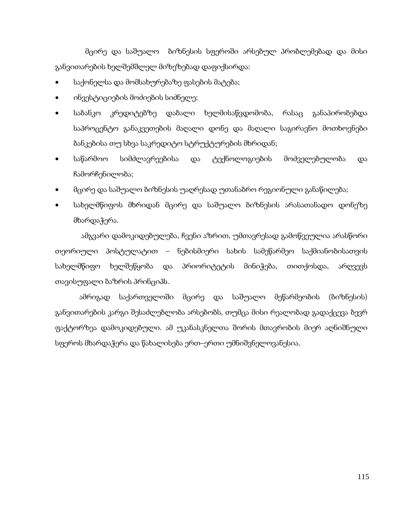მცირე და საშუალო ბიზნესის სფეროში არსებულ პრობლემებად და მისი განვითარების ხელშემშლელ მიზეზებად დაფიქსირდა:

- საქონელსა და მომსახურებაზე ფასების მატება;
- ინვესტიციების მოძიების სიძნელე;
- საბანკო კრედიტებზე დაბალი ხელმისაწვდომობა, რასაც განაპირობებდა საპროცენტო განაკვეთების მაღალი დონე და მაღალი საგირავნო მოთხოვნები ბანკებისა თუ სხვა საკრედიტო სტრუქტურების მხრიდან;
- საწარმოო სიმძლავრეებისა და ტექნოლოგიების მოძველებულობა და ჩამორჩენილობა;
- მცირე და საშუალო ბიზნესის უაღრესად უთანაბრო რეგიონული განაწილება;
- სახელმწიფოს მხრიდან მცირე და საშუალო ბიზნესის არასათანადო დონეზე მხარდაჭერა.

 ამგვარი დამოკიდებულება, ჩვენი აზრით, უმთავრესად გამოწვეულია არასწორი თეორიული პოსტულატით – ნებისმიერი სახის სამეწარმეო საქმიანობისათვის სახელმწიფო ხელშეწყობა და პრიორიტეტის მინიჭება, თითქოსდა, არღვევს თავისუფალი ბაზრის პრინციპს.

 ამრიგად საქართველოში მცირე და საშუალო მეწარმეობის (ბიზნესის) განვითარების კარგი შესაძლებლობა არსებობს, თუმცა მისი რეალობად გადაქცევა ბევრ ფაქტორზეა დამოკიდებული. ამ უკანასკნელთა შორის მთავრობის მიერ აღნიშნული სფეროს მხარდაჭერა და წახალისება ერთ–ერთი უმნიშვნელოვანესია.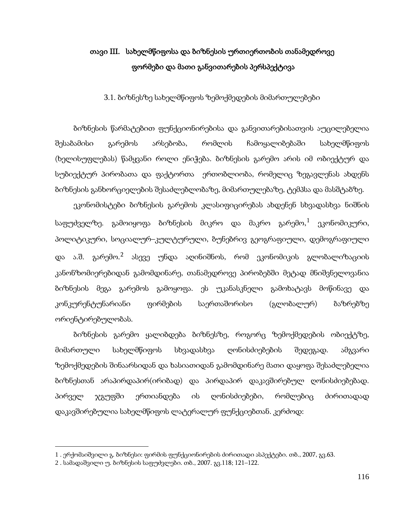## თავი III. სახელმწიფოსა და ბიზნესის ურთიერთობის თანამედროვე ფორმები და მათი განვითარების პერსპექტივა

3.1. ბიზნესზე სახელმწიფოს ზემოქმედების მიმართულებები

ბიზნესის წარმატებით ფუნქციონირებისა და განვითარებისათვის აუცილებელია შესაბამისი გარემოს არსებობა, რომლის ჩამოყალიბებაში სახელმწიფოს (ხელისუფლებას) წამყვანი როლი ენიჭება. ბიზნესის გარემო არის იმ ობიექტურ და სუბიექტურ პირობათა და ფაქტორთა ერთობლიობა, რომელიც ზეგავლენას ახდენს ბიზნესის განხორციელების შესაძლებლობაზე, მიმართულებაზე, ტემპსა და მასშტაბზე.

ეკონომისტები ბიზნესის გარემოს კლასიფიცირებას ახდენენ სხვადასხვა ნიშნის საფუძველზე. გამოიყოფა ბიზნესის მიკრო და მაკრო გარემო,<sup>[1](#page-97-0)</sup> ეკონომიკური, პოლიტიკური, სოციალურ–კულტურული, ბუნებრივ გეოგრაფიული, დემოგრაფიული და ა.შ. გარემო.<sup>[2](#page-114-0)</sup> ასევე უნდა აღინიშნოს, რომ ეკონომიკის გლობალიზაციის კანონზომიერებიდან გამომდინარე, თანამედროვე პირობებში მეტად მნიშვნელოვანია ბიზნესის მეგა გარემოს გამოყოფა. ეს უკანასკნელი გამოხატავს მოწინავე და კონკურენტუნარიანი ფირმების საერთაშორისო (გლობალურ) ბაზრებზე ორიენტირებულობას.

ბიზნესის გარემო ყალიბდება ბიზნესზე, როგორც ზემოქმედების ობიექტზე, მიმართული სახელმწიფოს სხვადასხვა ღონისძიებების შედეგად. ამგვარი ზემოქმედების შინაარსიდან და ხასიათიდან გამომდინარე მათი დაყოფა შესაძლებელია ბიზნესთან არაპირდაპირ(ირიბად) და პირდაპირ დაკავშირებულ ღონისძიებებად. პირველ ჯგუფში ერთიანდება ის ღონისძიებები, რომლებიც ძირითადად დაკავშირებულია სახელმწიფოს ლატერალურ ფუნქციებთან. კერძოდ:

<span id="page-114-0"></span><sup>1</sup> . ერქომაიშვილი გ. ბიზნესი: ფირმის ფუნქციონირების ძირითადი ასპექტები. თბ., 2007, გვ.63.

<span id="page-114-1"></span><sup>2</sup> . სამადაშვილი უ. ბიზნესის საფუძვლები. თბ., 2007. გვ.118; 121–122.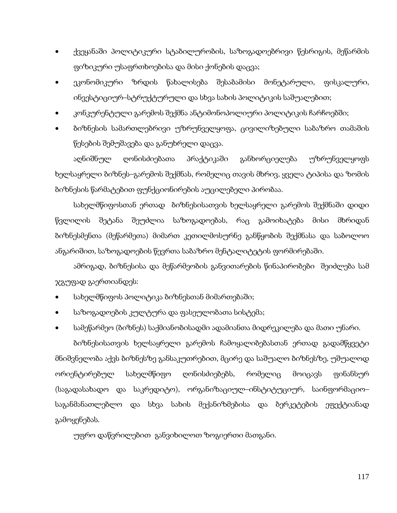- ქვეყანაში პოლიტიკური სტაბილურობის, საზოგადოებრივი წესრიგის, მეწარმის ფიზიკური უსაფრთხოებისა და მისი ქონების დაცვა;
- ეკონომიკური ზრდის წახალისება შესაბამისი მონეტარული, ფისკალური, ინვესტიციურ–სტრუქტურული და სხვა სახის პოლიტიკის საშუალებით;
- კონკურენტული გარემოს შექმნა ანტიმონოპოლიური პოლიტიკის ჩარჩოებში;
- ბიზნესის სამართლებრივი უზრუნველყოფა, ცივილიზებული საბაზრო თამაშის წესების შემუშავება და განუხრელი დაცვა.

აღნიშნულ ღონისძიებათა პრაქტიკაში განხორციელება უზრუნველყოფს ხელსაყრელი ბიზნეს–გარემოს შექმნას, რომელიც თავის მხრივ, ყველა ტიპისა და ზომის ბიზნესის წარმატებით ფუნქციონირების აუცილებელი პირობაა.

სახელმწიფოსთან ერთად ბიზნესისათვის ხელსაყრელი გარემოს შექმნაში დიდი წვლილის შეტანა შეუძლია საზოგადოებას, რაც გამოიხატება მისი მხრიდან ბიზნესმენთა (მეწარმეთა) მიმართ კეთილმოსურნე განწყობის შექმნასა და საბოლოო ანგარიშით, საზოგადოების წევრთა საბაზრო მენტალიტეტის ფორმირებაში.

ამრიგად, ბიზნესისა და მეწარმეობის განვითარების წინაპირობები შეიძლება სამ ჯგუფად გაერთიანდეს:

- სახელმწიფოს პოლიტიკა ბიზნესთან მიმართებაში;
- საზოგადოების კულტურა და ფასეულობათა სისტემა;
- სამეწარმეო (ბიზნეს) საქმიანობისადმი ადამიანთა მიდრეკილება და მათი უნარი.

ბიზნესისათვის ხელსაყრელი გარემოს ჩამოყალიბებასთან ერთად გადამწყვეტი მნიშვნელობა აქვს ბიზნესზე განსაკუთრებით, მცირე და საშუალო ბიზნესზე, უშუალოდ ორიენტირებულ სახელმწიფო ღონისძიებებს, რომელიც მოიცავს ფინანსურ (საგადასახადო და საკრედიტო), ორგანიზაციულ–ინსტიტუციურ, საინფორმაციო– საგანმანათლებლო და სხვა სახის მექანიზმებისა და ბერკეტების ეფექტიანად გამოყენებას.

უფრო დაწვრილებით განვიხილოთ ზოგიერთი მათგანი.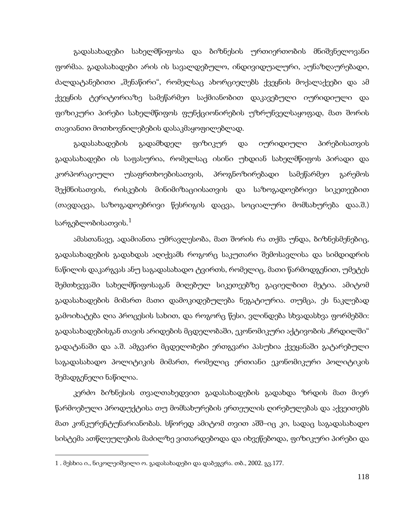გადასახადები სახელმწიფოსა და ბიზნესის ურთიერთობის მნიშვნელოვანი ფორმაა. გადასახადები არის ის სავალდებულო, ინდივიდუალური, აუნაზღაურებადი, ძალდატანებითი "შენაწირი", რომელსაც ახორციელებს ქვეყნის მოქალაქეები და ამ ქვეყნის ტერიტორიაზე სამეწარმეო საქმიანობით დაკავებული იურიდიული და ფიზიკური პირები სახელმწიფოს ფუნქციონირების უზრუნველსაყოფად, მათ შორის თავიანთი მოთხოვნილებების დასაკმაყოფილებლად.

გადასახადების გადამხდელ ფიზიკურ და იურიდიული პირებისათვის გადასახადები ის საფასურია, რომელსაც ისინი უხდიან სახელმწიფოს პირადი და კორპორაციული უსაფრთხოებისათვის, პროგნოზირებადი სამეწარმეო გარემოს შექმნისათვის, რისკების მინიმიზაციისათვის და საზოგადოებრივი სიკეთეებით (თავდაცვა, საზოგადოებრივი წესრიგის დაცვა, სოციალური მომსახურება დაა.შ.) სარგებლობისათვის. $^{\rm 1}$  $^{\rm 1}$  $^{\rm 1}$ 

ამასთანავე, ადამიანთა უმრავლესობა, მათ შორის რა თქმა უნდა, ბიზნესმენებიც, გადასახადების გადახდას აღიქვამს როგორც საკუთარი შემოსავლისა და სიმდიდრის ნაწილის დაკარგვას ანუ საგადასახადო ტვირთს, რომელიც, მათი წარმოდგენით, უმეტეს შემთხვევაში სახელმწიფოსაგან მიღებულ სიკეთეებზე გაციელბით მეტია. ამიტომ გადასახადების მიმართ მათი დამოკიდებულება ნეგატიურია. თუმცა, ეს ნაკლებად გამოიხატება ღია პროცესის სახით, და როგორც წესი, ვლინდება სხვადასხვა ფორმებში: გადასახადებისგან თავის არიდების მცდელობაში, ეკონომიკური აქტივობის "ჩრდილში" გადატანაში და ა.შ. ამგვარი მცდელობები ერთგვარი პასუხია ქვეყანაში გატარებული საგადასახადო პოლიტიკის მიმართ, რომელიც ერთიანი ეკონომიკური პოლიტიკის შემადგენელი ნაწილია.

კერძო ბიზნესის თვალთახედვით გადასახადების გადახდა ზრდის მათ მიერ წარმოებული პროდუქტისა თუ მომსახურების ერთეულის ღირებულებას და აქვეითებს მათ კონკურენტუნარიანობას. სწორედ ამიტომ თვით აშშ–იც კი, სადაც საგადასახადო სისტემა ათწლეულების მაძილზე ვითარდებოდა და იხვეწებოდა, ფიზიკური პირები და

<span id="page-116-0"></span><sup>1</sup> . მესხია ი., ნიკოლეიშვილი ო. გადასახადები და დაბეგვრა. თბ., 2002. გვ.177.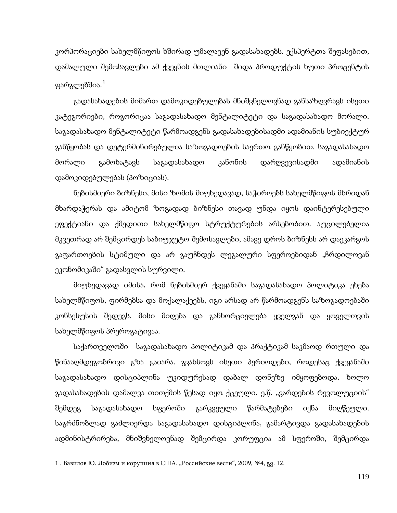კორპორაციები სახელმწიფოს ხშირად უმალავენ გადასახადებს. ექსპერტთა შეფასებით, დამალული შემოსავლები ამ ქვეყნის მთლიანი შიდა პროდუქტის ხუთი პროცენტის ფარგლებშია. $^{\rm 1}$  $^{\rm 1}$  $^{\rm 1}$ 

გადასახადების მიმართ დამოკიდებულებას მნიშვნელოვნად განსაზღვრავს ისეთი კატეგორიები, როგორიცაა საგადასახადო მენტალიტეტი და საგადასახადო მორალი. საგადასახადო მენტალიტეტი წარმოადგენს გადასახადებისადმი ადამიანის სუბიექტურ განწყობას და დეტერმინირებულია საზოგადოების საერთო განწყობით. საგადასახადო მორალი გამოხატავს საგადასახადო კანონის დარღვევისადმი ადამიანის დამოკიდებულებას (პოზიციას).

ნებისმიერი ბიზნესი, მისი ზომის მიუხედავად, საჭიროებს სახელმწიფოს მხრიდან მხარდაჭერას და ამიტომ ზოგადად ბიზნესი თავად უნდა იყოს დაინტერესებული ეფექტიანი და ქმედითი სახელმწიფო სტრუქტურების არსებობით. აუცილებელია მკვეთრად არ შემცირდეს საბიუჯეტო შემოსავლები, ამავე დროს ბიზნესს არ დაეკარგოს გაფართოების სტიმული და არ გაუჩნდეს ლეგალური სფეროებიდან "ჩრდილოვან ეკონომიკაში" გადასვლის სურვილი.

მიუხედავად იმისა, რომ ნებისმიერ ქვეყანაში საგადასახადო პოლიტიკა ეხება სახელმწიფოს, ფირმებსა და მოქალაქეებს, იგი არსად არ წარმოადგენს საზოგადოებაში კონსესუსის შედეგს. მისი მიღება და განხორციელება ყველგან და ყოველთვის სახელმწიფოს პრეროგატივაა.

საქართველოში საგადასახადო პოლიტიკამ და პრაქტიკამ საკმაოდ რთული და წინააღმდეგობრივი გზა გაიარა. გვახსოვს ისეთი პერიოდები, როდესაც ქვეყანაში საგადასახადო დისციპლინა უკიდურესად დაბალ დონეზე იმყოფებოდა, ხოლო გადასახადების დამალვა თითქმის წესად იყო ქცეული. ე.წ. "ვარდების რევოლუციის" შემდეგ საგადასახადო სფეროში გარკვეული წარმატებები იქნა მიღწეული. საგრძნობლად გაძლიერდა საგადასახადო დისციპლინა, გამარტივდა გადასახადების ადმინისტრირება, მნიშვნელოვნად შემცირდა კორუფცია ამ სფეროში, შემცირდა

<span id="page-117-0"></span><sup>1 .</sup> Вавилов Ю. Лобизм и корупция в США. "Российские вести", 2009, №4, 83. 12.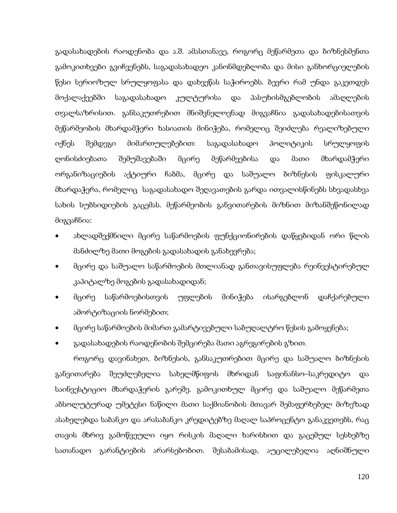გადასახადების რაოდენობა და ა.შ. ამასთანავე, როგორც მეწარმეთა და ბიზნესმენთა გამოკითხვები გვიჩვენებს, საგადასახადეო კანონმდებლობა და მისი განხორციელების წესი სერიოზულ სრულყოფასა და დახვეწას საჭიროებს. ბევრი რამ უნდა გაკეთდეს მოქალაქეებში საგადასახადო კულტურისა და პასუხისმგებლობის ამაღლების თვალსაზრისით. განსაკუთრებით მნიშვნელოვნად მიგვაჩნია გადასახადებისათვის მეწარმეობის მხარდამჭერი ხასიათის მინიჭება, რომელიც შეიძლება რეალიზებული იქნეს შემდეგი მიმართულებებით: საგადასახადო პოლიტიკის სრულყოფის ღონისძიებათა შემუშავებაში მცირე მეწარმეებისა და მათი მხარდამჭერი ორგანიზაციების აქტიური ჩაბმა, მცირე და საშუალო ბიზნესის ფისკალური მხარდაჭერა, რომელიც საგადასახადო შეღავათების გარდა ითვალისწინებს სხვადასხვა სახის სუბსიდიების გაცემას. მეწარმეობის განვითარების მიზნით მიზანშეწონილად მიგვაჩნია:

- ახლადშექმნილი მცირე საწარმოების ფუნქციონირების დაწყებიდან ორი წლის მანძილზე მათი მოგების გადასახადის განახევრება;
- მცირე და საშუალო საწარმოების მთლიანად განთავისუფლება რეინვესტირებულ კაპიტალზე მოგების გადასახადიდან;
- მცირე საწარმოებისთვის უფლების მინიჭება ისარგებლონ დაჩქარებული ამორტიზაციის ნორმებით;
- მცირე საწარმოების მიმართ გამარტივებული საბუღალტრო წესის გამოყენება;
- გადასახადების რაოდენობის შემცირება მათი აგრეგირების გზით.

როგორც დავინახეთ, ბიზნესის, განსაკუთრებით მცირე და საშუალო ბიზნესის განვითარება შეუძლებელია სახელმწიფოს მხრიდან საფინანსო–საკრედიტო და საინვესტიციო მხარდაჭერის გარეშე. გამოკითხულ მცირე და საშუალო მეწარმეთა აბსოლუტურად უმეტესი ნაწილი მათი საქმიანობის მთავარ შემაფერხებელ მიზეზად ასახელებდა საბანკო და არასაბანკო კრედიტებზე მაღალ საპროცენტო განაკვეთებს, რაც თავის მხრივ გამოწვეული იყო რისკის მაღალი ხარისხით და გაცემულ სესხებზე სათანადო გარანტიების არარსებობით. შესაბამისად, აუცილებელია აღნიშნული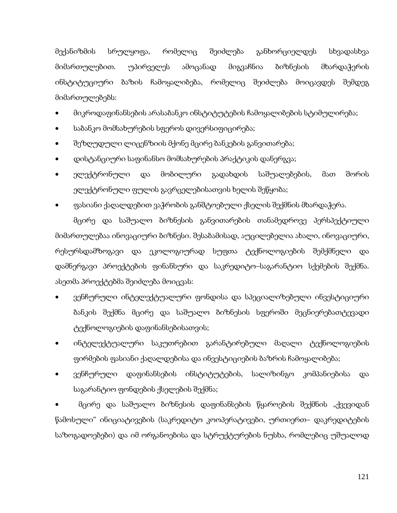მექანიზმის სრულყოფა, რომელიც შეიძლება განხორციელდეს სხვადასხვა მიმართულებით. უპირველეს ამოცანად მიგვაჩნია ბიზნესის მხარდაჭერის ინსტიტუციური ბაზის ჩამოყალიბება, რომელიც შეიძლება მოიცავდეს შემდეგ მიმართულებებს:

- მიკროდაფინანსების არასაბანკო ინსტიტუტების ჩამოყალიბების სტიმულირება;
- საბანკო მომსახურების სფეროს დივერსიფიცირება;
- შეზღუდული ლიცენზიის მქონე მცირე ბანკების განვითარება;
- დისტანციური საფინანსო მომსახურების პრაქტიკის დანერგვა;
- ელექტრონული და მობილური გადახდის საშუალებების, მათ შორის ელექტრონული ფულის გავრცელებისათვის ხელის შეწყობა;
- ფასიანი ქაღალდებით ვაჭრობის განშტოებული ქსელის შექმნის მხარდაჭერა.

მცირე და საშუალო ბიზნესის განვითარების თანამედროვე პერსპექტიული მიმართულებაა ინოვაციური ბიზნესი. შესაბამისად, აუცილებელია ახალი, ინოვაციური, რესურსდამზოგავი და ეკოლოგიურად სუფთა ტექნოლოგიების შემქმნელი და დამნერგავი პროექტების ფინანსური და საკრედიტო–საგარანტიო სქემების შექმნა. ასეთმა პროექტებმა შეიძლება მოიცვას:

- ვენჩურული ინტელექტუალური ფონდისა და სპეციალიზებული ინვესტიციური ბანკის შექმნა მცირე და საშუალო ბიზნესის სფეროში მეცნიერებათტევადი ტექნოლოგიების დაფინანსებისათვის;
- ინტელექტუალური საკუთრებით გარანტირებული მაღალი ტექნოლოგიების ფირმების ფასიანი ქაღალდებისა და ინვესტიციების ბაზრის ჩამოყალიბება;
- ვენჩურული დაფინანსების ინსტიტუტების, სალიზინგო კომპანიებისა და საგარანტიო ფონდების ქსელების შექმნა;

• მცირე და საშუალო ბიზნესის დაფინანსების წყაროების შექმნის "ქვევიდან წამოსული" ინიციატივების (საკრედიტო კოოპერატივები, ურთიერთ– დაკრედიტების საზოგადოებები) და იმ ორგანოებისა და სტრუქტურების ნუსხა, რომლებიც უშუალოდ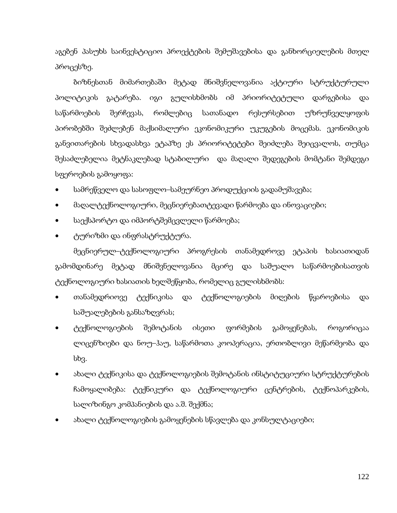აგებენ პასუხს საინვესტიციო პროექტების შემუშავებისა და განხორციელების მთელ პროცესზე.

ბიზნესთან მიმართებაში მეტად მნიშვნელოვანია აქტიური სტრუქტურული პოლიტიკის გატარება. იგი გულისხმობს იმ პრიორიტეტული დარგებისა და საწარმოების შერჩევას, რომლებიც სათანადო რესურსებით უზრუნველყოფის პირობებში შეძლებენ მაქსიმალური ეკონომიკური უკუგების მოცემას. ეკონომიკის განვითარების სხვადასხვა ეტაპზე ეს პრიორიტეტები შეიძლება შეიცვალოს, თუმცა შესაძლებელია მეტნაკლებად სტაბილური და მაღალი შედეგების მომტანი შემდეგი სფეროების გამოყოფა:

- სამრეწველო და სასოფლო–სამეურნეო პროდუქციის გადამუშავება;
- მაღალტექნოლოგიური, მეცნიერებათტევადი წარმოება და ინოვაციები;
- საექსპორტო და იმპორტშემცვლელი წარმოება;
- ტურიზმი და ინფრასტრუქტურა.

მეცნიერულ–ტექნოლოგიური პროგრესის თანამედროვე ეტაპის ხასიათიდან გამომდინარე მეტად მნიშვნელოვანია მცირე და საშუალო საწარმოებისათვის ტექნოლოგიური ხასიათის ხელშეწყობა, რომელიც გულისხმობს:

- თანამედრიოვე ტექნიკისა და ტექნოლოგიების მიღების წყაროებისა და საშუალებების განსაზღვრას;
- ტექნოლოგიების შემოტანის ისეთი ფორმების გამოყენებას, როგორიცაა ლიცენზიები და ნოუ–ჰაუ, საწარმოთა კოოპერაცია, ერთობლივი მეწარმეობა და სხვ.
- ახალი ტექნიკისა და ტექნოლოგიების შემოტანის ინსტიტუციური სტრუქტურების ჩამოყალიბება: ტექნიკური და ტექნოლოგიური ცენტრების, ტექნოპარკების, სალიზინგო კომპანიების და ა.შ. შექმნა;
- ახალი ტექნოლოგიების გამოყენების სწავლება და კონსულტაციები;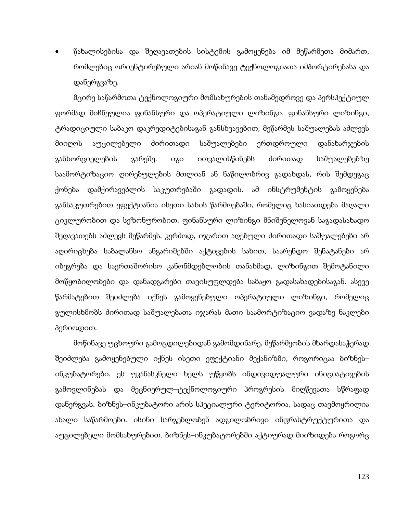• წახალისებისა და შეღავათების სისტემის გამოყენება იმ მეწარმეთა მიმართ, რომლებიც ორიენტირებული არიან მოწინავე ტექნოლოგიათა იმპორტირებასა და დანერგვაზე.

მცირე საწარმოთა ტექნოლოგიური მომსახურების თანამედროვე და პერსპექტიულ ფორმად მიჩნეულია ფინანსური და ოპერატიული ლიზინგი. ფინანსური ლიზინგი, ტრადიციული საბაკო დაკრედიტებისაგან განსხვავებით, მეწარმეს საშუალებას აძლევს მიიღოს აუცილებელი ძირითადი საშუალებები ერთდროული დანახარჯების განხორციელების გარეშე. იგი ითვალისწინებს ძირითად საშუალებებზე საამორტიზაციო ღირებულების მთლიან ან ნაწილობრივ გადახდას, რის შემდეგაც ქონება დამქირავებლის საკუთრებაში გადადის. ამ ინსტრუმენტის გამოყენება განსაკუთრებით ეფექტიანია ისეთი სახის წარმოებაში, რომელიც ხასიათდება მაღალი ციკლურობით და სეზონურობით. ფინანსური ლიზინგი მნიშვნელოვან საგადასახადო შეღავათებს აძლევს მეწარმეს. კერძოდ, იჯარით აღებული ძირითადი საშუალებები არ აღირიცხება საბალანსო ანგარიშებში აქტივების სახით, საარენდო შენატანები არ იბეგრება და საერთაშორისო კანონმდებლობის თანახმად, ლიზინგით შემოტანილი მოწყობილობები და დანადგარები თავისუფლდება საბაჟო გადასახადებისაგან. ასევე წარმატებით შეიძლება იქნეს გამოყენებული ოპერატიული ლიზინგი, რომელიც გულისხმობს ძირითად საშუალებათა იჯარას მათი საამორტიზაციო ვადაზე ნაკლები პერიოდით.

მოწინავე უცხოური გამოცდილებიდან გამომდინარე, მეწარმეობის მხარდასაჭერად შეიძლება გამოყენებული იქნეს ისეთი ეფექტიანი მექანიზმი, როგორიცაა ბიზნეს– ინკუბატორები. ეს უკანასკნელი ხელს უწყობს ინდივიდუალური ინიციატივების გამოვლინებას და მეცნიერულ–ტექნოლოგიური პროგრესის მიღწევათა სწრაფად დანერგვას. ბიზნეს–ინკუბატორი არის სპეციალური ტერიტორია, სადაც თავმოყრილია ახალი საწარმოები. ისინი სარგებლობენ ადგილობრივი ინფრასტრუქტურითა და აუცილებელი მომსახურებით. ბიზნეს–ინკუბატორებში აქტიურად მიიზიდება როგორც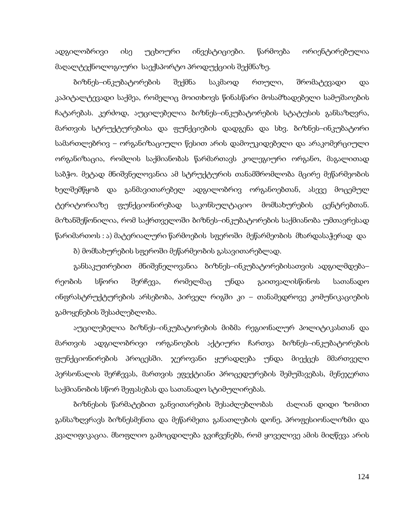ადგილობრივი ისე უცხოური ინვესტიციები. წარმოება ორიენტირებულია მაღალტექნოლოგიური საექსპორტო პროდუქციის შექმნაზე.

ბიზნეს–ინკუბატორების შექმნა საკმაოდ რთული, შრომატევადი და კაპიტალტევადი საქმეა, რომელიც მოითხოვს წინასწარი მოსამზადებელი სამუშაოების ჩატარებას. კერძოდ, აუცილებელია ბიზნეს–ინკუბატორების სტატუსის განსაზღვრა, მართვის სტრუქტურებისა და ფუნქციების დადგენა და სხვ. ბიზნეს–ინკუბატორი სამართლებრივ – ორგანიზაციული წესით არის დამოუკიდებელი და არაკომერციული ორგანიზაცია, რომლის საქმიანობას წარმართავს კოლეგიური ორგანო, მაგალითად საბჭო. მეტად მნიშვნელოვანია ამ სტრუქტურის თანამშრომლობა მცირე მეწარმეობის ხელშემწყობ და განმავითარებელ ადგილობრივ ორგანოებთან, ასევე მოცემულ ტერიტორიაზე ფუნქციონირებად საკონსულტაციო მომსახურების ცენტრებთან. მიზანშეწონილია, რომ საქრთველოში ბიზნეს–ინკუბატორების საქმიანობა უმთავრესად წარიმართოს : ა) მატერიალური წარმოების სფეროში მეწარმეობის მხარდასაჭერად და

ბ) მომსახურების სფეროში მეწარმეობის გასავითარებლად.

განსაკუთრებით მნიშვნელოვანია ბიზნეს–ინკუბატორებისათვის ადგილმდება– რეობის სწორი შერჩევა, რომელმაც უნდა გაითვალისწინოს სათანადო ინფრასტრუქტურების არსებობა, პირველ რიგში კი – თანამედროვე კომუნიკაციების გამოყენების შესაძლებლობა.

აუცილებელია ბიზნეს–ინკუბატორების მიბმა რეგიონალურ პოლიტიკასთან და მართვის ადგილობრივი ორგანოების აქტიური ჩართვა ბიზნეს–ინკუბატორების ფუნქციონირების პროცესში. ჯეროვანი ყურადღება უნდა მიექცეს მმართველი პერსონალის შერჩევას, მართვის ეფექტიანი პროცედურების შემუშავებას, მენეჯერთა საქმიანობის სწორ შეფასებას და სათანადო სტიმულირებას.

ბიზნესის წარმატებით განვითარების შესაძლებლობას ძალიან დიდი ზომით განსაზღვრავს ბიზნესმენთა და მეწარმეთა განათლების დონე, პროფესიონალიზმი და კვალიფიკაცია. მსოფლიო გამოცდილება გვიჩვენებს, რომ ყოველივე ამის მიღწევა არის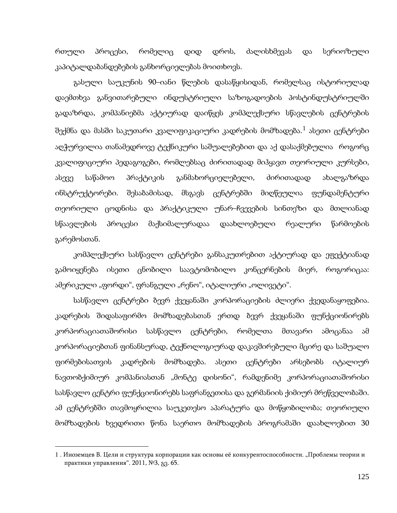რთული პროცესი, რომელიც დიდ დროს, ძალისხმევას და სერიოზული კაპიტალდაბანდებების განხორციელებას მოითხოვს.

გასული საუკუნის 90–იანი წლების დასაწყისიდან, რომელსაც ისტორიულად დაემთხვა განვითარებული ინდუსტრიული საზოგადოების პოსტინდუსტრიულში გადაზრდა, კომპანიებმა აქტიურად დაიწყეს კომპლექსური სწავლების ცენტრების შექმნა და მასში საკუთარი კვალიფიკაციური კადრების მომზადება. $^1$  $^1$  ასეთი ცენტრები აღჭურვილია თანამედროვე ტექნიკური საშუალებებით და აქ დასაქმებულია როგორც კვალიფიციური პედაგოგები, რომლებსაც ძირითადად მიჰყავთ თეორიული კურსები, ასევე საწამოო პრაქტიკის განმახორციელებელი, ძირითადად ახალგაზრდა ინსტრუქტორები. შესაბამისად, მსგავს ცენტრებში მიღწეულია ფუნდამენტური თეორიული ცოდნისა და პრაქტიკული უნარ–ჩვევების სინთეზი და მთლიანად სწაავლების პროცესი მაქსიმალურადაა დაახლოებული რეალური წარმოების გარემოსთან.

კომპლექსური სასწავლო ცენტრები განსაკუთრებით აქტიურად და ეფექტიანად გამოიყენება ისეთი ცნობილი საავტომობილო კონცერნების მიერ, როგორიცაა: ამერიკული "ფორდი", ფრანგული "რენო", იტალიური "ოლივეტი".

სასწავლო ცენტრები ბევრ ქვეყანაში კორპორაციების ძლიერი ქვედანაყოფებია. კადრების შიდასაფირმო მომზადებასთან ერთდ ბევრ ქვეყანაში ფუნქციონირებს კორპორაციათაშორისი სასწავლო ცენტრები, რომელთა მთავარი ამოცანაა ამ კორპორაციებთან ფინანსურად, ტექნოლოგიურად დაკავშირებული მცირე და საშუალო ფირმებისათვის კადრების მომზადება. ასეთი ცენტრები არსებობს იტალიურ ნავთობქიმიურ კომპანიასთან "მონტე დისონი", რამდენიმე კორპორაციათაშორისი სასწავლო ცენტრი ფუნქციონირებს საფრანგეთისა და გერმანიის ქიმიურ მრეწველობაში. ამ ცენტრებში თავმოყრილია საუკეთესო აპარატურა და მოწყობილობა; თეორიული მომზადების ხვედრითი წონა საერთო მომზადების პროგრამაში დაახლოებით 30

<span id="page-123-0"></span><sup>1 .</sup> Иноземцев В. Цели и структура корпорации как основы её конкурентоспособности. "Проблемы теории и практики управления". 2011, №3, გვ. 65.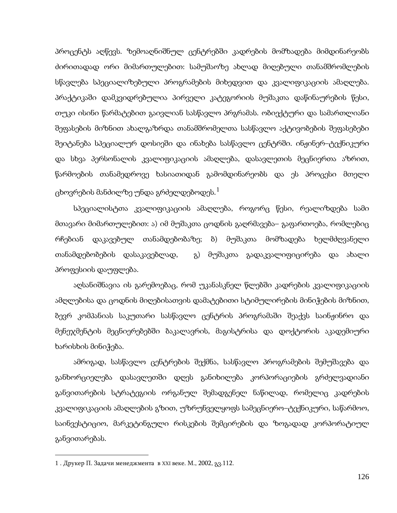პროცენტს აღწევს. ზემოაღნიშნულ ცენტრებში კადრების მომზადება მიმდინარეობს ძირითადად ორი მიმართულებით: სამუშაოზე ახლად მიღებული თანამშრომლების სწავლება სპეციალიზებული პროგრამების მიხედვით და კვალიფიკაციის ამაღლება. პრაქტიკაში დამკვიდრებულია პირველი კატეგორიის მუშაკთა დაწინაურების წესი, თუკი ისინი წარმატებით გაივლიან სასწავლო პრგრამას. ობიექტური და სამართლიანი შეფასების მიზნით ახალგაზრდა თანამშრომელთა სასწავლო აქტივობების შეფასებები შეიტანება სპეციალურ დოსიეში და ინახება სასწავლო ცენტრში. ინჟინერ–ტექნიკური და სხვა პერსონალის კვალიფიკაციის ამაღლება, დასავლეთის მეცნიერთა აზრით, წარმოების თანამედროვე ხასიათიდან გამომდინარეობს და ეს პროცესი მთელი ცხოვრების მანძილზე უნდა გრძელდებოდეს. $^{\rm 1}$  $^{\rm 1}$  $^{\rm 1}$ 

სპეციალისტთა კვალიფიკაციის ამაღლება, როგორც წესი, რეალიზდება სამი მთავარი მიმართულებით: ა) იმ მუშაკთა ცოდნის გაღრმავება– გაფართოება, რომლებიც რჩებიან დაკავებულ თანამდებობაზე; ბ) მუშაკთა მომზადება ხელმძღვანელი თანამდებობების დასაკავებლად, გ) მუშაკთა გადაკვალიფიცირება და ახალი პროფესიის დაუფლება.

აღსანიშნავია ის გარემოებაც, რომ უკანასკნელ წლებში კადრების კვალიფიკაციის ამღლებისა და ცოდნის მიღებისათვის დამატებითი სტიმულირების მინიჭების მიზნით, ბევრ კომპანიას საკუთარი სასწავლო ცენტრის პროგრამაში შეაქვს საინჟინრო და მენეჯმენტის მეცნიერებებში ბაკალავრის, მაგისტრისა და დოქტორის აკადემიური ხარისხის მინიჭება.

<span id="page-124-0"></span>ამრიგად, სასწავლო ცენტრების შექმნა, სასწავლო პროგრამების შემუშავება და განხორციელება დასავლეთში დღეს განიხილება კორპორაციების გრძელვადიანი განვითარების სტრატეგიის ორგანულ შემადგენელ ნაწილად, რომელიც კადრების კვალიფიკაციის ამაღლების გზით, უზრუნველყოფს სამეცნიერო–ტექნიკური, საწარმოო, საინვესტიციო, მარკეტინგული რისკების შემცირების და ზოგადად კორპორატიულ განვითარებას.

<sup>1</sup> . Друкер П. Задачи менеджмента в XXI веке. М., 2002, გვ.112.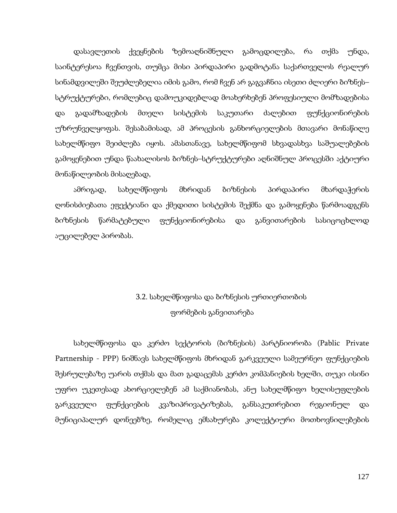დასავლეთის ქვეყნების ზემოაღნიშნული გამოცდილება, რა თქმა უნდა, საინტერესოა ჩვენთვის, თუმცა მისი პირდაპირი გადმოტანა საქართველოს რეალურ სინამდვილეში შეუძლებელია იმის გამო, რომ ჩვენ არ გაგვაჩნია ისეთი ძლიერი ბიზნეს– სტრუქტურები, რომლებიც დამოუკიდებლად მოახერხებენ პროფესიული მომზადებისა და გადამზადების მთელი სისტემის საკუთარი ძალებით ფუნქციონირების უზრუნველყოფას. შესაბამისად, ამ პროცესის განხორციელების მთავარი მონაწილე სახელმწიფო შეიძლება იყოს. ამასთანავე, სახელმწიფომ სხვადასხვა საშუალებების გამოყენებით უნდა წაახალისოს ბიზნეს–სტრუქტურები აღნიშნულ პროცესში აქტიური მონაწილეობის მისაღებად,

ამრიგად, სახელმწიფოს მხრიდან ბიზნესის პირდაპირი მხარდაჭერის ღონისძიებათა ეფექტიანი და ქმედითი სისტემის შექმნა და გამოყენება წარმოადგენს ბიზნესის წარმატებული ფუნქციონირებისა და განვითარების სასიცოცხლოდ აუცილებელ პირობას.

## 3.2. სახელმწიფოსა და ბიზნესის ურთიერთობის ფორმების განვითარება

სახელმწიფოსა და კერძო სექტორის (ბიზნესის) პარტნიორობა (Pablic Private Partnership - PPP) ნიშნავს სახელმწიფოს მხრიდან გარკვეული სამეურნეო ფუნქციების შესრულებაზე უარის თქმას და მათ გადაცემას კერძო კომპანიების ხელში, თუკი ისინი უფრო უკეთესად ახორციელებენ ამ საქმიანობას, ანუ სახელმწიფო ხელისუფლების გარკვეული ფუნქციების კვაზიპრივატიზებას, განსაკუთრებით რეგიონულ და მუნიციპალურ დონეებზე, რომელიც ემსახურება კოლექტიური მოთხოვნილებების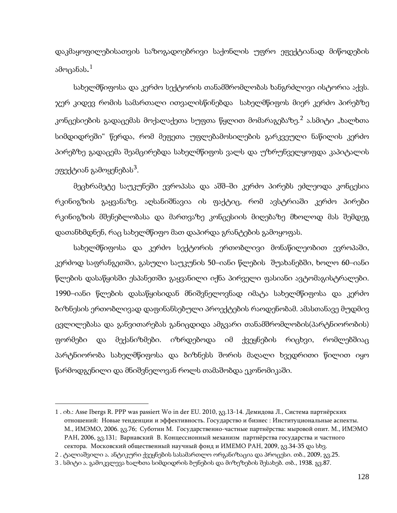დაკმაყოფილებისათვის საზოგადოებრივი საქონლის უფრო ეფექტიანად მიწოდების ამოცანას. $^{\rm 1}$  $^{\rm 1}$  $^{\rm 1}$ 

სახელმწიფოსა და კერძო სექტორის თანამშრომლობას ხანგრძლივი ისტორია აქვს. ჯერ კიდევ რომის სამართალი ითვალისწინებდა სახელმწიფოს მიერ კერძო პირებზე კონცესიების გადაცემას მოქალაქეთა სუფთა წყლით მომარაგებაზე.<sup>[2](#page-126-0)</sup> ა.სმიტი "ხალხთა სიმდიდრეში" წერდა, რომ მეფეთა უფლებამოსილების გარკვეული ნაწილის კერძო პირებზე გადაცემა შეამცირებდა სახელმწიფოს ვალს და უზრუნველყოფდა კაპიტალის ეფექტიან გამოყენებას $^3$  $^3$ .

მეცხრამეტე საუკუნეში ევროპასა და აშშ–ში კერძო პირებს ეძლეოდა კონცესია რკინიგზის გაყვანაზე. აღსანიშნავია ის ფაქტიც, რომ ავსტრიაში კერძო პირები რკინიგზის მშენებლობასა და მართვაზე კონცესიის მიღებაზე მხოლოდ მას შემდეგ დათანხმდნენ, რაც სახელმწიფო მათ დაპირდა გრანტების გამოყოფას.

სახელმწიფოსა და კერძო სექტორის ერთობლივი მონაწილეობით ევროპაში, კერძოდ საფრანგეთში, გასული საუკუნის 50–იანი წლების შუახანებში, ხოლო 60–იანი წლების დასაწყისში ესპანეთში გაყვანილი იქნა პირველი ფასიანი ავტომაგისტრალები. 1990–იანი წლების დასაწყისიდან მნიშვნელოვნად იმატა სახელმწიფოსა და კერძო ბიზნესის ერთობლივად დაფინანსებული პროექტების რაოდენობამ. ამასთანავე მუდმივ ცვლილებასა და განვითარებას განიცდიდა ამგვარი თანამშრომლობის(პარტნიორობის) ფორმები და მექანიზმები. იზრდებოდა იმ ქვეყნების რიცხვი, რომლებშიაც პარტნიორობა სახელმწიფოსა და ბიზნესს შორის მაღალი ხვედრითი წილით იყო წარმოდგენილი და მნიშვნელოვან როლს თამაშობდა ეკონომიკაში.

<span id="page-126-0"></span><sup>1</sup> . იხ.: Asse Ibergs R. PPP was passiert Wo in der EU. 2010, გვ.13-14. Демидова Л., Система партнёрских отношений: Новые тенденции и эффективность. Государство и бизнес : Институциональные аспекты. М., ИМЭМО, 2006. გვ.76; Суботин М. Государственно-частные партнёрства: мыровой опит. М., ИМЭМО РАН, 2006, გვ.131; Варнавский В. Концессионный механизм партнёрства государства и частного сектора. Московский общественный научный фонд и ИМЕМО РАН, 2009, გვ.34-35 და სხვ.

<span id="page-126-1"></span><sup>2</sup> . ტალიაშვილი ა. ანტიკური ქვეყნების სასამართლო ორგანიზაცია და პროცესი. თბ., 2009, გვ.25.

<sup>3</sup> . სმიტი ა. გამოკვლევა ხალხთა სიმდიდრის ბუნების და მიზეზების შესახებ. თბ., 1938. გვ.87.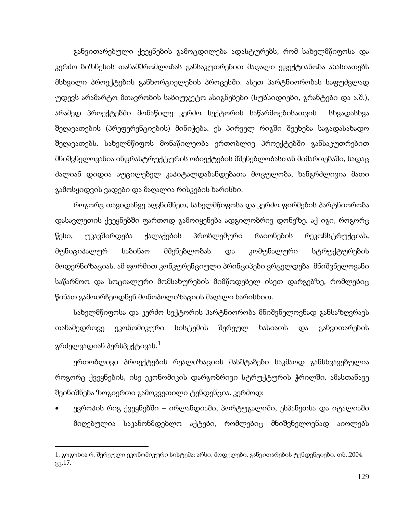განვითარებული ქვეყნების გამოცდილება ადასტურებს, რომ სახელმწიფოსა და კერძო ბიზნესის თანამშრომლობას განსაკუთრებით მაღალი ეფექტიანობა ახასიათებს მსხვილი პროექტების განხორციელების პროცესში. ასეთ პარტნიორობას საფუძვლად უდევს არამარტო მთავრობის საბიუჯეტო ასიგნებები (სუბსიდიები, გრანტები და ა.შ.), არამედ პროექტებში მონაწილე კერძო სექტორის საწარმოებისათვის სხვადასხვა შეღავათების (პრეფერენციების) მინიჭება. ეს პირველ რიგში შეეხება საგადასახადო შეღავათებს. სახელმწიფოს მონაწილეობა ერთობლივ პროექტებში განსაკუთრებით მნიშვნელოვანია ინფრასტრუქტურის ობიექტების მშენებლობასთან მიმართებაში, სადაც ძალიან დიდია აუცილებელ კაპიტალდაბანდებათა მოცულობა, ხანგრძლივია მათი გამოსყიდვის ვადები და მაღალია რისკების ხარისხი.

როგორც თავიდანვე აღვნიშნეთ, სახელმწიფოსა და კერძო ფირმების პარტნიორობა დასავლეთის ქვეყნებში ფართოდ გამოიყენება ადგილობრივ დონეზე. აქ იგი, როგორც წესი, უკავშირდება ქალაქების პრობლემური რაიონების რეკონსტრუქციას, მუნიციპალურ საბინაო მშენებლობას და კომუნალური სტრუქტურების მოდერნიზაციას. ამ ფორმით კონკურენციული პრინციპები ვრცელდება მნიშვნელოვანი საწარმოო და სოციალური მომსახურების მიმწოდებელ ისეთ დარგებზე, რომლებიც წინათ გამოირჩეოდნენ მონოპოლიზაციის მაღალი ხარისხით.

სახელმწიფოსა და კერძო სექტორის პარტნიორობა მნიშვნელოვნად განსაზღვრავს თანამედროვე ეკონომიკური სისტემის შერეულ ხასიათს და განვითარების გრძელვადიან პერსპექტივას. $^1$  $^1$ 

ერთობლივი პროექტების რეალიზაციის მასშტაბები საკმაოდ განსხვავებულია როგორც ქვეყნების, ისე ეკონომიკის დარგობრივი სტრუქტურის ჭრილში. ამასთანავე შეინიშნება ზოგიერთი გამოკვეთილი ტენდენცია. კერძოდ:

• ევროპის რიგ ქვეყნებში – ირლანდიაში, პორტუგალიში, ესპანეთსა და იტალიაში მიღებულია საკანონმდებლო აქტები, რომლებიც მნიშვნელოვნად აიოლებს

<span id="page-127-0"></span><sup>1</sup>. გოგოხია რ. შერეული ეკონომიკური სისტემა: არსი, მოდელები, განვითარების ტენდენციები. თბ.,2004, გვ.17.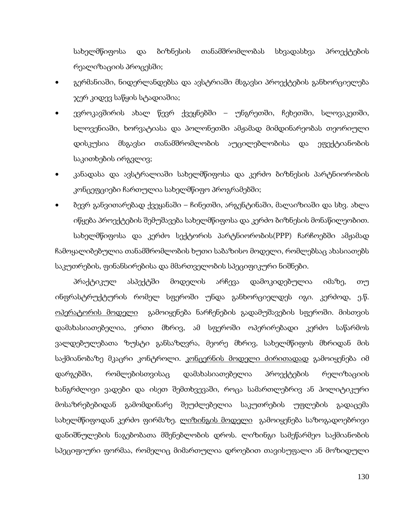სახელმწიფოსა და ბიზნესის თანამშრომლობას სხვადასხვა პროექტების რეალიზაციის პროცესში;

- გერმანიაში, ნიდერლანდებსა და ავსტრიაში მსგავსი პროექტების განხორციელება ჯერ კიდევ საწყის სტადიაშია;
- ევროკავშირის ახალ წევრ ქვეყნებში უნგრეთში, ჩეხეთში, სლოვაკეთში, სლოვენიაში, ხორვატიასა და პოლონეთში ამჟამად მიმდინარეობას თეორიული დისკუსია მსგავსი თანამშრომლობის აუცილებლობისა და ეფექტიანობის საკითხების ირგვლივ;
- კანადასა და ავსტრალიაში სახელმწიფოსა და კერძო ბიზნესის პარტნიორობის კონცეფციები ჩართულია სახელმწიფო პროგრამებში;
- ბევრ განვითარებად ქვეყანაში ჩინეთში, არგენტინაში, მალაიზიაში და სხვ. ახლა იწყება პროექტების შემუშავება სახელმწიფოსა და კერძო ბიზნესის მონაწილეობით. სახელმწიფოსა და კერძო სექტორის პარტნიორობის(PPP) ჩარჩოებში ამჟამად ჩამოყალიბებულია თანამშრომლობის ხუთი საბაზისო მოდელი, რომლებსაც ახასიათებს საკუთრების, ფინანსირებისა და მმართველობის სპეციფიკური ნიშნები.

პრაქტიკულ ასპექტში მოდელის არჩევა დამოკიდებულია იმაზე, თუ ინფრასტრუქტურის რომელ სფეროში უნდა განხორციელდეს იგი. კერძოდ, ე.წ. <u>ოპერატორის მოდელი</u> გამოიყენება ნარჩენების გადამუშავების სფეროში. მისთვის დამახასიათებელია, ერთი მხრივ, ამ სფეროში ოპერირებადი კერძო საწარმოს ვალდებულებათა ზუსტი განსაზღვრა, მეორე მხრივ, სახელმწიფოს მხრიდან მის საქმიანობაზე მკაცრი კონტროლი. <u>კონცერნის მოდელი ძირითადად</u> გამოიყენება იმ დარგებში, რომლებისთვისაც დამახასიათებელია პროექტების რელიზაციის ხანგრძლივი ვადები და ისეთ შემთხვევაში, როცა სამართლებრივ ან პოლიტიკური მოსაზრებებიდან გამომდინარე შეუძლებელია საკუთრების უფლების გადაცემა სახელმწიფოდან კერძო ფირმაზე. <u>ლიზინგის მოდელი</u> გამოიყენება საზოგადოებრივი დანიშნულების ნაგებობათა მშენებლობის დროს. ლიზინგი სამეწარმეო საქმიანობის სპეციფიური ფორმაა, რომელიც მიმართულია დროებით თავისუფალი ან მოზიდული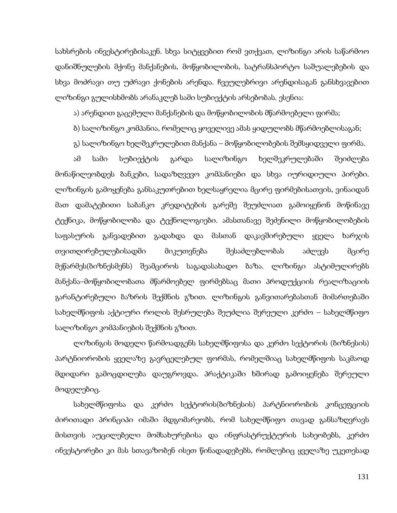სახსრების ინვესტირებისაკენ. სხვა სიტყვებით რომ ვთქვათ, ლიზინგი არის საწარმოო დანიშნულების მქონე მანქანების, მოწყობილობის, სატრანსპორტო საშუალებების და სხვა მოძრავი თუ უძრავი ქონების არენდა. ჩვეულებრივი არენდისაგან განსხვავებით ლიზინგი გულისხმობს არანაკლებ სამი სუბიექტის არსებობას. ესენია:

ა) არენდით გაცემული მანქანების და მოწყობილობის მწარმოებელი ფირმა;

ბ) სალიზინგო კომპანია, რომელიც ყოველივე ამას ყიდულობს მწარმოებლისაგან;

გ) სალიზინგო ხელშეკრულებით მანქანა – მოწყობილობების შემსყიდველი ფირმა.

ამ სამი სუბიექტის გარდა სალიზინგო ხელშეკრულებაში შეიძლება მონაწილეობდეს ბანკები, სადაზღვევო კომპანიები და სხვა იურიდიული პირები. ლიზინგის გამოყენება განსაკუთრებით ხელსაყრელია მცირე ფირმებისათვის, ვინაიდან მათ დამატებითი საბანკო კრედიტების გარეშე შეუძლიათ გამოიყენონ მოწინავე ტექნიკა, მოწყობილობა და ტექნოლოგიები. ამასთანავე შეძენილი მოწყობილობების საფასურის განვადებით გადახდა და მასთან დაკავშირებული ყველა ხარჯის თვითღირებულებისადმი მიკუთვნება შესაძლებლობას აძლევს მცირე მეწარმეს(ბიზნესმენს) შეამციროს საგადასახადო ბაზა. ლიზინგი ასტიმულირებს მანქანა–მოწყობილობათა მწარმოებელ ფირმებსაც მათი პროდუქციის რეალიზაციის გარანტირებული ბაზრის შექმნის გზით. ლიზინგის განვითარებასთან მიმართებაში სახელმწიფოს აქტიური როლის შესრულება შეუძლია შერეული კერძო – სახელმწიფო სალიზინგო კომპანიების შექმნის გზით.

ლიზინგის მოდელი წარმოადგენს სახელმწიფოსა და კერძო სექტორის (ბიზნესის) პარტნიორობის ყველაზე გავრცელებულ ფორმას, რომელშიაც სახელმწიფოს საკმაოდ მდიდარი გამოცდილება დაუგროვდა. პრაქტიკაში ხშირად გამოიყენება შერეული მოდელებიც.

სახელმწიფოსა და კერძო სექტორის(ბიზნესის) პარტნიორობის კონცეფციის ძირითადი პრინციპი იმაში მდგომარეობს, რომ სახელმწიფო თავად განსაზღვრავს მისთვის აუცილებელი მომსახურებისა და ინფრასტრუქტურის სახეობებს, კერძო ინვესტორები კი მას სთავაზობენ ისეთ წინადადებებს, რომლებიც ყველაზე უკეთესად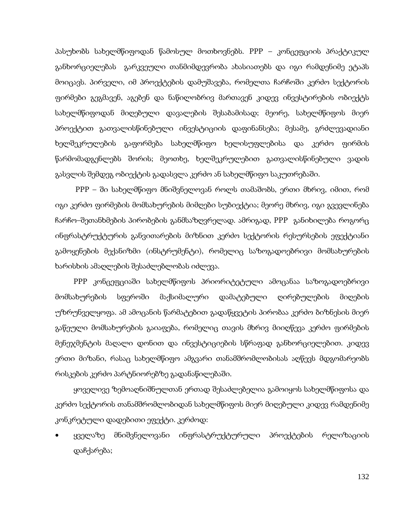პასუხობს სახელმწიფოდან წამოსულ მოთხოვნებს. PPP – კონცეფციის პრაქტიკულ განხორციელებას გარკვეული თანმიმდევრობა ახასიათებს და იგი რამდენიმე ეტაპს მოიცავს. პირველი, იმ პროექტების დამუშავება, რომელთა ჩარჩოში კერძო სექტორის ფირმები გეგმავენ, აგებენ და ნაწილობრივ მართავენ კიდევ ინვესტირების ობიექტს სახელმწიფოდან მიღებული დავალების შესაბამისად; მეორე, სახელმწიფოს მიერ პროექტით გათვალისწინებული ინვესტიციის დაფინანსება; მესამე, გრძლევადიანი ხელშეკრულების გაფორმება სახელმწიფო ხელისუფლებისა და კერძო ფირმის წარმომადგენლებს შორის; მეოთხე, ხელშეკრულებით გათვალისწინებული ვადის გასვლის შემდეგ ობიექტის გადასვლა კერძო ან სახელმწიფო საკუთრებაში.

PPP – ში სახელმწიფო მნიშვნელოვან როლს თამაშობს, ერთი მხრივ, იმით, რომ იგი კერძო ფირმების მომსახურების მიმღები სუბიექტია; მეორე მხრივ, იგი გვევლინება ჩარჩო–შეთანხმების პირობების განმსაზღვრელად. ამრიგად, PPP განიხილება როგორც ინფრასტრუქტურის განვითარების მიზნით კერძო სექტორის რესურსების ეფექტიანი გამოყენების მექანიზმი (ინსტრუმენტი), რომელიც საზოგადოებრივი მომსახურების ხარისხის ამაღლების შესაძლებლობას იძლევა.

PPP კონცეფციაში სახელმწიფოს პრიორიტეტული ამოცანაა საზოგადოებრივი მომსახურების სფეროში მაქსიმალური დამატებული ღირებულების მიღების უზრუნველყოფა. ამ ამოცანის წარმატებით გადაწყვეტის პირობაა კერძო ბიზნესის მიერ გაწეული მომსახურების გაიაფება, რომელიც თავის მხრივ მიიღწევა კერძო ფირმების მენეჯმენტის მაღალი დონით და ინვესტიციების სწრაფად განხორციელებით. კიდევ ერთი მიზანი, რასაც სახელმწიფო ამგვარი თანამშრომლობისას აღწევს მდგომარეობს რისკების კერძო პარტნიორებზე გადანაწილებაში.

ყოველივე ზემოაღნიშნულთან ერთად შესაძლებელია გამოიყოს სახელმწიფოსა და კერძო სექტორის თანამშრომლობიდან სახელმწიფოს მიერ მიღებული კიდევ რამდენიმე კონკრეტული დადებითი ეფექტი. კერძოდ:

• ყველაზე მნიშვნელოვანი ინფრასტრუქტურული პროექტების რელიზაციის დაჩქარება;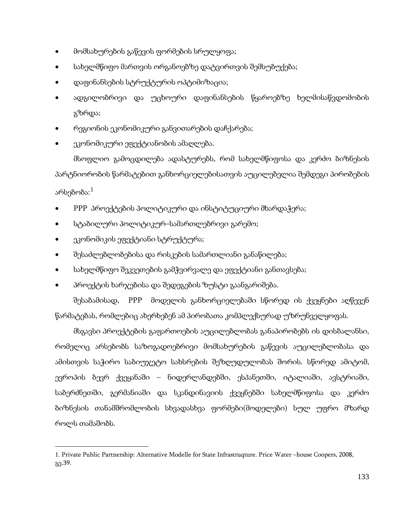- მომსახურების გაწევის ფორმების სრულყოფა;
- სახელმწიფო მართვის ორგანოებზე დატვირთვის შემსუბუქება;
- დაფინანსების სტრუქტურის ოპტიმიზაცია;
- ადგილობრივი და უცხოური დაფინანსების წყაროებზე ხელმისაწვდომობის გზრდა;
- რეგიონის ეკონომიკური განვითარების დაჩქარება;
- ეკონომიკური ეფექტიანობის ამაღლება.

მსოფლიო გამოცდილება ადასტურებს, რომ სახელმწიფოსა და კერძო ბიზნესის პარტნიორობის წარმატებით განხორციელებისათვის აუცილებელია შემდეგი პირობების არსებობა: $^{\rm 1}$  $^{\rm 1}$  $^{\rm 1}$ 

- PPP პროექტების პოლიტიკური და ინსტიტუციური მხარდაჭერა;
- სტაბილური პოლიტიკურ–სამართლებრივი გარემო;
- ეკონომიკის ეფექტიანი სტრუქტურა;

**.** 

- შესაძლებლობებისა და რისკების სამართლიანი განაწილება;
- სახელმწიფო შეკვეთების გამჭვირვალე და ეფექტიანი განთავსება;
- პროექტის ხარჯებისა და შედეგების ზუსტი გაანგარიშება.

შესაბამისად, PPP მოდელის განხორციელებაში სწორედ ის ქვეყნები აღწევენ წარმატებას, რომლებიც ახერხებენ ამ პირობათა კომპლექსურად უზრუნველყოფას.

მსგავსი პროექტების გაფართოების აუცილებლობას განაპირობებს ის დისბალანსი, რომელიც არსებობს საზოგადოებრივი მომსახურების გაწევის აუცილებლობასა და ამისთვის საჭირო საბიუჯეტო სახსრების შეზღუდულობას შორის. სწორედ ამიტომ, ევროპის ბევრ ქვეყანაში – ნიდერლანდებში, ესპანეთში, იტალიაში, ავსტრიაში, საბერძნეთში, გერმანიაში და სკანდინავიის ქვეყნებში სახელმწიფოსა და კერძო ბიზნესის თანამშრომლობის სხვადასხვა ფორმები(მოდელები) სულ უფრო მზარდ როლს თამაშობს.

<span id="page-131-0"></span><sup>1</sup>. Private Public Partnership: Alternative Modelle for State Infrastruqture. Price Water –house Coopers, 2008, გვ.39.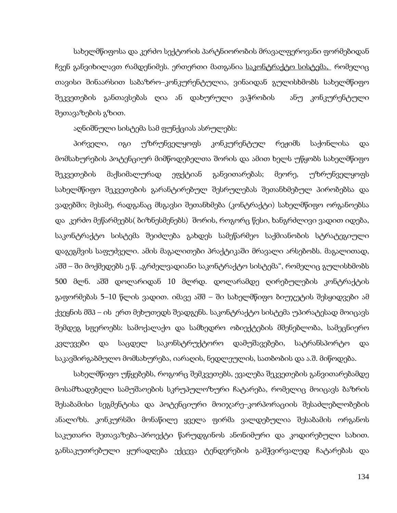სახელმწიფოსა და კერძო სექტორის პარტნიორობის მრავალფეროვანი ფორმებიდან ჩვენ განვიხილავთ რამდენიმეს. ერთერთი მათგანია <u>საკონტრაქტო სისტემა, </u> რომელიც თავისი შინაარსით საბაზრო–კონკურენტულია, ვინაიდან გულისხმობს სახელმწიფო შეკვეთების განთავსებას ღია ან დახურული ვაჭრობის ანუ კონკურენტული შეთავაზების გზით.

აღნიშნული სისტემა სამ ფუნქციას ასრულებს:

პირველი, იგი უზრუნველყოფს კონკურენტულ რეჟიმს საქონლისა და მომსახურების პოტენციურ მიმწოდებელთა შორის და ამით ხელს უწყობს სახელმწიფო შეკვეთების მაქსიმალურად ეფქტიან განვითარებას; მეორე, უზრუნველყოფს სახელმწიფო შეკვეთების გარანტირებულ შესრულებას შეთანხმებულ პირობებსა და ვადებში; მესამე, რადგანაც მსგავსი შეთანხმება (კონტრაქტი) სახელმწიფო ორგანოებსა და კერძო მეწარმეებს( ბიზნესმენებს) შორის, როგორც წესი, ხანგრძლივი ვადით იდება, საკონტრაქტო სისტემა შეიძლება გახდეს სამეწარმეო საქმიანობის სტრატეგიული დაგეგმვის საფუძველი. ამის მაგალითები პრაქტიკაში მრავალი არსებობს. მაგალითად, აშშ – ში მოქმედებს ე.წ. "გრძელვადიანი საკონტრაქტო სისტემა", რომელიც გულისხმობს 500 მლნ. აშშ დოლარიდან 10 მლრდ. დოლარამდე ღირებულების კონტრაქტის გაფორმებას 5–10 წლის ვადით. იმავე აშშ – ში სახელმწიფო ბიუჯეტის შესყიდვები ამ ქვეყნის მშპ – ის ერთ მეხუთედს შეადგენს. საკონტრაქტო სისტემა უპირატესად მოიცავს შემდეგ სფეროებს: სამოქალაქო და სამხედრო ობიექტების მშენებლობა, სამეცნიერო კვლევები და საცდელ საკონსტრუქტორო დამუშავებები, სატრანსპორტო და საკავშირგაბმულო მომსახურება, იარაღის, ნედლეულის, სათბობის და ა.შ. მიწოდება.

სახელმწიფო უწყებებს, როგორც შემკვეთებს, ევალება შეკვეთების განვითარებამდე მოსამზადებელი სამუშაოების სკრუპულოზური ჩატარება, რომელიც მოიცავს ბაზრის შესაბამისი სეგმენტისა და პოტენციური მოიჯარე–კორპორაციის შესაძლებლობების ანალიზს. კონკურსში მონაწილე ყველა ფირმა ვალდებულია შესაბამის ორგანოს საკუთარი შეთავაზება–პროექტი წარუდგინოს ანონიმური და კოდირებული სახით. განსაკუთრებული ყურადღება ექცევა ტენდერების გამჭვირვალედ ჩატარებას და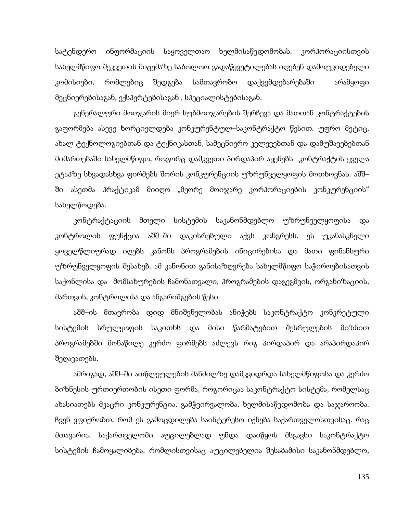სატენდერო ინფორმაციის საყოველთაო ხელმისაწვდომობას. კორპორაციისთვის სახელმწიფო შეკვეთის მიცემაზე საბოლოო გადაწყვეტილებას იღებენ დამოუკიდებელი კომისიები, რომლებიც შედგება სამთავრობო დაქვემდებარებაში არამყოფი მეცნიერებისაგან, ექსპერტებისაგან , სპეციალისტებისაგან.

გენერალური მოიჯარის მიერ სუბმოიჯარების შერჩევა და მათთან კონტრაქტების გაფორმება ასევე ხორციელდება კონკურენტულ–საკონტრაქტო წესით. უფრო მეტიც, ახალ ტექნოლოგიებთან და ტექნიკასთან, სამეცნიერო კვლევებთან და დამუშავებებთან მიმართებაში სახელმწიფო, როგორც დამკვეთი პირდაპირ აყენებს კონტრაქტის ყველა ეტაპზე სხვადასხვა ფირმებს შორის კონკურენციის უზრუნველყოფის მოთხოვნას. აშშ– ში ასეთმა პრაქტიკამ მიიღო "მეორე მოიჯარე კორპორაციების კონკურენციის" სახელწოდება.

კონტრაქტაციის მთელი სისტემის საკანონმდებლო უზრუნველყოფისა და კონტროლის ფუნქცია აშშ–ში დაკისრებული აქვს კონგრესს. ეს უკანასკნელი ყოველწლიურად იღებს კანონს პროგრამების ინიცირებისა და მათი ფინანსური უზრუნველყოფის შესახებ. ამ კანონით განისაზღვრება სახელმწიფო საჭიროებისათვის საქონლისა და მომსახურების ჩამონათვალი, პროგრამების დაგეგმვის, ორგანიზაციის, მართვის, კონტროლისა და ანგარიშგების წესი.

აშშ–ის მთავრობა დიდ მნიშვნელობას ანიჭებს საკონტრაქტო კონკრეტული სისტემის სრულყოფის საკითხს და მისი წარმატებით შესრულების მიზნით პროგრამებში მონაწილე კერძო ფირმებს აძლევს რიგ პირდაპირ და არაპირდაპირ შეღავათებს.

ამრიგად, აშშ–ში ათწლეულების მანძილზე დამკვიდრდა სახელმწიფოსა და კერძო ბიზნესის ურთიერთობის ისეთი ფორმა, როგორიცაა საკონტრაქტო სისტემა, რომელსაც ახასიათებს მკაცრი კონკურენცია, გამჭვირვალობა, ხელმისაწვდომობა და საჯაროობა. ჩვენ ვფიქრობთ, რომ ეს გამოცდილება საინტერესო იქნება საქართველოსთვისაც. რაც მთავარია, საქართველოში აუცილებლად უნდა დაიწყოს მსგავსი საკონტრაქტო სისტემის ჩამოყალიბება, რომლისთვისაც აუცილებელია შესაბამისი საკანონმდებლო,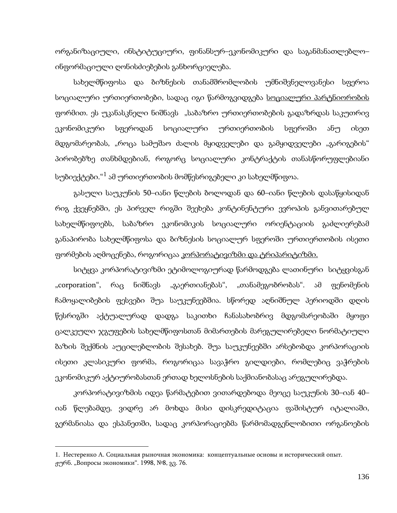ორგანიზაციული, ინსტიტუციური, ფინანსურ–ეკონომიკური და საგანმანათლებლო– ინფორმაციული ღონისძიებების განხორციელება.

სახელმწიფოსა და ბიზნესის თანამშრომლობის უმნიშვნელოვანესი სფეროა სოციალური ურთიერთობები, სადაც იგი წარმოგვიდგება <u>სოციალური პარტნიორობის</u> ფორმით. ეს უკანასკნელი ნიშნავს "საბაზრო ურთიერთობების გადაზრდას საკუთრივ ეკონომიკური სფეროდან სოციალური ურთიერთობის სფეროში ანუ ისეთ მდგომარეობას, "როცა სამუშაო ძალის მყიდველები და გამყიდველები "გარიგების" პირობებზე თანხმდებიან, როგორც სოციალური კონტრაქტის თანასწორუფლებიანი სუბიექტები."<sup>[1](#page-131-0)</sup> ამ ურთიერთობის მომწესრიგებელი კი სახელმწიფოა.

გასული საუკუნის 50–იანი წლების ბოლოდან და 60–იანი წლების დასაწყისიდან რიგ ქვეყნებში, ეს პირველ რიგში შეეხება კონტინენტური ევროპის განვითარებულ სახელმწიფოებს, საბაზრო ეკონომიკის სოციალური ორიენტაციის გაძლიერებამ განაპირობა სახელმწიფოსა და ბიზნესის სოციალურ სფეროში ურთიერთობის ისეთი ფორმების აღმოცენება, როგორიცაა <u>კორპორატივიზმი და ტრიპარიტიზმი.</u>

სიტყვა კორპორატივიზმი ეტიმოლოგიურად წარმოდგება ლათინური სიტყვისგან "corporation", რაც ნიშნავს "გაერთიანებას", "თანამეგობრობას". ამ ფენომენის ჩამოყალიბების ფესვები შუა საუკუნეებშია. სწორედ აღნიშნულ პერიოდში დღის წესრიგში აქტუალურად დადგა საკითხი ჩანასახობრივ მდგომარეობაში მყოფი ცალკეული ჯგუფების სახელმწიფოსთან მიმართების მარეგულირებელი ნორმატიული ბაზის შექმნის აუცილებლობის შესახებ. შუა საუკუნეებში არსებობდა კორპორაციის ისეთი კლასიკური ფორმა, როგორიცაა სავაჭრო გილდიები, რომლებიც ვაჭრების ეკონომიკურ აქტიურობასთან ერთად ხელოსნების საქმიანობასაც არეგულირებდა.

კორპორატივიზმის იდეა წარმატებით ვითარდებოდა მეოცე საუკუნის 30–იან 40– იან წლებამდე, ვიდრე არ მოხდა მისი დისკრედიტაცია ფაშისტურ იტალიაში, გერმანიასა და ესპანეთში, სადაც კორპორაციებმა წარმომადგენლობითი ორგანოების

<span id="page-134-0"></span><sup>1</sup>. Нестеренко А. Социальная рыночная экономика: концептуальные основы и исторический опыт. ჟურნ. "Вопросы экономики". 1998, №8, გვ. 76.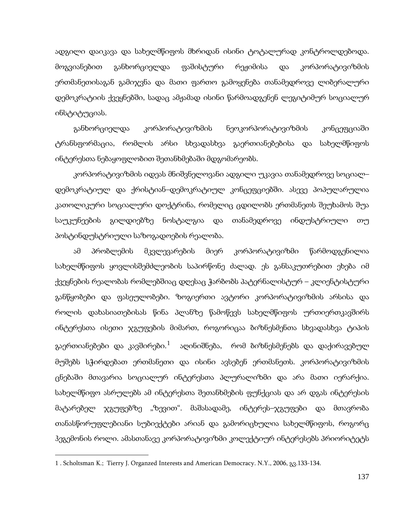ადგილი დაიკავა და სახელმწიფოს მხრიდან ისინი ტოტალურად კონტროლდებოდა. მოგვიანებით განხორციელდა ფაშისტური რეჟიმისა და კორპორატივიზმის ერთმანეთისაგან გამიჯვნა და მათი ფართო გამოყენება თანამედროვე ლიბერალური დემოკრატიის ქვეყნებში, სადაც ამჟამად ისინი წარმოადგენენ ლეგიტიმურ სოციალურ ინსტიტუციას.

განხორციელდა კორპორატივიზმის ნეოკორპორატივიზმის კონცეფციაში ტრანსფორმაცია, რომლის არსი სხვადასხვა გაერთიანებებისა და სახელმწიფოს ინტერესთა ნებაყოფლობით შეთანხმებაში მდგომარეობს.

კორპორატივიზმის იდეას მნიშვნელოვანი ადგილი უკავია თანამედროვე სოციალ– დემოკრატიულ და ქრისტიან–დემოკრატიულ კონცეფციებში. ასევე პოპულარულია კათოლიკური სოციალური დოქტრინა, რომელიც ცდილობს ერთმანეთს შეუხამოს შუა საუკუნეების გილდიებზე ნოსტალგია და თანამედროვე ინდუსტრიული თუ პოსტინდუსტრიული საზოგადოების რეალობა.

ამ პრობლემის მკვლევარების მიერ კორპორატივიზმი წარმოდგენილია სახელმწიფოს ყოვლისშემძლეობის საპირწონე ძალად. ეს განსაკუთრებით ეხება იმ ქვეყნების რეალობას რომლებშიაც დღესაც ჭარბობს პატერნალისტურ – კლიენტისტური განწყობები და ფასეულობები. ზოგიერთი ავტორი კორპორატივიზმის არსისა და როლის დახასიათებისას წინა პლანზე წამოწევს სახელმწიფოს ურთიერთკავშირს ინტერესთა ისეთი ჯგუფების მიმართ, როგორიცაა ბიზნესმენთა სხვადასხვა ტიპის გაერთიანებები და კავშირები. [1](#page-134-0) აღინიშნება, რომ ბიზნესმენებს და დაქირავებულ მუშებს სჭირდებათ ერთმანეთი და ისინი ავსებენ ერთმანეთს. კორპორატივიზმის ცნებაში მთავარია სოციალურ ინტერესთა პლურალიზმი და არა მათი იერარქია. სახელმწიფო ასრულებს ამ ინტერესთა შეთანხმების ფუნქციას და არ დგას ინტერესის მატარებელ ჯგუფებზე "ზევით". მაშასადამე, ინტერეს–ჯგუფები და მთავრობა თანასწორუფლებიანი სუბიექტები არიან და გამორიცხულია სახელმწიფოს, როგორც ჰეგემონის როლი. ამასთანავე კორპორატივიზმი კოლექტიურ ინტერესებს პრიორიტეტს

<span id="page-135-0"></span><sup>1 .</sup> Scholtsman K.; Tierry J. Organzed Interests and American Democracy. N.Y., 2006, გვ.133-134.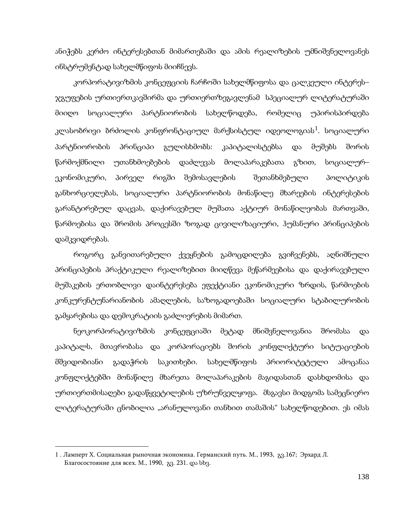ანიჭებს კერძო ინტერესებთან მიმართებაში და ამის რეალიზების უმნიშვნელოვანეს ინსტრუმენტად სახელმწიფოს მიიჩნევს.

კორპორატივიზმის კონცეფციის ჩარჩოში სახელმწიფოსა და ცალკეული ინტერეს– ჯგუფების ურთიერთკავშირმა და ურთიერთზეგავლენამ სპეციალურ ლიტერატურაში მიიღო სოციალური პარტნიორობის სახელწოდება, რომელიც უპირისპირდება კლასობრივი ბრძოლის კონფრონტაციულ მარქსისტულ იდეოლოგიას $^1$  $^1$ . სოციალური პარტნიორობის პრინციპი გულისხმობს: კაპიტალისტებსა და მუშებს შორის წარმოქმნილი უთანხმოებების დაძლევას მოლაპარაკებათა გზით, სოციალურ– ეკონომიკური, პირველ რიგში შემოსავლების შეთანხმებული პოლიტიკის განხორციელებას, სოციალური პარტნიორობის მონაწილე მხარეების ინტერესების გარანტირებულ დაცვას, დაქირავებულ მუშათა აქტიურ მონაწილეობას მართვაში, წარმოებისა და შრომის პროცესში ზოგად ცივილიზაციური, ჰუმანური პრინციპების დამკვიდრებას.

როგორც განვითარებული ქვეყნების გამოცდილება გვიჩვენებს, აღნიშნული პრინციპების პრაქტიკული რეალიზებით მიიღწევა მეწარმეებისა და დაქირავებული მუშაკების ერთობლივი დაინტერესება ეფექტიანი ეკონომიკური ზრდის, წარმოების კონკურენტუნარიანობის ამაღლების, საზოგადოებაში სოციალური სტაბილურობის გამყარებისა და დემოკრატიის გაძლიერების მიმართ.

ნეოკორპორატივიზმის კონცეფციაში მეტად მნიშვნელოვანია შრომასა და კაპიტალს, მთავრობასა და კორპორაციებს შორის კონფლიქტური სიტუაციების მშვიდობიანი გადაჭრის საკითხები. სახელმწიფოს პრიორიტეტული ამოცანაა კონფლიქტებში მონაწილე მხარეთა მოლაპარაკების მაგიდასთან დასხდომისა და ურთიერთმისაღები გადაწყვეტილების უზრუნველყოფა. მსგავსი მიდგომა სამეცნიერო ლიტერატურაში ცნობილია "არანულოვანი თანხით თამაშის" სახელწოდებით. ეს იმას

<span id="page-136-0"></span><sup>1</sup> . Ламперт Х. Социальная рыночная экономика. Германский путь. М., 1993, გვ.167; Эрхард Л. Благосостояние для всех. М., 1990, გვ. 231. და სხვ.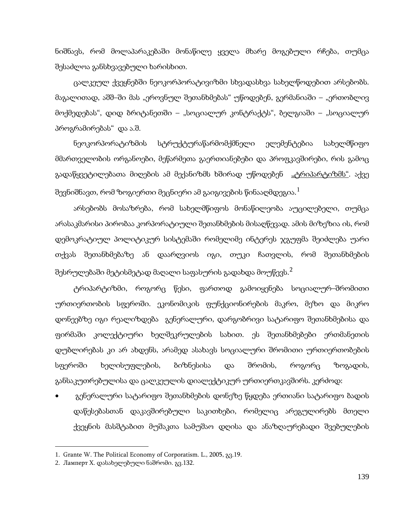ნიშნავს, რომ მოლაპარაკებაში მონაწილე ყველა მხარე მოგებული რჩება, თუმცა შესაძლოა განსხვავებული ხარისხით.

ცალკეულ ქვეყნებში ნეოკორპორატივიზმი სხვადასხვა სახელწოდებით არსებობს. მაგალითად, აშშ–ში მას "ეროვნულ შეთანხმებას" უწოდებენ, გერმანიაში – "ერთობლივ მოქმედებას", დიდ ბრიტანეთში – "სოციალურ კონტრაქტს", ბელგიაში – "სოციალურ პროგრამირებას" და ა.შ.

ნეოკორპორატიზმის სტრუქტურაწარმომქმნელი ელემენტებია სახელმწიფო მმართველობის ორგანოები, მეწარმეთა გაერთიანებები და პროფკავშირები, რის გამოც გადაწყვეტილებათა მიღების ამ მექანიზმს ხშირად უწოდებენ <u>"ტრიპარტიზმს"</u>. აქვე შევნიშნავთ, რომ ზოგიერთი მეცნიერი ამ გაიგივების წინააღმდეგია. $^1$  $^1$ 

არსებობს მოსაზრება, რომ სახელმწიფოს მონაწილეობა აუცილებელი, თუმცა არასაკმარისი პირობაა კორპორატიული შეთანხმების მისაღწევად. ამის მიზეზია ის, რომ დემოკრატიულ პოლიტიკურ სისტემაში რომელიმე ინტერეს ჯგუფმა შეიძლება უარი თქვას შეთანხმებაზე ან დაარღვიოს იგი, თუკი ჩათვლის, რომ შეთანხმების შესრულებაში მეტისმეტად მაღალი საფასურის გადახდა მოუწევს. $^{\mathsf{2}}$  $^{\mathsf{2}}$  $^{\mathsf{2}}$ 

ტრიპარტიზმი, როგორც წესი, ფართოდ გამოიყენება სოციალურ–შრომითი ურთიერთობის სფეროში. ეკონომიკის ფუნქციონირების მაკრო, მეზო და მიკრო დონეებზე იგი რეალიზდება გენერალური, დარგობრივი სატარიფო შეთანხმებისა და ფირმაში კოლექტიური ხელშეკრულების სახით. ეს შეთანხმებები ერთმანეთის დუბლირებას კი არ ახდენს, არამედ ასახავს სოციალური შრომითი ურთიერთობების სფეროში ხელისუფლების, ბიზნესისა და შრომის, როგორც ზოგადის, განსაკუთრებულისა და ცალკეულის დიალექტიკურ ურთიერთკავშირს. კერძოდ:

• გენერალური სატარიფო შეთანხმების დონეზე წყდება ერთიანი სატარიფო ბადის დაწესებასთან დაკავშირებული საკითხები, რომელიც არეგულირებს მთელი ქვეყნის მასშტაბით მუშაკთა სამუშაო დღისა და ანაზღაურებადი შვებულების

<span id="page-137-0"></span><sup>1</sup>. Grante W. The Political Economy of Corporatism. L., 2005, გვ.19.

<span id="page-137-1"></span><sup>2</sup>. Ламперт Х. დასახელებული ნაშრომი. გვ.132.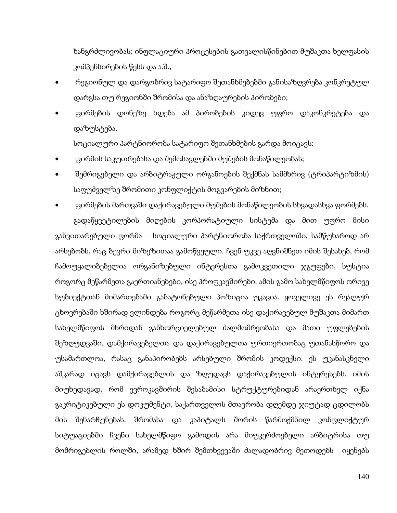ხანგრძლივობას; ინფლაციური პროცესების გათვალისწინებით მუშაკთა ხელფასის კომპენსირების წესს და ა.შ.,

- რეგიონულ და დარგობრივ სატარიფო შეთანხმებებში განისაზღვრება კონკრეტულ დარგსა თუ რეგიონში შრომისა და ანაზღაურების პირობები;
- ფირმების დონეზე ხდება ამ პირობების კიდევ უფრო დაკონკრეტება და დაზუსტება.

სოციალური პარტნიორობა სატარიფო შეთანხმების გარდა მოიცავს:

- ფირმის საკუთრებასა და შემოსავლებში მუშების მონაწილეობას;
- შემრიგებელი და არბიტრაჟული ორგანოების შექმნას სამმხრივ (ტრიპარტიზმის) საფუძველზე შრომითი კონფლიქტის მოგვარების მიზნით;

• ფირმების მართვაში დაქირავებული მუშების მონაწილეობის სხვადასხვა ფორმებს. გადაწყვეტილების მიღების კორპორატიული სისტემა და მით უფრო მისი განვითარებული ფორმა – სოციალური პარტნიორობა საქრთველოში, სამწუხაროდ არ არსებობს, რაც ბევრი მიზეზითაა გამოწვეული. ჩვენ უკვე აღვნიშნეთ იმის შესახებ, რომ ჩამოუყალიბებელია ორგანიზებული ინტერესთა გამოკვეთილი ჯგუფები, სუსტია როგორც მეწარმეთა გაერთიანებები, ისე პროფკავშირები. ამის გამო სახელმწიფოს ორივე სუბიექტთან მიმართებაში გაბატონებული პოზიცია უკავია. ყოველივე ეს რეალურ ცხოვრებაში ხშირად ვლინდება როგორც მეწარმეთა ისე დაქირავებულ მუშაკთა მიმართ სახელმწიფოს მხრიდან განხორციელებულ ძალმომრეობასა და მათი უფლებების შეზღუდვაში. დამქირავებელთა და დაქირავებულთა ურთიერთობაც უთანასწორო და უსამართლოა, რასაც განაპირობებს არსებული შრომის კოდექსი. ეს უკანასკნელი აშკარად იცავს დამქირავებლის და ზღუდავს დაქირავებულის ინტერესებს. იმის მიუხედავად, რომ ევროკავშირის შესაბამისი სტრუქტურებიდან არაერთხელ იქნა გაკრიტიკებული ეს დოკუმენტი, საქართველოს მთავრობა დღემდე ჯიუტად ცდილობს მის შენარჩუნებას. შრომასა და კაპიტალს შორის წარმოქმნილ კონფლიქტურ სიტუაციებში ჩვენი სახელმწიფო გამოდის არა მიუკერძოებელი არბიტრისა თუ მომრიგებლის როლში, არამედ ხშირ შემთხვევაში ძალადობრივ მეთოდებს იყენებს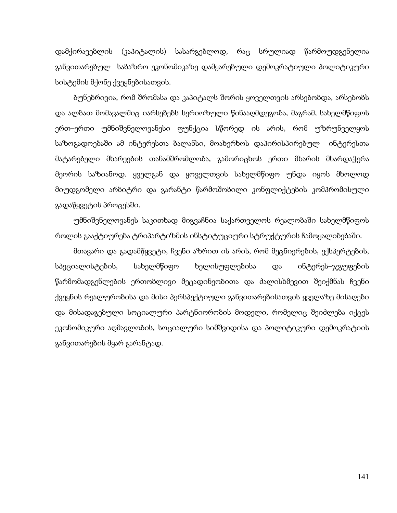დამქირავებლის (კაპიტალის) სასარგებლოდ, რაც სრულიად წარმოუდგენელია განვითარებულ საბაზრო ეკონომიკაზე დამყარებული დემოკრატიული პოლიტიკური სისტემის მქონე ქვეყნებისათვის.

ბუნებრივია, რომ შრომასა და კაპიტალს შორის ყოველთვის არსებობდა, არსებობს და ალბათ მომავალშიც იარსებებს სერიოზული წინააღმდეგობა, მაგრამ, სახელმწიფოს ერთ–ერთი უმნიშვნელოვანესი ფუნქცია სწორედ ის არის, რომ უზრუნველყოს საზოგადოებაში ამ ინტერესთა ბალანსი, მოახერხოს დაპირისპირებულ ინტერესთა მატარებელი მხარეების თანამშრომლობა, გამორიცხოს ერთი მხარის მხარდაჭერა მეორის საზიანოდ. ყველგან და ყოველთვის სახელმწიფო უნდა იყოს მხოლოდ მიუდგომელი არბიტრი და გარანტი წარმოშობილი კონფლიქტების კომპრომისული გადაწყვეტის პროცესში.

უმნიშვნელოვანეს საკითხად მიგვაჩნია საქართველოს რეალობაში სახელმწიფოს როლის გააქტიურება ტრიპარტიზმის ინსტიტუციური სტრუქტურის ჩამოყალიბებაში.

მთავარი და გადამწყვეტი, ჩვენი აზრით ის არის, რომ მეცნიერების, ექსპერტების, სპეციალისტების, სახელმწიფო ხელისუფლებისა და ინტერეს–ჯგუფების წარმომადგენლების ერთობლივი მეცადინეობითა და ძალისხმევით შეიქმნას ჩვენი ქვეყნის რეალურობისა და მისი პერსპექტიული განვითარებისათვის ყველაზე მისაღები და მისადაგებული სოციალური პარტნიორობის მოდელი, რომელიც შეიძლება იქცეს ეკონომიკური აღმავლობის, სოციალური სიმშვიდისა და პოლიტიკური დემოკრატიის განვითარების მყარ გარანტად.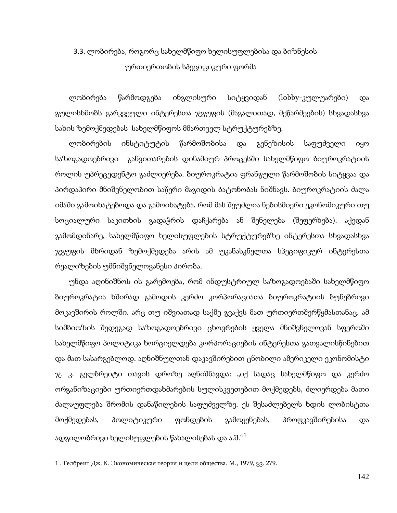## 3.3. ლობირება, როგორც სახელმწიფო ხელისუფლებისა და ბიზნესის ურთიერთობის სპეციფიკური ფორმა

ლობირება წარმოდგება ინგლისური სიტყვიდან (lobby-კულუარები) და გულისხმობს გარკვეული ინტერესთა ჯგუფის (მაგალითად, მეწარმეების) სხვადასხვა სახის ზემოქმედებას სახელმწიფოს მმართველ სტრუქტურებზე.

ლობირების ინსტიტუტის წარმოშობისა და გენეზისის საფუძველი იყო საზოგადოებრივი განვითარების დინამიურ პროცესში სახელმწიფო ბიუროკრატიის როლის უპრეცედენტო გაძლიერება. ბიუროკრატია ფრანგული წარმოშობის სიტყვაა და პირდაპირი მნიშვნელობით საწერი მაგიდის ბატონობას ნიშნავს. ბიუროკრატიის ძალა იმაში გამოიხატებოდა და გამოიხატება, რომ მას შეუძლია ნებისმიერი ეკონომიკური თუ სოციალური საკითხის გადაჭრის დაჩქარება ან შენელება (შეფერხება). აქედან გამომდინარე, სახელმწიფო ხელისუფლების სტრუქტურებზე ინტერესთა სხვადასხვა ჯგუფის მხრიდან ზემოქმედება არის ამ უკანასკნელთა სპეციფიკურ ინტერესთა რეალიზების უმნიშვნელოვანესი პირობა.

უნდა აღინიშნოს ის გარემოება, რომ ინდუსტრიულ საზოგადოებაში სახელმწიფო ბიუროკრატია ხშირად გამოდის კერძო კორპორაციათა ბიუროკრატიის ბუნებრივი მოკავშირის როლში. არც თუ იშვიათად საქმე გვაქვს მათ ურთიერთშერწყმასთანაც. ამ სიმბიოზის შედეგად საზოგადოებრივი ცხოვრების ყველა მნიშვნელოვან სფეროში სახელმწიფო პოლიტიკა ხორციელდება კორპორაციების ინტერესთა გათვალისწინებით და მათ სასარგებლოდ. აღნიშნულთან დაკავშირებით ცნობილი ამერიკელი ეკონომისტი ჯ. კ. გელბრეიტი თავის დროზე აღნიშნავდა: "იქ სადაც სახელმწიფო და კერძო ორგანიზაციები ურთიერთდახმარების სულისკვეთებით მოქმედებს, ძლიერდება მათი ძალაუფლება შრომის დანაწილების საფუძველზე. ეს შესაძლებელს ხდის ლობისტთა მოქმედებას, პოლიტიკური ფონდების გამოყენებას, პროფკავშირებისა და ადგილობრივი ხელისუფლების წახალისებას და ა.შ."[1](#page-137-1)

<span id="page-140-0"></span><sup>1</sup> . Гелбреит Дж. K. Экономическая теория и цели общества. М., 1979, გვ. 279.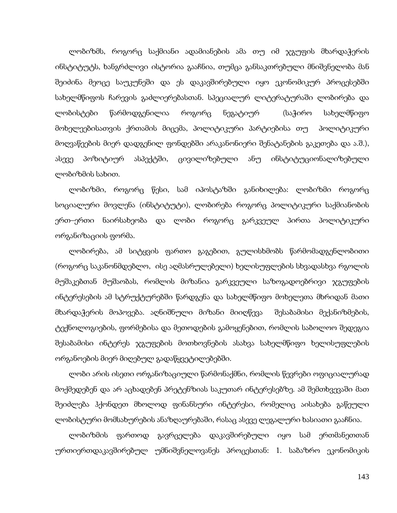ლობიზმს, როგორც საქმიანი ადამიანების ამა თუ იმ ჯგუფის მხარდაჭერის ინსტიტუტს, ხანგრძლივი ისტორია გააჩნია, თუმცა განსაკთრებული მნიშვნელობა მან შეიძინა მეოცე საუკუნეში და ეს დაკავშირებული იყო ეკონომიკურ პროცესებში სახელმწიფოს ჩარევის გაძლიერებასთან. სპეციალურ ლიტერატურაში ლობირება და ლობისტები წარმოდგენილია როგორც ნეგატიურ (საჭირო სახელმწიფო მოხელეებისათვის ქრთამის მიცემა, პოლიტიკური პარტიებისა თუ პოლიტიკური მოღვაწეების მიერ დადგენილ ფონდებში არაკანონიერი შენატანების გაკეთება და ა.შ.), ასევე პოზიტიურ ასპექტში, ცივილიზებული ანუ ინსტიტუციონალიზებული ლობიზმის სახით.

ლობიზმი, როგორც წესი, სამ იპოსტაზში განიხილება: ლობიზმი როგორც სოციალური მოვლენა (ინსტიტუტი), ლობირება როგორც პოლიტიკური საქმიანობის ერთ–ერთი ნაირსახეობა და ლობი როგორც გარკვეულ პირთა პოლიტიკური ორგანიზაციის ფორმა.

ლობირება, ამ სიტყვის ფართო გაგებით, გულისხმობს წარმომადგენლობითი (როგორც საკანონმდებლო, ისე აღმასრულებელი) ხელისუფლების სხვადასხვა რგოლის მუშაკებთან მუშაობას, რომლის მიზანია გარკვეული საზოგადოებრივი ჯგუფების ინტერესების ამ სტრუქტურებში წარდგენა და სახელმწიფო მოხელეთა მხრიდან მათი მხარდაჭერის მოპოვება. აღნიშნული მიზანი მიიღწევა შესაბამისი მექანიზმების, ტექნოლოგიების, ფორმებისა და მეთოდების გამოყენებით, რომლის საბოლოო შედეგია შესაბამისი ინტერეს ჯგუფების მოთხოვნების ასახვა სახელმწიფო ხელისუფლების ორგანოების მიერ მიღებულ გადაწყვეტილებებში.

ლობი არის ისეთი ორგანიზაციული წარმონაქმნი, რომლის წევრები ოფიციალურად მოქმედებენ და არ აცხადებენ პრეტენზიას საკუთარ ინტერესებზე. ამ შემთხვევაში მათ შეიძლება ჰქონდეთ მხოლოდ ფინანსური ინტერესი, რომელიც აისახება გაწეული ლობისტური მომსახურების ანაზღაურებაში, რასაც ასევე ლეგალური ხასიათი გააჩნია.

ლობიზმის ფართოდ გავრცელება დაკავშირებული იყო სამ ერთმანეთთან ურთიერთდაკავშირებულ უმნიშვნელოვანეს პროცესთან: 1. საბაზრო ეკონომიკის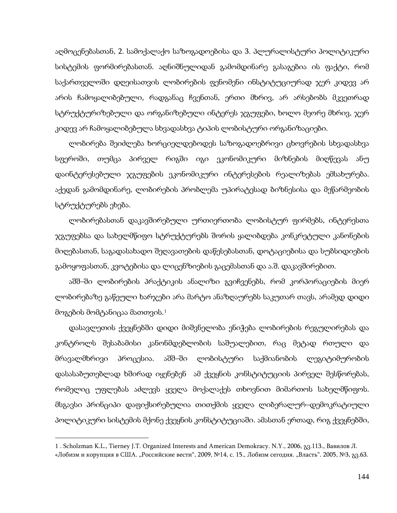აღმოცენებასთან, 2. სამოქალაქო საზოგადოებისა და 3. პლურალისტური პოლიტიკური სისტემის ფორმირებასთან. აღნიშნულიდან გამომდინარე გასაგებია ის ფაქტი, რომ საქართველოში დღეისათვის ლობირების ფენომენი ინსტიტუციურად ჯერ კიდევ არ არის ჩამოყალიბებული, რადგანაც ჩვენთან, ერთი მხრივ, არ არსებობს მკვეთრად სტრუქტურიზებული და ორგანიზებული ინტერეს ჯგუფები, ხოლო მეორე მხრივ, ჯერ კიდევ არ ჩამოყალიბებულა სხვადასხვა ტიპის ლობისტური ორგანიზაციები.

ლობირება შეიძლება ხორციელდებოდეს საზოგადოებრივი ცხოვრების სხვადასხვა სფეროში, თუმცა პირველ რიგში იგი ეკონომიკური მიზნების მიღწევას ანუ დაინტერესებული ჯგუფების ეკონომიკური ინტერესების რეალიზებას ემსახურება. აქედან გამომდინარე, ლობირების პრობლემა უპირატესად ბიზნესისა და მეწარმეობის სტრუქტურებს ეხება.

ლობირებასთან დაკავშირებული ურთიერთობა ლობისტურ ფირმებს, ინტერესთა ჯგუფებსა და სახელმწიფო სტრუქტურებს შორის ყალიბდება კონკრეტული კანონების მიღებასთან, საგადასახადო შეღავათების დაწესებასთან, დოტაციებისა და სუბსიდიების გამოყოფასთან, კვოტებისა და ლიცენზიების გაცემასთან და ა.შ. დაკავშირებით.

აშშ–ში ლობირების პრაქტიკის ანალიზი გვიჩვენებს, რომ კორპორაციების მიერ ლობირებაზე გაწეული ხარჯები არა მარტო ანაზღაურებს საკუთარ თავს, არამედ დიდი მოგების მომტანიცაა მათთვის.<sup>[1](#page-140-0)</sup>

დასავლეთის ქვეყნებში დიდი მიშვნელობა ენიჭება ლობირების რეგულირებას და კონტროლს შესაბამისი კანონმდებლობის საშუალებით, რაც მეტად რთული და მრავალმხრივი პროცესია. აშშ–ში ლობისტური საქმიანობის ლეგიტიმურობის დასასაბუთებლად ხშირად იყენებენ ამ ქვეყნის კონსტიტუციის პირველ შესწორებას, რომელიც უფლებას აძლევს ყველა მოქალაქეს თხოვნით მიმართოს სახელმწიფოს. მსგავსი პრინციპი დაფიქსირებულია თითქმის ყველა ლიბერალურ–დემოკრატიული პოლიტიკური სისტემის მქონე ქვეყნის კონსტიტუციაში. ამასთან ერთად, რიგ ქვეყნებში,

 $\overline{a}$ 

<sup>1</sup> . Scholzman K.L., Tierney J.T. Organized Interests and American Demokracy. N.Y., 2006, გვ.113., Вавилов Л. «Лобизм и корупция в США. "Российские вести", 2009, №14, с. 15., Лобизм сегодня. "Власть". 2005, №3, <sub>83</sub>.63.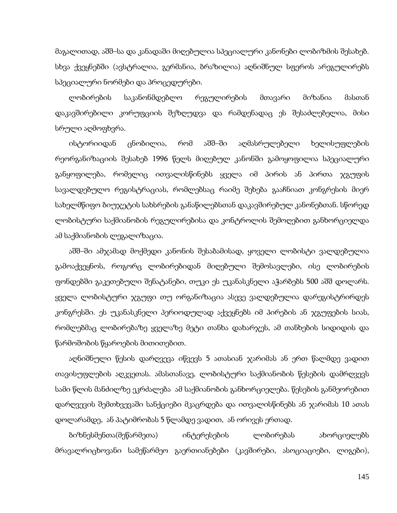მაგალითად, აშშ–სა და კანადაში მიღებულია სპეციალური კანონები ლობიზმის შესახებ. სხვა ქვეყნებში (ავსტრალია, გერმანია, ბრაზილია) აღნიშნულ სფეროს არეგულირებს სპეციალური ნორმები და პროცედურები.

ლობირების საკანონმდებლო რეგულირების მთავარი მიზანია მასთან დაკავშირებილი კორუფციის შეზღუდვა და რამდენადაც ეს შესაძლებელია, მისი სრული აღმოფხვრა.

ისტორიიდან ცნობილია, რომ აშშ–ში აღმასრულებელი ხელისუფლების რეორგანიზაციის შესახებ 1996 წელს მიღებულ კანონში გამოყოფილია სპეციალური განყოფილება, რომელიც ითვალისწინებს ყველა იმ პირის ან პირთა ჯგუფის სავალდებულო რეგისტრაციას, რომლებსაც რაიმე შეხება გააჩნიათ კონგრესის მიერ სახელმწიფო ბიუჯეტის სახსრების განაწილებსთან დაკავშირებულ კანონებთან. სწორედ ლობისტური საქმიანობის რეგულირებისა და კონტროლის შემოღებით განხორციელდა ამ საქმიანობის ლეგალიზაცია.

აშშ–ში ამჯამად მოქმედი კანონის შესაბამისად, ყოველი ლობისტი ვალდებულია გამოაქვეყნოს, როგორც ლობირებიდან მიღებული შემოსავლები, ისე ლობირების ფონდებში გაკეთებული შენატანები, თუკი ეს უკანასკნელი აჭარბებს 500 აშშ დოლარს. ყველა ლობისტური ჯგუფი თუ ორგანიზაცია ასევე ვალდებულია დარეგისტრირდეს კონგრესში. ეს უკანასკნელი პერიოდულად აქვეყნებს იმ პირების ან ჯგუფების სიას, რომლებმაც ლობირებაზე ყველაზე მეტი თანხა დახარჯეს, ამ თანხების სიდიდის და წარმოშობის წყაროების მითითებით.

აღნიშნული წესის დარღვევა იწვევს 5 ათასიან ჯარიმას ან ერთ წალმდე ვადით თავისუფლების აღკვეთას. ამასთანავე, ლობისტური საქმიანობის წესების დამრღვევს სამი წლის მანძილზე ეკრძალება ამ საქმიანობის განხორციელება. წესების განმეორებით დარღვევის შემთხვევაში სანქციები მკაცრდება და ითვალისწინებს ან ჯარიმას 10 ათას დოლარამდე, ან პატიმრობას 5 წლამდე ვადით, ან ორივეს ერთად.

ბიზნესმენთა(მეწარმეთა) ინტერესების ლობირებას ახორციელებს მრავალრიცხოვანი სამეწარმეო გაერთიანებები (კავშირები, ასოციაციები, ლიგები),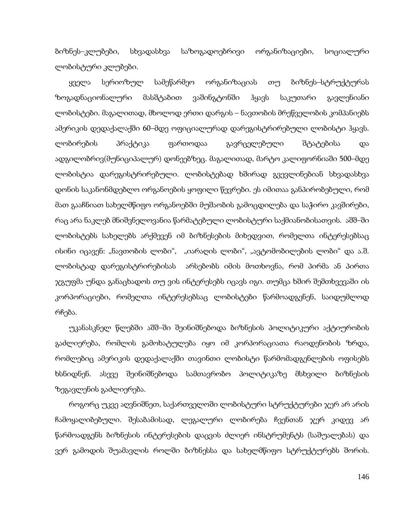ბიზნეს–კლუბები, სხვადასხვა საზოგადოებრივი ორგანიზაციები, სოციალური ლობისტური კლუბები.

ყველა სერიოზულ სამეწარმეო ორგანიზაციას თუ ბიზნეს–სტრუქტურას ზოგადნაციონალური მასშტაბით ვაშინგტონში ჰყავს საკუთარი გავლენიანი ლობისტები. მაგალითად, მხოლოდ ერთი დარგის – ნავთობის მრეწველობის კომპანიებს ამერიკის დედაქალაქში 60–მდე ოფიციალურად დარეგისტრირებული ლობისტი ჰყავს. ლობირების პრაქტიკა ფართოდაა გავრცელებული შტატებისა და ადგილობრივ(მუნიციპალურ) დონეებზეც. მაგალითად, მარტო კალიფორნიაში 500–მდე ლობისტია დარეგისტრირებული. ლობისტებად ხშირად გვევლინებიან სხვადასხვა დონის საკანონმდებლო ორგანოების ყოფილი წევრები. ეს იმითაა განპირობებული, რომ მათ გააჩნიათ სახელმწიფო ორგანოებში მუშაობის გამოცდილება და საჭირო კავშირები, რაც არა ნაკლებ მნიშვნელოვანია წარმატებული ლობისტური საქმიანობისათვის. აშშ–ში ლობისტებს სახელებს არქმევენ იმ ბიზნესების მიხედვით, რომელთა ინტერესებსაც ისინი იცავენ: "ნავთობის ლობი", "იარაღის ლობი", "ავტომობილების ლობი" და ა.შ. ლობისტად დარეგისტრირებისას არსებობს იმის მოთხოვნა, რომ პირმა ან პირთა ჯგუფმა უნდა განაცხადოს თუ ვის ინტერესებს იცავს იგი. თუმცა ხშირ შემთხვევაში ის კორპორაციები, რომელთა ინტერესებსაც ლობისტები წარმოადგენენ, საიდუმლოდ რჩება.

უკანასკნელ წლებში აშშ–ში შეინიშნებოდა ბიზნესის პოლიტიკური აქტიურობის გაძლიერება, რომლის გამოხატულება იყო იმ კორპორაციათა რაოდენობის ზრდა, რომლებიც ამერიკის დედაქალაქში თავინთი ლობისტი წარმომადგენლების ოფისებს ხსნიდნენ. ასევე შეინიშნებოდა სამთავრობო პოლიტიკაზე მსხვილი ბიზნესის ზეგავლენის გაძლიერება.

როგორც უკვე აღვნიშნეთ, საქართველოში ლობისტური სტრუქტურები ჯერ არ არის ჩამოყალიბებული. შესაბამისად, ლეგალური ლობირება ჩვენთან ჯერ კიდევ არ წარმოადგენს ბიზნესის ინტერესების დაცვის ძლიერ ინსტრუმენტს (საშუალებას) და ვერ გამოდის შუამავლის როლში ბიზნესსა და სახელმწიფო სტრუქტურებს შორის.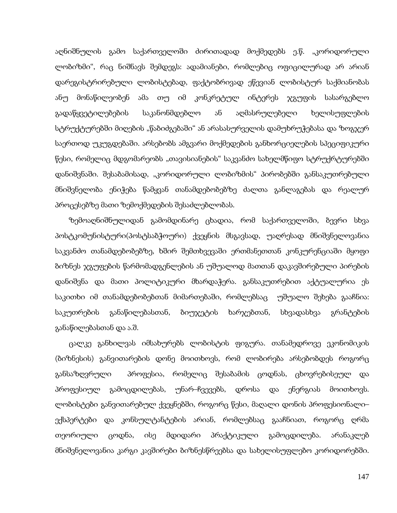აღნიშნულის გამო საქართველოში ძირითადად მოქმედებს ე.წ. "კორიდორული ლობიზმი", რაც ნიშნავს შემდეგს: ადამიანები, რომლებიც ოფიცილურად არ არიან დარეგისტრირებული ლობისტებად, ფაქტობრივად ეწევიან ლობისტურ საქმიანობას ანუ მონაწილეობენ ამა თუ იმ კონკრეტულ ინტერეს ჯგუფის სასარგებლო გადაწყვეტილებების საკანონმდებლო ან აღმასრულებელი ხელისუფლების სტრუქტურებში მიღების "წაბიძგებაში" ან არასასურველის დამუხრუჭებასა და ზოგჯერ საერთოდ უკუგდებაში. არსებობს ამგვარი მოქმედების განხორციელების სპეციფიკური წესი, რომელიც მდგომარეობს "თავისიანების" საკვანძო სახელმწიფო სტრუქრტურებში დანიშვნაში. შესაბამისად, "კორიდორული ლობიზმის" პირობებში განსაკუთრებული მნიშვნელობა ენიჭება წამყვან თანამდებობებზე ძალთა განლაგებას და რეალურ პროცესებზე მათი ზემოქმედების შესაძლებლობას.

ზემოაღნიშნულიდან გამომდინარე ცხადია, რომ საქართველოში, ბევრი სხვა პოსტკომუნისტური(პოსტსაბჭოური) ქვეყნის მსგავსად, უაღრესად მნიშვნელოვანია საკვანძო თანამდებობებზე, ხშირ შემთხვევაში ერთმანეთთან კონკურენციაში მყოფი ბიზნეს ჯგუფების წარმომადგენლების ან უშუალოდ მათთან დაკავშირებული პირების დანიშვნა და მათი პოლიტიკური მხარდაჭერა. განსაკუთრებით აქტუალურია ეს საკითხი იმ თანამდებობებთან მიმართებაში, რომლებსაც უშუალო შეხება გააჩნია: საკუთრების განაწილებასთან, ბიუჯეტის ხარჯებთან, სხვადასხვა გრანტების განაწილებასთან და ა.შ.

ცალკე განხილვას იმსახურებს ლობისტის ფიგურა. თანამედროვე ეკონომიკის (ბიზნესის) განვითარების დონე მოითხოვს, რომ ლობირება არსებობდეს როგორც განსაზღვრული პროფესია, რომელიც შესაბამის ცოდნას, ცხოვრებისეულ და პროფესიულ გამოცდილებას, უნარ–ჩვევებს, დროსა და ენერგიას მოითხოვს. ლობისტები განვითარებულ ქვეყნებში, როგორც წესი, მაღალი დონის პროფესიონალი– ექსპერტები და კონსულტანტების არიან, რომლებსაც გააჩნიათ, როგორც ღრმა თეორიული ცოდნა, ისე მდიდარი პრაქტიკული გამოცდილება. არანაკლებ მნიშვნელოვანია კარგი კავშირები ბიზნესწრეებსა და სახელისუფლებო კორიდორებში.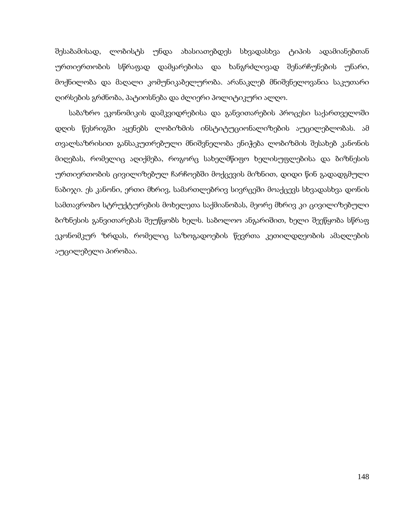შესაბამისად, ლობისტს უნდა ახასიათებდეს სხვადასხვა ტიპის ადამიანებთან ურთიერთობის სწრაფად დამყარებისა და ხანგრძლივად შენარჩუნების უნარი, მოქნილობა და მაღალი კომუნიკაბელურობა. არანაკლებ მნიშვნელოვანია საკუთარი ღირსების გრძნობა, პატიოსნება და ძლიერი პოლიტიკური ალღო.

საბაზრო ეკონომიკის დამკვიდრებისა და განვითარების პროცესი საქართველოში დღის წესრიგში აყენებს ლობიზმის ინსტიტუციონალიზების აუცილებლობას. ამ თვალსაზრისით განსაკუთრებული მნიშვნელობა ენიჭება ლობიზმის შესახებ კანონის მიღებას, რომელიც აღიქმება, როგორც სახელმწიფო ხელისუფლებისა და ბიზნესის ურთიერთობის ცივილიზებულ ჩარჩოებში მოქცევის მიზნით, დიდი წინ გადადგმული ნაბიჯი. ეს კანონი, ერთი მხრივ, სამართლებრივ სივრცეში მოაქცევს სხვადასხვა დონის სამთავრობო სტრუქტურების მოხელეთა საქმიანობას, მეორე მხრივ კი ცივილიზებული ბიზნესის განვითარებას შეუწყობს ხელს. საბოლოო ანგარიშით, ხელი შეეწყობა სწრაფ ეკონომკურ ზრდას, რომელიც საზოგადოების წევრთა კეთილდღეობის ამაღლების აუცილებელი პირობაა.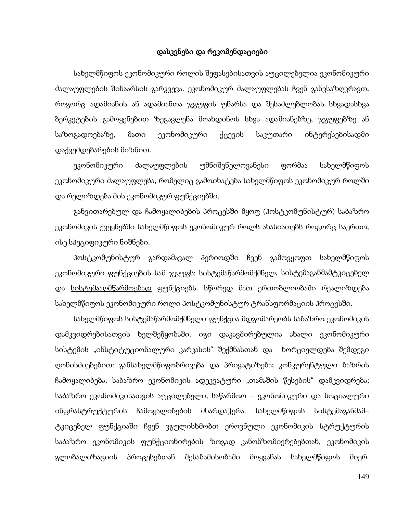## დასკვნები და რეკომენდაციები

სახელმწიფოს ეკონომიკური როლის შეფასებისათვის აუცილებელია ეკონომიკური ძალაუფლების შინაარსის გარკვევა. ეკონომიკურ ძალაუფლებას ჩვენ განვსაზღვრავთ, როგორც ადამიანის ან ადამიანთა ჯგუფის უნარსა და შესაძლებლობას სხვადასხვა ბერკეტების გამოყენებით ზეგავლენა მოახდინოს სხვა ადამიანებზე, ჯგუფებზე ან საზოგადოებაზე, მათი ეკონომიკური ქცევის საკუთარი ინტერესებისადმი დაქვემდებარების მიზნით.

ეკონომიკური ძალაუფლების უმნიშვნელოვანესი ფორმაა სახელმწიფოს ეკონომიკური ძალაუფლება, რომელიც გამოიხატება სახელმწიფოს ეკონომიკურ როლში და რელიზდება მის ეკონომიკურ ფუნქციებში.

განვითარებულ და ჩამოყალიბების პროცესში მყოფ (პოსტკომუნისტურ) საბაზრო ეკონომიკის ქვეყნებში სახელმწიფოს ეკონომიკურ როლს ახასიათებს როგორც საერთო, ისე სპეციფიკური ნიშნები.

პოსტკომუნისტურ გარდამავალ პერიოდში ჩვენ გამოვყოფთ სახელმწიფოს ეკონომიკური ფუნქციების სამ ჯგუფს: <u>სისტემაწარმომქმნელ, სისტემაგანმამტკიცებელ</u> და სისტემააღმწარმოებად ფუნქციებს. სწორედ მათ ერთობლიობაში რეალიზდება სახელმწიფოს ეკონომიკური როლი პოსტკომუნისტურ ტრანსფორმაციის პროცესში.

სახელმწიფოს სისტემაწარმომქმნელი ფუნქცია მდგომარეობს საბაზრო ეკონომიკის დამკვიდრებისათვის ხელშეწყობაში. იგი დაკავშირებულია ახალი ეკონომიკური სისტემის "ინსტიტუციონალური კარკასის" შექმნასთან და ხორციელდება შემდეგი ღონისძიებებით: განსახელმწიფობრივება და პრივატიზება; კონკურენტული ბაზრის ჩამოყალიბება, საბაზრო ეკონომიკის ადეკვატური "თამაშის წესების" დამკვიდრება; საბაზრო ეკონომიკისათვის აუცილებელი, საწარმოო – ეკონომიკური და სოციალური ინფრასტრუქტურის ჩამოყალიბების მხარდაჭერა. სახელმწიფოს სისტემაგანმამ– ტკიცებელ ფუნქციაში ჩვენ ვგულისხმობთ ეროვნული ეკონომიკის სტრუქტურის საბაზრო ეკონომიკის ფუნქციონირების ზოგად კანონზომიერებებთან, ეკონომიკის გლობალიზაციის პროცესებთან შესაბამისობაში მოყვანას სახელმწიფოს მიერ.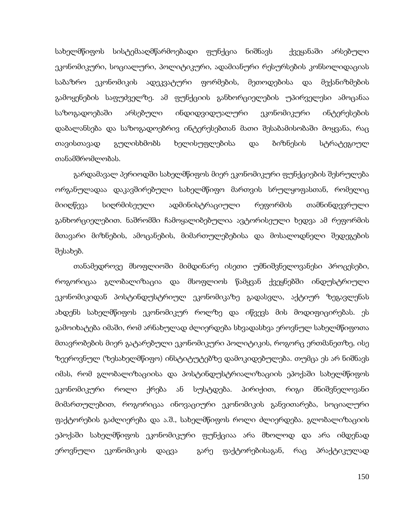სახელმწიფოს სისტემააღმწარმოებადი ფუნქცია ნიშნავს ქვეყანაში არსებული ეკონომიკური, სოციალური, პოლიტიკური, ადამიანური რესურსების კონსოლიდაციას საბაზრო ეკონომიკის ადეკვატური ფორმების, მეთოდებისა და მექანიზმების გამოყენების საფუძველზე. ამ ფუნქციის განხორციელების უპირველესი ამოცანაა საზოგადოებაში არსებული ინდიდვიდუალური ეკონომიკური ინტერესების დაბალანსება და საზოგადოებრივ ინტერესებთან მათი შესაბამისობაში მოყვანა, რაც თავისთავად გულისხმობს ხელისუფლებისა და ბიზნესის სტრატეგიულ თანამშრომლობას.

გარდამავალ პერიოდში სახელმწიფოს მიერ ეკონომიკური ფუნქციების შესრულება ორგანულადაა დაკავშირებული სახელმწიფო მართვის სრულყოფასთან, რომელიც მიიღწევა სიღრმისეული ადმინისტრაციული რეფორმის თამნინდევრული განხორციელებით. ნაშრომში ჩამოყალიბებულია ავტორისეული ხედვა ამ რეფორმის მთავარი მიზნების, ამოცანების, მიმართულებებისა და მოსალოდნელი შედეგების შესახებ.

თანამედროვე მსოფლიოში მიმდინარე ისეთი უმნიშვნელოვანესი პროცესები, როგორიცაა გლობალიზაცია და მსოფლიოს წამყვან ქვეყნებში ინდუსტრიული ეკონომიკიდან პოსტინდუსტრიულ ეკონომიკაზე გადასვლა, აქტიურ ზეგავლენას ახდენს სახელმწიფოს ეკონომიკურ როლზე და იწვევს მის მოდიფიცირებას. ეს გამოიხატება იმაში, რომ არნახულად ძლიერდება სხვადასხვა ეროვნულ სახელმწიფოთა მთავრობების მიერ გატარებული ეკონომიკური პოლიტიკის, როგორც ერთმანეთზე, ისე ზეეროვნულ (ზესახელმწიფო) ინსტიტუტებზე დამოკიდებულება. თუმცა ეს არ ნიშნავს იმას, რომ გლობალიზაციისა და პოსტინდუსტრიალიზაციის ეპოქაში სახელმწიფოს ეკონომიკური როლი ქრება ან სუსტდება. პირიქით, რიგი მნიშვნელოვანი მიმართულებით, როგორიცაა ინოვაციური ეკონომიკის განვითარება, სოციალური ფაქტორების გაძლიერება და ა.შ., სახელმწიფოს როლი ძლიერდება. გლობალიზაციის ეპოქაში სახელმწიფოს ეკონომიკური ფუნქციაა არა მხოლოდ და არა იმდენად ეროვნული ეკონომიკის დაცვა გარე ფაქტორებისაგან, რაც პრაქტიკულად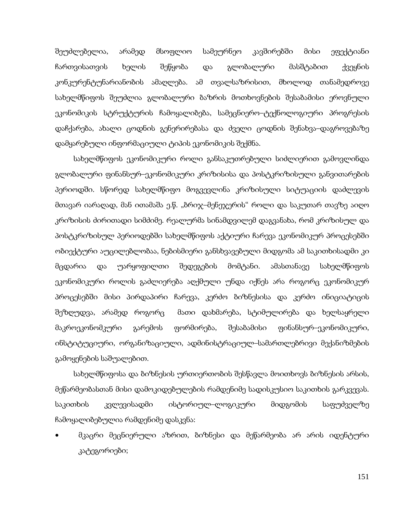შეუძლებელია, არამედ მსოფლიო სამეურნეო კავშირებში მისი ეფექტიანი ჩართვისათვის ხელის შეწყობა და გლობალური მასშტაბით ქვეყნის კონკურენტუნარიანობის ამაღლება. ამ თვალსაზრისით, მხოლოდ თანამედროვე სახელმწიფოს შეუძლია გლობალური ბაზრის მოთხოვნების შესაბამისი ეროვნული ეკონომიკის სტრუქტურის ჩამოყალიბება, სამეცნიერო–ტექნოლოგიური პროგრესის დაჩქარება, ახალი ცოდნის გენერირებასა და ძველი ცოდნის შენახვა–დაგროვებაზე დამყარებული ინფორმაციული ტიპის ეკონომიკის შექმნა.

სახელმწიფოს ეკონომიკური როლი განსაკუთრებული სიძლიერით გამოვლინდა გლობალური ფინანსურ–ეკონომიკური კრიზისისა და პოსტკრიზისული განვითარების პერიოდში. სწორედ სახელმწიფო მოგვევლინა კრიზისული სიტუაციის დაძლევის მთავარ იარაღად, მან ითამაშა ე.წ. "ბრიჯ–მენეჯერის" როლი და საკუთარ თავზე აიღო კრიზისის ძირითადი სიმძიმე. რეალურმა სინამდვილემ დაგვანახა, რომ კრიზისულ და პოსტკრიზისულ პერიოდებში სახელმწიფოს აქტიური ჩარევა ეკონომიკურ პროცესებში ობიექტური აუცილებლობაა, ნებისმიერი განსხვავებული მიდგომა ამ საკითხისადმი კი მცდარია და უარყოფილთი შედეგების მომტანი. ამასთანავე სახელმწიფოს ეკონომიკური როლის გაძლიერება აღქმული უნდა იქნეს არა როგორც ეკონომიკურ პროცესებში მისი პირდაპირი ჩარევა, კერძო ბიზნესისა და კერძო ინიციატიცის შეზღუდვა, არამედ როგორც მათი დახმარება, სტიმულირება და ხელსაყრელი მაკროეკონომკური გარემოს ფორმირება, შესაბამისი ფინანსურ–ეკონომიკური, ინსტიტუციური, ორგანიზაციული, ადმინისტრაციულ–სამართლებრივი მექანიზმების გამოყენების საშუალებით.

სახელმწიფოსა და ბიზნესის ურთიერთობის შესწავლა მოითხოვს ბიზნესის არსის, მეწარმეობასთან მისი დამოკიდებულების რამდენიმე სადისკუსიო საკითხის გარკვევას. საკითხის კვლევისადმი ისტორიულ–ლოგიკური მიდგომის საფუძველზე ჩამოყალიბებულია რამდენიმე დასკვნა:

• მკაცრი მეცნიერული აზრით, ბიზნესი და მეწარმეობა არ არის იდენტური კატეგორიები;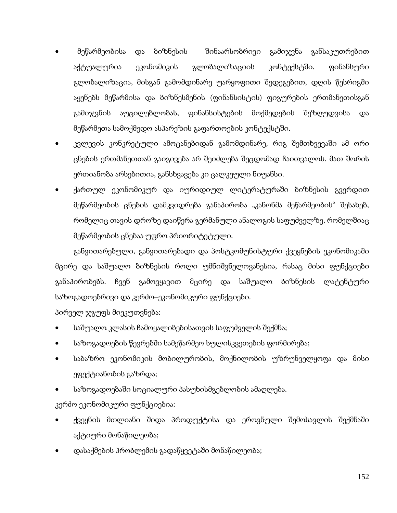- მეწარმეობისა და ბიზნესის შინაარსობრივი გამიჯვნა განსაკუთრებით აქტუალურია ეკონომიკის გლობალიზაციის კონტექსტში. ფინანსური გლობალიზაცია, მისგან გამომდინარე უარყოფითი შედეგებით, დღის წესრიგში აყენებს მეწარმისა და ბიზნესმენის (ფინანსისტის) ფიგურების ერთმანეთისგან გამიჯვნის აუცილებლობას, ფინანსისტების მოქმედების შეზღუდვისა და მეწარმეთა სამოქმედო ასპარეზის გაფართოების კონტექსტში.
- კვლევის კონკრეტული ამოცანებიდან გამომდინარე, რიგ შემთხვევაში ამ ორი ცნების ერთმანეთთან გაიგივება არ შეიძლება შეცდომად ჩაითვალოს. მათ შორის ერთიანობა არსებითია, განსხვავება კი ცალკეული ნიუანსი.
- ქართულ ეკონომიკურ და იურიდიულ ლიტერატურაში ბიზნესის გვერდით მეწარმეობის ცნების დამკვიდრება განაპირობა "კანონმა მეწარმეობის" შესახებ, რომელიც თავის დროზე დაიწერა გერმანული ანალოგის საფუძველზე, რომელშიაც მეწარმეობის ცნებაა უფრო პრიორიტეტული.

განვითარებული, განვითარებადი და პოსტკომუნისტური ქვეყნების ეკონომიკაში მცირე და საშუალო ბიზნესის როლი უმნიშვნელოვანესია, რასაც მისი ფუნქციები განაპირობებს. ჩვენ გამოვყავით მცირე და საშუალო ბიზნესის ლატენტური საზოგადოებრივი და კერძო–ეკონომიკური ფუნქციები.

პირველ ჯგუფს მიეკუთვნება:

- საშუალო კლასის ჩამოყალიბებისათვის საფუძველის შექმნა;
- საზოგადოების წევრებში სამეწარმეო სულისკვეთების ფორმირება;
- საბაზრო ეკონომიკის მობილურობის, მოქნილობის უზრუნველყოფა და მისი ეფექტიანობის გაზრდა;
- საზოგადოებაში სოციალური პასუხისმგებლობის ამაღლება.

კერძო ეკონომიკური ფუნქციებია:

- ქვეყნის მთლიანი შიდა პროდუქტისა და ეროვნული შემოსავლის შექმნაში აქტიური მონაწილეობა;
- დასაქმების პრობლემის გადაწყვეტაში მონაწილეობა;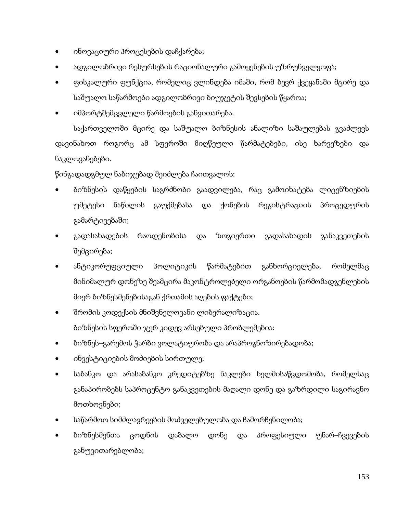- ინოვაციური პროცესების დაჩქარება;
- ადგილობრივი რესურსების რაციონალური გამოყენების უზრუნველყოფა;
- ფისკალური ფუნქცია, რომელიც ვლინდება იმაში, რომ ბევრ ქვეყანაში მცირე და საშუალო საწარმოები ადგილობრივი ბიუჯეტის შევსების წყაროა;
- იმპორტშემცვლელი წარმოების განვითარება.

საქართველოში მცირე და საშუალო ბიზნესის ანალიზი საშაულებას გვაძლევს დავინახოთ როგორც ამ სფეროში მიღწეული წარმატებები, ისე ხარვეზები და ნაკლოვანებები.

წინგადადგმულ ნაბიჯებად შეიძლება ჩაითვალოს:

- ბიზნესის დაწყების საგრძნობი გაადვილება, რაც გამოიხატება ლიცენზიების უმეტესი ნაწილის გაუქმებასა და ქონების რეგისტრაციის პროცედურის გამარტივებაში;
- გადასახადების რაოდენობისა და ზოგიერთი გადასახადის განაკვეთების შემცირება;
- ანტიკორუფციული პოლიტიკის წარმატებით განხორციელება, რომელმაც მინიმალურ დონეზე შეამცირა მაკონტროლებელი ორგანოების წარმომადგენლების მიერ ბიზნესმენებისაგან ქრთამის აღების ფაქტები;
- შრომის კოდექსის მნიშვნელოვანი ლიბერალიზაცია. ბიზნესის სფეროში ჯერ კიდევ არსებული პრობლემებია:
- ბიზნეს–გარემოს ჭარბი ვოლატიურობა და არაპროგნოზირებადობა;
- ინვესტიციების მოძიების სირთულე;
- საბანკო და არასაბანკო კრედიტებზე ნაკლები ხელმისაწვდომობა, რომელსაც განაპირობებს საპროცენტო განაკვეთების მაღალი დონე და გაზრდილი საგირავნო მოთხოვნები;
- საწარმოო სიმძლავრეების მოძველებულობა და ჩამორჩენილობა;
- ბიზნესმენთა ცოდნის დაბალო დონე და პროფესიული უნარ–ჩვევების განუვითარებლობა;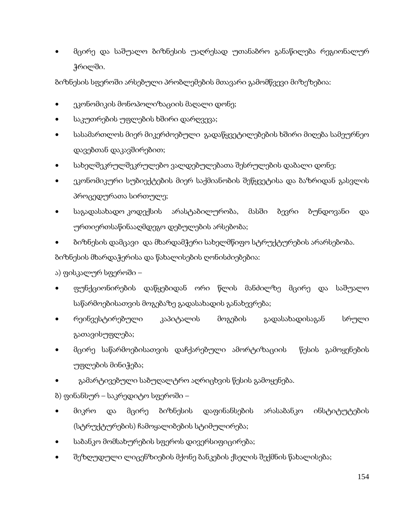• მცირე და საშუალო ბიზნესის უაღრესად უთანაბრო განაწილება რეგიონალურ ჭრილში.

ბიზნესის სფეროში არსებული პრობლემების მთავარი გამომწვევი მიზეზებია:

- ეკონომიკის მონოპოლიზაციის მაღალი დონე;
- საკუთრების უფლების ხშირი დარღვევა;
- სასამართლოს მიერ მიკერძოებული გადაწყვეტილებების ხშირი მიღება სამეურნეო დავებთან დაკავშირებით;
- სახელშეკრულშეკრულებო ვალდებულებათა შესრულების დაბალი დონე;
- ეკონომიკური სუბიექტების მიერ საქმიანობის შეწყვეტისა და ბაზრიდან გასვლის პროცედურათა სირთულე;
- საგადასახადო კოდექსის არასტაბილურობა, მასში ბევრი ბუნდოვანი და ურთიერთსაწინააღმდეგო დებულების არსებობა;
- ბიზნესის დამცავი და მხარდამჭერი სახელმწიფო სტრუქტურების არარსებობა.

ბიზნესის მხარდაჭერისა და წახალისების ღონისძიებებია:

ა) ფისკალურ სფეროში –

- ფუნქციონირების დაწყებიდან ორი წლის მანძილზე მცირე და საშუალო საწარმოებისათვის მოგებაზე გადასახადის განახევრება;
- რეინვესტირებული კაპიტალის მოგების გადასახადისაგან სრული გათავისუფლება;
- მცირე საწარმოებისათვის დაჩქარებული ამორტიზაციის წესის გამოყენების უფლების მინიჭება;
- გამარტივებული საბუღალტრო აღრიცხვის წესის გამოყენება.

ბ) ფინანსურ – საკრედიტო სფეროში –

- მიკრო და მცირე ბიზნესის დაფინანსების არასაბანკო ინსტიტუტების (სტრუქტურების) ჩამოყალიბების სტიმულირება;
- საბანკო მომსახურების სფეროს დივერსიფიცირება;
- შეზღუდული ლიცენზიების მქონე ბანკების ქსელის შექმნის წახალისება;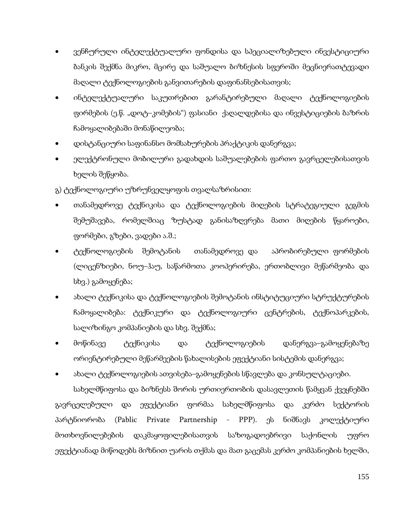- ვენჩურული ინტელექტუალური ფონდისა და სპეციალიზებული ინვესტიციური ბანკის შექმნა მიკრო, მცირე და საშუალო ბიზნესის სფეროში მეცნიერათტევადი მაღალი ტექნოლოგიების განვითარების დაფინანსებისათვის;
- ინტელექტუალური საკუთრებით გარანტირებული მაღალი ტექნოლოგიების ფირმების (ე.წ. "დოტ–კომების") ფასიანი ქაღალდებისა და ინვესტიციების ბაზრის ჩამოყალიბებაში მონაწილეობა;
- დისტანციური საფინანსო მომსახურების პრაქტიკის დანერგვა;
- ელექტრონული მობილური გადახდის საშუალებების ფართო გავრცელებისათვის ხელის შეწყობა.

გ) ტექნოლოგიური უზრუნველყოფის თვალსაზრისით:

- თანამედროვე ტექნიკისა და ტექნოლოგიების მიღების სტრატეგიული გეგმის შემუშავება, რომელშიაც ზუსტად განისაზღვრება მათი მიღების წყაროები, ფორმები, გზები, ვადები ა.შ.;
- ტექნოლოგიების შემოტანის თანამედროვე და აპრობირებული ფორმების (ლიცენზიები, ნოუ–ჰაუ, საწარმოთა კოოპერირება, ერთობლივი მეწარმეობა და სხვ.) გამოყენება;
- ახალი ტექნიკისა და ტექნოლოგიების შემოტანის ინსტიტუციური სტრუქტურების ჩამოყალიბება: ტექნიკური და ტექნოლოგიური ცენტრების, ტექნოპარკების, სალიზინგო კომპანიების და სხვ. შექმნა;
- მოწინავე ტექნიკისა და ტექნოლოგიების დანერგვა–გამოყენებაზე ორიენტირებული მეწარმეების წახალისების ეფექტიანი სისტემის დანერგვა;
- ახალი ტექნოლოგიების ათვისება–გამოყენების სწავლება და კონსულტაციები.

სახელმწიფოსა და ბიზნესს შორის ურთიერთობის დასავლეთის წამყვან ქვეყნებში გავრცელებული და ეფექტიანი ფორმაა სახელმწიფოსა და კერძო სექტორის პარტნიორობა (Pablic Private Partnership - PPP). ეს ნიშნავს კოლექტიური მოთხოვნილებების დაკმაყოფილებისათვის საზოგადოებრივი საქონლის უფრო ეფექტიანად მიწოდებს მიზნით უარის თქმას და მათ გაცემას კერძო კომპანიების ხელში,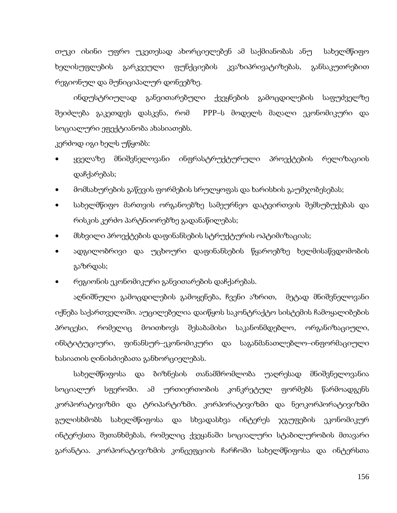თუკი ისინი უფრო უკეთესად ახორციელებენ ამ საქმიანობას ანუ სახელმწიფო ხელისუფლების გარკვეული ფუნქციების კვაზიპრივატიზებას, განსაკუთრებით რეგიონულ და მუნიციპალურ დონეებზე.

ინდუსტრიულად განვითარებული ქვეყნების გამოცდილების საფუძველზე შეიძლება გაკეთდეს დასკვნა, რომ PPP–ს მოდელს მაღალი ეკონომიკური და სოციალური ეფექტიანობა ახასიათებს.

კერძოდ იგი ხელს უწყობს:

- ყველაზე მნიშვნელოვანი ინფრასტრუქტურული პროექტების რელიზაციის დაჩქარებას;
- მომსახურების გაწევის ფორმების სრულყოფას და ხარისხის გაუმჯობესებას;
- სახელმწიფო მართვის ორგანოებზე სამეურნეო დატვირთვის შემსუბუქებას და რისკის კერძო პარტნიორებზე გადანაწილებას;
- მსხვილი პროექტების დაფინანსების სტრუქტურის ოპტიმიზაციას;
- ადგილობრივი და უცხოური დაფინანსების წყაროებზე ხელმისაწვდომობის გაზრდას;
- რეგიონის ეკონომიკური განვითარების დაჩქარებას.

აღნიშნული გამოცდილების გამოყენება, ჩვენი აზრით, მეტად მნიშვნელოვანი იქნება საქართველოში. აუცილებელია დაიწყოს საკონტრაქტო სისტემის ჩამოყალიბების პროცესი, რომელიც მოითხოვს შესაბამისი საკანონმდებლო, ორგანიზაციული, ინსტიტუციური, ფინანსურ–ეკონომიკური და საგანმანათლებლო–ინფორმაციული ხასიათის ღინისძიებათა განხორციელებას.

სახელმწიფოსა და ბიზნესის თანამშრომლობა უაღრესად მნიშვნელოვანია სოციალურ სფეროში. ამ ურთიერთობის კონკრეტულ ფორმებს წარმოადგენს კორპორატივიზმი და ტრიპარტიზმი. კორპორატივიზმი და ნეოკორპორატივიზმი გულისხმობს სახელმწიფოსა და სხვადასხვა ინტერეს ჯგუფების ეკონომიკურ ინტერესთა შეთანხმებას, რომელიც ქვეყანაში სოციალური სტაბილურობის მთავარი გარანტია. კორპორატივიზმის კონცეფციის ჩარჩოში სახელმწიფოსა და ინტერსთა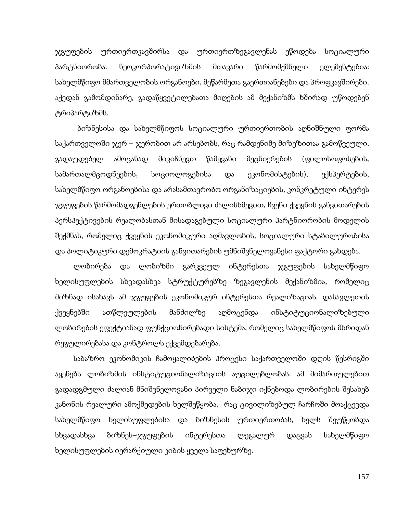ჯგუფების ურთიერთკავშირსა და ურთიერთზეგავლენას ეწოდება სოციალური პარტნიორობა. ნეოკორპორატივიზმის მთავარი წარმომქმნელი ელემენტებია: სახელმწიფო მმართველობის ორგანოები, მეწარმეთა გაერთიანებები და პროფკავშირები. აქედან გამომდინარე, გადაწყვეტილებათა მიღების ამ მექანიზმს ხშირად უწოდებენ ტრიპარტიზმს.

 ბიზნესისა და სახელმწიფოს სოციალური ურთიერთობის აღნიშნული ფორმა საქართველოში ჯერ – ჯერობით არ არსებობს, რაც რამდენიმე მიზეზითაა გამოწვეული. გადაუდებელ ამოცანად მივიჩნევთ წამყვანი მეცნიერების (ფილოსოფოსების, სამართალმცოდნეების, სოციოლოგებისა და ეკონომისტების), ექსპერტების, სახელმწიფო ორგანოებისა და არასამთავრობო ორგანიზაციების, კონკრეტული ინტერეს ჯგუფების წარმომადგენლების ერთობლივი ძალისხმევით, ჩვენი ქვეყნის განვითარების პერსპექტივების რეალობასთან მისადაგებული სოციალური პარტნიორობის მოდელის შექმნას, რომელიც ქვეყნის ეკონომიკური აღმავლობის, სოციალური სტაბილურობისა და პოლიტიკური დემოკრატიის განვითარების უმნიშვნელოვანესი ფაქტორი გახდება.

ლობირება და ლობიზმი გარკვეულ ინტერესთა ჯგუფების სახელმწიფო ხელისუფლების სხვადასხვა სტრუქტურებზე ზეგავლენის მექანიზმია, რომელიც მიზნად ისახავს ამ ჯგუფების ეკონომიკურ ინტერესთა რეალიზაციას. დასავლეთის ქვეყნებში ათწლეულების მანძილზე აღმოცენდა ინსტიტუციონალიზებული ლობირების ეფექტიანად ფუნქციონირებადი სისტემა, რომელიც სახელმწიფოს მხრიდან რეგულირებასა და კონტროლს ექვემდებარება.

საბაზრო ეკონომიკის ჩამოყალიბების პროცესი საქართველოში დღის წესრიგში აყენებს ლობიზმის ინსტიტუციონალიზაციის აუცილებლობას. ამ მიმართულებით გადადგმული ძალიან მნიშვნელოვანი პირველი ნაბიჯი იქნებოდა ლობირების შესახებ კანონის რეალური ამოქმედების ხელშეწყობა, რაც ცივილიზებულ ჩარჩოში მოაქცევდა სახელმწიფო ხელისუფლებისა და ბიზნესის ურთიერთობას, ხელს შეუწყობდა სხვადასხვა ბიზნეს–ჯგუფების ინტერესთა ლეგალურ დაცვას სახელმწიფო ხელისუფლების იერარქიული კიბის ყველა საფეხურზე.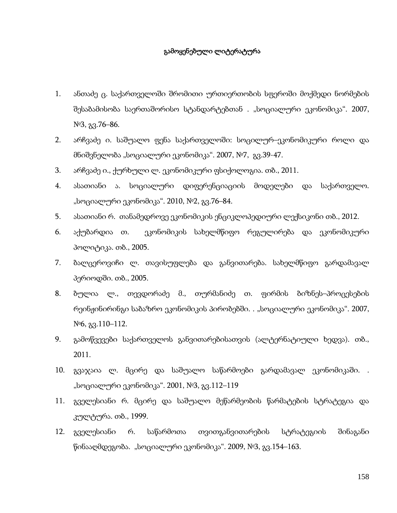## გამოყენებული ლიტერატურა

- 1. ანთაძე ც. საქართველოში შრომითი ურთიერთობის სფეროში მოქმედი ნორმების შესაბამისობა საერთაშორისო სტანდარტებთან . "სოციალური ეკონომიკა". 2007, №3, გვ.76–86.
- 2. არჩვაძე ი. საშუალო ფენა საქართველოში: სოცილურ–ეკონომიკური როლი და მნიშვნელობა "სოციალური ეკონომიკა". 2007, №7, გვ.39-47.
- 3. არჩვაძე ი., ქურხული ლ. ეკონომიკური ფსიქოლოგია. თბ., 2011.
- 4. ასათიანი ა. სოციალური დიფერენციაციის მოდელები და საქართველო. "სოციალური ეკონომიკა". 2010, №2, გვ.76–84.
- 5. ასათიანი რ. თანამედროვე ეკონომიკის ენციკლოპედიური ლექსიკონი თბ., 2012.
- 6. აქუბარდია თ. ეკონომიკის სახელმწიფო რეგულირება და ეკონომიკური პოლიტიკა. თბ., 2005.
- 7. ბალცეროვიჩი ლ. თავისუფლება და განვითარება. სახელმწიფო გარდამავალ პერიოდში. თბ., 2005.
- 8. ბულია ლ., თევდორაძე მ., თურმანიძე თ. ფირმის ბიზნეს–პროცესების რეინჟინირინგი საბაზრო ეკონომიკის პირობებში. . "სოციალური ეკონომიკა". 2007, №6, გვ.110–112.
- 9. გამოწვევები საქართველოს განვითარებისათვის (ალტერნატიული ხედვა). თბ., 2011.
- 10. გვაჯაია ლ. მცირე და საშუალო საწარმოები გარდამავალ ეკონომიკაში. . "სოციალური ეკონომიკა". 2001, №3, გვ.112–119
- 11. გველესიანი რ. მცირე და საშუალო მეწარმეობის წარმატების სტრატეგია და კულტურა. თბ., 1999.
- 12. გველესიანი რ. საწარმოთა თვითგანვითარების სტრატეგიის შინაგანი წინააღმდეგობა. "სოციალური ეკონომიკა". 2009, №3, გვ.154–163.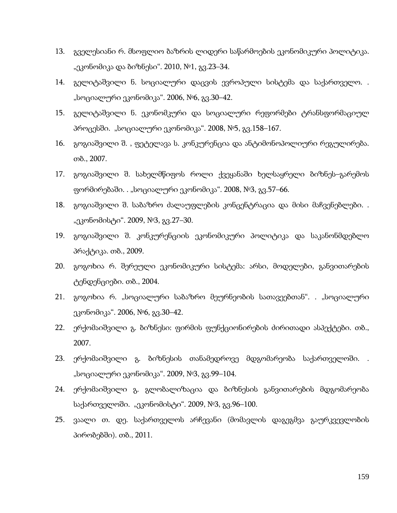- 13. გველესიანი რ. მსოფლიო ბაზრის ლიდერი საწარმოების ეკონომიკური პოლიტიკა. "ეკონომიკა და ბიზნესი". 2010, №1, გვ.23–34.
- 14. გელიტაშვილი ნ. სოციალური დაცვის ევროპული სისტემა და საქართველო. . "სოციალური ეკონომიკა". 2006, №6, გვ.30–42.
- 15. გელიტაშვილი ნ. ეკონომკური და სოციალური რეფორმები ტრანსფორმაციულ პროცესში. "სოციალური ეკონომიკა". 2008, №5, გვ.158–167.
- 16. გოგიაშვილი შ. , ფეტელავა ს. კონკურენცია და ანტიმონოპოლიური რეგულირება. თბ., 2007.
- 17. გოგიაშვილი შ. სახელმწიფოს როლი ქვეყანაში ხელსაყრელი ბიზნეს–გარემოს ფორმირებაში. . "სოციალური ეკონომიკა". 2008, №3, გვ.57–66.
- 18. გოგიაშვილი შ. საბაზრო ძალაუფლების კონცენტრაცია და მისი მაჩვენებლები. . "ეკონომისტი". 2009, №3, გვ.27–30.
- 19. გოგიაშვილი შ. კონკურენციის ეკონომიკური პოლიტიკა და საკანონმდებლო პრაქტიკა. თბ., 2009.
- 20. გოგოხია რ. შერეული ეკონომიკური სისტემა: არსი, მოდელები, განვითარების ტენდენციები. თბ., 2004.
- 21. გოგოხია რ. "სოციალური საბაზრო მეურნეობის სათავეებთან". . "სოციალური ეკონომიკა". 2006, №6, გვ.30–42.
- 22. ერქომაიშვილი გ. ბიზნესი: ფირმის ფუნქციონირების ძირითადი ასპექტები. თბ., 2007.
- 23. ერქომაიშვილი გ. ბიზნესის თანამედროვე მდგომარეობა საქართველოში. . "სოციალური ეკონომიკა". 2009, №3, გვ.99–104.
- 24. ერქომაიშვილი გ. გლობალიზაცია და ბიზნესის განვითარების მდგომარეობა საქართველოში. "ეკონომისტი". 2009, №3, გვ.96–100.
- 25. ვაალი თ. დე. საქართველოს არჩევანი (მომავლის დაგეგმვა გაურკვევლობის პირობებში). თბ., 2011.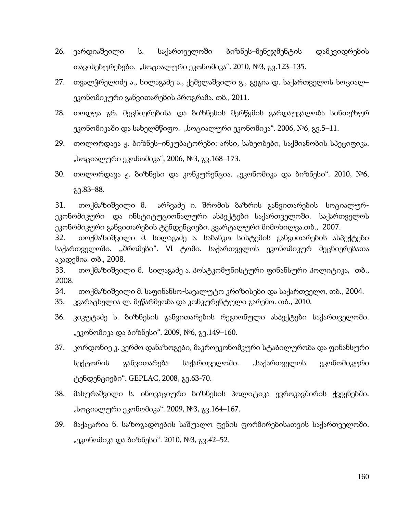- 26. ვარდიაშვილი ს. საქართველოში ბიზნეს–მენეჯმენტის დამკვიდრების თავისებურებები. "სოციალური ეკონომიკა". 2010, №3, გვ.123–135.
- 27. თვალჭრელიძე ა., სილაგაძე ა., ქეშელაშვილი გ., გეგია დ. საქართველოს სოციალ– ეკონომიკური განვითარების პროგრამა. თბ., 2011.
- 28. თოდუა გრ. მეცნიერებისა და ბიზნესის შერწყმის გარდაუვალობა სინთეზურ ეკონომიკაში და სახელმწიფო. "სოციალური ეკონომიკა". 2006, №6, გვ.5–11.
- 29. თოლორდავა ჟ. ბიზნეს–ინკუბატორები: არსი, სახეობები, საქმიანობის სპეციფიკა. "სოციალური ეკონომიკა", 2006, №3, გვ.168–173.
- 30. თოლორდავა ჟ. ბიზნესი და კონკურენცია. "ეკონომიკა და ბიზნესი". 2010, №6, გვ.83–88.

31. თოქმაზიშვილი მ. არჩვაძე ი. შრომის ბაზრის განვითარების სოციალურეკონომიკური და ინსტიტუციონალური ასპექტები საქართველოში. საქართველოს ეკონომიკური განვითარების ტენდენციები. კვარტალური მიმოხილვა.თბ., 2007.

32. თოქმაზიშვილი მ. სილაგაძე ა. საბანკო სისტემის განვითარების ასპექტები საქართველოში. ,,შრომები". VI ტომი. საქართველოს ეკონომიკურ მეცნიერებათა აკადემია. თბ., 2008.

33. თოქმაზიშვილი მ. სილაგაძე ა. პოსტკომუნისტური ფინანსური პოლიტიკა, თბ., 2008.

- 34. თოქმაზიშვილი მ. საფინანსო-სავალუტო კრიზისები და საქართველო, თბ., 2004.
- 35. კვარაცხელია ლ. მეწარმეობა და კონკურენტული გარემო. თბ., 2010.
- 36. კიკუტაძე ს. ბიზნესის განვითარების რეგიონული ასპექტები საქართველოში. "ეკონომიკა და ბიზნესი". 2009, №6, გვ.149–160.
- 37. კორდონიე კ. კერძო დანაზოგები, მაკროეკონომკური სტაბილურობა და ფინანსური სექტორის განვითარება საქართველოში. "საქართველოს ეკონომიკური ტენდენციები". GEPLAC, 2008, გვ.63-70.
- 38. მასურაშვილი ს. ინოვაციური ბიზნესის პოლიტიკა ევროკავშირის ქვეყნებში. "სოციალური ეკონომიკა". 2009, №3, გვ.164–167.
- 39. მაქაცარია ნ. საზოგადოების საშუალო ფენის ფორმირებისათვის საქართველოში. "ეკონომიკა და ბიზნესი". 2010, №3, გვ.42–52.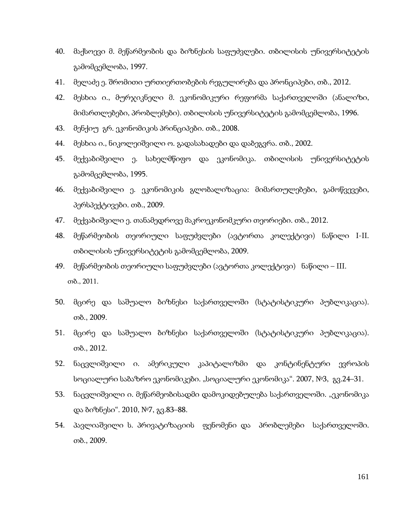- 40. მაქსოევი მ. მეწარმეობის და ბიზნესის საფუძვლები. თბილისის უნივერსიტეტის გამომცემლობა, 1997.
- 41. მელაძე ე. შრომითი ურთიერთობების რეგულირება და პრონციპები, თბ., 2012.
- 42. მესხია ი., მურჯიკნელი მ. ეკონომიკური რეფორმა საქართველოში (ანალიზი, მიმართლებები, პრობლემები). თბილისის უნივერსიტეტის გამომცემლობა, 1996.
- 43. მენქიუ გრ. ეკონომიკის პრინციპები. თბ., 2008.
- 44. მესხია ი., ნიკოლეიშვილი ო. გადასახადები და დაბეგვრა. თბ., 2002.
- 45. მექვაბიშვილი ე. სახელმწიფო და ეკონომიკა. თბილისის უნივერსიტეტის გამომცემლობა, 1995.
- 46. მექვაბიშვილი ე. ეკონომიკის გლობალიზაცია: მიმართულებები, გამოწვევები, პერსპექტივები. თბ., 2009.
- 47. მექვაბიშვილი ე. თანამედროვე მაკროეკონომკური თეორიები. თბ., 2012.
- 48. მეწარმეობის თეორიული საფუძვლები (ავტორთა კოლექტივი) ნაწილი I-II. თბილისის უნივერსიტეტის გამომცემლობა, 2009.
- 49. მეწარმეობის თეორიული საფუძვლები (ავტორთა კოლექტივი) ნაწილი III. თბ., 2011.
- 50. მცირე და საშუალო ბიზნესი საქართველოში (სტატისტიკური პუბლიკაცია). თბ., 2009.
- 51. მცირე და საშუალო ბიზნესი საქართველოში (სტატისტიკური პუბლიკაცია). თბ., 2012.
- 52. ნაცვლიშვილი ი. ამერიკული კაპიტალიზმი და კონტინენტური ევროპის სოციალური საბაზრო ეკონომიკები. "სოციალური ეკონომიკა". 2007, №3, გვ.24–31.
- 53. ნაცვლიშვილი ი. მეწარმეობისადმი დამოკიდებულება საქართველოში. "ეკონომიკა და ბიზნესი". 2010, №7, გვ.83–88.
- 54. პავლიაშვილი ს. პრივატიზაციის ფენომენი და პრობლემები საქართველოში. თბ., 2009.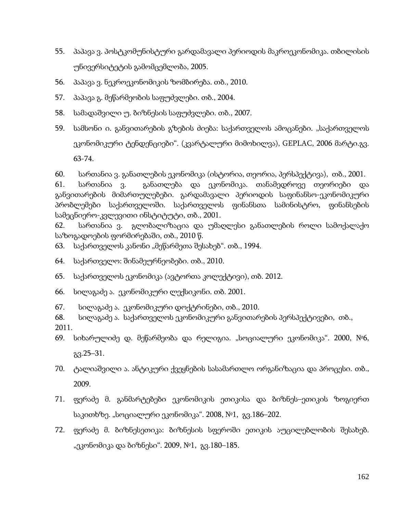- 55. პაპავა ვ. პოსტკომუნისტური გარდამავალი პერიოდის მაკროეკონომიკა. თბილისის უნივერსიტეტის გამომცემლობა, 2005.
- 56. პაპავა ვ. ნეკროეკონომიკის ზომბირება. თბ., 2010.
- 57. პაპავა გ. მეწარმეობის საფუძვლები. თბ., 2004.
- 58. სამადაშვილი უ. ბიზნესის საფუძვლები. თბ., 2007.
- 59. სამსონი ი. განვითარების გზების ძიება: საქართველოს ამოცანები. "საქართველოს ეკონომიკური ტენდენციები". (კვარტალური მიმოხილვა), GEPLAC, 2006 მარტი.გვ. 63-74.

60. სართანია ვ. განათლების ეკონომიკა (ისტორია, თეორია, პერსპექტივა), თბ., 2001.

61. სართანია ვ. განათლება და ეკონომიკა. თანამედროვე თეორიები და განვითარების მიმართულებები. გარდამავალი პერიოდის საფინანსო-ეკონომიკური პრობლემები საქართველოში. საქართველოს ფინანსთა სამინისტრო, ფინანსების სამეცნიერო-კვლევითი ინსტიტუტი, თბ., 2001.

62. სართანია ვ. გლობალიზაცია და უმაღლესი განათლების როლი სამოქალაქო საზოგადოების ფორმირებაში, თბ., 2010 წ.

- 63. საქართველოს კანონი "მეწარმეთა შესახებ". თბ., 1994.
- 64. საქართველო: შინამეურნეობები. თბ., 2010.
- 65. საქართველოს ეკონომიკა (ავტორთა კოლექტივი), თბ. 2012.
- 66. სილაგაძე ა. ეკონომიკური ლექსიკონი. თბ. 2001.
- 67. სილაგაძე ა. ეკონომიკური დოქტრინები, თბ., 2010.
- 68. სილაგაძე ა. საქართველოს ეკონომიკური განვითარების პერსპექტივები, თბ.,

2011.

- 69. სიხარულიძე დ. მეწარმეობა და რელიგია. "სოციალური ეკონომიკა". 2000, №6, გვ.25–31.
- 70. ტალიაშვილი ა. ანტიკური ქვეყნების სასამართლო ორგანიზაცია და პროცესი. თბ., 2009.
- 71. ფერაძე მ. განმარტებები ეკონომიკის ეთიკისა და ბიზნეს–ეთიკის ზოგიერთ საკითხზე. "სოციალური ეკონომიკა". 2008, №1, გვ.186–202.
- 72. ფერაძე მ. ბიზნესეთიკა: ბიზნესის სფეროში ეთიკის აუცილებლობის შესახებ. "ეკონომიკა და ბიზნესი". 2009, №1, გვ.180–185.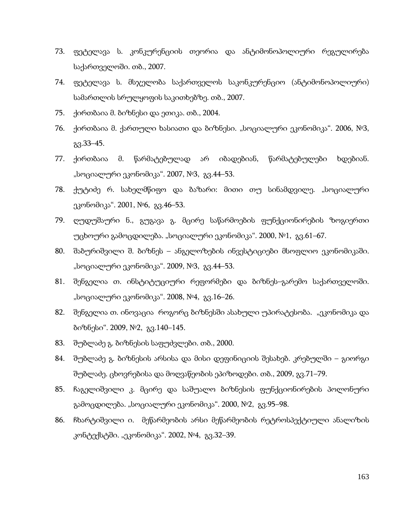- 73. ფეტელავა ს. კონკურენციის თეორია და ანტიმონოპოლიური რეგულირება საქართველოში. თბ., 2007.
- 74. ფეტელავა ს. მსჯელობა საქართველოს საკონკურენციო (ანტიმონოპოლიური) სამართლის სრულყოფის საკითხებზე. თბ., 2007.
- 75. ქირთბაია მ. ბიზნესი და ეთიკა. თბ., 2004.
- $76.$  ქირთბაია მ. ქართული ხასიათი და ბიზნესი. "სოციალური ეკონომიკა". 2006, №3, გვ.33–45.
- 77. ქირთბაია მ. წარმატებულად არ იბადებიან, წარმატებულები ხდებიან. "სოციალური ეკონომიკა". 2007, №3, გვ.44–53.
- 78. ქუტიძე რ. სახელმწიფო და ბაზარი: მითი თუ სინამდვილე. "სოციალური ეკონომიკა". 2001, №6, გვ.46–53.
- 79. ღუდუშაური ნ., გუგავა გ. მცირე საწარმოების ფუნქციონირების ზოგიერთი უცხოური გამოცდილება. "სოციალური ეკონომიკა". 2000, №1, გვ.61–67.
- 80. შაბურიშვილი შ. ბიზნეს ანგელოზების ინვესტიციები მსოფლიო ეკონომიკაში. "სოციალური ეკონომიკა". 2009, №3, გვ.44–53.
- 81. შენგელია თ. ინსტიტუციური რეფორმები და ბიზნეს–გარემო საქართველოში. "სოციალური ეკონომიკა". 2008, №4, გვ.16–26.
- 82. შენგელია თ. ინოვაცია როგორც ბიზნესში ასახული უპირატესობა. "ეკონომიკა და ბიზნესი". 2009, №2, გვ.140–145.
- 83. შუბლაძე გ. ბიზნესის საფუძვლები. თბ., 2000.
- 84. შუბლაძე გ. ბიზნესის არსისა და მისი დეფინიციის შესახებ. კრებულში გიორგი შუბლაძე. ცხოვრებისა და მოღვაწეობის ეპიზოდები. თბ., 2009, გვ.71–79.
- 85. ჩაგელიშვილი კ. მცირე და საშუალო ბიზნესის ფუნქციონირების პოლონური გამოცდილება. "სოციალური ეკონომიკა". 2000, №2, გვ.95–98.
- 86. ჩხარტიშვილი ი. მეწარმეობის არსი მეწარმეობის რეტროსპექტიული ანალიზის კონტექსტში. "ეკონომიკა". 2002, №4, გვ.32–39.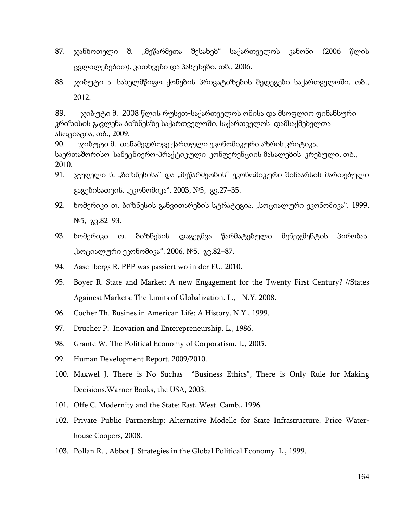- 87. ჯანხოთელი შ. "მეწარმეთა შესახებ" საქართველოს კანონი (2006 წლის ცვლილებებით). კითხვები და პასუხები. თბ., 2006.
- 88. ჯიბუტი ა. სახელმწიფო ქონების პრივატიზების შედეგები საქართველოში. თბ., 2012.

89. ჯიბუტი მ. 2008 წლის რუსეთ-საქართველოს ომისა და მსოფლიო ფინანსური კრიზისის გავლენა ბიზნესზე საქართველოში, საქართველოს დამსაქმებელთა ასოციაცია, თბ., 2009.

90. ჯიბუტი მ. თანამედროვე ქართული ეკონომიკური აზრის კრიტიკა, საერთაშორისო სამეცნიერო-პრაქტიკული კონფერენციის მასალების კრებული. თბ., 2010.

- 91.  $\chi$ უღელი ნ. "ბიზნესისა" და "მეწარმეობის" ეკონომიკური შინაარსის მართებული გაგებისათვის. "ეკონომიკა". 2003, №5, გვ.27–35.
- 92. ხომერიკი თ. ბიზნესის განვითარების სტრატეგია. "სოციალური ეკონომიკა". 1999, №5, გვ.82–93.
- 93. ხომერიკი თ. ბიზნესის დაგეგმვა წარმატებული მენეჯმენტის პირობაა. "სოციალური ეკონომიკა". 2006, №5, გვ.82–87.
- 94. Aase Ibergs R. PPP was passiert wo in der EU. 2010.
- 95. Boyer R. State and Market: A new Engagement for the Twenty First Century? //States Againest Markets: The Limits of Globalization. L., - N.Y. 2008.
- 96. Cocher Th. Busines in American Life: A History. N.Y., 1999.
- 97. Drucher P. Inovation and Enterepreneurship. L., 1986.
- 98. Grante W. The Political Economy of Corporatism. L., 2005.
- 99. Human Development Report. 2009/2010.
- 100. Maxwel J. There is No Suchas "Business Ethics", There is Only Rule for Making Decisions.Warner Books, the USA, 2003.
- 101. Offe C. Modernity and the State: East, West. Camb., 1996.
- 102. Private Public Partnership: Alternative Modelle for State Infrastructure. Price Waterhouse Coopers, 2008.
- 103. Pollan R. , Abbot J. Strategies in the Global Political Economy. L., 1999.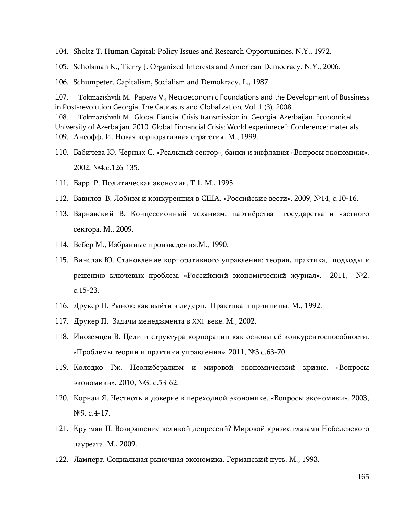104. Sholtz T. Human Capital: Policy Issues and Research Opportunities. N.Y., 1972.

105. Scholsman K., Tierry J. Organized Interests and American Democracy. N.Y., 2006.

106. Schumpeter. Capitalism, Socialism and Demokracy. L., 1987.

107. Tokmazishvili M. Papava V., Necroeconomic Foundations and the Development of Bussiness in Post-revolution Georgia. The Caucasus and Globalization, Vol. 1 (3), 2008. 108. Tokmazishvili M. Global Fiancial Crisis transmission in Georgia. Azerbaijan, Economical

University of Azerbaijan, 2010. Global Finnancial Crisis: World experimece": Conference: materials. 109. Ансофф. И. Новая корпоративная стратегия. М., 1999.

- 110. Бабичева Ю. Черных С. «Реальный сектор», банки и инфлация «Вопросы экономики». 2002, №4.с.126-135.
- 111. Барр Р. Политическая экономия. Т.1, М., 1995.
- 112. Вавилов В. Лобизм и конкуренция в США. «Российские вести». 2009, №14, с.10-16.
- 113. Варнавский В. Концессионный механизм, партнёрства государства и частного сектора. М., 2009.
- 114. Вебер М., Избранные произведения.М., 1990.
- 115. Винслав Ю. Становление корпоративного управления: теория, практика, подходы к решению ключевых проблем. «Российский экономический журнал». 2011, №2. с.15-23.
- 116. Друкер П. Рынок: как выйти в лидери. Практика и принципы. М., 1992.
- 117. Друкер П. Задачи менеджмента в XXI веке. М., 2002.
- 118. Иноземцев В. Цели и структура корпорации как основы её конкурентоспособности. «Проблемы теории и практики управления». 2011, №3.с.63-70.
- 119. Колодко Гж. Неолиберализм и мировой экономический кризис. «Вопросы экономики». 2010, №3. с.53-62.
- 120. Корнаи Я. Честноть и доверие в переходной экономике. «Вопросы экономики». 2003, №9. с.4-17.
- 121. Кругман П. Возвращение великой депрессий? Мировой кризис глазами Нобелевского лауреата. М., 2009.
- 122. Ламперт. Социальная рыночная экономика. Германский путь. М., 1993.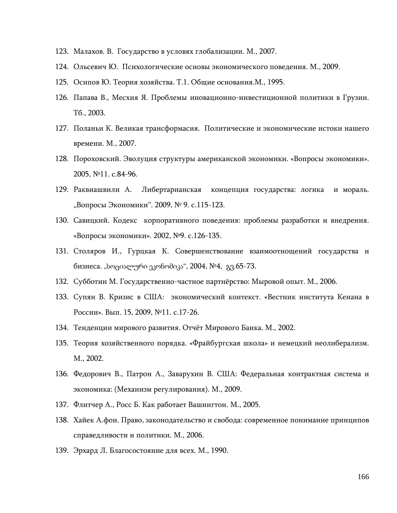- 123. Малахов. В. Государство в условях глобализации. М., 2007.
- 124. Ольсевич Ю. Психологические основы экономического поведения. М., 2009.
- 125. Осипов Ю. Теория хозяйства. Т.1. Общие основания.М., 1995.
- 126. Папава В., Месхия Я. Проблемы иновационно-инвестиционной политики в Грузии. Тб., 2003.
- 127. Поланьи К. Великая трансформасия. Политические и экономические истоки нашего времени. М., 2007.
- 128. Пороховский. Эволуция структуры американской экономики. «Вопросы экономики». 2005, №11. с.84-96.
- 129. Раквиашвили А. Либертарианская концепция государства: логика и мораль. "Вопросы Экономики". 2009, № 9. с.115-123.
- 130. Савицкий. Кодекс корпоративного поведения: проблемы разработки и внедрения. «Вопросы экономики». 2002, №9. с.126-135.
- 131. Столяров И., Гурцкая К. Совершенствование взаимоотнощений государства и бизнеса. "სოციალური ეკონომიკა", 2004, №4, გვ.65-73.
- 132. Субботин М. Государственно-частное партнёрство: Мыровой опыт. М., 2006.
- 133. Супян В. Кризис в США: экономический контекст. «Вестник института Кенана в России». Вып. 15, 2009, №11. с.17-26.
- 134. Тенденции мирового развития. Отчёт Мирового Банка. М., 2002.
- 135. Теория хозяйственного порядка. «Фрайбургская школа» и немецкий неолиберализм. М., 2002.
- 136. Федорович В., Патрон А., Заварухин В. США: Федеральная контрактная система и экономика: (Механизм регулирования). М., 2009.
- 137. Флитчер А., Росс Б. Как работает Вашингтон. М., 2005.
- 138. Хайек А.фон. Право, законодательство и свобода: современное понимание принципов справедливости и политики. М., 2006.
- 139. Эрхард Л. Благосостояние для всех. М., 1990.